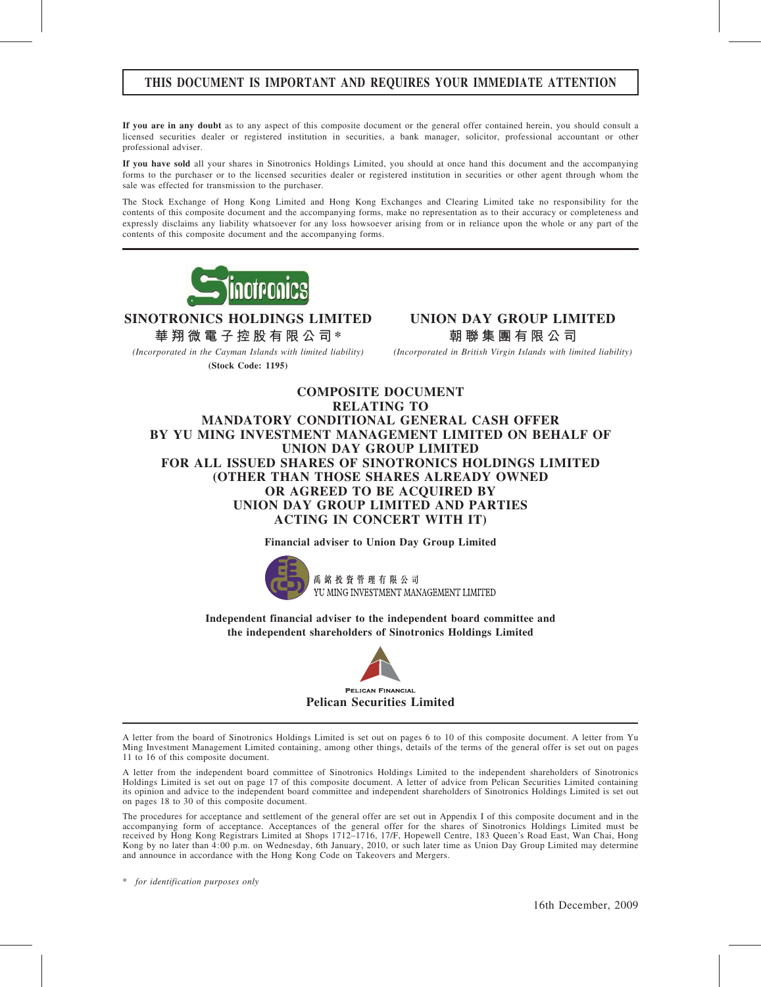## THIS DOCUMENT IS IMPORTANT AND REQUIRES YOUR IMMEDIATE ATTENTION

If you are in any doubt as to any aspect of this composite document or the general offer contained herein, you should consult a licensed securities dealer or registered institution in securities, a bank manager, solicitor, professional accountant or other professional adviser.

If you have sold all your shares in Sinotronics Holdings Limited, you should at once hand this document and the accompanying forms to the purchaser or to the licensed securities dealer or registered institution in securities or other agent through whom the sale was effected for transmission to the purchaser.

The Stock Exchange of Hong Kong Limited and Hong Kong Exchanges and Clearing Limited take no responsibility for the contents of this composite document and the accompanying forms, make no representation as to their accuracy or completeness and expressly disclaims any liability whatsoever for any loss howsoever arising from or in reliance upon the whole or any part of the contents of this composite document and the accompanying forms.



SINOTRONICS HOLDINGS LIMITED

華 翔 微 電 子 控 股 有 限 公 司 \*

(Incorporated in the Cayman Islands with limited liability) (Stock Code: 1195)

UNION DAY GROUP LIMITED 朝 聯 集 團 有 限 公 司

(Incorporated in British Virgin Islands with limited liability)

## COMPOSITE DOCUMENT RELATING TO MANDATORY CONDITIONAL GENERAL CASH OFFER BY YU MING INVESTMENT MANAGEMENT LIMITED ON BEHALF OF UNION DAY GROUP LIMITED FOR ALL ISSUED SHARES OF SINOTRONICS HOLDINGS LIMITED (OTHER THAN THOSE SHARES ALREADY OWNED OR AGREED TO BE ACQUIRED BY UNION DAY GROUP LIMITED AND PARTIES ACTING IN CONCERT WITH IT)

#### Financial adviser to Union Day Group Limited



禹銘投資管理有限公司 YU MING INVESTMENT MANAGEMENT LIMITED

Independent financial adviser to the independent board committee and the independent shareholders of Sinotronics Holdings Limited



A letter from the board of Sinotronics Holdings Limited is set out on pages 6 to 10 of this composite document. A letter from Yu Ming Investment Management Limited containing, among other things, details of the terms of the general offer is set out on pages 11 to 16 of this composite document.

A letter from the independent board committee of Sinotronics Holdings Limited to the independent shareholders of Sinotronics Holdings Limited is set out on page 17 of this composite document. A letter of advice from Pelican Securities Limited containing its opinion and advice to the independent board committee and independent shareholders of Sinotronics Holdings Limited is set out on pages 18 to 30 of this composite document.

The procedures for acceptance and settlement of the general offer are set out in Appendix I of this composite document and in the accompanying form of acceptance. Acceptances of the general offer for the shares of Sinotronics Holdings Limited must be received by Hong Kong Registrars Limited at Shops 1712–1716, 17/F, Hopewell Centre, 183 Queen's Road East, Wan Chai, Hong Kong by no later than 4:00 p.m. on Wednesday, 6th January, 2010, or such later time as Union Day Group Limited may determine and announce in accordance with the Hong Kong Code on Takeovers and Mergers.

\* for identification purposes only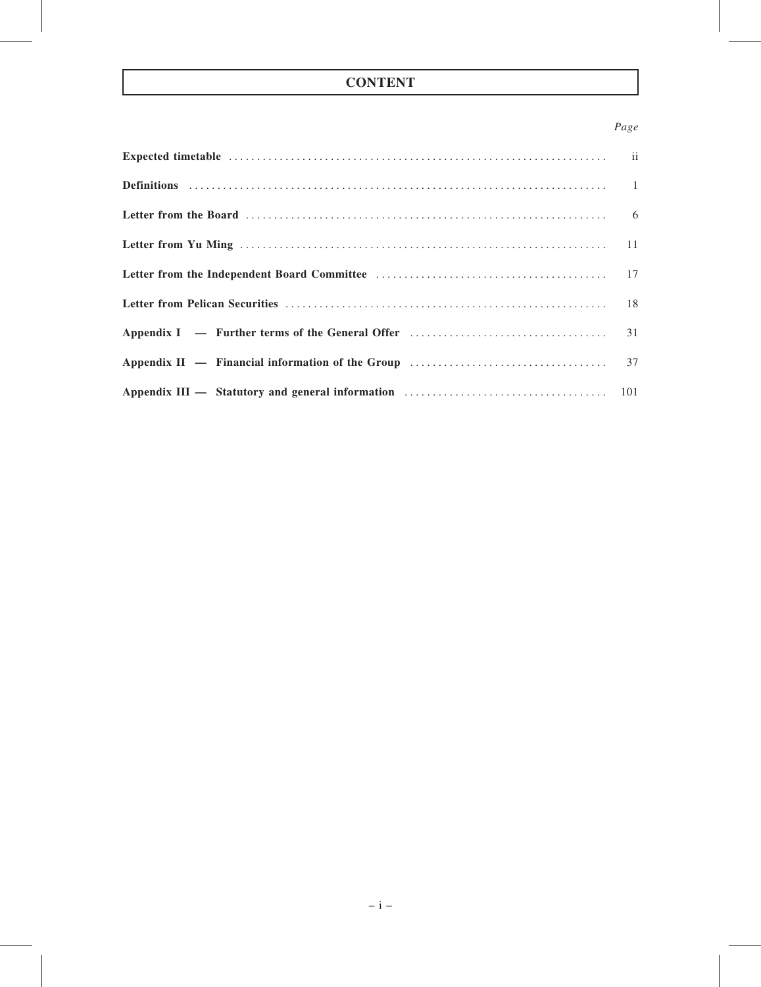# **CONTENT**

## Page

| Appendix III — Statutory and general information material contracts and the state of the state of the state of the state of the state of the state of the State of the State of the State of the State of the State of the Sta |  |
|--------------------------------------------------------------------------------------------------------------------------------------------------------------------------------------------------------------------------------|--|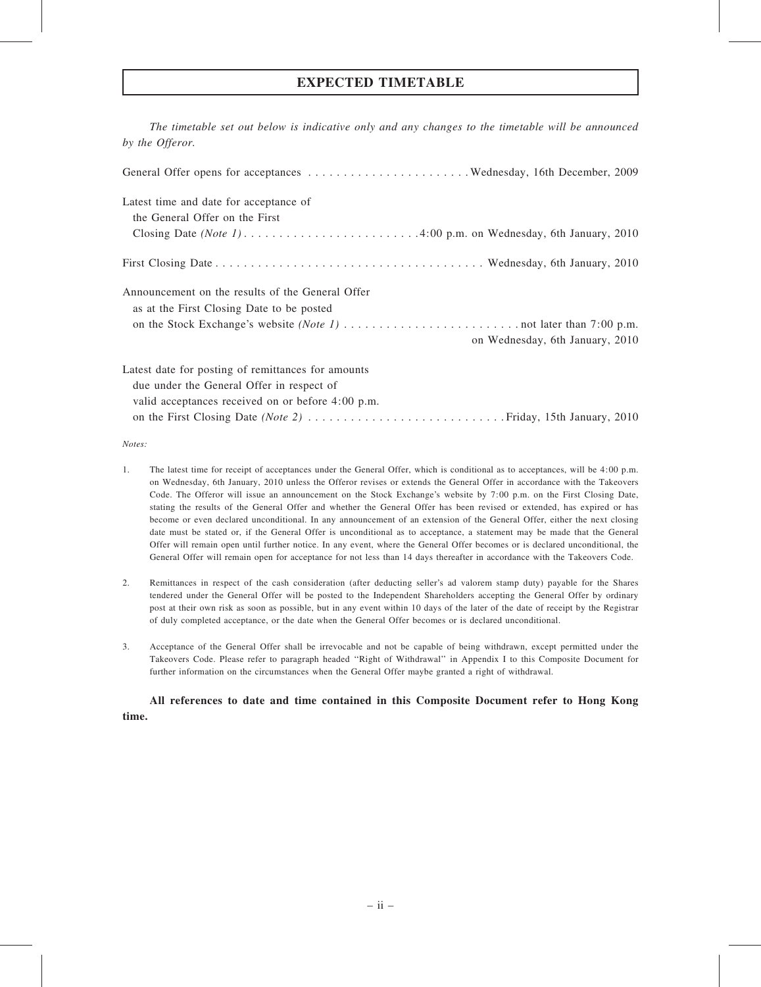## EXPECTED TIMETABLE

The timetable set out below is indicative only and any changes to the timetable will be announced by the Offeror.

| Latest time and date for acceptance of             |
|----------------------------------------------------|
| the General Offer on the First                     |
|                                                    |
|                                                    |
| Announcement on the results of the General Offer   |
| as at the First Closing Date to be posted          |
|                                                    |
| on Wednesday, 6th January, 2010                    |
| Latest date for posting of remittances for amounts |
| due under the General Offer in respect of          |
| valid acceptances received on or before 4:00 p.m.  |
|                                                    |

Notes:

- 1. The latest time for receipt of acceptances under the General Offer, which is conditional as to acceptances, will be 4:00 p.m. on Wednesday, 6th January, 2010 unless the Offeror revises or extends the General Offer in accordance with the Takeovers Code. The Offeror will issue an announcement on the Stock Exchange's website by 7:00 p.m. on the First Closing Date, stating the results of the General Offer and whether the General Offer has been revised or extended, has expired or has become or even declared unconditional. In any announcement of an extension of the General Offer, either the next closing date must be stated or, if the General Offer is unconditional as to acceptance, a statement may be made that the General Offer will remain open until further notice. In any event, where the General Offer becomes or is declared unconditional, the General Offer will remain open for acceptance for not less than 14 days thereafter in accordance with the Takeovers Code.
- 2. Remittances in respect of the cash consideration (after deducting seller's ad valorem stamp duty) payable for the Shares tendered under the General Offer will be posted to the Independent Shareholders accepting the General Offer by ordinary post at their own risk as soon as possible, but in any event within 10 days of the later of the date of receipt by the Registrar of duly completed acceptance, or the date when the General Offer becomes or is declared unconditional.
- 3. Acceptance of the General Offer shall be irrevocable and not be capable of being withdrawn, except permitted under the Takeovers Code. Please refer to paragraph headed ''Right of Withdrawal'' in Appendix I to this Composite Document for further information on the circumstances when the General Offer maybe granted a right of withdrawal.

All references to date and time contained in this Composite Document refer to Hong Kong time.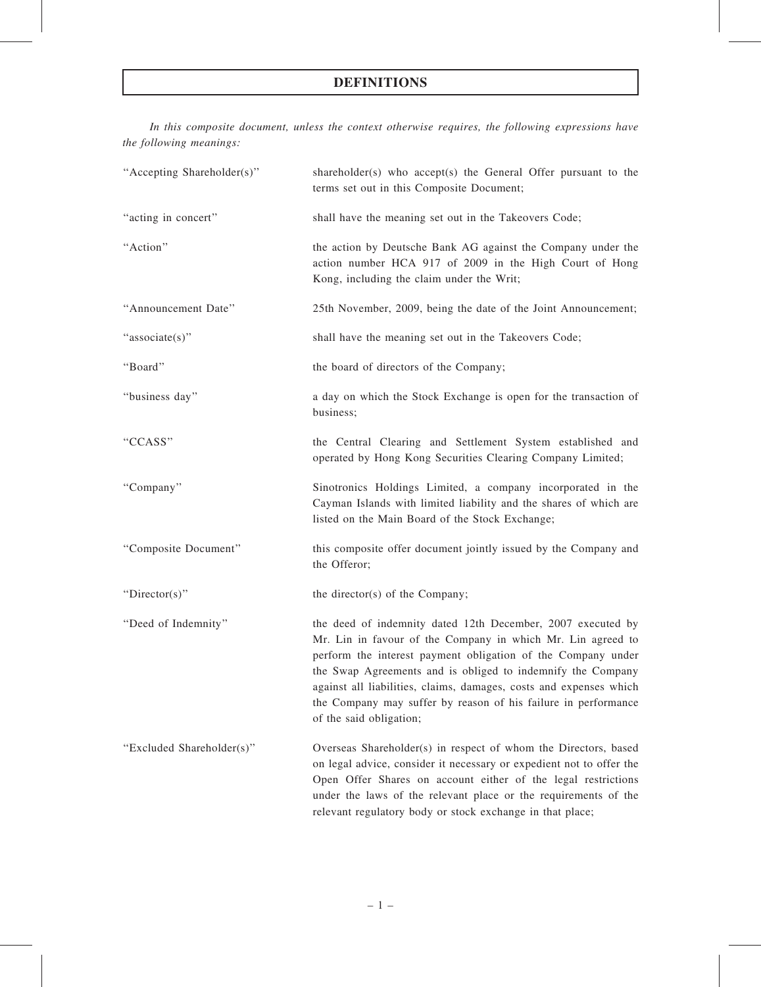In this composite document, unless the context otherwise requires, the following expressions have the following meanings:

| "Accepting Shareholder(s)" | shareholder(s) who accept(s) the General Offer pursuant to the<br>terms set out in this Composite Document;                                                                                                                                                                                                                                                                                                                  |
|----------------------------|------------------------------------------------------------------------------------------------------------------------------------------------------------------------------------------------------------------------------------------------------------------------------------------------------------------------------------------------------------------------------------------------------------------------------|
| "acting in concert"        | shall have the meaning set out in the Takeovers Code;                                                                                                                                                                                                                                                                                                                                                                        |
| "Action"                   | the action by Deutsche Bank AG against the Company under the<br>action number HCA 917 of 2009 in the High Court of Hong<br>Kong, including the claim under the Writ;                                                                                                                                                                                                                                                         |
| "Announcement Date"        | 25th November, 2009, being the date of the Joint Announcement;                                                                                                                                                                                                                                                                                                                                                               |
| "associate(s)"             | shall have the meaning set out in the Takeovers Code;                                                                                                                                                                                                                                                                                                                                                                        |
| "Board"                    | the board of directors of the Company;                                                                                                                                                                                                                                                                                                                                                                                       |
| "business day"             | a day on which the Stock Exchange is open for the transaction of<br>business;                                                                                                                                                                                                                                                                                                                                                |
| "CCASS"                    | the Central Clearing and Settlement System established and<br>operated by Hong Kong Securities Clearing Company Limited;                                                                                                                                                                                                                                                                                                     |
| "Company"                  | Sinotronics Holdings Limited, a company incorporated in the<br>Cayman Islands with limited liability and the shares of which are<br>listed on the Main Board of the Stock Exchange;                                                                                                                                                                                                                                          |
| "Composite Document"       | this composite offer document jointly issued by the Company and<br>the Offeror;                                                                                                                                                                                                                                                                                                                                              |
| "Director(s)"              | the director(s) of the Company;                                                                                                                                                                                                                                                                                                                                                                                              |
| "Deed of Indemnity"        | the deed of indemnity dated 12th December, 2007 executed by<br>Mr. Lin in favour of the Company in which Mr. Lin agreed to<br>perform the interest payment obligation of the Company under<br>the Swap Agreements and is obliged to indemnify the Company<br>against all liabilities, claims, damages, costs and expenses which<br>the Company may suffer by reason of his failure in performance<br>of the said obligation; |
| "Excluded Shareholder(s)"  | Overseas Shareholder(s) in respect of whom the Directors, based<br>on legal advice, consider it necessary or expedient not to offer the<br>Open Offer Shares on account either of the legal restrictions<br>under the laws of the relevant place or the requirements of the<br>relevant regulatory body or stock exchange in that place;                                                                                     |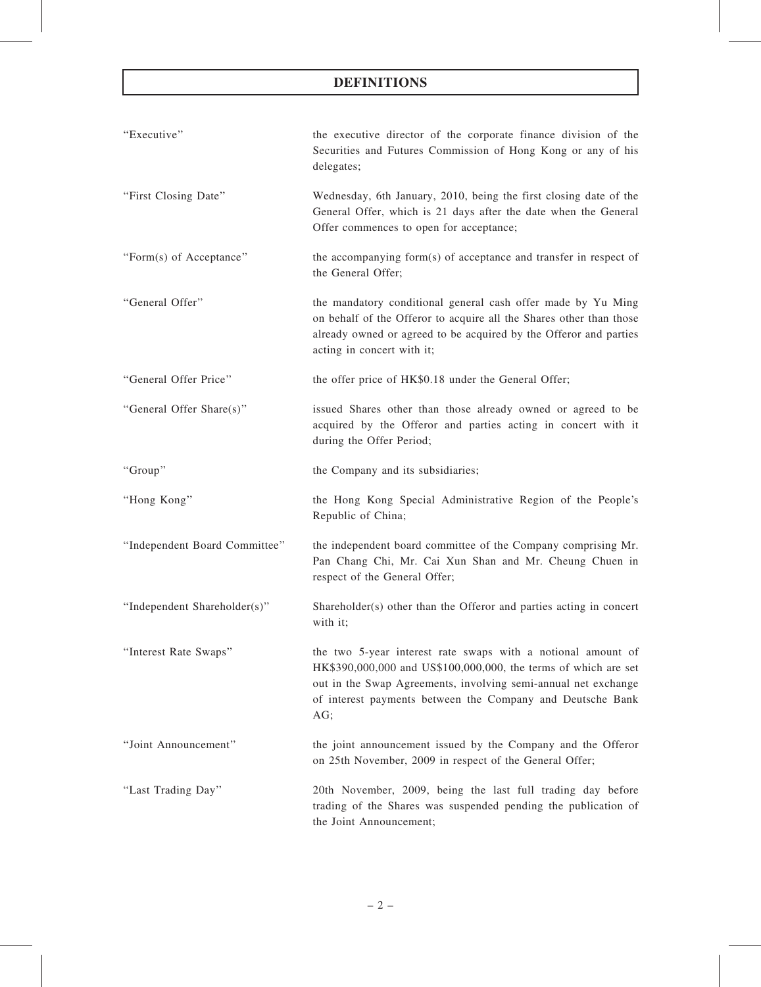| "Executive"                   | the executive director of the corporate finance division of the<br>Securities and Futures Commission of Hong Kong or any of his<br>delegates;                                                                                                                          |
|-------------------------------|------------------------------------------------------------------------------------------------------------------------------------------------------------------------------------------------------------------------------------------------------------------------|
| "First Closing Date"          | Wednesday, 6th January, 2010, being the first closing date of the<br>General Offer, which is 21 days after the date when the General<br>Offer commences to open for acceptance;                                                                                        |
| "Form(s) of Acceptance"       | the accompanying form(s) of acceptance and transfer in respect of<br>the General Offer;                                                                                                                                                                                |
| "General Offer"               | the mandatory conditional general cash offer made by Yu Ming<br>on behalf of the Offeror to acquire all the Shares other than those<br>already owned or agreed to be acquired by the Offeror and parties<br>acting in concert with it;                                 |
| "General Offer Price"         | the offer price of HK\$0.18 under the General Offer;                                                                                                                                                                                                                   |
| "General Offer Share(s)"      | issued Shares other than those already owned or agreed to be<br>acquired by the Offeror and parties acting in concert with it<br>during the Offer Period;                                                                                                              |
| "Group"                       | the Company and its subsidiaries;                                                                                                                                                                                                                                      |
| "Hong Kong"                   | the Hong Kong Special Administrative Region of the People's<br>Republic of China;                                                                                                                                                                                      |
| "Independent Board Committee" | the independent board committee of the Company comprising Mr.<br>Pan Chang Chi, Mr. Cai Xun Shan and Mr. Cheung Chuen in<br>respect of the General Offer;                                                                                                              |
| "Independent Shareholder(s)"  | Shareholder(s) other than the Offeror and parties acting in concert<br>with it;                                                                                                                                                                                        |
| "Interest Rate Swaps"         | the two 5-year interest rate swaps with a notional amount of<br>HK\$390,000,000 and US\$100,000,000, the terms of which are set<br>out in the Swap Agreements, involving semi-annual net exchange<br>of interest payments between the Company and Deutsche Bank<br>AG; |
| "Joint Announcement"          | the joint announcement issued by the Company and the Offeror<br>on 25th November, 2009 in respect of the General Offer;                                                                                                                                                |
| "Last Trading Day"            | 20th November, 2009, being the last full trading day before<br>trading of the Shares was suspended pending the publication of<br>the Joint Announcement;                                                                                                               |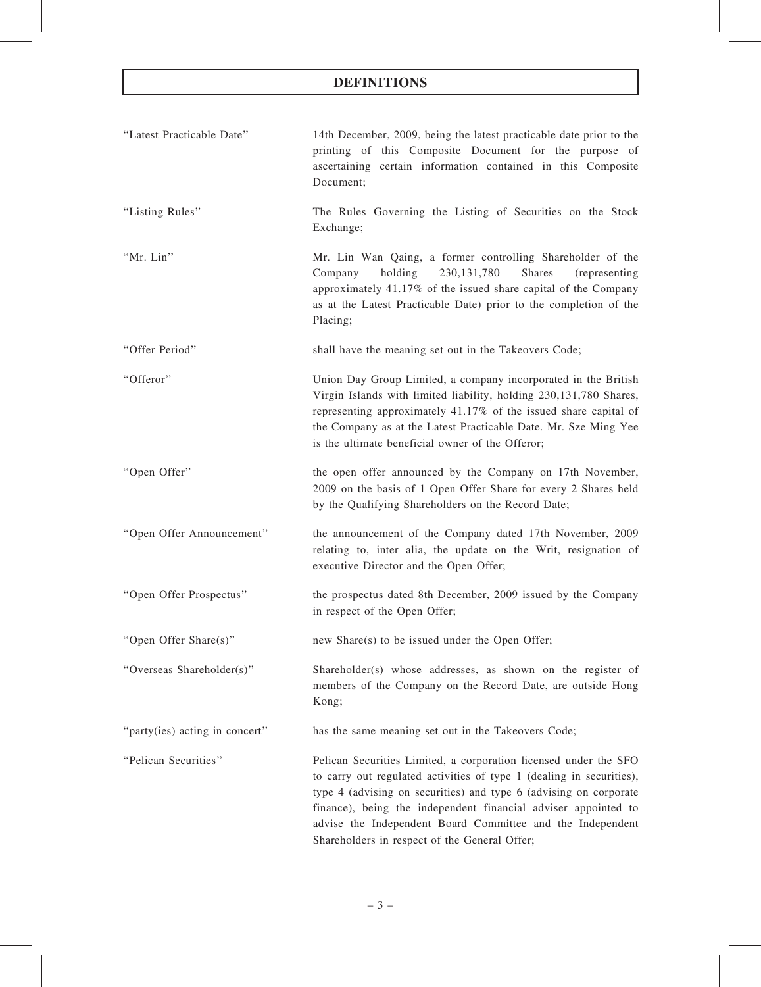| "Latest Practicable Date"      | 14th December, 2009, being the latest practicable date prior to the<br>printing of this Composite Document for the purpose of<br>ascertaining certain information contained in this Composite<br>Document;                                                                                                                                                                                     |
|--------------------------------|------------------------------------------------------------------------------------------------------------------------------------------------------------------------------------------------------------------------------------------------------------------------------------------------------------------------------------------------------------------------------------------------|
| "Listing Rules"                | The Rules Governing the Listing of Securities on the Stock<br>Exchange;                                                                                                                                                                                                                                                                                                                        |
| "Mr. Lin"                      | Mr. Lin Wan Qaing, a former controlling Shareholder of the<br>holding<br>230, 131, 780<br><b>Shares</b><br>Company<br>(representing)<br>approximately 41.17% of the issued share capital of the Company<br>as at the Latest Practicable Date) prior to the completion of the<br>Placing;                                                                                                       |
| "Offer Period"                 | shall have the meaning set out in the Takeovers Code;                                                                                                                                                                                                                                                                                                                                          |
| "Offeror"                      | Union Day Group Limited, a company incorporated in the British<br>Virgin Islands with limited liability, holding 230,131,780 Shares,<br>representing approximately 41.17% of the issued share capital of<br>the Company as at the Latest Practicable Date. Mr. Sze Ming Yee<br>is the ultimate beneficial owner of the Offeror;                                                                |
| "Open Offer"                   | the open offer announced by the Company on 17th November,<br>2009 on the basis of 1 Open Offer Share for every 2 Shares held<br>by the Qualifying Shareholders on the Record Date;                                                                                                                                                                                                             |
| "Open Offer Announcement"      | the announcement of the Company dated 17th November, 2009<br>relating to, inter alia, the update on the Writ, resignation of<br>executive Director and the Open Offer;                                                                                                                                                                                                                         |
| "Open Offer Prospectus"        | the prospectus dated 8th December, 2009 issued by the Company<br>in respect of the Open Offer;                                                                                                                                                                                                                                                                                                 |
| "Open Offer Share(s)"          | new Share(s) to be issued under the Open Offer;                                                                                                                                                                                                                                                                                                                                                |
| "Overseas Shareholder(s)"      | Shareholder(s) whose addresses, as shown on the register of<br>members of the Company on the Record Date, are outside Hong<br>Kong;                                                                                                                                                                                                                                                            |
| "party(ies) acting in concert" | has the same meaning set out in the Takeovers Code;                                                                                                                                                                                                                                                                                                                                            |
| "Pelican Securities"           | Pelican Securities Limited, a corporation licensed under the SFO<br>to carry out regulated activities of type 1 (dealing in securities),<br>type 4 (advising on securities) and type 6 (advising on corporate<br>finance), being the independent financial adviser appointed to<br>advise the Independent Board Committee and the Independent<br>Shareholders in respect of the General Offer; |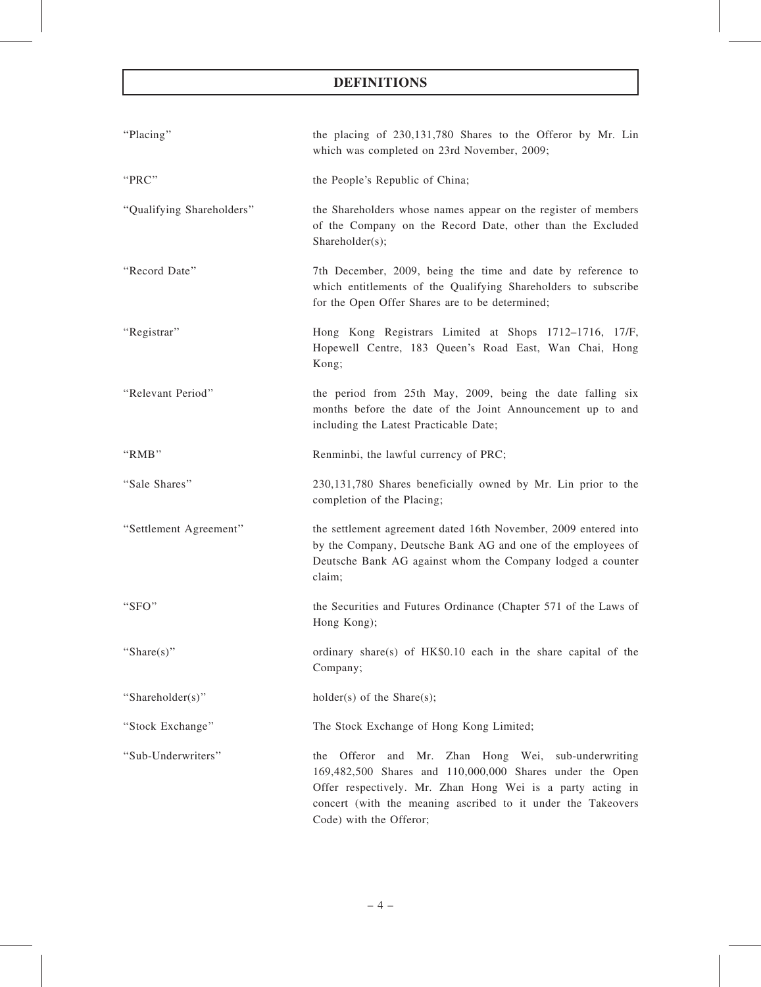| "Placing"                 | the placing of 230,131,780 Shares to the Offeror by Mr. Lin<br>which was completed on 23rd November, 2009;                                                                                                                                                                           |
|---------------------------|--------------------------------------------------------------------------------------------------------------------------------------------------------------------------------------------------------------------------------------------------------------------------------------|
| "PRC"                     | the People's Republic of China;                                                                                                                                                                                                                                                      |
| "Qualifying Shareholders" | the Shareholders whose names appear on the register of members<br>of the Company on the Record Date, other than the Excluded<br>Shareholder(s);                                                                                                                                      |
| "Record Date"             | 7th December, 2009, being the time and date by reference to<br>which entitlements of the Qualifying Shareholders to subscribe<br>for the Open Offer Shares are to be determined;                                                                                                     |
| "Registrar"               | Hong Kong Registrars Limited at Shops 1712-1716, 17/F,<br>Hopewell Centre, 183 Queen's Road East, Wan Chai, Hong<br>Kong;                                                                                                                                                            |
| "Relevant Period"         | the period from 25th May, 2009, being the date falling six<br>months before the date of the Joint Announcement up to and<br>including the Latest Practicable Date;                                                                                                                   |
| "RMB"                     | Renminbi, the lawful currency of PRC;                                                                                                                                                                                                                                                |
| "Sale Shares"             | 230,131,780 Shares beneficially owned by Mr. Lin prior to the<br>completion of the Placing;                                                                                                                                                                                          |
| "Settlement Agreement"    | the settlement agreement dated 16th November, 2009 entered into<br>by the Company, Deutsche Bank AG and one of the employees of<br>Deutsche Bank AG against whom the Company lodged a counter<br>claim;                                                                              |
| "SFO"                     | the Securities and Futures Ordinance (Chapter 571 of the Laws of<br>Hong Kong);                                                                                                                                                                                                      |
| "Share(s)"                | ordinary share(s) of HK\$0.10 each in the share capital of the<br>Company;                                                                                                                                                                                                           |
| "Shareholder(s)"          | $holder(s)$ of the Share $(s)$ ;                                                                                                                                                                                                                                                     |
| "Stock Exchange"          | The Stock Exchange of Hong Kong Limited;                                                                                                                                                                                                                                             |
| "Sub-Underwriters"        | Mr.<br>Zhan Hong Wei, sub-underwriting<br>Offeror<br>and<br>the<br>169,482,500 Shares and 110,000,000 Shares under the Open<br>Offer respectively. Mr. Zhan Hong Wei is a party acting in<br>concert (with the meaning ascribed to it under the Takeovers<br>Code) with the Offeror; |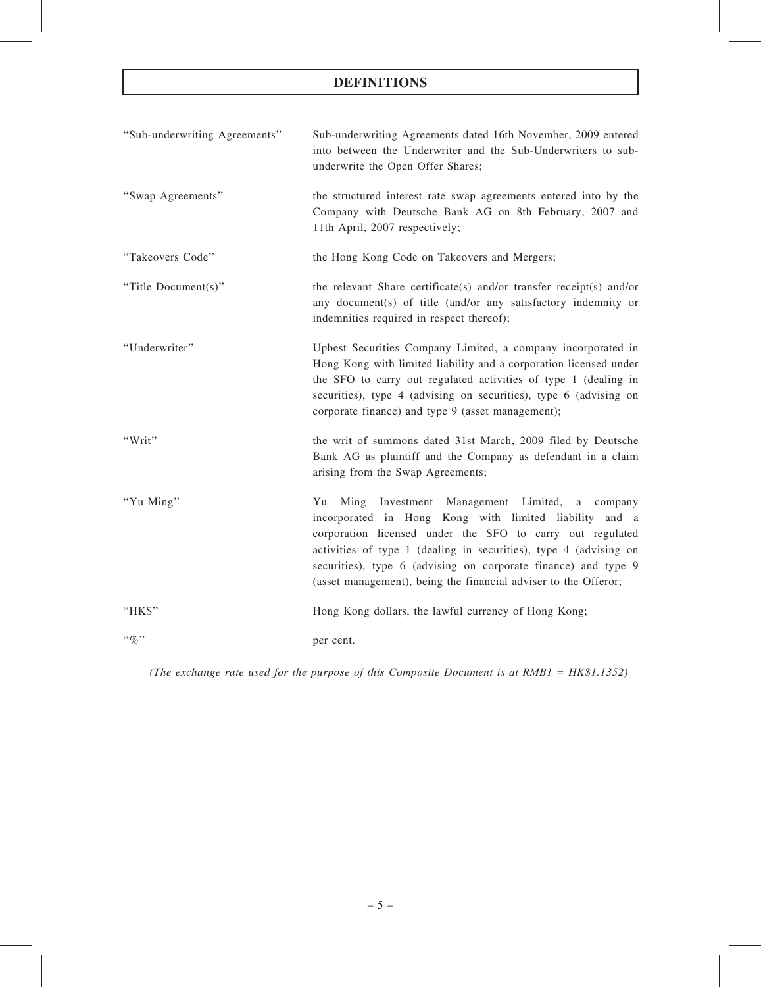| "Sub-underwriting Agreements" | Sub-underwriting Agreements dated 16th November, 2009 entered<br>into between the Underwriter and the Sub-Underwriters to sub-<br>underwrite the Open Offer Shares;                                                                                                                                                                                                                  |
|-------------------------------|--------------------------------------------------------------------------------------------------------------------------------------------------------------------------------------------------------------------------------------------------------------------------------------------------------------------------------------------------------------------------------------|
| "Swap Agreements"             | the structured interest rate swap agreements entered into by the<br>Company with Deutsche Bank AG on 8th February, 2007 and<br>11th April, 2007 respectively;                                                                                                                                                                                                                        |
| "Takeovers Code"              | the Hong Kong Code on Takeovers and Mergers;                                                                                                                                                                                                                                                                                                                                         |
| "Title Document(s)"           | the relevant Share certificate(s) and/or transfer receipt(s) and/or<br>any document(s) of title (and/or any satisfactory indemnity or<br>indemnities required in respect thereof);                                                                                                                                                                                                   |
| "Underwriter"                 | Upbest Securities Company Limited, a company incorporated in<br>Hong Kong with limited liability and a corporation licensed under<br>the SFO to carry out regulated activities of type 1 (dealing in<br>securities), type 4 (advising on securities), type 6 (advising on<br>corporate finance) and type 9 (asset management);                                                       |
| "Writ"                        | the writ of summons dated 31st March, 2009 filed by Deutsche<br>Bank AG as plaintiff and the Company as defendant in a claim<br>arising from the Swap Agreements;                                                                                                                                                                                                                    |
| "Yu Ming"                     | Ming Investment Management Limited, a company<br>Yu<br>incorporated in Hong Kong with limited liability and a<br>corporation licensed under the SFO to carry out regulated<br>activities of type 1 (dealing in securities), type 4 (advising on<br>securities), type 6 (advising on corporate finance) and type 9<br>(asset management), being the financial adviser to the Offeror; |
| "HK\$"                        | Hong Kong dollars, the lawful currency of Hong Kong;                                                                                                                                                                                                                                                                                                                                 |
| $``\%"$                       | per cent.                                                                                                                                                                                                                                                                                                                                                                            |

(The exchange rate used for the purpose of this Composite Document is at RMB1 = HK\$1.1352)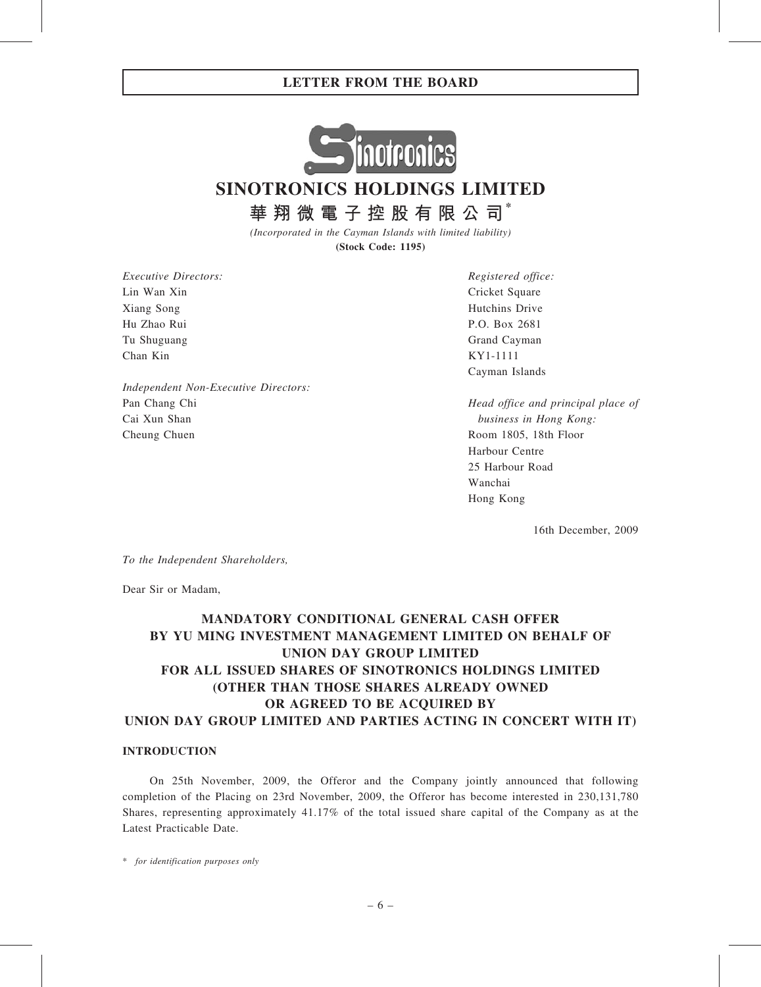

SINOTRONICS HOLDINGS LIMITED

華 翔 微 電 子 控 股 有 限 公 司 $^*$ 

(Incorporated in the Cayman Islands with limited liability) (Stock Code: 1195)

Executive Directors: Lin Wan Xin Xiang Song Hu Zhao Rui Tu Shuguang Chan Kin

Independent Non-Executive Directors: Pan Chang Chi Cai Xun Shan Cheung Chuen

Registered office: Cricket Square Hutchins Drive P.O. Box 2681 Grand Cayman KY1-1111 Cayman Islands

Head office and principal place of business in Hong Kong: Room 1805, 18th Floor Harbour Centre 25 Harbour Road Wanchai Hong Kong

16th December, 2009

To the Independent Shareholders,

Dear Sir or Madam,

# MANDATORY CONDITIONAL GENERAL CASH OFFER BY YU MING INVESTMENT MANAGEMENT LIMITED ON BEHALF OF UNION DAY GROUP LIMITED FOR ALL ISSUED SHARES OF SINOTRONICS HOLDINGS LIMITED (OTHER THAN THOSE SHARES ALREADY OWNED OR AGREED TO BE ACQUIRED BY UNION DAY GROUP LIMITED AND PARTIES ACTING IN CONCERT WITH IT)

## INTRODUCTION

On 25th November, 2009, the Offeror and the Company jointly announced that following completion of the Placing on 23rd November, 2009, the Offeror has become interested in 230,131,780 Shares, representing approximately 41.17% of the total issued share capital of the Company as at the Latest Practicable Date.

\* for identification purposes only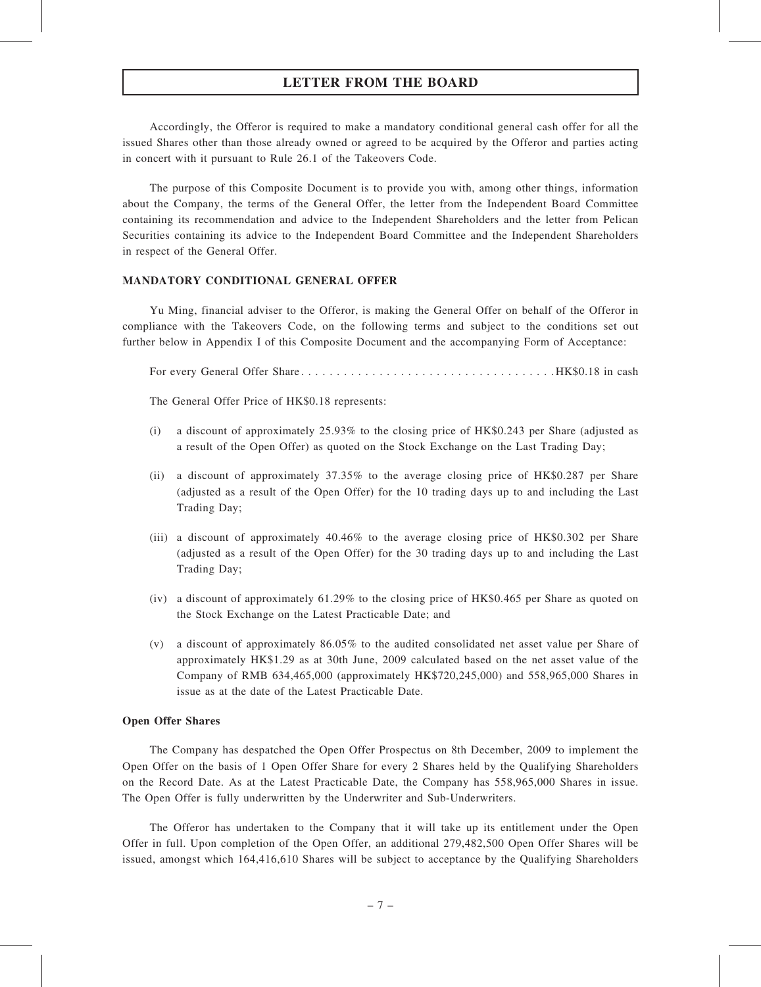Accordingly, the Offeror is required to make a mandatory conditional general cash offer for all the issued Shares other than those already owned or agreed to be acquired by the Offeror and parties acting in concert with it pursuant to Rule 26.1 of the Takeovers Code.

The purpose of this Composite Document is to provide you with, among other things, information about the Company, the terms of the General Offer, the letter from the Independent Board Committee containing its recommendation and advice to the Independent Shareholders and the letter from Pelican Securities containing its advice to the Independent Board Committee and the Independent Shareholders in respect of the General Offer.

## MANDATORY CONDITIONAL GENERAL OFFER

Yu Ming, financial adviser to the Offeror, is making the General Offer on behalf of the Offeror in compliance with the Takeovers Code, on the following terms and subject to the conditions set out further below in Appendix I of this Composite Document and the accompanying Form of Acceptance:

For every General Offer Share. . . . . . . . . . . . . . . . . . . . . . . . . . . . . . . . . . . . HK\$0.18 in cash

The General Offer Price of HK\$0.18 represents:

- (i) a discount of approximately 25.93% to the closing price of HK\$0.243 per Share (adjusted as a result of the Open Offer) as quoted on the Stock Exchange on the Last Trading Day;
- (ii) a discount of approximately 37.35% to the average closing price of HK\$0.287 per Share (adjusted as a result of the Open Offer) for the 10 trading days up to and including the Last Trading Day;
- (iii) a discount of approximately 40.46% to the average closing price of HK\$0.302 per Share (adjusted as a result of the Open Offer) for the 30 trading days up to and including the Last Trading Day;
- (iv) a discount of approximately 61.29% to the closing price of HK\$0.465 per Share as quoted on the Stock Exchange on the Latest Practicable Date; and
- (v) a discount of approximately 86.05% to the audited consolidated net asset value per Share of approximately HK\$1.29 as at 30th June, 2009 calculated based on the net asset value of the Company of RMB 634,465,000 (approximately HK\$720,245,000) and 558,965,000 Shares in issue as at the date of the Latest Practicable Date.

#### Open Offer Shares

The Company has despatched the Open Offer Prospectus on 8th December, 2009 to implement the Open Offer on the basis of 1 Open Offer Share for every 2 Shares held by the Qualifying Shareholders on the Record Date. As at the Latest Practicable Date, the Company has 558,965,000 Shares in issue. The Open Offer is fully underwritten by the Underwriter and Sub-Underwriters.

The Offeror has undertaken to the Company that it will take up its entitlement under the Open Offer in full. Upon completion of the Open Offer, an additional 279,482,500 Open Offer Shares will be issued, amongst which 164,416,610 Shares will be subject to acceptance by the Qualifying Shareholders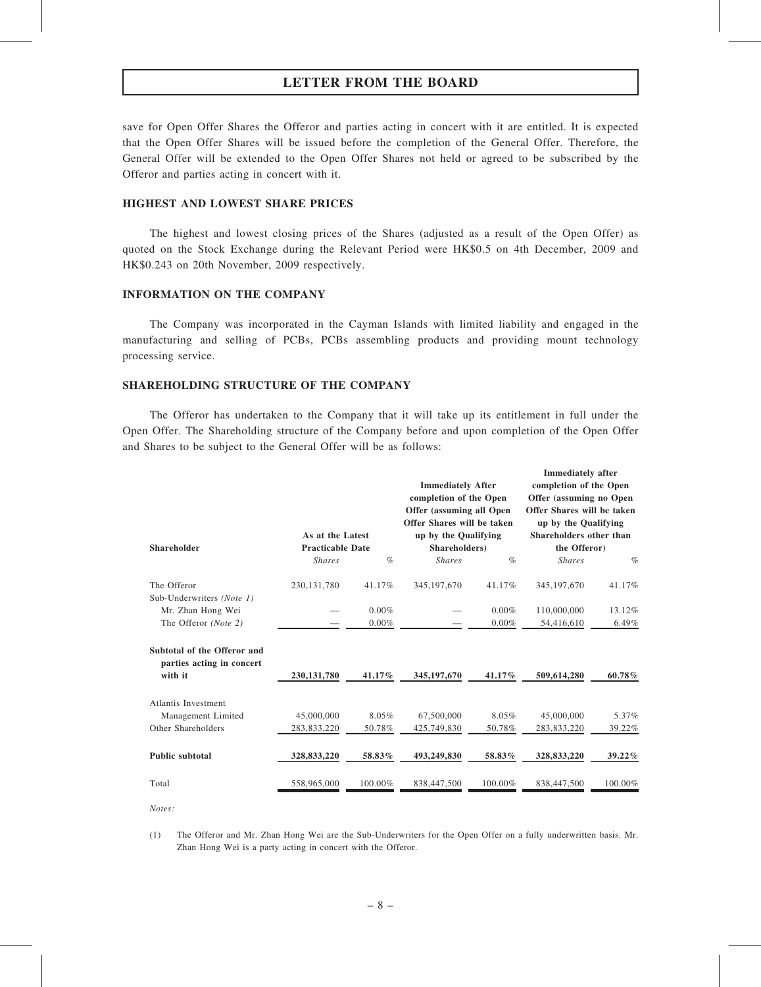save for Open Offer Shares the Offeror and parties acting in concert with it are entitled. It is expected that the Open Offer Shares will be issued before the completion of the General Offer. Therefore, the General Offer will be extended to the Open Offer Shares not held or agreed to be subscribed by the Offeror and parties acting in concert with it.

## HIGHEST AND LOWEST SHARE PRICES

The highest and lowest closing prices of the Shares (adjusted as a result of the Open Offer) as quoted on the Stock Exchange during the Relevant Period were HK\$0.5 on 4th December, 2009 and HK\$0.243 on 20th November, 2009 respectively.

#### INFORMATION ON THE COMPANY

The Company was incorporated in the Cayman Islands with limited liability and engaged in the manufacturing and selling of PCBs, PCBs assembling products and providing mount technology processing service.

#### SHAREHOLDING STRUCTURE OF THE COMPANY

The Offeror has undertaken to the Company that it will take up its entitlement in full under the Open Offer. The Shareholding structure of the Company before and upon completion of the Open Offer and Shares to be subject to the General Offer will be as follows:

| <b>Shareholder</b>                                       | As at the Latest<br><b>Practicable Date</b> |          | <b>Immediately After</b><br>completion of the Open<br>Offer (assuming all Open<br>Offer Shares will be taken<br>up by the Qualifying<br>Shareholders) |         | <b>Immediately</b> after<br>completion of the Open<br>Offer (assuming no Open<br>Offer Shares will be taken<br>up by the Qualifying<br>Shareholders other than<br>the Offeror) |         |
|----------------------------------------------------------|---------------------------------------------|----------|-------------------------------------------------------------------------------------------------------------------------------------------------------|---------|--------------------------------------------------------------------------------------------------------------------------------------------------------------------------------|---------|
|                                                          | <b>Shares</b>                               | $\%$     | <b>Shares</b>                                                                                                                                         | $\%$    | <b>Shares</b>                                                                                                                                                                  | $\%$    |
| The Offeror<br>Sub-Underwriters (Note 1)                 | 230, 131, 780                               | 41.17%   | 345, 197, 670                                                                                                                                         | 41.17%  | 345, 197, 670                                                                                                                                                                  | 41.17%  |
| Mr. Zhan Hong Wei                                        |                                             | $0.00\%$ |                                                                                                                                                       | 0.00%   | 110,000,000                                                                                                                                                                    | 13.12%  |
| The Offeror (Note 2)                                     |                                             | $0.00\%$ |                                                                                                                                                       | 0.00%   | 54,416,610                                                                                                                                                                     | 6.49%   |
| Subtotal of the Offeror and<br>parties acting in concert |                                             |          |                                                                                                                                                       |         |                                                                                                                                                                                |         |
| with it                                                  | 230, 131, 780                               | 41.17%   | 345, 197, 670                                                                                                                                         | 41.17%  | 509,614,280                                                                                                                                                                    | 60.78%  |
| Atlantis Investment                                      |                                             |          |                                                                                                                                                       |         |                                                                                                                                                                                |         |
| Management Limited                                       | 45,000,000                                  | 8.05%    | 67,500,000                                                                                                                                            | 8.05%   | 45,000,000                                                                                                                                                                     | 5.37%   |
| Other Shareholders                                       | 283,833,220                                 | 50.78%   | 425,749,830                                                                                                                                           | 50.78%  | 283,833,220                                                                                                                                                                    | 39.22%  |
| <b>Public subtotal</b>                                   | 328,833,220                                 | 58.83%   | 493,249,830                                                                                                                                           | 58.83%  | 328,833,220                                                                                                                                                                    | 39.22%  |
| Total                                                    | 558,965,000                                 | 100.00%  | 838,447,500                                                                                                                                           | 100.00% | 838,447,500                                                                                                                                                                    | 100.00% |

Notes:

(1) The Offeror and Mr. Zhan Hong Wei are the Sub-Underwriters for the Open Offer on a fully underwritten basis. Mr. Zhan Hong Wei is a party acting in concert with the Offeror.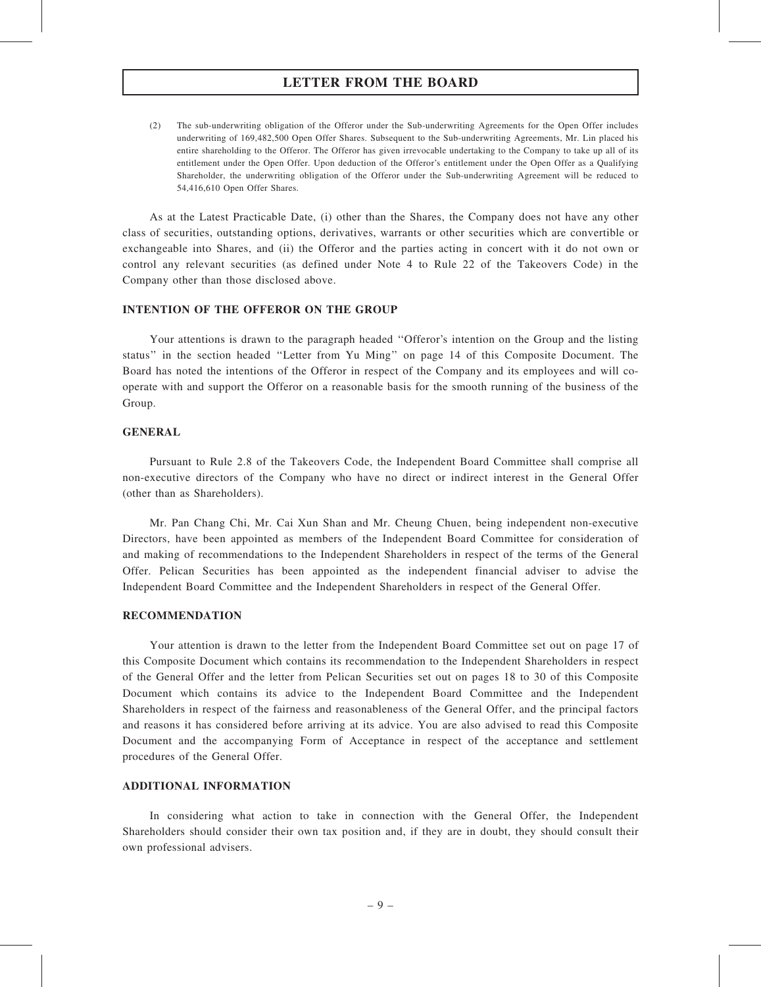(2) The sub-underwriting obligation of the Offeror under the Sub-underwriting Agreements for the Open Offer includes underwriting of 169,482,500 Open Offer Shares. Subsequent to the Sub-underwriting Agreements, Mr. Lin placed his entire shareholding to the Offeror. The Offeror has given irrevocable undertaking to the Company to take up all of its entitlement under the Open Offer. Upon deduction of the Offeror's entitlement under the Open Offer as a Qualifying Shareholder, the underwriting obligation of the Offeror under the Sub-underwriting Agreement will be reduced to 54,416,610 Open Offer Shares.

As at the Latest Practicable Date, (i) other than the Shares, the Company does not have any other class of securities, outstanding options, derivatives, warrants or other securities which are convertible or exchangeable into Shares, and (ii) the Offeror and the parties acting in concert with it do not own or control any relevant securities (as defined under Note 4 to Rule 22 of the Takeovers Code) in the Company other than those disclosed above.

### INTENTION OF THE OFFEROR ON THE GROUP

Your attentions is drawn to the paragraph headed ''Offeror's intention on the Group and the listing status'' in the section headed ''Letter from Yu Ming'' on page 14 of this Composite Document. The Board has noted the intentions of the Offeror in respect of the Company and its employees and will cooperate with and support the Offeror on a reasonable basis for the smooth running of the business of the Group.

## **GENERAL**

Pursuant to Rule 2.8 of the Takeovers Code, the Independent Board Committee shall comprise all non-executive directors of the Company who have no direct or indirect interest in the General Offer (other than as Shareholders).

Mr. Pan Chang Chi, Mr. Cai Xun Shan and Mr. Cheung Chuen, being independent non-executive Directors, have been appointed as members of the Independent Board Committee for consideration of and making of recommendations to the Independent Shareholders in respect of the terms of the General Offer. Pelican Securities has been appointed as the independent financial adviser to advise the Independent Board Committee and the Independent Shareholders in respect of the General Offer.

#### RECOMMENDATION

Your attention is drawn to the letter from the Independent Board Committee set out on page 17 of this Composite Document which contains its recommendation to the Independent Shareholders in respect of the General Offer and the letter from Pelican Securities set out on pages 18 to 30 of this Composite Document which contains its advice to the Independent Board Committee and the Independent Shareholders in respect of the fairness and reasonableness of the General Offer, and the principal factors and reasons it has considered before arriving at its advice. You are also advised to read this Composite Document and the accompanying Form of Acceptance in respect of the acceptance and settlement procedures of the General Offer.

## ADDITIONAL INFORMATION

In considering what action to take in connection with the General Offer, the Independent Shareholders should consider their own tax position and, if they are in doubt, they should consult their own professional advisers.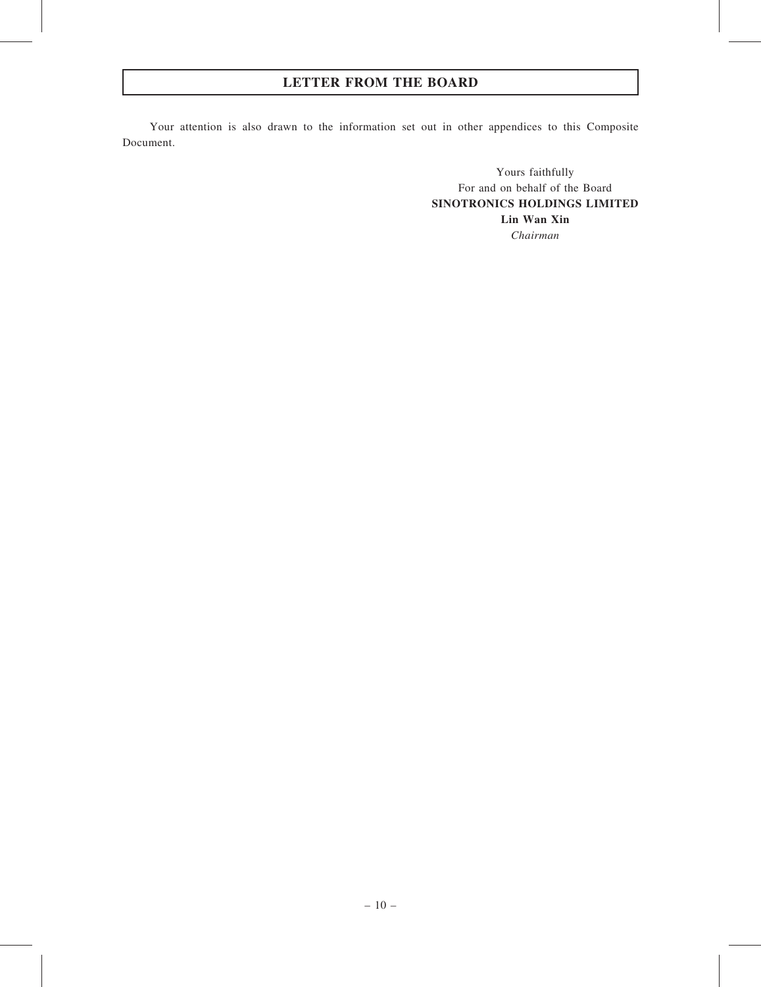Your attention is also drawn to the information set out in other appendices to this Composite Document.

> Yours faithfully For and on behalf of the Board SINOTRONICS HOLDINGS LIMITED Lin Wan Xin Chairman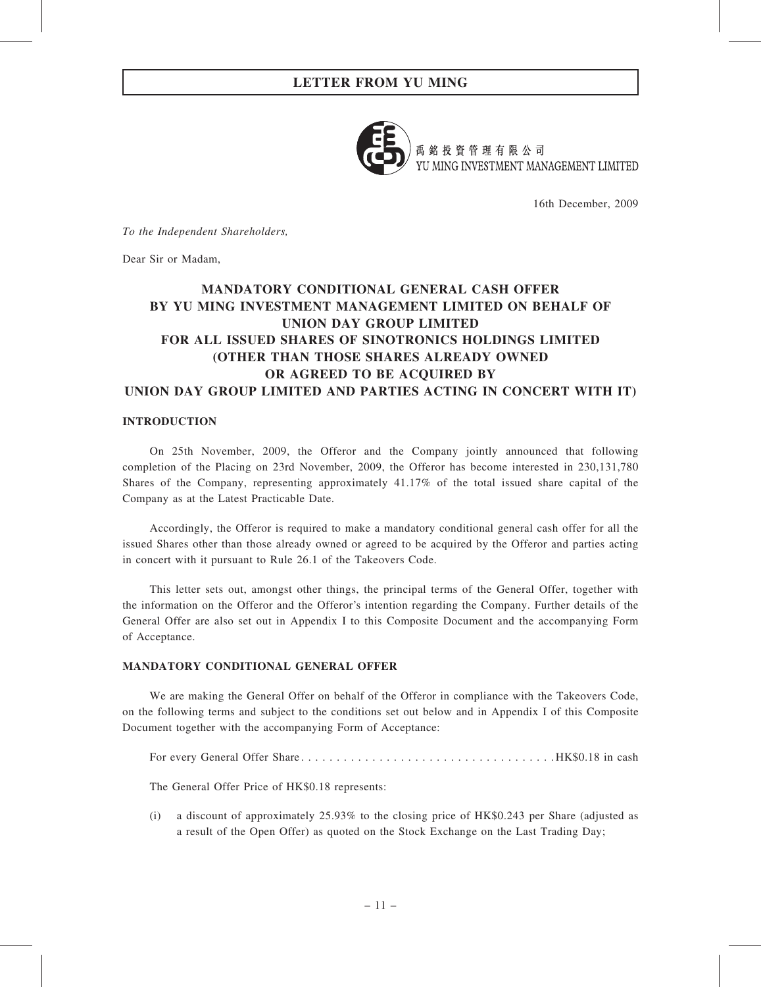

禹銘投資管理有限公司 YU MING INVESTMENT MANAGEMENT LIMITED

16th December, 2009

To the Independent Shareholders,

Dear Sir or Madam,

# MANDATORY CONDITIONAL GENERAL CASH OFFER BY YU MING INVESTMENT MANAGEMENT LIMITED ON BEHALF OF UNION DAY GROUP LIMITED FOR ALL ISSUED SHARES OF SINOTRONICS HOLDINGS LIMITED (OTHER THAN THOSE SHARES ALREADY OWNED OR AGREED TO BE ACQUIRED BY UNION DAY GROUP LIMITED AND PARTIES ACTING IN CONCERT WITH IT)

## INTRODUCTION

On 25th November, 2009, the Offeror and the Company jointly announced that following completion of the Placing on 23rd November, 2009, the Offeror has become interested in 230,131,780 Shares of the Company, representing approximately 41.17% of the total issued share capital of the Company as at the Latest Practicable Date.

Accordingly, the Offeror is required to make a mandatory conditional general cash offer for all the issued Shares other than those already owned or agreed to be acquired by the Offeror and parties acting in concert with it pursuant to Rule 26.1 of the Takeovers Code.

This letter sets out, amongst other things, the principal terms of the General Offer, together with the information on the Offeror and the Offeror's intention regarding the Company. Further details of the General Offer are also set out in Appendix I to this Composite Document and the accompanying Form of Acceptance.

## MANDATORY CONDITIONAL GENERAL OFFER

We are making the General Offer on behalf of the Offeror in compliance with the Takeovers Code, on the following terms and subject to the conditions set out below and in Appendix I of this Composite Document together with the accompanying Form of Acceptance:

For every General Offer Share. . . . . . . . . . . . . . . . . . . . . . . . . . . . . . . . . . . . HK\$0.18 in cash

The General Offer Price of HK\$0.18 represents:

(i) a discount of approximately 25.93% to the closing price of HK\$0.243 per Share (adjusted as a result of the Open Offer) as quoted on the Stock Exchange on the Last Trading Day;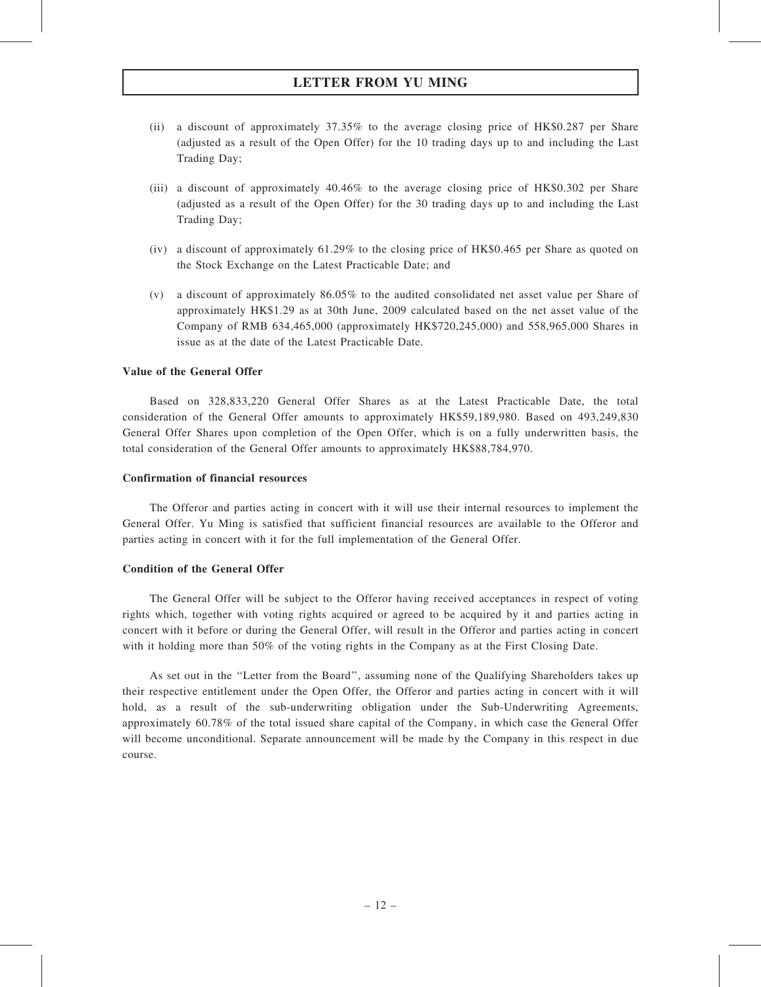- (ii) a discount of approximately 37.35% to the average closing price of HK\$0.287 per Share (adjusted as a result of the Open Offer) for the 10 trading days up to and including the Last Trading Day;
- (iii) a discount of approximately 40.46% to the average closing price of HK\$0.302 per Share (adjusted as a result of the Open Offer) for the 30 trading days up to and including the Last Trading Day;
- (iv) a discount of approximately 61.29% to the closing price of HK\$0.465 per Share as quoted on the Stock Exchange on the Latest Practicable Date; and
- (v) a discount of approximately 86.05% to the audited consolidated net asset value per Share of approximately HK\$1.29 as at 30th June, 2009 calculated based on the net asset value of the Company of RMB 634,465,000 (approximately HK\$720,245,000) and 558,965,000 Shares in issue as at the date of the Latest Practicable Date.

## Value of the General Offer

Based on 328,833,220 General Offer Shares as at the Latest Practicable Date, the total consideration of the General Offer amounts to approximately HK\$59,189,980. Based on 493,249,830 General Offer Shares upon completion of the Open Offer, which is on a fully underwritten basis, the total consideration of the General Offer amounts to approximately HK\$88,784,970.

## Confirmation of financial resources

The Offeror and parties acting in concert with it will use their internal resources to implement the General Offer. Yu Ming is satisfied that sufficient financial resources are available to the Offeror and parties acting in concert with it for the full implementation of the General Offer.

#### Condition of the General Offer

The General Offer will be subject to the Offeror having received acceptances in respect of voting rights which, together with voting rights acquired or agreed to be acquired by it and parties acting in concert with it before or during the General Offer, will result in the Offeror and parties acting in concert with it holding more than 50% of the voting rights in the Company as at the First Closing Date.

As set out in the ''Letter from the Board'', assuming none of the Qualifying Shareholders takes up their respective entitlement under the Open Offer, the Offeror and parties acting in concert with it will hold, as a result of the sub-underwriting obligation under the Sub-Underwriting Agreements, approximately 60.78% of the total issued share capital of the Company, in which case the General Offer will become unconditional. Separate announcement will be made by the Company in this respect in due course.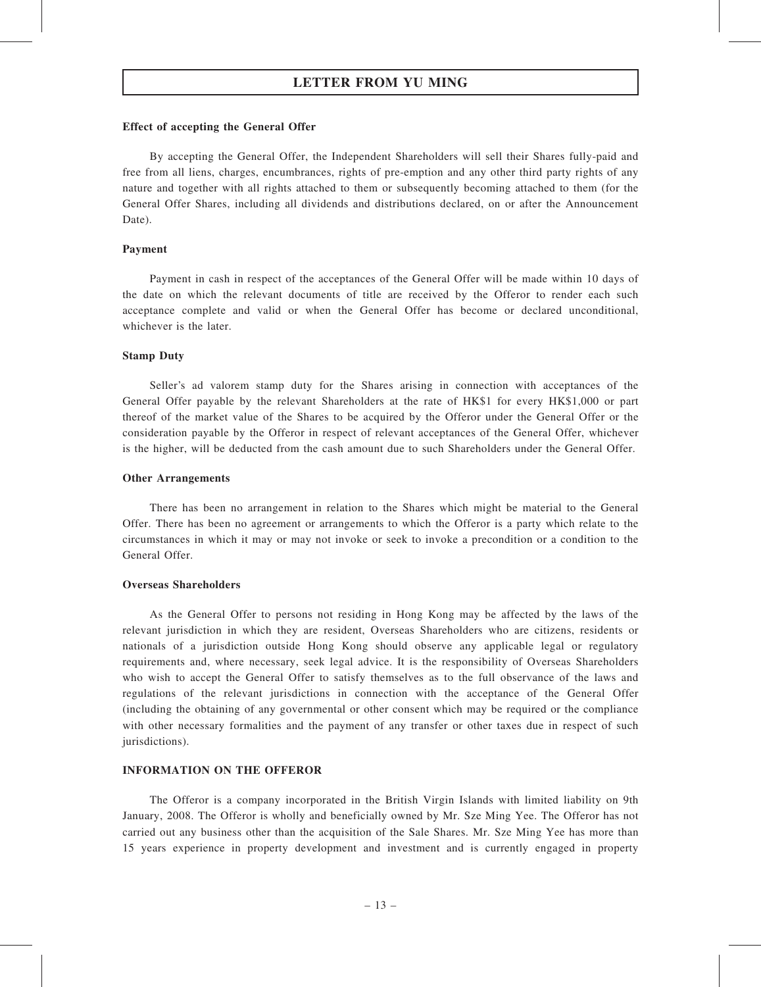#### Effect of accepting the General Offer

By accepting the General Offer, the Independent Shareholders will sell their Shares fully-paid and free from all liens, charges, encumbrances, rights of pre-emption and any other third party rights of any nature and together with all rights attached to them or subsequently becoming attached to them (for the General Offer Shares, including all dividends and distributions declared, on or after the Announcement Date).

#### Payment

Payment in cash in respect of the acceptances of the General Offer will be made within 10 days of the date on which the relevant documents of title are received by the Offeror to render each such acceptance complete and valid or when the General Offer has become or declared unconditional, whichever is the later.

## Stamp Duty

Seller's ad valorem stamp duty for the Shares arising in connection with acceptances of the General Offer payable by the relevant Shareholders at the rate of HK\$1 for every HK\$1,000 or part thereof of the market value of the Shares to be acquired by the Offeror under the General Offer or the consideration payable by the Offeror in respect of relevant acceptances of the General Offer, whichever is the higher, will be deducted from the cash amount due to such Shareholders under the General Offer.

#### Other Arrangements

There has been no arrangement in relation to the Shares which might be material to the General Offer. There has been no agreement or arrangements to which the Offeror is a party which relate to the circumstances in which it may or may not invoke or seek to invoke a precondition or a condition to the General Offer.

#### Overseas Shareholders

As the General Offer to persons not residing in Hong Kong may be affected by the laws of the relevant jurisdiction in which they are resident, Overseas Shareholders who are citizens, residents or nationals of a jurisdiction outside Hong Kong should observe any applicable legal or regulatory requirements and, where necessary, seek legal advice. It is the responsibility of Overseas Shareholders who wish to accept the General Offer to satisfy themselves as to the full observance of the laws and regulations of the relevant jurisdictions in connection with the acceptance of the General Offer (including the obtaining of any governmental or other consent which may be required or the compliance with other necessary formalities and the payment of any transfer or other taxes due in respect of such jurisdictions).

## INFORMATION ON THE OFFEROR

The Offeror is a company incorporated in the British Virgin Islands with limited liability on 9th January, 2008. The Offeror is wholly and beneficially owned by Mr. Sze Ming Yee. The Offeror has not carried out any business other than the acquisition of the Sale Shares. Mr. Sze Ming Yee has more than 15 years experience in property development and investment and is currently engaged in property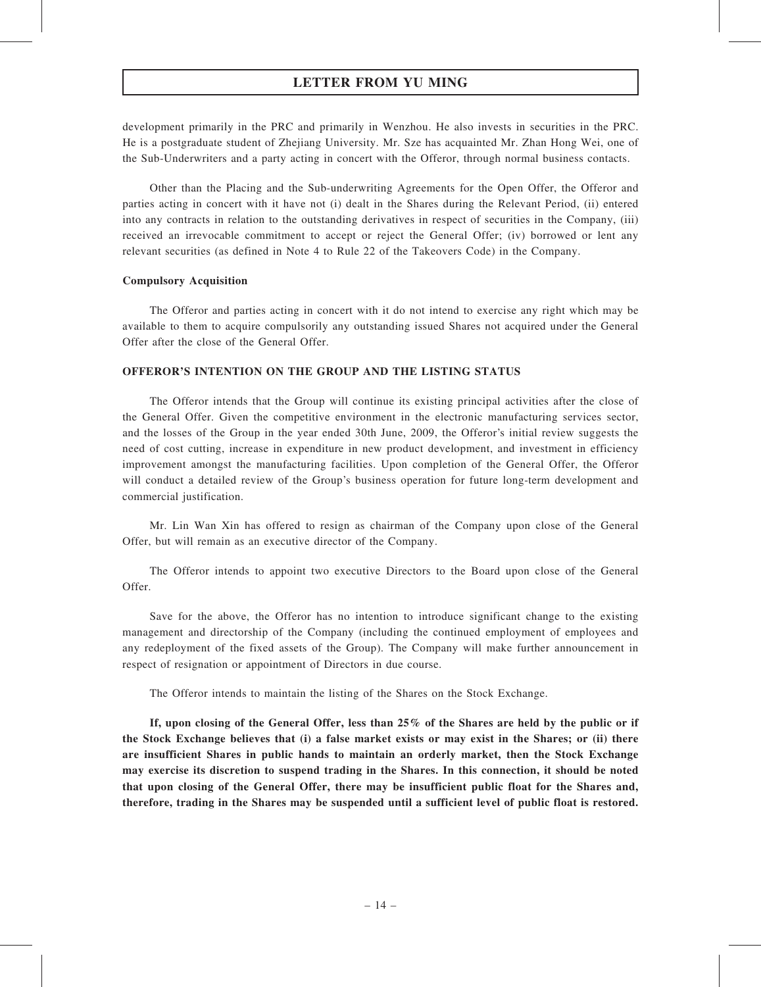development primarily in the PRC and primarily in Wenzhou. He also invests in securities in the PRC. He is a postgraduate student of Zhejiang University. Mr. Sze has acquainted Mr. Zhan Hong Wei, one of the Sub-Underwriters and a party acting in concert with the Offeror, through normal business contacts.

Other than the Placing and the Sub-underwriting Agreements for the Open Offer, the Offeror and parties acting in concert with it have not (i) dealt in the Shares during the Relevant Period, (ii) entered into any contracts in relation to the outstanding derivatives in respect of securities in the Company, (iii) received an irrevocable commitment to accept or reject the General Offer; (iv) borrowed or lent any relevant securities (as defined in Note 4 to Rule 22 of the Takeovers Code) in the Company.

## Compulsory Acquisition

The Offeror and parties acting in concert with it do not intend to exercise any right which may be available to them to acquire compulsorily any outstanding issued Shares not acquired under the General Offer after the close of the General Offer.

## OFFEROR'S INTENTION ON THE GROUP AND THE LISTING STATUS

The Offeror intends that the Group will continue its existing principal activities after the close of the General Offer. Given the competitive environment in the electronic manufacturing services sector, and the losses of the Group in the year ended 30th June, 2009, the Offeror's initial review suggests the need of cost cutting, increase in expenditure in new product development, and investment in efficiency improvement amongst the manufacturing facilities. Upon completion of the General Offer, the Offeror will conduct a detailed review of the Group's business operation for future long-term development and commercial justification.

Mr. Lin Wan Xin has offered to resign as chairman of the Company upon close of the General Offer, but will remain as an executive director of the Company.

The Offeror intends to appoint two executive Directors to the Board upon close of the General Offer.

Save for the above, the Offeror has no intention to introduce significant change to the existing management and directorship of the Company (including the continued employment of employees and any redeployment of the fixed assets of the Group). The Company will make further announcement in respect of resignation or appointment of Directors in due course.

The Offeror intends to maintain the listing of the Shares on the Stock Exchange.

If, upon closing of the General Offer, less than 25% of the Shares are held by the public or if the Stock Exchange believes that (i) a false market exists or may exist in the Shares; or (ii) there are insufficient Shares in public hands to maintain an orderly market, then the Stock Exchange may exercise its discretion to suspend trading in the Shares. In this connection, it should be noted that upon closing of the General Offer, there may be insufficient public float for the Shares and, therefore, trading in the Shares may be suspended until a sufficient level of public float is restored.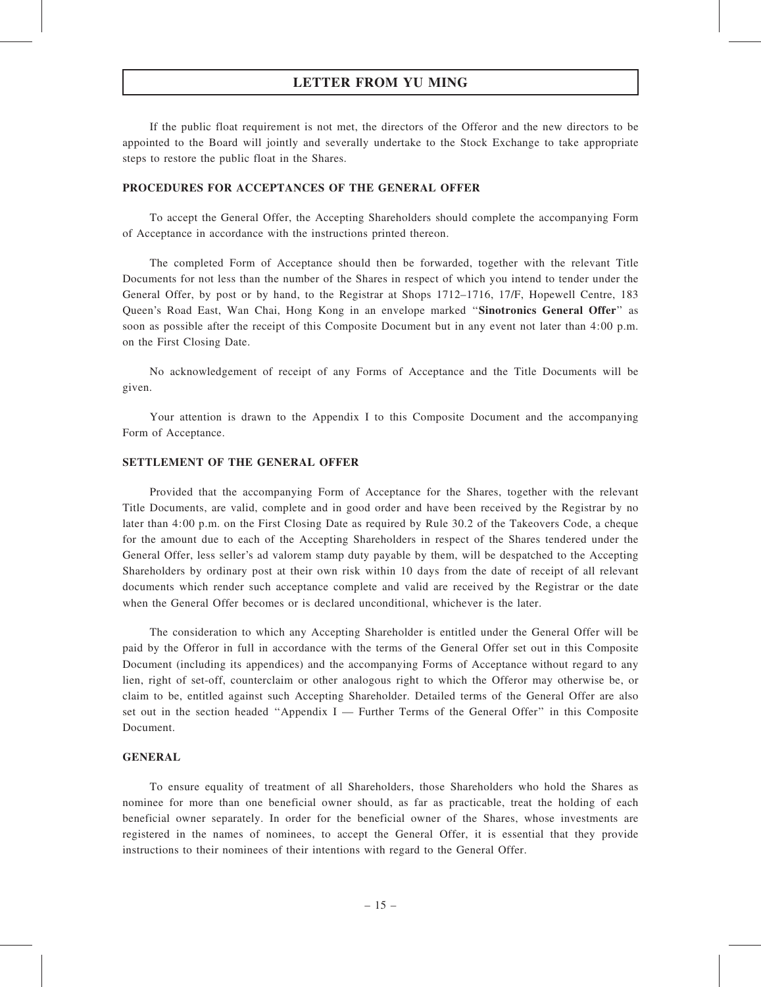If the public float requirement is not met, the directors of the Offeror and the new directors to be appointed to the Board will jointly and severally undertake to the Stock Exchange to take appropriate steps to restore the public float in the Shares.

## PROCEDURES FOR ACCEPTANCES OF THE GENERAL OFFER

To accept the General Offer, the Accepting Shareholders should complete the accompanying Form of Acceptance in accordance with the instructions printed thereon.

The completed Form of Acceptance should then be forwarded, together with the relevant Title Documents for not less than the number of the Shares in respect of which you intend to tender under the General Offer, by post or by hand, to the Registrar at Shops 1712–1716, 17/F, Hopewell Centre, 183 Queen's Road East, Wan Chai, Hong Kong in an envelope marked "Sinotronics General Offer" as soon as possible after the receipt of this Composite Document but in any event not later than 4:00 p.m. on the First Closing Date.

No acknowledgement of receipt of any Forms of Acceptance and the Title Documents will be given.

Your attention is drawn to the Appendix I to this Composite Document and the accompanying Form of Acceptance.

## SETTLEMENT OF THE GENERAL OFFER

Provided that the accompanying Form of Acceptance for the Shares, together with the relevant Title Documents, are valid, complete and in good order and have been received by the Registrar by no later than 4:00 p.m. on the First Closing Date as required by Rule 30.2 of the Takeovers Code, a cheque for the amount due to each of the Accepting Shareholders in respect of the Shares tendered under the General Offer, less seller's ad valorem stamp duty payable by them, will be despatched to the Accepting Shareholders by ordinary post at their own risk within 10 days from the date of receipt of all relevant documents which render such acceptance complete and valid are received by the Registrar or the date when the General Offer becomes or is declared unconditional, whichever is the later.

The consideration to which any Accepting Shareholder is entitled under the General Offer will be paid by the Offeror in full in accordance with the terms of the General Offer set out in this Composite Document (including its appendices) and the accompanying Forms of Acceptance without regard to any lien, right of set-off, counterclaim or other analogous right to which the Offeror may otherwise be, or claim to be, entitled against such Accepting Shareholder. Detailed terms of the General Offer are also set out in the section headed "Appendix I — Further Terms of the General Offer" in this Composite Document.

#### GENERAL

To ensure equality of treatment of all Shareholders, those Shareholders who hold the Shares as nominee for more than one beneficial owner should, as far as practicable, treat the holding of each beneficial owner separately. In order for the beneficial owner of the Shares, whose investments are registered in the names of nominees, to accept the General Offer, it is essential that they provide instructions to their nominees of their intentions with regard to the General Offer.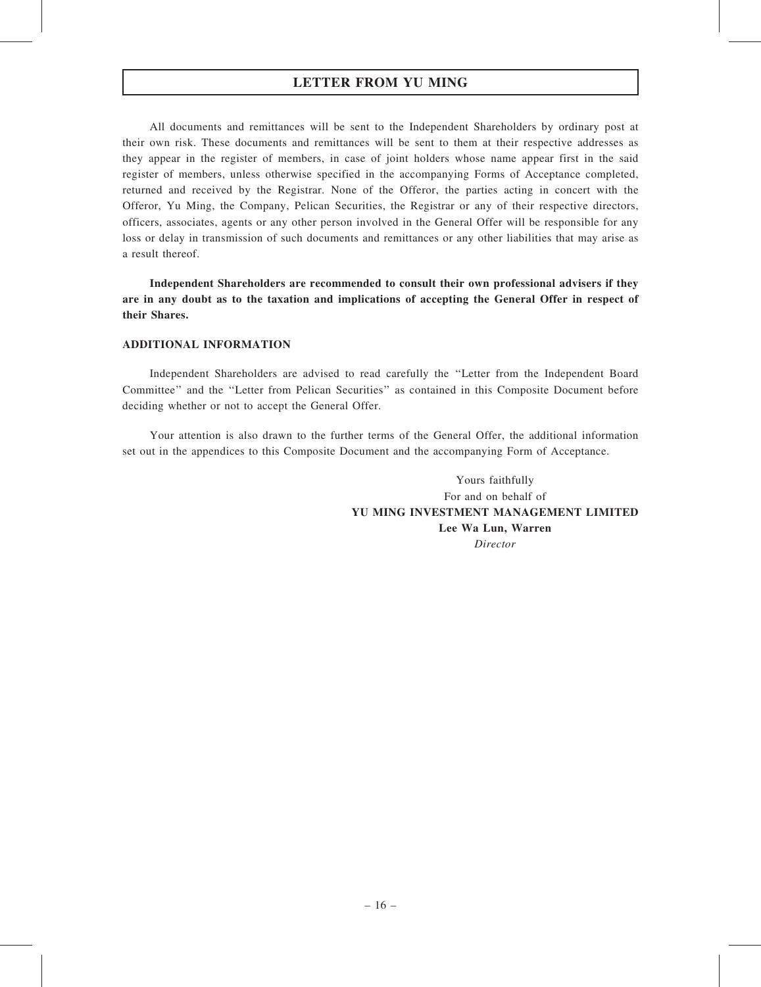All documents and remittances will be sent to the Independent Shareholders by ordinary post at their own risk. These documents and remittances will be sent to them at their respective addresses as they appear in the register of members, in case of joint holders whose name appear first in the said register of members, unless otherwise specified in the accompanying Forms of Acceptance completed, returned and received by the Registrar. None of the Offeror, the parties acting in concert with the Offeror, Yu Ming, the Company, Pelican Securities, the Registrar or any of their respective directors, officers, associates, agents or any other person involved in the General Offer will be responsible for any loss or delay in transmission of such documents and remittances or any other liabilities that may arise as a result thereof.

Independent Shareholders are recommended to consult their own professional advisers if they are in any doubt as to the taxation and implications of accepting the General Offer in respect of their Shares.

## ADDITIONAL INFORMATION

Independent Shareholders are advised to read carefully the ''Letter from the Independent Board Committee'' and the ''Letter from Pelican Securities'' as contained in this Composite Document before deciding whether or not to accept the General Offer.

Your attention is also drawn to the further terms of the General Offer, the additional information set out in the appendices to this Composite Document and the accompanying Form of Acceptance.

> Yours faithfully For and on behalf of YU MING INVESTMENT MANAGEMENT LIMITED Lee Wa Lun, Warren Director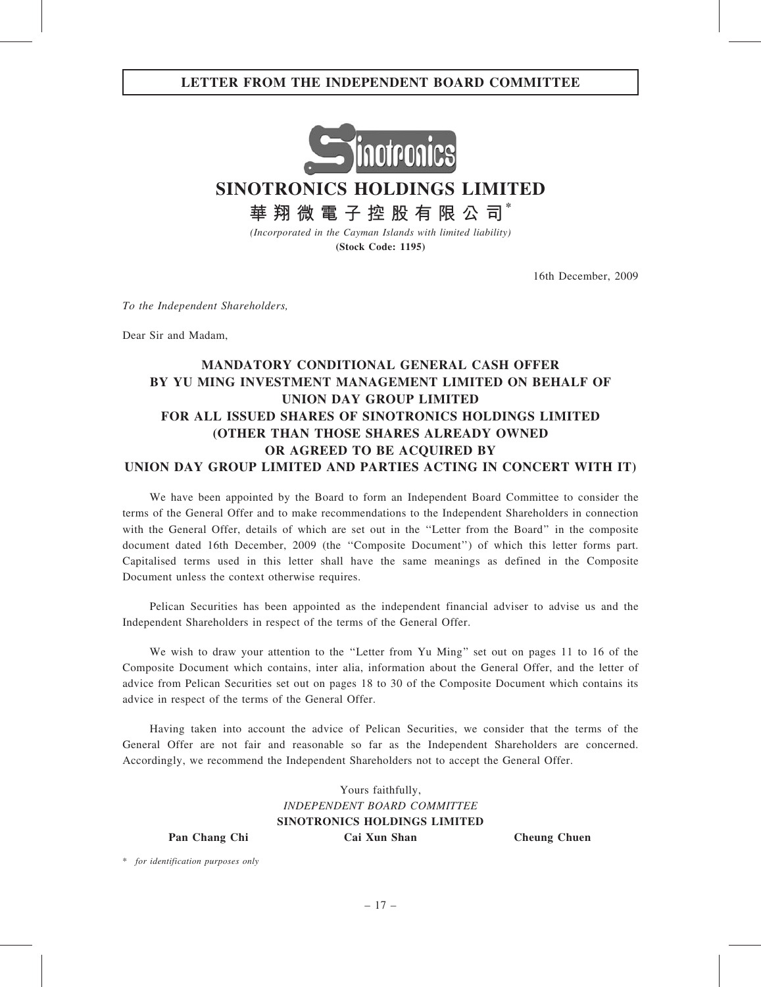## LETTER FROM THE INDEPENDENT BOARD COMMITTEE



SINOTRONICS HOLDINGS LIMITED

華 翔 微 電 子 控 股 有 限 公 司 $^*$ 

(Incorporated in the Cayman Islands with limited liability) (Stock Code: 1195)

16th December, 2009

To the Independent Shareholders,

Dear Sir and Madam,

# MANDATORY CONDITIONAL GENERAL CASH OFFER BY YU MING INVESTMENT MANAGEMENT LIMITED ON BEHALF OF UNION DAY GROUP LIMITED FOR ALL ISSUED SHARES OF SINOTRONICS HOLDINGS LIMITED (OTHER THAN THOSE SHARES ALREADY OWNED OR AGREED TO BE ACQUIRED BY UNION DAY GROUP LIMITED AND PARTIES ACTING IN CONCERT WITH IT)

We have been appointed by the Board to form an Independent Board Committee to consider the terms of the General Offer and to make recommendations to the Independent Shareholders in connection with the General Offer, details of which are set out in the ''Letter from the Board'' in the composite document dated 16th December, 2009 (the ''Composite Document'') of which this letter forms part. Capitalised terms used in this letter shall have the same meanings as defined in the Composite Document unless the context otherwise requires.

Pelican Securities has been appointed as the independent financial adviser to advise us and the Independent Shareholders in respect of the terms of the General Offer.

We wish to draw your attention to the "Letter from Yu Ming" set out on pages 11 to 16 of the Composite Document which contains, inter alia, information about the General Offer, and the letter of advice from Pelican Securities set out on pages 18 to 30 of the Composite Document which contains its advice in respect of the terms of the General Offer.

Having taken into account the advice of Pelican Securities, we consider that the terms of the General Offer are not fair and reasonable so far as the Independent Shareholders are concerned. Accordingly, we recommend the Independent Shareholders not to accept the General Offer.

Yours faithfully, INDEPENDENT BOARD COMMITTEE SINOTRONICS HOLDINGS LIMITED Pan Chang Chi Cai Xun Shan Cheung Chuen

\* for identification purposes only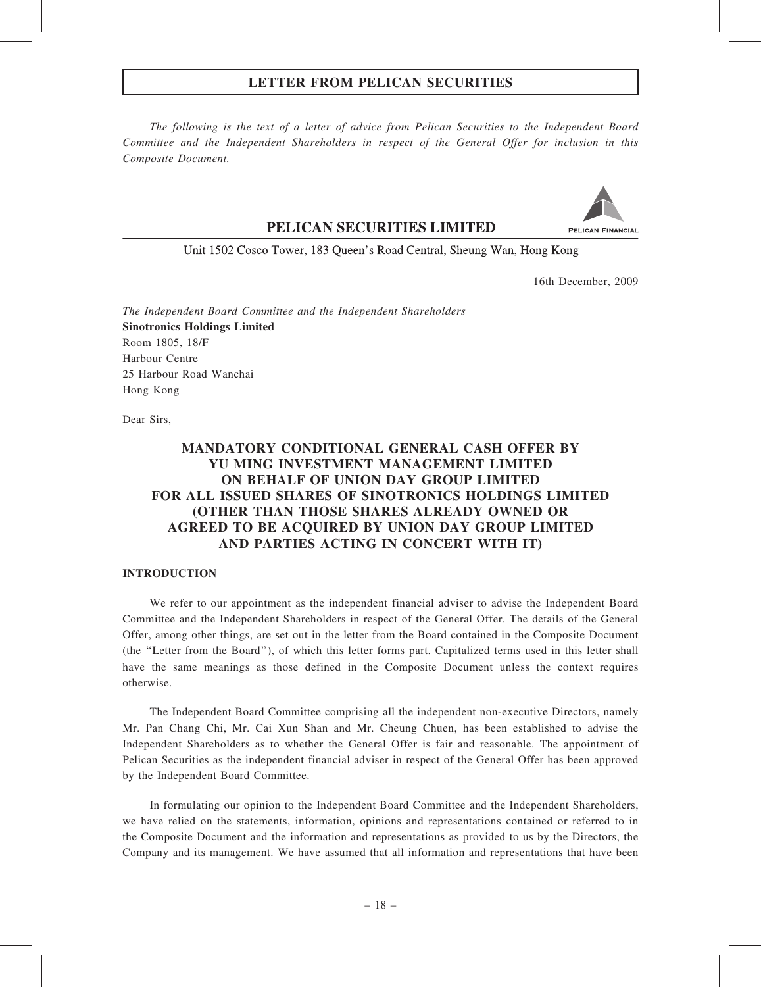The following is the text of a letter of advice from Pelican Securities to the Independent Board Committee and the Independent Shareholders in respect of the General Offer for inclusion in this Composite Document.

## PELICAN SECURITIES LIMITED



Unit 1502 Cosco Tower, 183 Queen's Road Central, Sheung Wan, Hong Kong

16th December, 2009

The Independent Board Committee and the Independent Shareholders Sinotronics Holdings Limited Room 1805, 18/F Harbour Centre 25 Harbour Road Wanchai Hong Kong

Dear Sirs,

# MANDATORY CONDITIONAL GENERAL CASH OFFER BY YU MING INVESTMENT MANAGEMENT LIMITED ON BEHALF OF UNION DAY GROUP LIMITED FOR ALL ISSUED SHARES OF SINOTRONICS HOLDINGS LIMITED (OTHER THAN THOSE SHARES ALREADY OWNED OR AGREED TO BE ACQUIRED BY UNION DAY GROUP LIMITED AND PARTIES ACTING IN CONCERT WITH IT)

## INTRODUCTION

We refer to our appointment as the independent financial adviser to advise the Independent Board Committee and the Independent Shareholders in respect of the General Offer. The details of the General Offer, among other things, are set out in the letter from the Board contained in the Composite Document (the ''Letter from the Board''), of which this letter forms part. Capitalized terms used in this letter shall have the same meanings as those defined in the Composite Document unless the context requires otherwise.

The Independent Board Committee comprising all the independent non-executive Directors, namely Mr. Pan Chang Chi, Mr. Cai Xun Shan and Mr. Cheung Chuen, has been established to advise the Independent Shareholders as to whether the General Offer is fair and reasonable. The appointment of Pelican Securities as the independent financial adviser in respect of the General Offer has been approved by the Independent Board Committee.

In formulating our opinion to the Independent Board Committee and the Independent Shareholders, we have relied on the statements, information, opinions and representations contained or referred to in the Composite Document and the information and representations as provided to us by the Directors, the Company and its management. We have assumed that all information and representations that have been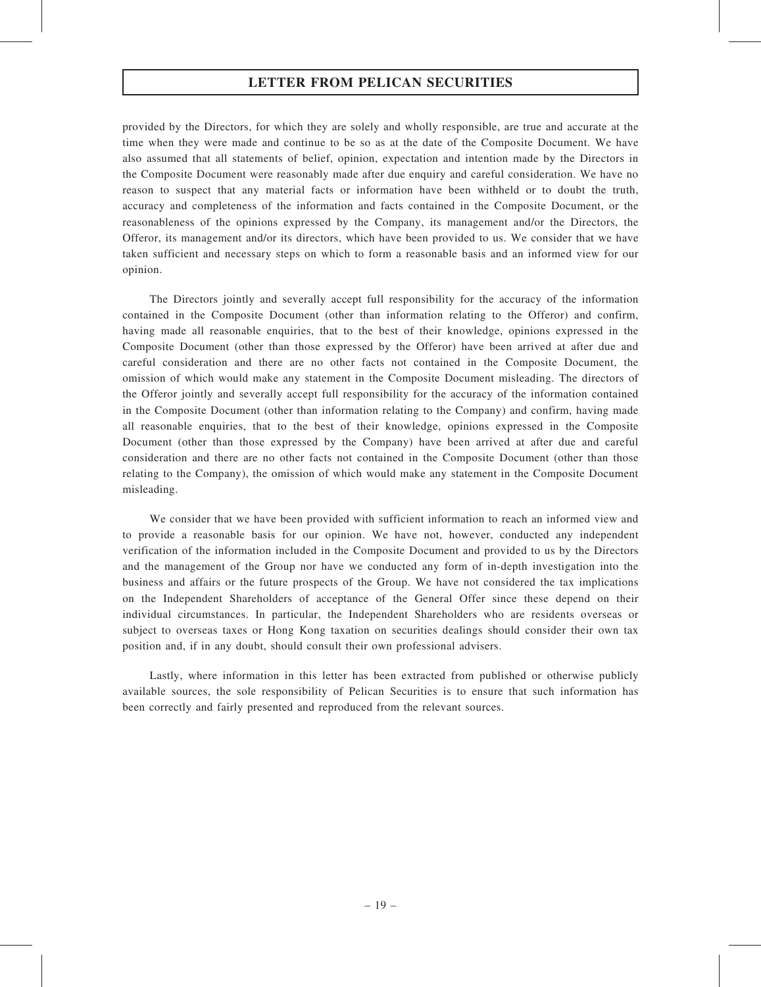provided by the Directors, for which they are solely and wholly responsible, are true and accurate at the time when they were made and continue to be so as at the date of the Composite Document. We have also assumed that all statements of belief, opinion, expectation and intention made by the Directors in the Composite Document were reasonably made after due enquiry and careful consideration. We have no reason to suspect that any material facts or information have been withheld or to doubt the truth, accuracy and completeness of the information and facts contained in the Composite Document, or the reasonableness of the opinions expressed by the Company, its management and/or the Directors, the Offeror, its management and/or its directors, which have been provided to us. We consider that we have taken sufficient and necessary steps on which to form a reasonable basis and an informed view for our opinion.

The Directors jointly and severally accept full responsibility for the accuracy of the information contained in the Composite Document (other than information relating to the Offeror) and confirm, having made all reasonable enquiries, that to the best of their knowledge, opinions expressed in the Composite Document (other than those expressed by the Offeror) have been arrived at after due and careful consideration and there are no other facts not contained in the Composite Document, the omission of which would make any statement in the Composite Document misleading. The directors of the Offeror jointly and severally accept full responsibility for the accuracy of the information contained in the Composite Document (other than information relating to the Company) and confirm, having made all reasonable enquiries, that to the best of their knowledge, opinions expressed in the Composite Document (other than those expressed by the Company) have been arrived at after due and careful consideration and there are no other facts not contained in the Composite Document (other than those relating to the Company), the omission of which would make any statement in the Composite Document misleading.

We consider that we have been provided with sufficient information to reach an informed view and to provide a reasonable basis for our opinion. We have not, however, conducted any independent verification of the information included in the Composite Document and provided to us by the Directors and the management of the Group nor have we conducted any form of in-depth investigation into the business and affairs or the future prospects of the Group. We have not considered the tax implications on the Independent Shareholders of acceptance of the General Offer since these depend on their individual circumstances. In particular, the Independent Shareholders who are residents overseas or subject to overseas taxes or Hong Kong taxation on securities dealings should consider their own tax position and, if in any doubt, should consult their own professional advisers.

Lastly, where information in this letter has been extracted from published or otherwise publicly available sources, the sole responsibility of Pelican Securities is to ensure that such information has been correctly and fairly presented and reproduced from the relevant sources.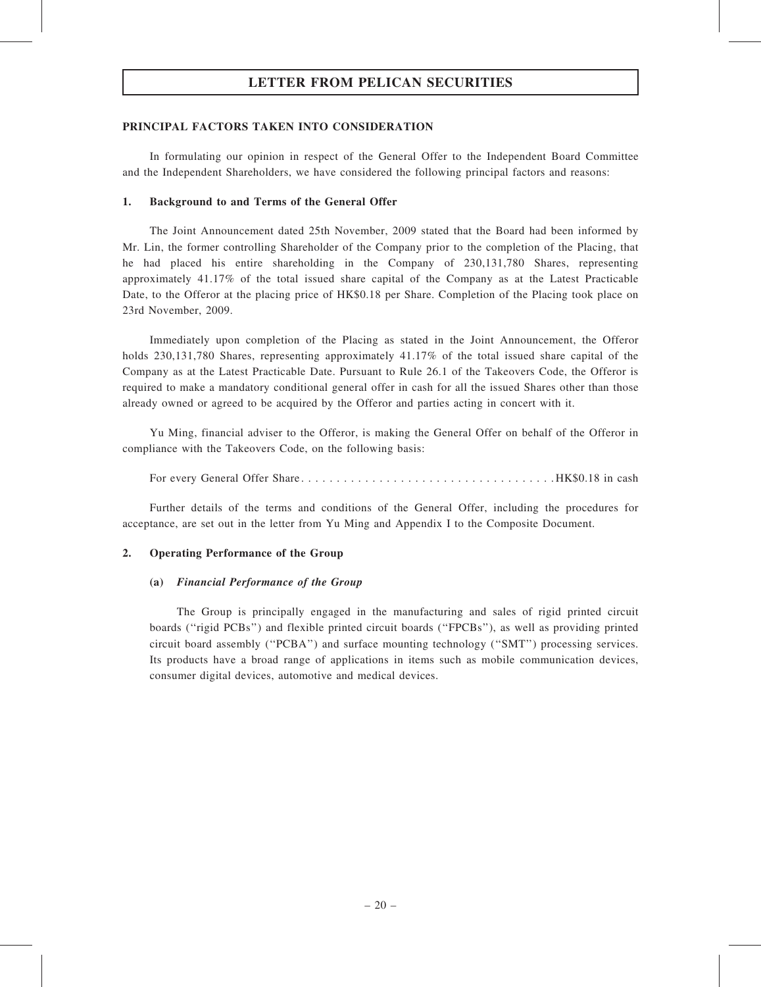## PRINCIPAL FACTORS TAKEN INTO CONSIDERATION

In formulating our opinion in respect of the General Offer to the Independent Board Committee and the Independent Shareholders, we have considered the following principal factors and reasons:

## 1. Background to and Terms of the General Offer

The Joint Announcement dated 25th November, 2009 stated that the Board had been informed by Mr. Lin, the former controlling Shareholder of the Company prior to the completion of the Placing, that he had placed his entire shareholding in the Company of 230,131,780 Shares, representing approximately 41.17% of the total issued share capital of the Company as at the Latest Practicable Date, to the Offeror at the placing price of HK\$0.18 per Share. Completion of the Placing took place on 23rd November, 2009.

Immediately upon completion of the Placing as stated in the Joint Announcement, the Offeror holds 230,131,780 Shares, representing approximately 41.17% of the total issued share capital of the Company as at the Latest Practicable Date. Pursuant to Rule 26.1 of the Takeovers Code, the Offeror is required to make a mandatory conditional general offer in cash for all the issued Shares other than those already owned or agreed to be acquired by the Offeror and parties acting in concert with it.

Yu Ming, financial adviser to the Offeror, is making the General Offer on behalf of the Offeror in compliance with the Takeovers Code, on the following basis:

For every General Offer Share. . . . . . . . . . . . . . . . . . . . . . . . . . . . . . . . . . . . HK\$0.18 in cash

Further details of the terms and conditions of the General Offer, including the procedures for acceptance, are set out in the letter from Yu Ming and Appendix I to the Composite Document.

## 2. Operating Performance of the Group

## (a) Financial Performance of the Group

The Group is principally engaged in the manufacturing and sales of rigid printed circuit boards (''rigid PCBs'') and flexible printed circuit boards (''FPCBs''), as well as providing printed circuit board assembly (''PCBA'') and surface mounting technology (''SMT'') processing services. Its products have a broad range of applications in items such as mobile communication devices, consumer digital devices, automotive and medical devices.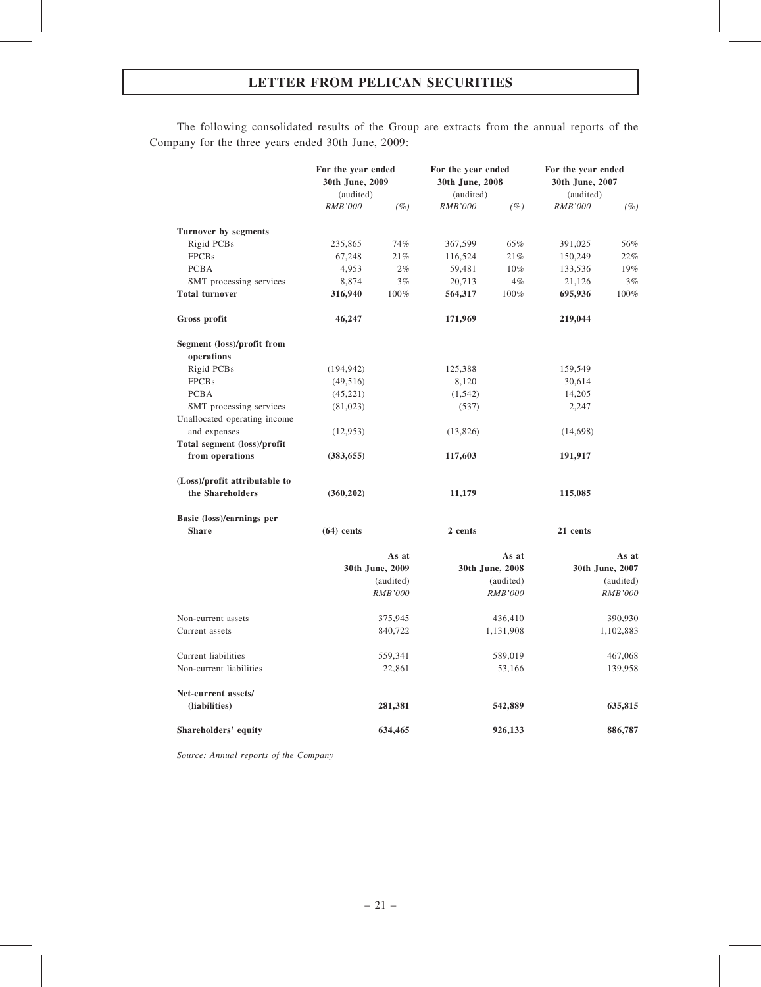The following consolidated results of the Group are extracts from the annual reports of the Company for the three years ended 30th June, 2009:

|                               | For the year ended<br>30th June, 2009<br>(audited) |                 | For the year ended<br>30th June, 2008<br>(audited) |                 | For the year ended<br>30th June, 2007<br>(audited) |                 |
|-------------------------------|----------------------------------------------------|-----------------|----------------------------------------------------|-----------------|----------------------------------------------------|-----------------|
|                               | <b>RMB'000</b>                                     | (%)             | <b>RMB'000</b>                                     | $(\%)$          | RMB'000                                            | (%)             |
| Turnover by segments          |                                                    |                 |                                                    |                 |                                                    |                 |
| Rigid PCBs                    | 235,865                                            | 74%             | 367,599                                            | 65%             | 391,025                                            | 56%             |
| <b>FPCBs</b>                  | 67,248                                             | 21%             | 116,524                                            | 21%             | 150,249                                            | 22%             |
| <b>PCBA</b>                   | 4,953                                              | 2%              | 59,481                                             | 10%             | 133,536                                            | 19%             |
| SMT processing services       | 8,874                                              | 3%              | 20,713                                             | 4%              | 21,126                                             | 3%              |
| <b>Total turnover</b>         | 316,940                                            | 100%            | 564,317                                            | 100%            | 695,936                                            | 100%            |
| Gross profit                  | 46,247                                             |                 | 171,969                                            |                 | 219,044                                            |                 |
| Segment (loss)/profit from    |                                                    |                 |                                                    |                 |                                                    |                 |
| operations                    |                                                    |                 |                                                    |                 |                                                    |                 |
| Rigid PCBs                    | (194, 942)                                         |                 | 125,388                                            |                 | 159,549                                            |                 |
| <b>FPCBs</b>                  | (49, 516)                                          |                 | 8,120                                              |                 | 30,614                                             |                 |
| <b>PCBA</b>                   | (45, 221)                                          |                 | (1, 542)                                           |                 | 14,205                                             |                 |
| SMT processing services       | (81,023)                                           |                 | (537)                                              |                 | 2,247                                              |                 |
| Unallocated operating income  |                                                    |                 |                                                    |                 |                                                    |                 |
| and expenses                  | (12, 953)                                          |                 | (13,826)                                           |                 | (14,698)                                           |                 |
| Total segment (loss)/profit   |                                                    |                 |                                                    |                 |                                                    |                 |
| from operations               | (383, 655)                                         |                 | 117,603                                            |                 | 191,917                                            |                 |
| (Loss)/profit attributable to |                                                    |                 |                                                    |                 |                                                    |                 |
| the Shareholders              | (360,202)                                          |                 | 11,179                                             |                 | 115,085                                            |                 |
| Basic (loss)/earnings per     |                                                    |                 |                                                    |                 |                                                    |                 |
| <b>Share</b>                  | $(64)$ cents                                       |                 | 2 cents                                            |                 | 21 cents                                           |                 |
|                               |                                                    | As at           |                                                    | As at           |                                                    | As at           |
|                               |                                                    | 30th June, 2009 |                                                    | 30th June, 2008 |                                                    | 30th June, 2007 |
|                               |                                                    | (audited)       |                                                    | (audited)       |                                                    | (audited)       |
|                               |                                                    | <b>RMB'000</b>  |                                                    | <b>RMB'000</b>  |                                                    | <b>RMB'000</b>  |
| Non-current assets            |                                                    | 375,945         |                                                    | 436,410         |                                                    | 390,930         |
| Current assets                |                                                    | 840,722         |                                                    | 1,131,908       |                                                    | 1,102,883       |
| Current liabilities           |                                                    | 559,341         |                                                    | 589,019         |                                                    | 467,068         |
| Non-current liabilities       |                                                    | 22,861          |                                                    | 53,166          |                                                    | 139,958         |
| Net-current assets/           |                                                    |                 |                                                    |                 |                                                    |                 |
| (liabilities)                 |                                                    | 281,381         |                                                    | 542,889         |                                                    | 635,815         |
| Shareholders' equity          |                                                    | 634,465         |                                                    | 926,133         |                                                    | 886,787         |

Source: Annual reports of the Company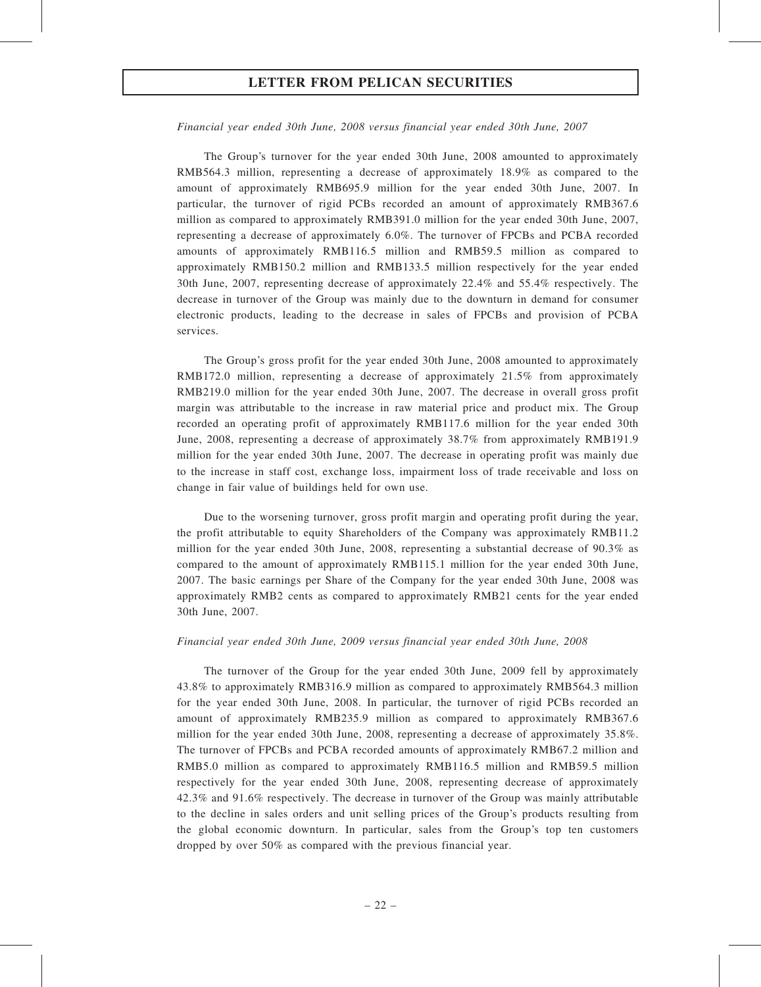Financial year ended 30th June, 2008 versus financial year ended 30th June, 2007

The Group's turnover for the year ended 30th June, 2008 amounted to approximately RMB564.3 million, representing a decrease of approximately 18.9% as compared to the amount of approximately RMB695.9 million for the year ended 30th June, 2007. In particular, the turnover of rigid PCBs recorded an amount of approximately RMB367.6 million as compared to approximately RMB391.0 million for the year ended 30th June, 2007, representing a decrease of approximately 6.0%. The turnover of FPCBs and PCBA recorded amounts of approximately RMB116.5 million and RMB59.5 million as compared to approximately RMB150.2 million and RMB133.5 million respectively for the year ended 30th June, 2007, representing decrease of approximately 22.4% and 55.4% respectively. The decrease in turnover of the Group was mainly due to the downturn in demand for consumer electronic products, leading to the decrease in sales of FPCBs and provision of PCBA services.

The Group's gross profit for the year ended 30th June, 2008 amounted to approximately RMB172.0 million, representing a decrease of approximately 21.5% from approximately RMB219.0 million for the year ended 30th June, 2007. The decrease in overall gross profit margin was attributable to the increase in raw material price and product mix. The Group recorded an operating profit of approximately RMB117.6 million for the year ended 30th June, 2008, representing a decrease of approximately 38.7% from approximately RMB191.9 million for the year ended 30th June, 2007. The decrease in operating profit was mainly due to the increase in staff cost, exchange loss, impairment loss of trade receivable and loss on change in fair value of buildings held for own use.

Due to the worsening turnover, gross profit margin and operating profit during the year, the profit attributable to equity Shareholders of the Company was approximately RMB11.2 million for the year ended 30th June, 2008, representing a substantial decrease of 90.3% as compared to the amount of approximately RMB115.1 million for the year ended 30th June, 2007. The basic earnings per Share of the Company for the year ended 30th June, 2008 was approximately RMB2 cents as compared to approximately RMB21 cents for the year ended 30th June, 2007.

#### Financial year ended 30th June, 2009 versus financial year ended 30th June, 2008

The turnover of the Group for the year ended 30th June, 2009 fell by approximately 43.8% to approximately RMB316.9 million as compared to approximately RMB564.3 million for the year ended 30th June, 2008. In particular, the turnover of rigid PCBs recorded an amount of approximately RMB235.9 million as compared to approximately RMB367.6 million for the year ended 30th June, 2008, representing a decrease of approximately 35.8%. The turnover of FPCBs and PCBA recorded amounts of approximately RMB67.2 million and RMB5.0 million as compared to approximately RMB116.5 million and RMB59.5 million respectively for the year ended 30th June, 2008, representing decrease of approximately 42.3% and 91.6% respectively. The decrease in turnover of the Group was mainly attributable to the decline in sales orders and unit selling prices of the Group's products resulting from the global economic downturn. In particular, sales from the Group's top ten customers dropped by over 50% as compared with the previous financial year.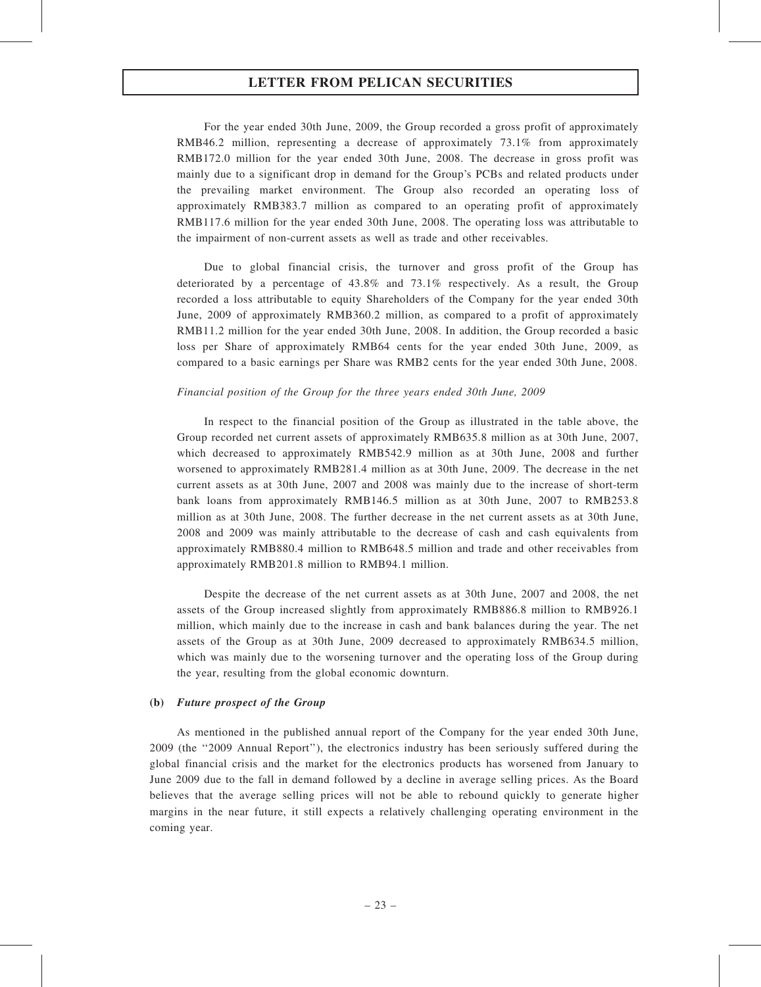For the year ended 30th June, 2009, the Group recorded a gross profit of approximately RMB46.2 million, representing a decrease of approximately 73.1% from approximately RMB172.0 million for the year ended 30th June, 2008. The decrease in gross profit was mainly due to a significant drop in demand for the Group's PCBs and related products under the prevailing market environment. The Group also recorded an operating loss of approximately RMB383.7 million as compared to an operating profit of approximately RMB117.6 million for the year ended 30th June, 2008. The operating loss was attributable to the impairment of non-current assets as well as trade and other receivables.

Due to global financial crisis, the turnover and gross profit of the Group has deteriorated by a percentage of 43.8% and 73.1% respectively. As a result, the Group recorded a loss attributable to equity Shareholders of the Company for the year ended 30th June, 2009 of approximately RMB360.2 million, as compared to a profit of approximately RMB11.2 million for the year ended 30th June, 2008. In addition, the Group recorded a basic loss per Share of approximately RMB64 cents for the year ended 30th June, 2009, as compared to a basic earnings per Share was RMB2 cents for the year ended 30th June, 2008.

#### Financial position of the Group for the three years ended 30th June, 2009

In respect to the financial position of the Group as illustrated in the table above, the Group recorded net current assets of approximately RMB635.8 million as at 30th June, 2007, which decreased to approximately RMB542.9 million as at 30th June, 2008 and further worsened to approximately RMB281.4 million as at 30th June, 2009. The decrease in the net current assets as at 30th June, 2007 and 2008 was mainly due to the increase of short-term bank loans from approximately RMB146.5 million as at 30th June, 2007 to RMB253.8 million as at 30th June, 2008. The further decrease in the net current assets as at 30th June, 2008 and 2009 was mainly attributable to the decrease of cash and cash equivalents from approximately RMB880.4 million to RMB648.5 million and trade and other receivables from approximately RMB201.8 million to RMB94.1 million.

Despite the decrease of the net current assets as at 30th June, 2007 and 2008, the net assets of the Group increased slightly from approximately RMB886.8 million to RMB926.1 million, which mainly due to the increase in cash and bank balances during the year. The net assets of the Group as at 30th June, 2009 decreased to approximately RMB634.5 million, which was mainly due to the worsening turnover and the operating loss of the Group during the year, resulting from the global economic downturn.

#### (b) Future prospect of the Group

As mentioned in the published annual report of the Company for the year ended 30th June, 2009 (the ''2009 Annual Report''), the electronics industry has been seriously suffered during the global financial crisis and the market for the electronics products has worsened from January to June 2009 due to the fall in demand followed by a decline in average selling prices. As the Board believes that the average selling prices will not be able to rebound quickly to generate higher margins in the near future, it still expects a relatively challenging operating environment in the coming year.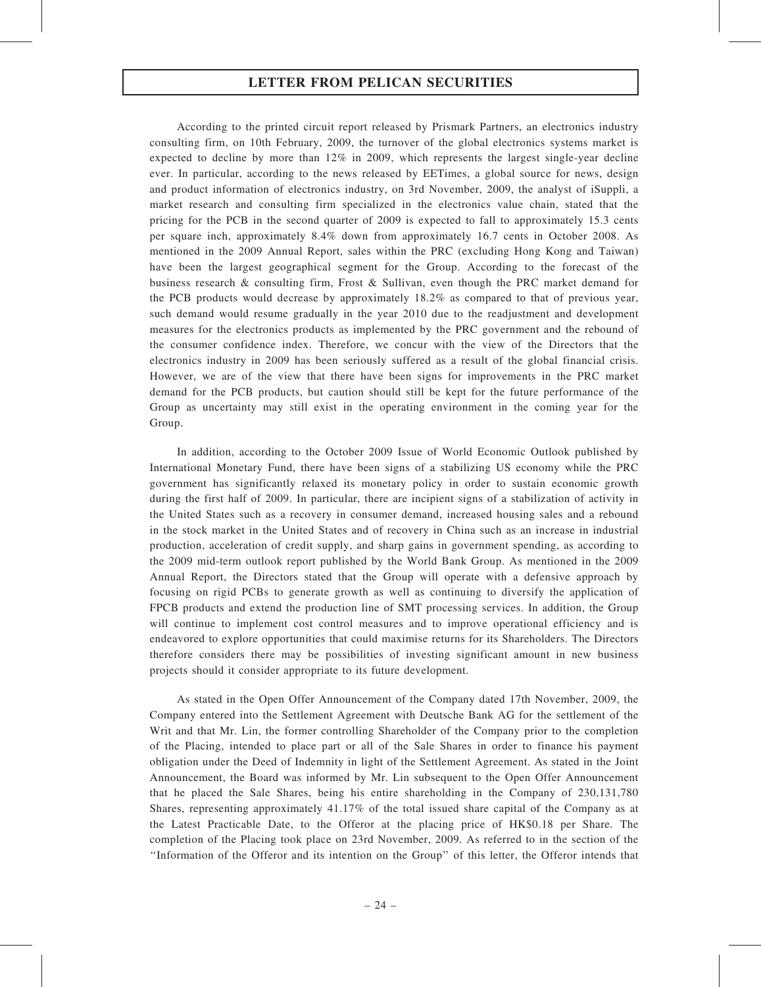According to the printed circuit report released by Prismark Partners, an electronics industry consulting firm, on 10th February, 2009, the turnover of the global electronics systems market is expected to decline by more than 12% in 2009, which represents the largest single-year decline ever. In particular, according to the news released by EETimes, a global source for news, design and product information of electronics industry, on 3rd November, 2009, the analyst of iSuppli, a market research and consulting firm specialized in the electronics value chain, stated that the pricing for the PCB in the second quarter of 2009 is expected to fall to approximately 15.3 cents per square inch, approximately 8.4% down from approximately 16.7 cents in October 2008. As mentioned in the 2009 Annual Report, sales within the PRC (excluding Hong Kong and Taiwan) have been the largest geographical segment for the Group. According to the forecast of the business research & consulting firm, Frost & Sullivan, even though the PRC market demand for the PCB products would decrease by approximately 18.2% as compared to that of previous year, such demand would resume gradually in the year 2010 due to the readjustment and development measures for the electronics products as implemented by the PRC government and the rebound of the consumer confidence index. Therefore, we concur with the view of the Directors that the electronics industry in 2009 has been seriously suffered as a result of the global financial crisis. However, we are of the view that there have been signs for improvements in the PRC market demand for the PCB products, but caution should still be kept for the future performance of the Group as uncertainty may still exist in the operating environment in the coming year for the Group.

In addition, according to the October 2009 Issue of World Economic Outlook published by International Monetary Fund, there have been signs of a stabilizing US economy while the PRC government has significantly relaxed its monetary policy in order to sustain economic growth during the first half of 2009. In particular, there are incipient signs of a stabilization of activity in the United States such as a recovery in consumer demand, increased housing sales and a rebound in the stock market in the United States and of recovery in China such as an increase in industrial production, acceleration of credit supply, and sharp gains in government spending, as according to the 2009 mid-term outlook report published by the World Bank Group. As mentioned in the 2009 Annual Report, the Directors stated that the Group will operate with a defensive approach by focusing on rigid PCBs to generate growth as well as continuing to diversify the application of FPCB products and extend the production line of SMT processing services. In addition, the Group will continue to implement cost control measures and to improve operational efficiency and is endeavored to explore opportunities that could maximise returns for its Shareholders. The Directors therefore considers there may be possibilities of investing significant amount in new business projects should it consider appropriate to its future development.

As stated in the Open Offer Announcement of the Company dated 17th November, 2009, the Company entered into the Settlement Agreement with Deutsche Bank AG for the settlement of the Writ and that Mr. Lin, the former controlling Shareholder of the Company prior to the completion of the Placing, intended to place part or all of the Sale Shares in order to finance his payment obligation under the Deed of Indemnity in light of the Settlement Agreement. As stated in the Joint Announcement, the Board was informed by Mr. Lin subsequent to the Open Offer Announcement that he placed the Sale Shares, being his entire shareholding in the Company of 230,131,780 Shares, representing approximately 41.17% of the total issued share capital of the Company as at the Latest Practicable Date, to the Offeror at the placing price of HK\$0.18 per Share. The completion of the Placing took place on 23rd November, 2009. As referred to in the section of the ''Information of the Offeror and its intention on the Group'' of this letter, the Offeror intends that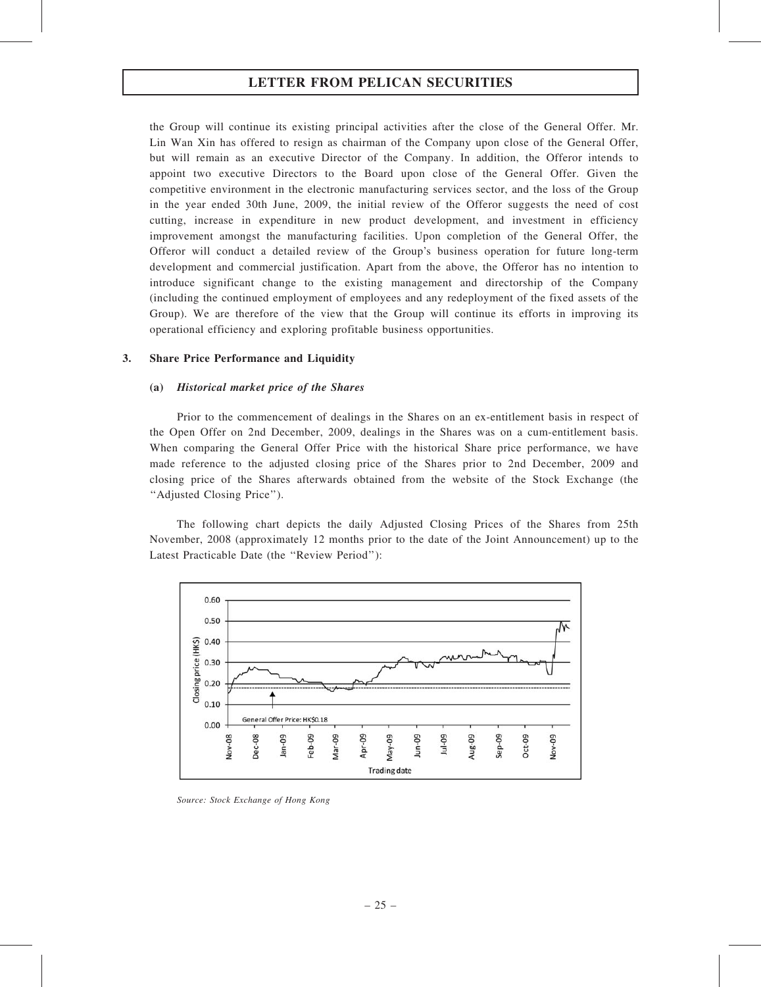the Group will continue its existing principal activities after the close of the General Offer. Mr. Lin Wan Xin has offered to resign as chairman of the Company upon close of the General Offer, but will remain as an executive Director of the Company. In addition, the Offeror intends to appoint two executive Directors to the Board upon close of the General Offer. Given the competitive environment in the electronic manufacturing services sector, and the loss of the Group in the year ended 30th June, 2009, the initial review of the Offeror suggests the need of cost cutting, increase in expenditure in new product development, and investment in efficiency improvement amongst the manufacturing facilities. Upon completion of the General Offer, the Offeror will conduct a detailed review of the Group's business operation for future long-term development and commercial justification. Apart from the above, the Offeror has no intention to introduce significant change to the existing management and directorship of the Company (including the continued employment of employees and any redeployment of the fixed assets of the Group). We are therefore of the view that the Group will continue its efforts in improving its operational efficiency and exploring profitable business opportunities.

#### 3. Share Price Performance and Liquidity

#### (a) Historical market price of the Shares

Prior to the commencement of dealings in the Shares on an ex-entitlement basis in respect of the Open Offer on 2nd December, 2009, dealings in the Shares was on a cum-entitlement basis. When comparing the General Offer Price with the historical Share price performance, we have made reference to the adjusted closing price of the Shares prior to 2nd December, 2009 and closing price of the Shares afterwards obtained from the website of the Stock Exchange (the ''Adjusted Closing Price'').

The following chart depicts the daily Adjusted Closing Prices of the Shares from 25th November, 2008 (approximately 12 months prior to the date of the Joint Announcement) up to the Latest Practicable Date (the ''Review Period''):



Source: Stock Exchange of Hong Kong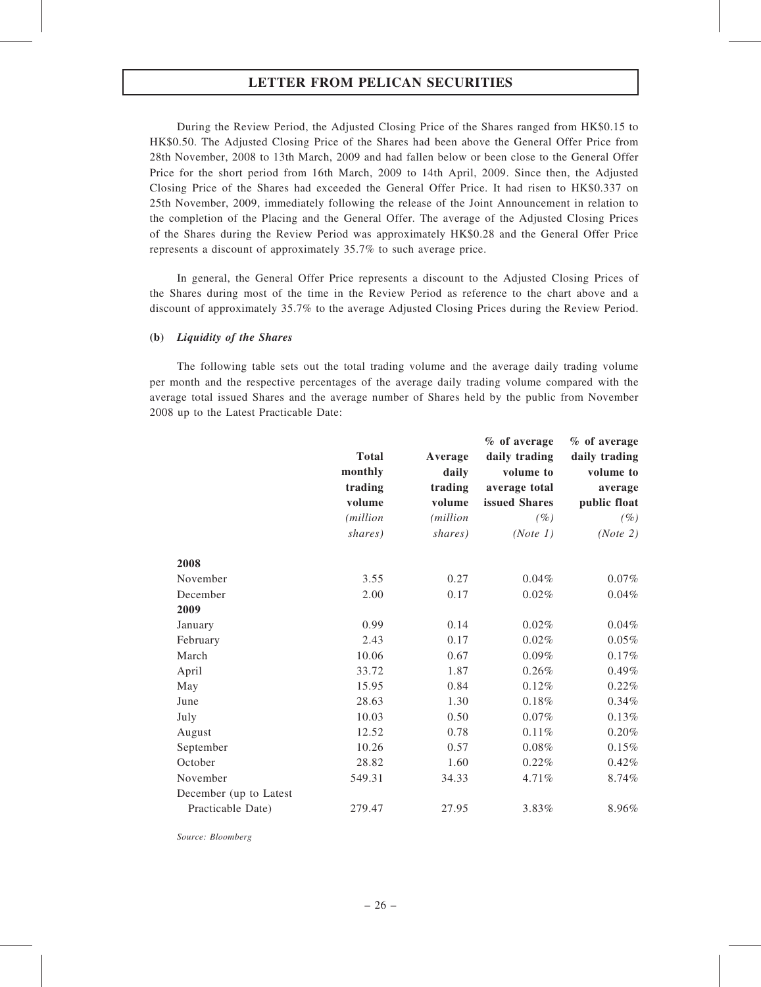During the Review Period, the Adjusted Closing Price of the Shares ranged from HK\$0.15 to HK\$0.50. The Adjusted Closing Price of the Shares had been above the General Offer Price from 28th November, 2008 to 13th March, 2009 and had fallen below or been close to the General Offer Price for the short period from 16th March, 2009 to 14th April, 2009. Since then, the Adjusted Closing Price of the Shares had exceeded the General Offer Price. It had risen to HK\$0.337 on 25th November, 2009, immediately following the release of the Joint Announcement in relation to the completion of the Placing and the General Offer. The average of the Adjusted Closing Prices of the Shares during the Review Period was approximately HK\$0.28 and the General Offer Price represents a discount of approximately 35.7% to such average price.

In general, the General Offer Price represents a discount to the Adjusted Closing Prices of the Shares during most of the time in the Review Period as reference to the chart above and a discount of approximately 35.7% to the average Adjusted Closing Prices during the Review Period.

## (b) Liquidity of the Shares

The following table sets out the total trading volume and the average daily trading volume per month and the respective percentages of the average daily trading volume compared with the average total issued Shares and the average number of Shares held by the public from November 2008 up to the Latest Practicable Date:

|                        |                  |                  | % of average  | % of average  |  |
|------------------------|------------------|------------------|---------------|---------------|--|
|                        | <b>Total</b>     | Average          | daily trading | daily trading |  |
|                        | monthly          | daily            | volume to     | volume to     |  |
|                        | trading          | trading          | average total | average       |  |
|                        | volume           | volume           | issued Shares | public float  |  |
|                        | <i>(million)</i> | <i>(million)</i> | $(\%)$        | $(\%)$        |  |
|                        | shares)          | shares)          | (Note 1)      | (Note 2)      |  |
| 2008                   |                  |                  |               |               |  |
| November               | 3.55             | 0.27             | 0.04%         | 0.07%         |  |
| December               | 2.00             | 0.17             | 0.02%         | 0.04%         |  |
| 2009                   |                  |                  |               |               |  |
| January                | 0.99             | 0.14             | 0.02%         | 0.04%         |  |
| February               | 2.43             | 0.17             | 0.02%         | $0.05\%$      |  |
| March                  | 10.06            | 0.67             | $0.09\%$      | 0.17%         |  |
| April                  | 33.72            | 1.87             | 0.26%         | 0.49%         |  |
| May                    | 15.95            | 0.84             | 0.12%         | 0.22%         |  |
| June                   | 28.63            | 1.30             | 0.18%         | 0.34%         |  |
| July                   | 10.03            | 0.50             | $0.07\%$      | 0.13%         |  |
| August                 | 12.52            | 0.78             | 0.11%         | $0.20\%$      |  |
| September              | 10.26            | 0.57             | 0.08%         | 0.15%         |  |
| October                | 28.82            | 1.60             | 0.22%         | 0.42%         |  |
| November               | 549.31           | 34.33            | 4.71%         | 8.74%         |  |
| December (up to Latest |                  |                  |               |               |  |
| Practicable Date)      | 279.47           | 27.95            | 3.83%         | 8.96%         |  |
|                        |                  |                  |               |               |  |

Source: Bloomberg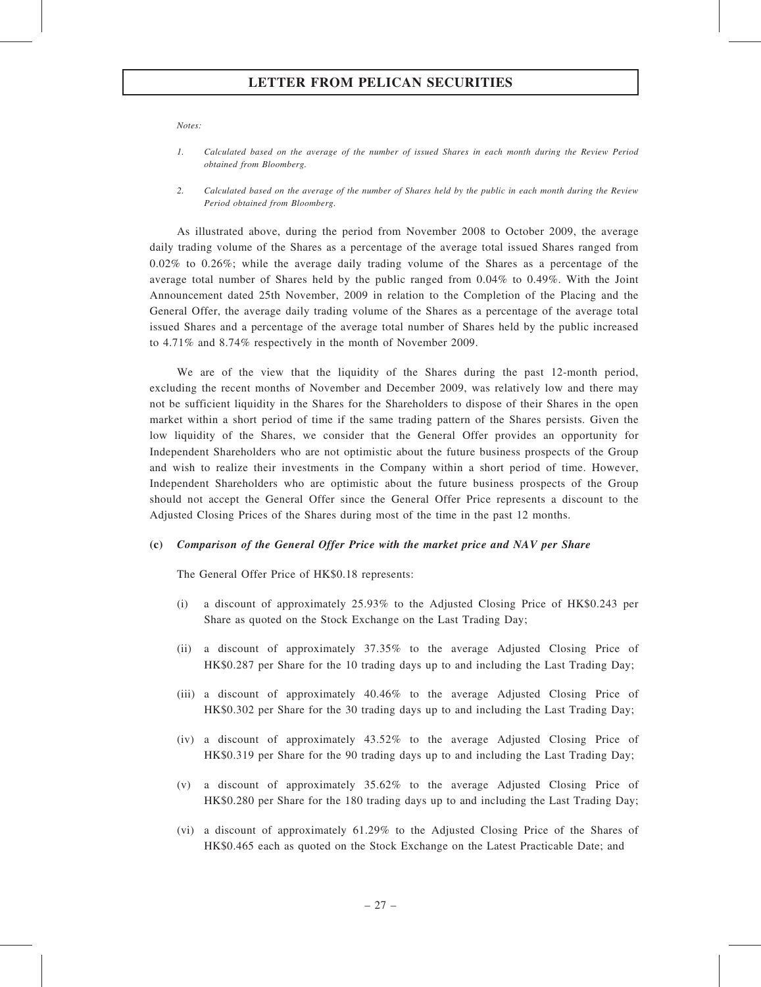Notes:

- 1. Calculated based on the average of the number of issued Shares in each month during the Review Period obtained from Bloomberg.
- 2. Calculated based on the average of the number of Shares held by the public in each month during the Review Period obtained from Bloomberg.

As illustrated above, during the period from November 2008 to October 2009, the average daily trading volume of the Shares as a percentage of the average total issued Shares ranged from 0.02% to 0.26%; while the average daily trading volume of the Shares as a percentage of the average total number of Shares held by the public ranged from 0.04% to 0.49%. With the Joint Announcement dated 25th November, 2009 in relation to the Completion of the Placing and the General Offer, the average daily trading volume of the Shares as a percentage of the average total issued Shares and a percentage of the average total number of Shares held by the public increased to 4.71% and 8.74% respectively in the month of November 2009.

We are of the view that the liquidity of the Shares during the past 12-month period, excluding the recent months of November and December 2009, was relatively low and there may not be sufficient liquidity in the Shares for the Shareholders to dispose of their Shares in the open market within a short period of time if the same trading pattern of the Shares persists. Given the low liquidity of the Shares, we consider that the General Offer provides an opportunity for Independent Shareholders who are not optimistic about the future business prospects of the Group and wish to realize their investments in the Company within a short period of time. However, Independent Shareholders who are optimistic about the future business prospects of the Group should not accept the General Offer since the General Offer Price represents a discount to the Adjusted Closing Prices of the Shares during most of the time in the past 12 months.

#### (c) Comparison of the General Offer Price with the market price and NAV per Share

The General Offer Price of HK\$0.18 represents:

- (i) a discount of approximately 25.93% to the Adjusted Closing Price of HK\$0.243 per Share as quoted on the Stock Exchange on the Last Trading Day;
- (ii) a discount of approximately 37.35% to the average Adjusted Closing Price of HK\$0.287 per Share for the 10 trading days up to and including the Last Trading Day;
- (iii) a discount of approximately 40.46% to the average Adjusted Closing Price of HK\$0.302 per Share for the 30 trading days up to and including the Last Trading Day;
- (iv) a discount of approximately 43.52% to the average Adjusted Closing Price of HK\$0.319 per Share for the 90 trading days up to and including the Last Trading Day;
- (v) a discount of approximately 35.62% to the average Adjusted Closing Price of HK\$0.280 per Share for the 180 trading days up to and including the Last Trading Day;
- (vi) a discount of approximately 61.29% to the Adjusted Closing Price of the Shares of HK\$0.465 each as quoted on the Stock Exchange on the Latest Practicable Date; and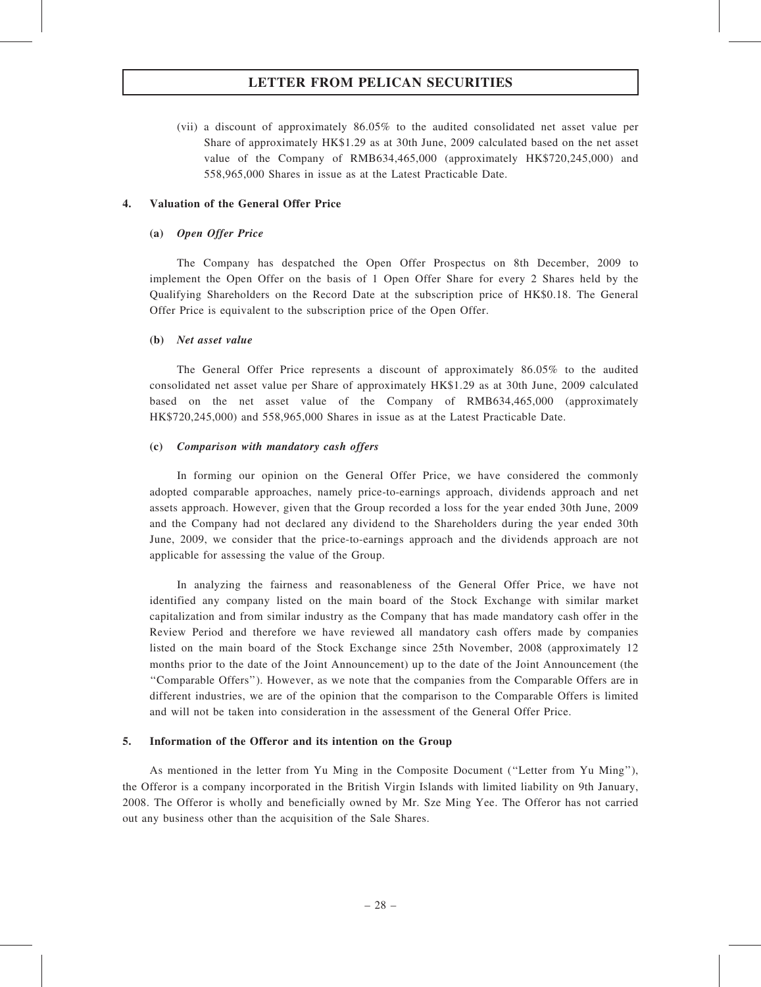(vii) a discount of approximately 86.05% to the audited consolidated net asset value per Share of approximately HK\$1.29 as at 30th June, 2009 calculated based on the net asset value of the Company of RMB634,465,000 (approximately HK\$720,245,000) and 558,965,000 Shares in issue as at the Latest Practicable Date.

## 4. Valuation of the General Offer Price

## (a) Open Offer Price

The Company has despatched the Open Offer Prospectus on 8th December, 2009 to implement the Open Offer on the basis of 1 Open Offer Share for every 2 Shares held by the Qualifying Shareholders on the Record Date at the subscription price of HK\$0.18. The General Offer Price is equivalent to the subscription price of the Open Offer.

### (b) Net asset value

The General Offer Price represents a discount of approximately 86.05% to the audited consolidated net asset value per Share of approximately HK\$1.29 as at 30th June, 2009 calculated based on the net asset value of the Company of RMB634,465,000 (approximately HK\$720,245,000) and 558,965,000 Shares in issue as at the Latest Practicable Date.

#### (c) Comparison with mandatory cash offers

In forming our opinion on the General Offer Price, we have considered the commonly adopted comparable approaches, namely price-to-earnings approach, dividends approach and net assets approach. However, given that the Group recorded a loss for the year ended 30th June, 2009 and the Company had not declared any dividend to the Shareholders during the year ended 30th June, 2009, we consider that the price-to-earnings approach and the dividends approach are not applicable for assessing the value of the Group.

In analyzing the fairness and reasonableness of the General Offer Price, we have not identified any company listed on the main board of the Stock Exchange with similar market capitalization and from similar industry as the Company that has made mandatory cash offer in the Review Period and therefore we have reviewed all mandatory cash offers made by companies listed on the main board of the Stock Exchange since 25th November, 2008 (approximately 12 months prior to the date of the Joint Announcement) up to the date of the Joint Announcement (the ''Comparable Offers''). However, as we note that the companies from the Comparable Offers are in different industries, we are of the opinion that the comparison to the Comparable Offers is limited and will not be taken into consideration in the assessment of the General Offer Price.

#### 5. Information of the Offeror and its intention on the Group

As mentioned in the letter from Yu Ming in the Composite Document (''Letter from Yu Ming''), the Offeror is a company incorporated in the British Virgin Islands with limited liability on 9th January, 2008. The Offeror is wholly and beneficially owned by Mr. Sze Ming Yee. The Offeror has not carried out any business other than the acquisition of the Sale Shares.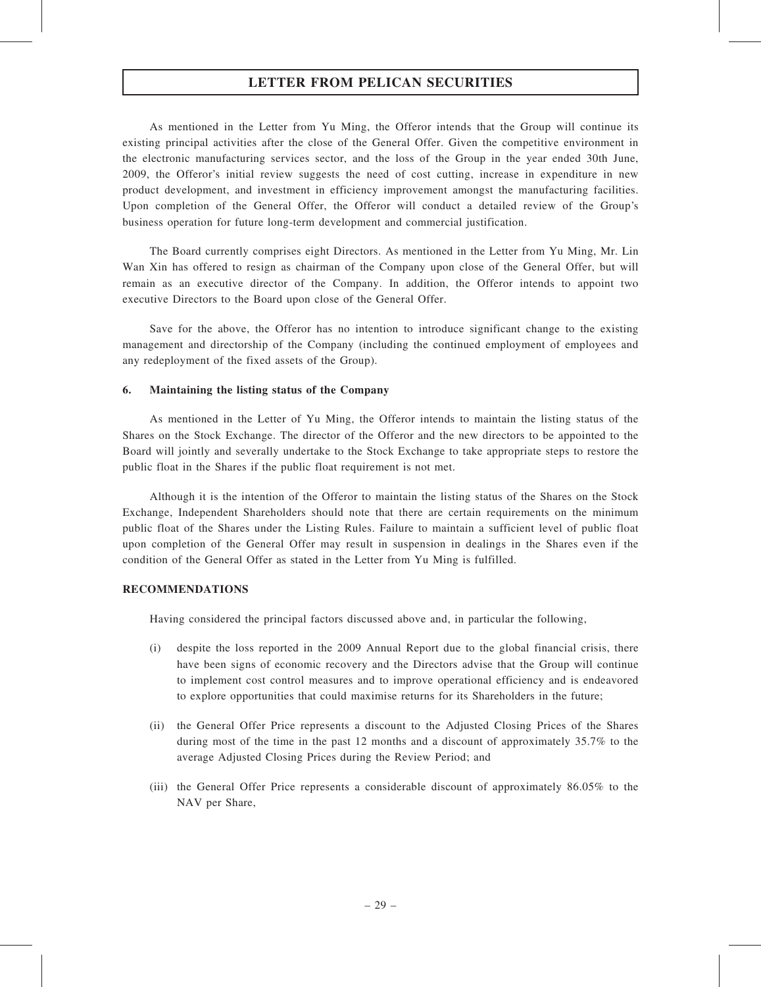As mentioned in the Letter from Yu Ming, the Offeror intends that the Group will continue its existing principal activities after the close of the General Offer. Given the competitive environment in the electronic manufacturing services sector, and the loss of the Group in the year ended 30th June, 2009, the Offeror's initial review suggests the need of cost cutting, increase in expenditure in new product development, and investment in efficiency improvement amongst the manufacturing facilities. Upon completion of the General Offer, the Offeror will conduct a detailed review of the Group's business operation for future long-term development and commercial justification.

The Board currently comprises eight Directors. As mentioned in the Letter from Yu Ming, Mr. Lin Wan Xin has offered to resign as chairman of the Company upon close of the General Offer, but will remain as an executive director of the Company. In addition, the Offeror intends to appoint two executive Directors to the Board upon close of the General Offer.

Save for the above, the Offeror has no intention to introduce significant change to the existing management and directorship of the Company (including the continued employment of employees and any redeployment of the fixed assets of the Group).

#### 6. Maintaining the listing status of the Company

As mentioned in the Letter of Yu Ming, the Offeror intends to maintain the listing status of the Shares on the Stock Exchange. The director of the Offeror and the new directors to be appointed to the Board will jointly and severally undertake to the Stock Exchange to take appropriate steps to restore the public float in the Shares if the public float requirement is not met.

Although it is the intention of the Offeror to maintain the listing status of the Shares on the Stock Exchange, Independent Shareholders should note that there are certain requirements on the minimum public float of the Shares under the Listing Rules. Failure to maintain a sufficient level of public float upon completion of the General Offer may result in suspension in dealings in the Shares even if the condition of the General Offer as stated in the Letter from Yu Ming is fulfilled.

#### RECOMMENDATIONS

Having considered the principal factors discussed above and, in particular the following,

- (i) despite the loss reported in the 2009 Annual Report due to the global financial crisis, there have been signs of economic recovery and the Directors advise that the Group will continue to implement cost control measures and to improve operational efficiency and is endeavored to explore opportunities that could maximise returns for its Shareholders in the future;
- (ii) the General Offer Price represents a discount to the Adjusted Closing Prices of the Shares during most of the time in the past 12 months and a discount of approximately 35.7% to the average Adjusted Closing Prices during the Review Period; and
- (iii) the General Offer Price represents a considerable discount of approximately 86.05% to the NAV per Share,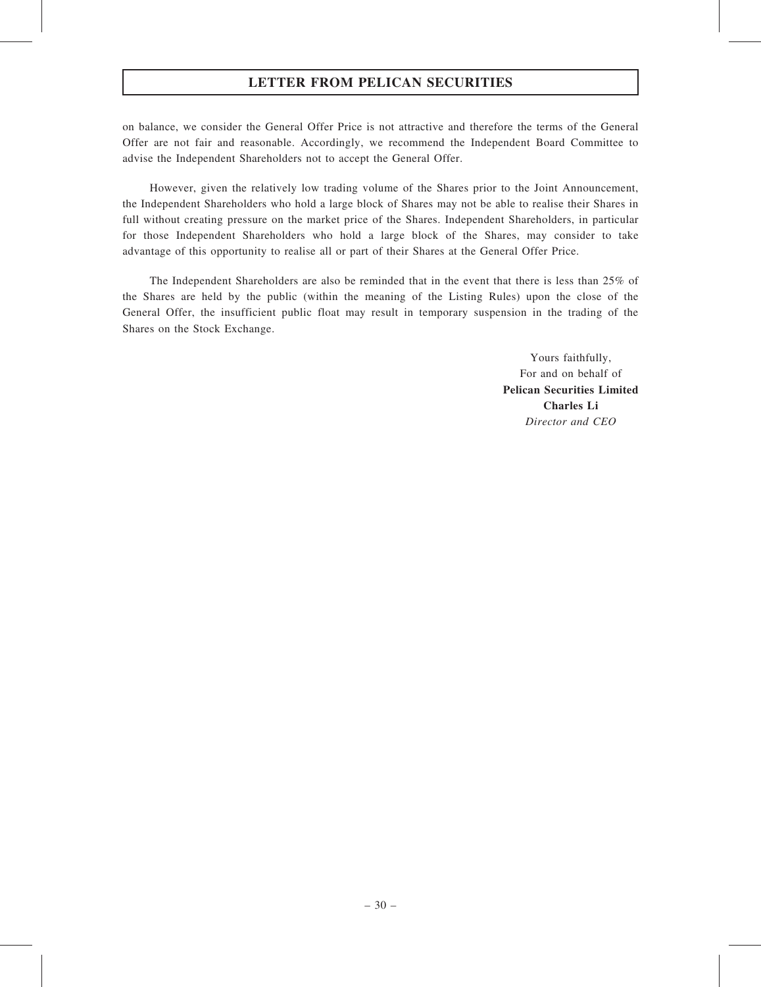on balance, we consider the General Offer Price is not attractive and therefore the terms of the General Offer are not fair and reasonable. Accordingly, we recommend the Independent Board Committee to advise the Independent Shareholders not to accept the General Offer.

However, given the relatively low trading volume of the Shares prior to the Joint Announcement, the Independent Shareholders who hold a large block of Shares may not be able to realise their Shares in full without creating pressure on the market price of the Shares. Independent Shareholders, in particular for those Independent Shareholders who hold a large block of the Shares, may consider to take advantage of this opportunity to realise all or part of their Shares at the General Offer Price.

The Independent Shareholders are also be reminded that in the event that there is less than 25% of the Shares are held by the public (within the meaning of the Listing Rules) upon the close of the General Offer, the insufficient public float may result in temporary suspension in the trading of the Shares on the Stock Exchange.

> Yours faithfully, For and on behalf of Pelican Securities Limited Charles Li Director and CEO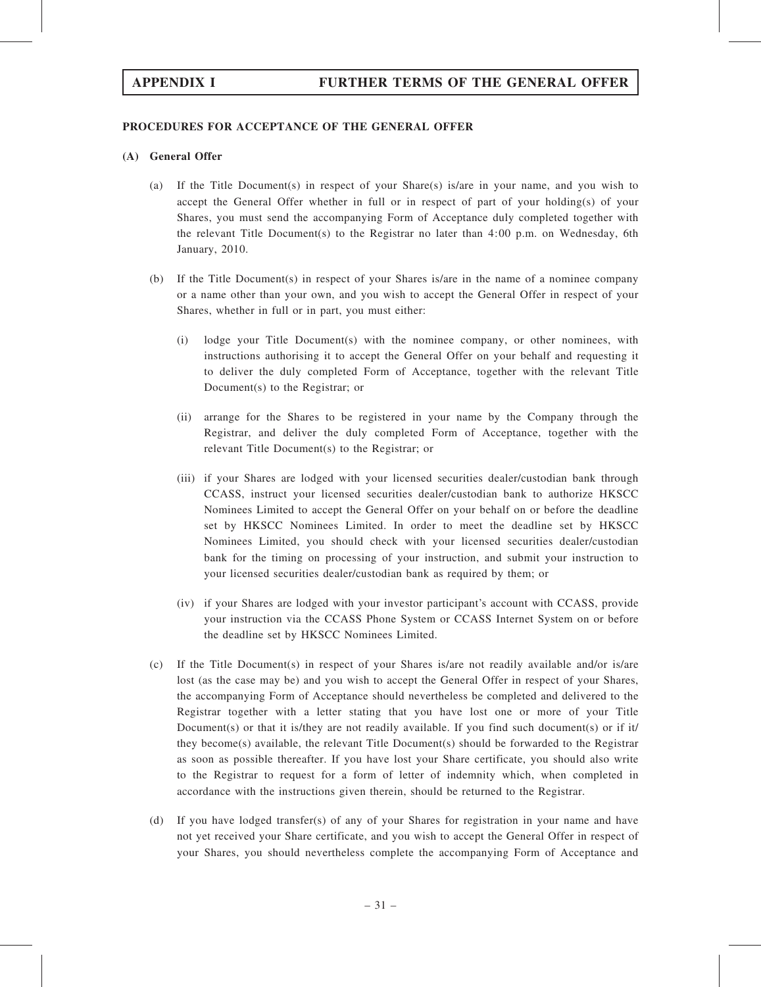## PROCEDURES FOR ACCEPTANCE OF THE GENERAL OFFER

## (A) General Offer

- (a) If the Title Document(s) in respect of your Share(s) is/are in your name, and you wish to accept the General Offer whether in full or in respect of part of your holding(s) of your Shares, you must send the accompanying Form of Acceptance duly completed together with the relevant Title Document(s) to the Registrar no later than 4:00 p.m. on Wednesday, 6th January, 2010.
- (b) If the Title Document(s) in respect of your Shares is/are in the name of a nominee company or a name other than your own, and you wish to accept the General Offer in respect of your Shares, whether in full or in part, you must either:
	- (i) lodge your Title Document(s) with the nominee company, or other nominees, with instructions authorising it to accept the General Offer on your behalf and requesting it to deliver the duly completed Form of Acceptance, together with the relevant Title Document(s) to the Registrar; or
	- (ii) arrange for the Shares to be registered in your name by the Company through the Registrar, and deliver the duly completed Form of Acceptance, together with the relevant Title Document(s) to the Registrar; or
	- (iii) if your Shares are lodged with your licensed securities dealer/custodian bank through CCASS, instruct your licensed securities dealer/custodian bank to authorize HKSCC Nominees Limited to accept the General Offer on your behalf on or before the deadline set by HKSCC Nominees Limited. In order to meet the deadline set by HKSCC Nominees Limited, you should check with your licensed securities dealer/custodian bank for the timing on processing of your instruction, and submit your instruction to your licensed securities dealer/custodian bank as required by them; or
	- (iv) if your Shares are lodged with your investor participant's account with CCASS, provide your instruction via the CCASS Phone System or CCASS Internet System on or before the deadline set by HKSCC Nominees Limited.
- (c) If the Title Document(s) in respect of your Shares is/are not readily available and/or is/are lost (as the case may be) and you wish to accept the General Offer in respect of your Shares, the accompanying Form of Acceptance should nevertheless be completed and delivered to the Registrar together with a letter stating that you have lost one or more of your Title Document(s) or that it is/they are not readily available. If you find such document(s) or if it/ they become(s) available, the relevant Title Document(s) should be forwarded to the Registrar as soon as possible thereafter. If you have lost your Share certificate, you should also write to the Registrar to request for a form of letter of indemnity which, when completed in accordance with the instructions given therein, should be returned to the Registrar.
- (d) If you have lodged transfer(s) of any of your Shares for registration in your name and have not yet received your Share certificate, and you wish to accept the General Offer in respect of your Shares, you should nevertheless complete the accompanying Form of Acceptance and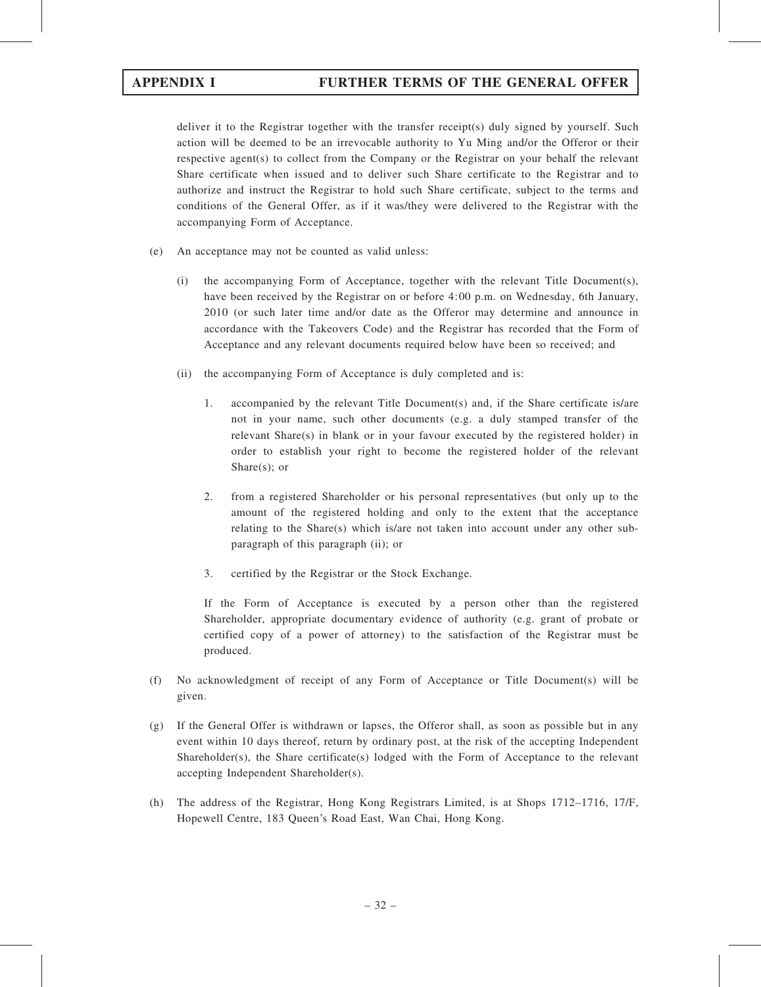deliver it to the Registrar together with the transfer receipt(s) duly signed by yourself. Such action will be deemed to be an irrevocable authority to Yu Ming and/or the Offeror or their respective agent(s) to collect from the Company or the Registrar on your behalf the relevant Share certificate when issued and to deliver such Share certificate to the Registrar and to authorize and instruct the Registrar to hold such Share certificate, subject to the terms and conditions of the General Offer, as if it was/they were delivered to the Registrar with the accompanying Form of Acceptance.

- (e) An acceptance may not be counted as valid unless:
	- (i) the accompanying Form of Acceptance, together with the relevant Title Document(s), have been received by the Registrar on or before 4:00 p.m. on Wednesday, 6th January, 2010 (or such later time and/or date as the Offeror may determine and announce in accordance with the Takeovers Code) and the Registrar has recorded that the Form of Acceptance and any relevant documents required below have been so received; and
	- (ii) the accompanying Form of Acceptance is duly completed and is:
		- 1. accompanied by the relevant Title Document(s) and, if the Share certificate is/are not in your name, such other documents (e.g. a duly stamped transfer of the relevant Share(s) in blank or in your favour executed by the registered holder) in order to establish your right to become the registered holder of the relevant Share(s); or
		- 2. from a registered Shareholder or his personal representatives (but only up to the amount of the registered holding and only to the extent that the acceptance relating to the Share(s) which is/are not taken into account under any other subparagraph of this paragraph (ii); or
		- 3. certified by the Registrar or the Stock Exchange.

If the Form of Acceptance is executed by a person other than the registered Shareholder, appropriate documentary evidence of authority (e.g. grant of probate or certified copy of a power of attorney) to the satisfaction of the Registrar must be produced.

- (f) No acknowledgment of receipt of any Form of Acceptance or Title Document(s) will be given.
- (g) If the General Offer is withdrawn or lapses, the Offeror shall, as soon as possible but in any event within 10 days thereof, return by ordinary post, at the risk of the accepting Independent Shareholder(s), the Share certificate(s) lodged with the Form of Acceptance to the relevant accepting Independent Shareholder(s).
- (h) The address of the Registrar, Hong Kong Registrars Limited, is at Shops 1712–1716, 17/F, Hopewell Centre, 183 Queen's Road East, Wan Chai, Hong Kong.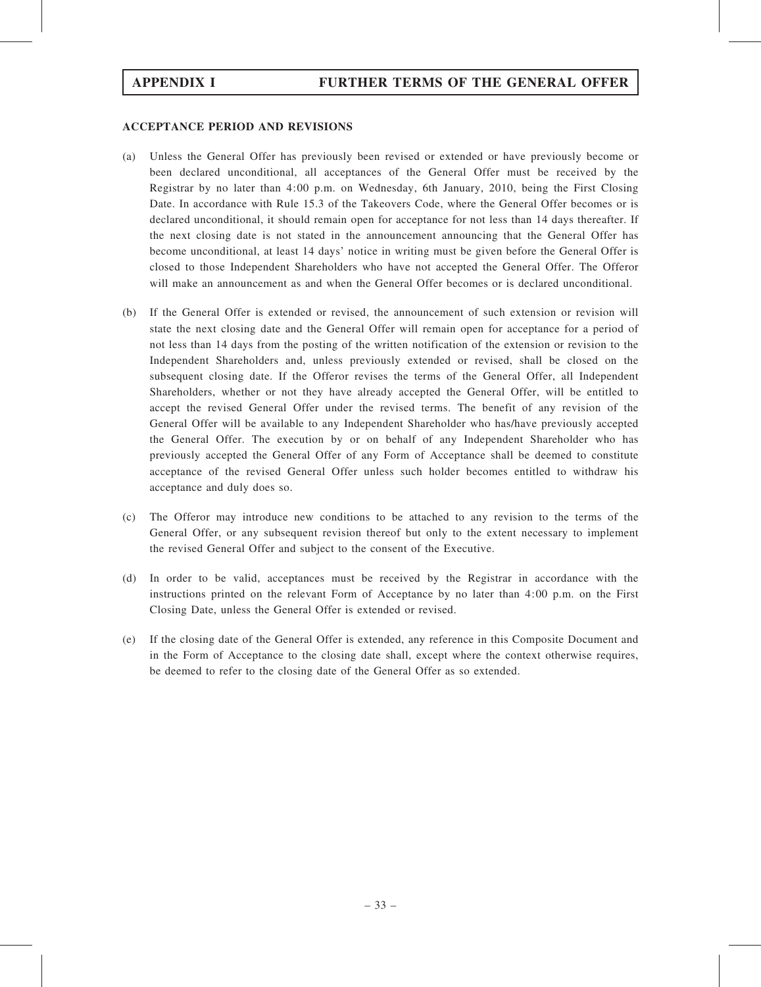## ACCEPTANCE PERIOD AND REVISIONS

- (a) Unless the General Offer has previously been revised or extended or have previously become or been declared unconditional, all acceptances of the General Offer must be received by the Registrar by no later than 4:00 p.m. on Wednesday, 6th January, 2010, being the First Closing Date. In accordance with Rule 15.3 of the Takeovers Code, where the General Offer becomes or is declared unconditional, it should remain open for acceptance for not less than 14 days thereafter. If the next closing date is not stated in the announcement announcing that the General Offer has become unconditional, at least 14 days' notice in writing must be given before the General Offer is closed to those Independent Shareholders who have not accepted the General Offer. The Offeror will make an announcement as and when the General Offer becomes or is declared unconditional.
- (b) If the General Offer is extended or revised, the announcement of such extension or revision will state the next closing date and the General Offer will remain open for acceptance for a period of not less than 14 days from the posting of the written notification of the extension or revision to the Independent Shareholders and, unless previously extended or revised, shall be closed on the subsequent closing date. If the Offeror revises the terms of the General Offer, all Independent Shareholders, whether or not they have already accepted the General Offer, will be entitled to accept the revised General Offer under the revised terms. The benefit of any revision of the General Offer will be available to any Independent Shareholder who has/have previously accepted the General Offer. The execution by or on behalf of any Independent Shareholder who has previously accepted the General Offer of any Form of Acceptance shall be deemed to constitute acceptance of the revised General Offer unless such holder becomes entitled to withdraw his acceptance and duly does so.
- (c) The Offeror may introduce new conditions to be attached to any revision to the terms of the General Offer, or any subsequent revision thereof but only to the extent necessary to implement the revised General Offer and subject to the consent of the Executive.
- (d) In order to be valid, acceptances must be received by the Registrar in accordance with the instructions printed on the relevant Form of Acceptance by no later than 4:00 p.m. on the First Closing Date, unless the General Offer is extended or revised.
- (e) If the closing date of the General Offer is extended, any reference in this Composite Document and in the Form of Acceptance to the closing date shall, except where the context otherwise requires, be deemed to refer to the closing date of the General Offer as so extended.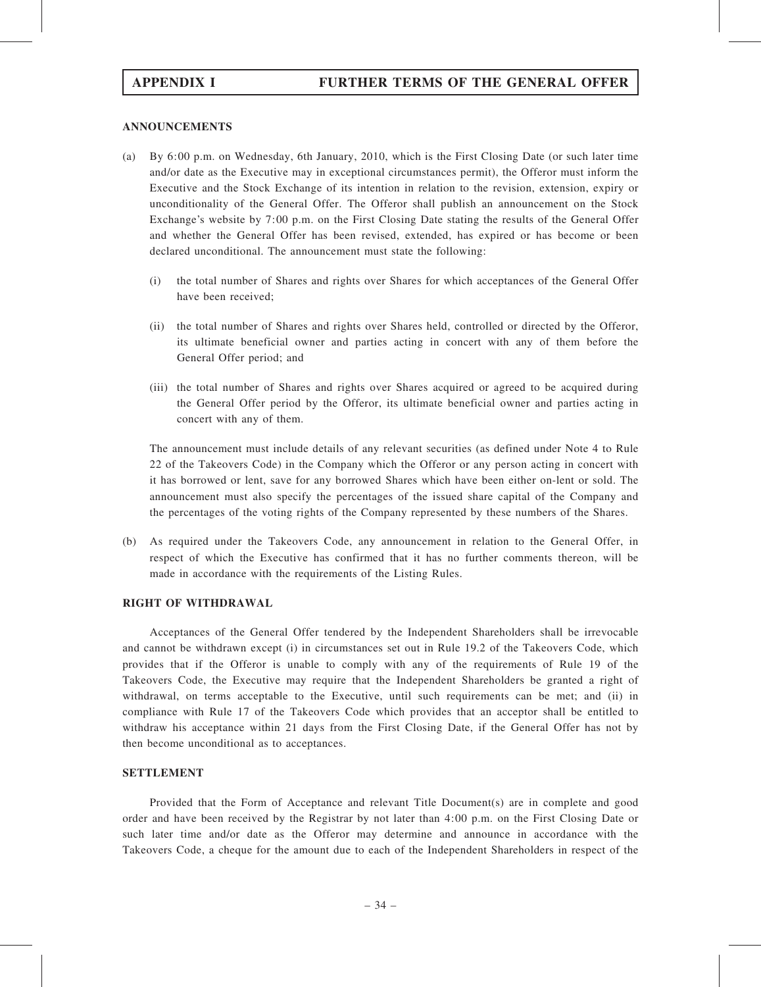# ANNOUNCEMENTS

- (a) By 6:00 p.m. on Wednesday, 6th January, 2010, which is the First Closing Date (or such later time and/or date as the Executive may in exceptional circumstances permit), the Offeror must inform the Executive and the Stock Exchange of its intention in relation to the revision, extension, expiry or unconditionality of the General Offer. The Offeror shall publish an announcement on the Stock Exchange's website by 7:00 p.m. on the First Closing Date stating the results of the General Offer and whether the General Offer has been revised, extended, has expired or has become or been declared unconditional. The announcement must state the following:
	- (i) the total number of Shares and rights over Shares for which acceptances of the General Offer have been received;
	- (ii) the total number of Shares and rights over Shares held, controlled or directed by the Offeror, its ultimate beneficial owner and parties acting in concert with any of them before the General Offer period; and
	- (iii) the total number of Shares and rights over Shares acquired or agreed to be acquired during the General Offer period by the Offeror, its ultimate beneficial owner and parties acting in concert with any of them.

The announcement must include details of any relevant securities (as defined under Note 4 to Rule 22 of the Takeovers Code) in the Company which the Offeror or any person acting in concert with it has borrowed or lent, save for any borrowed Shares which have been either on-lent or sold. The announcement must also specify the percentages of the issued share capital of the Company and the percentages of the voting rights of the Company represented by these numbers of the Shares.

(b) As required under the Takeovers Code, any announcement in relation to the General Offer, in respect of which the Executive has confirmed that it has no further comments thereon, will be made in accordance with the requirements of the Listing Rules.

# RIGHT OF WITHDRAWAL

Acceptances of the General Offer tendered by the Independent Shareholders shall be irrevocable and cannot be withdrawn except (i) in circumstances set out in Rule 19.2 of the Takeovers Code, which provides that if the Offeror is unable to comply with any of the requirements of Rule 19 of the Takeovers Code, the Executive may require that the Independent Shareholders be granted a right of withdrawal, on terms acceptable to the Executive, until such requirements can be met; and (ii) in compliance with Rule 17 of the Takeovers Code which provides that an acceptor shall be entitled to withdraw his acceptance within 21 days from the First Closing Date, if the General Offer has not by then become unconditional as to acceptances.

# SETTLEMENT

Provided that the Form of Acceptance and relevant Title Document(s) are in complete and good order and have been received by the Registrar by not later than 4:00 p.m. on the First Closing Date or such later time and/or date as the Offeror may determine and announce in accordance with the Takeovers Code, a cheque for the amount due to each of the Independent Shareholders in respect of the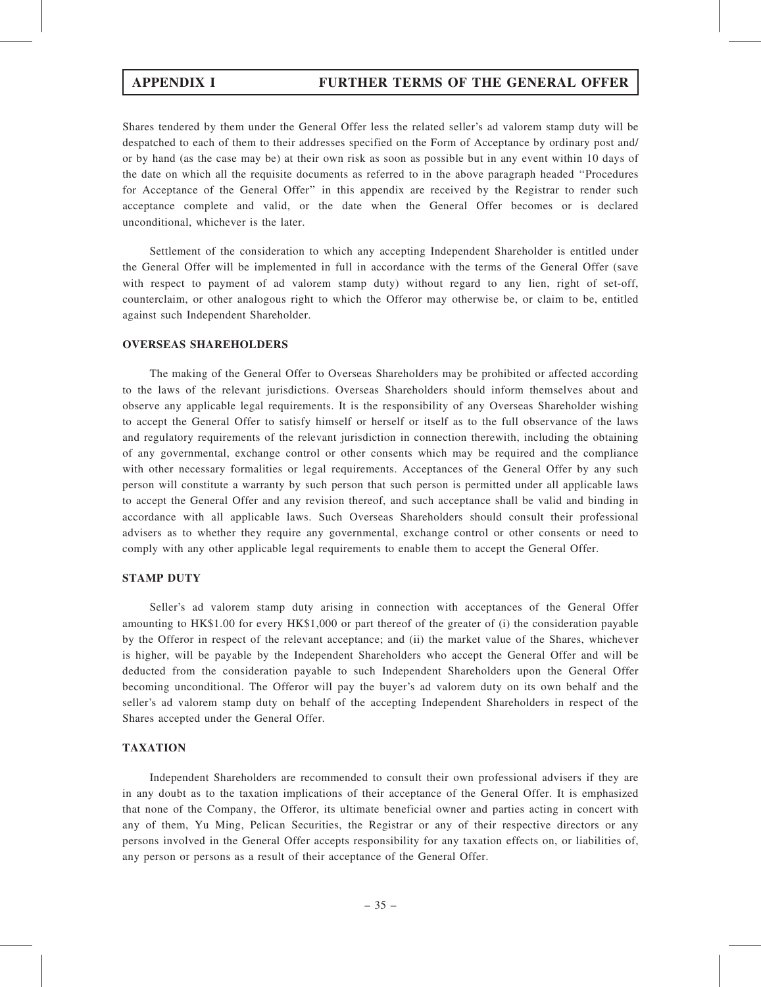# APPENDIX I FURTHER TERMS OF THE GENERAL OFFER

Shares tendered by them under the General Offer less the related seller's ad valorem stamp duty will be despatched to each of them to their addresses specified on the Form of Acceptance by ordinary post and/ or by hand (as the case may be) at their own risk as soon as possible but in any event within 10 days of the date on which all the requisite documents as referred to in the above paragraph headed ''Procedures for Acceptance of the General Offer'' in this appendix are received by the Registrar to render such acceptance complete and valid, or the date when the General Offer becomes or is declared unconditional, whichever is the later.

Settlement of the consideration to which any accepting Independent Shareholder is entitled under the General Offer will be implemented in full in accordance with the terms of the General Offer (save with respect to payment of ad valorem stamp duty) without regard to any lien, right of set-off, counterclaim, or other analogous right to which the Offeror may otherwise be, or claim to be, entitled against such Independent Shareholder.

# OVERSEAS SHAREHOLDERS

The making of the General Offer to Overseas Shareholders may be prohibited or affected according to the laws of the relevant jurisdictions. Overseas Shareholders should inform themselves about and observe any applicable legal requirements. It is the responsibility of any Overseas Shareholder wishing to accept the General Offer to satisfy himself or herself or itself as to the full observance of the laws and regulatory requirements of the relevant jurisdiction in connection therewith, including the obtaining of any governmental, exchange control or other consents which may be required and the compliance with other necessary formalities or legal requirements. Acceptances of the General Offer by any such person will constitute a warranty by such person that such person is permitted under all applicable laws to accept the General Offer and any revision thereof, and such acceptance shall be valid and binding in accordance with all applicable laws. Such Overseas Shareholders should consult their professional advisers as to whether they require any governmental, exchange control or other consents or need to comply with any other applicable legal requirements to enable them to accept the General Offer.

## STAMP DUTY

Seller's ad valorem stamp duty arising in connection with acceptances of the General Offer amounting to HK\$1.00 for every HK\$1,000 or part thereof of the greater of (i) the consideration payable by the Offeror in respect of the relevant acceptance; and (ii) the market value of the Shares, whichever is higher, will be payable by the Independent Shareholders who accept the General Offer and will be deducted from the consideration payable to such Independent Shareholders upon the General Offer becoming unconditional. The Offeror will pay the buyer's ad valorem duty on its own behalf and the seller's ad valorem stamp duty on behalf of the accepting Independent Shareholders in respect of the Shares accepted under the General Offer.

# TAXATION

Independent Shareholders are recommended to consult their own professional advisers if they are in any doubt as to the taxation implications of their acceptance of the General Offer. It is emphasized that none of the Company, the Offeror, its ultimate beneficial owner and parties acting in concert with any of them, Yu Ming, Pelican Securities, the Registrar or any of their respective directors or any persons involved in the General Offer accepts responsibility for any taxation effects on, or liabilities of, any person or persons as a result of their acceptance of the General Offer.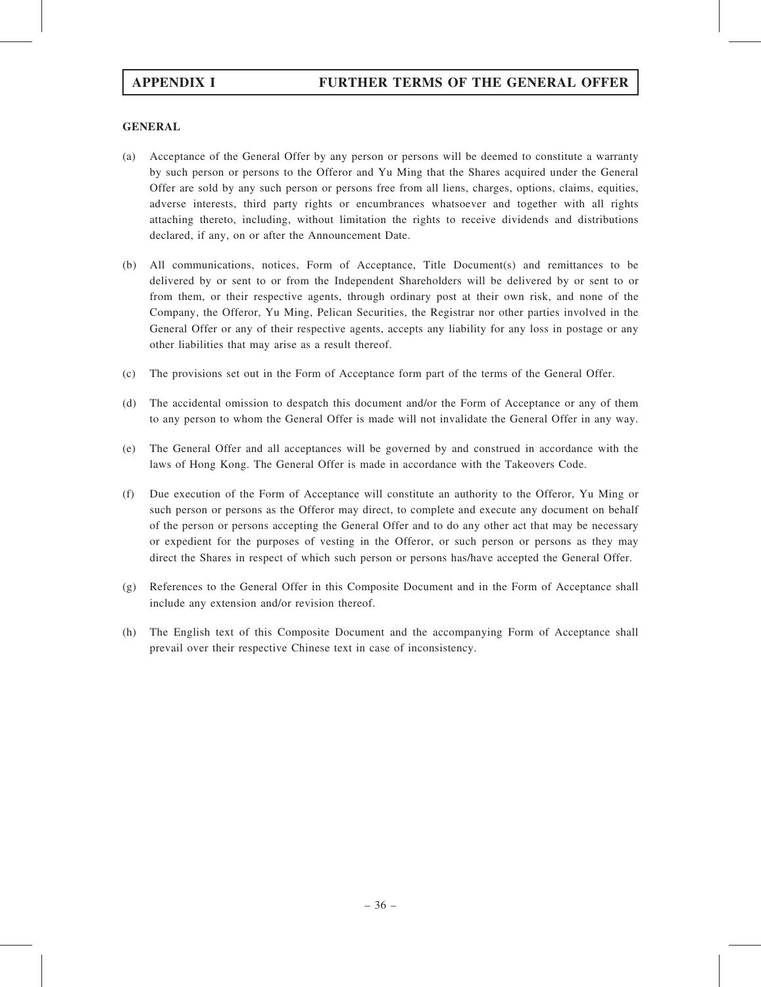# GENERAL

- (a) Acceptance of the General Offer by any person or persons will be deemed to constitute a warranty by such person or persons to the Offeror and Yu Ming that the Shares acquired under the General Offer are sold by any such person or persons free from all liens, charges, options, claims, equities, adverse interests, third party rights or encumbrances whatsoever and together with all rights attaching thereto, including, without limitation the rights to receive dividends and distributions declared, if any, on or after the Announcement Date.
- (b) All communications, notices, Form of Acceptance, Title Document(s) and remittances to be delivered by or sent to or from the Independent Shareholders will be delivered by or sent to or from them, or their respective agents, through ordinary post at their own risk, and none of the Company, the Offeror, Yu Ming, Pelican Securities, the Registrar nor other parties involved in the General Offer or any of their respective agents, accepts any liability for any loss in postage or any other liabilities that may arise as a result thereof.
- (c) The provisions set out in the Form of Acceptance form part of the terms of the General Offer.
- (d) The accidental omission to despatch this document and/or the Form of Acceptance or any of them to any person to whom the General Offer is made will not invalidate the General Offer in any way.
- (e) The General Offer and all acceptances will be governed by and construed in accordance with the laws of Hong Kong. The General Offer is made in accordance with the Takeovers Code.
- (f) Due execution of the Form of Acceptance will constitute an authority to the Offeror, Yu Ming or such person or persons as the Offeror may direct, to complete and execute any document on behalf of the person or persons accepting the General Offer and to do any other act that may be necessary or expedient for the purposes of vesting in the Offeror, or such person or persons as they may direct the Shares in respect of which such person or persons has/have accepted the General Offer.
- (g) References to the General Offer in this Composite Document and in the Form of Acceptance shall include any extension and/or revision thereof.
- (h) The English text of this Composite Document and the accompanying Form of Acceptance shall prevail over their respective Chinese text in case of inconsistency.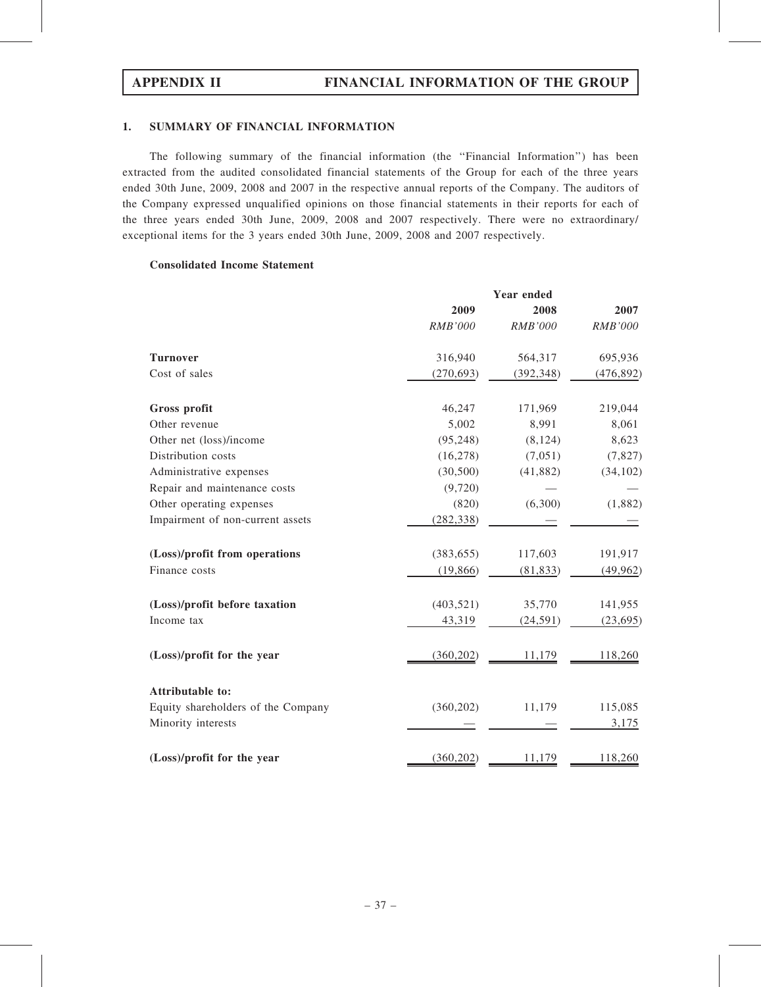# 1. SUMMARY OF FINANCIAL INFORMATION

The following summary of the financial information (the ''Financial Information'') has been extracted from the audited consolidated financial statements of the Group for each of the three years ended 30th June, 2009, 2008 and 2007 in the respective annual reports of the Company. The auditors of the Company expressed unqualified opinions on those financial statements in their reports for each of the three years ended 30th June, 2009, 2008 and 2007 respectively. There were no extraordinary/ exceptional items for the 3 years ended 30th June, 2009, 2008 and 2007 respectively.

# Consolidated Income Statement

|                                    | 2009           | 2008           | 2007       |
|------------------------------------|----------------|----------------|------------|
|                                    | <b>RMB'000</b> | <b>RMB'000</b> | RMB'000    |
| <b>Turnover</b>                    | 316,940        | 564,317        | 695,936    |
| Cost of sales                      | (270, 693)     | (392, 348)     | (476, 892) |
| Gross profit                       | 46,247         | 171,969        | 219,044    |
| Other revenue                      | 5,002          | 8,991          | 8,061      |
| Other net (loss)/income            | (95, 248)      | (8, 124)       | 8,623      |
| Distribution costs                 | (16, 278)      | (7,051)        | (7, 827)   |
| Administrative expenses            | (30, 500)      | (41, 882)      | (34, 102)  |
| Repair and maintenance costs       | (9,720)        |                |            |
| Other operating expenses           | (820)          | (6,300)        | (1,882)    |
| Impairment of non-current assets   | (282, 338)     |                |            |
| (Loss)/profit from operations      | (383, 655)     | 117,603        | 191,917    |
| Finance costs                      | (19, 866)      | (81, 833)      | (49, 962)  |
| (Loss)/profit before taxation      | (403, 521)     | 35,770         | 141,955    |
| Income tax                         | 43,319         | (24, 591)      | (23, 695)  |
| (Loss)/profit for the year         | (360, 202)     | 11,179         | 118,260    |
| Attributable to:                   |                |                |            |
| Equity shareholders of the Company | (360, 202)     | 11,179         | 115,085    |
| Minority interests                 |                |                | 3,175      |
| (Loss)/profit for the year         | (360, 202)     | 11,179         | 118,260    |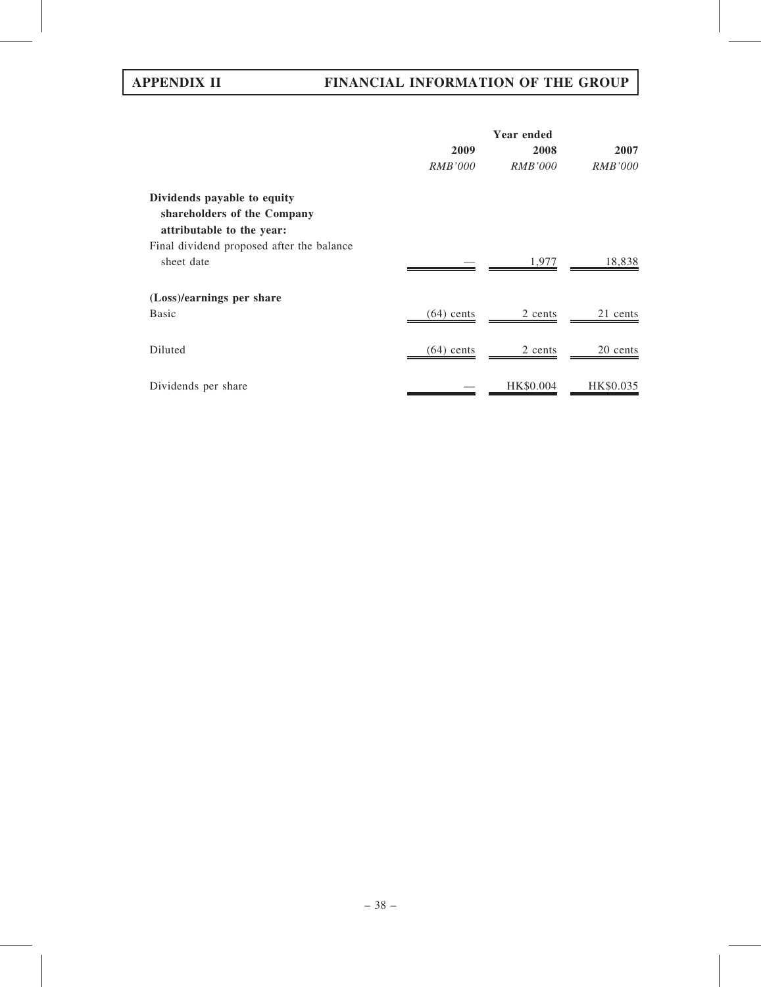# APPENDIX II FINANCIAL INFORMATION OF THE GROUP

|                                                                                         | <b>Year ended</b> |                |                |
|-----------------------------------------------------------------------------------------|-------------------|----------------|----------------|
|                                                                                         | 2009              | 2008           | 2007           |
|                                                                                         | <b>RMB'000</b>    | <i>RMB'000</i> | <i>RMB'000</i> |
| Dividends payable to equity<br>shareholders of the Company<br>attributable to the year: |                   |                |                |
| Final dividend proposed after the balance<br>sheet date                                 |                   | 1,977          | 18,838         |
| (Loss)/earnings per share<br><b>Basic</b>                                               | $(64)$ cents      | 2 cents        | 21 cents       |
| Diluted                                                                                 | $(64)$ cents      | 2 cents        | 20 cents       |
| Dividends per share                                                                     |                   | HK\$0.004      | HK\$0.035      |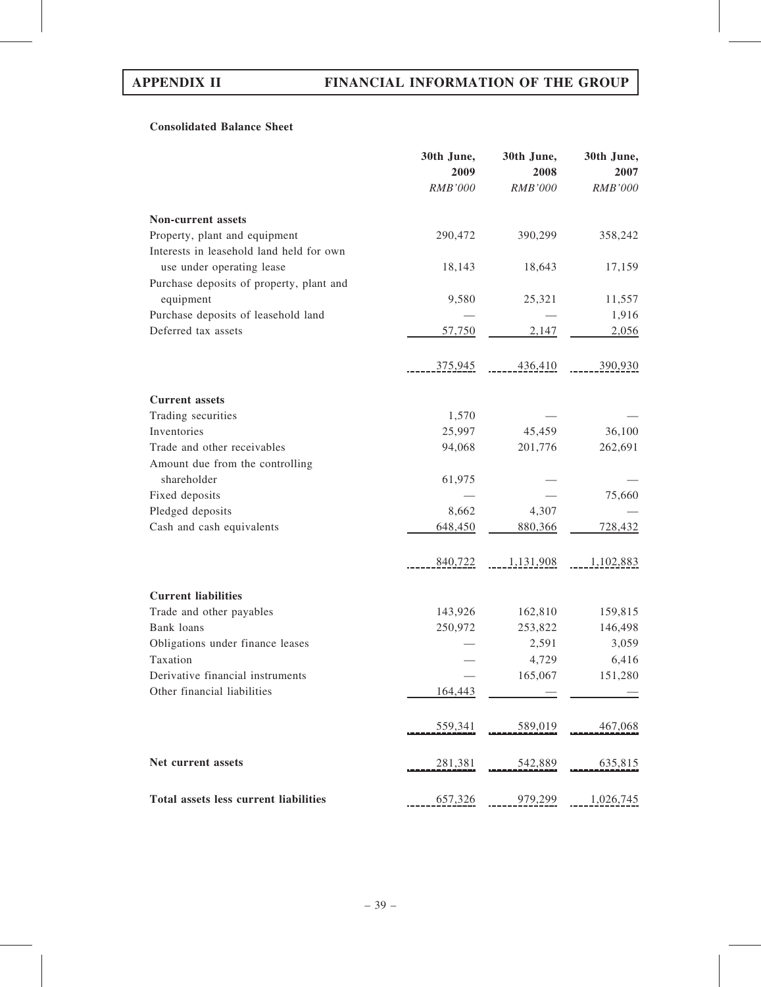# Consolidated Balance Sheet

|                                          | 30th June,<br>2009 | 30th June,<br>2008 | 30th June,<br>2007 |
|------------------------------------------|--------------------|--------------------|--------------------|
|                                          | <b>RMB'000</b>     | <b>RMB'000</b>     | <b>RMB'000</b>     |
| Non-current assets                       |                    |                    |                    |
| Property, plant and equipment            | 290,472            | 390,299            | 358,242            |
| Interests in leasehold land held for own |                    |                    |                    |
| use under operating lease                | 18,143             | 18,643             | 17,159             |
| Purchase deposits of property, plant and |                    |                    |                    |
| equipment                                | 9,580              | 25,321             | 11,557             |
| Purchase deposits of leasehold land      |                    |                    | 1,916              |
| Deferred tax assets                      | 57,750             | 2,147              | 2,056              |
|                                          | 375,945            | 436,410            | 390,930            |
| <b>Current assets</b>                    |                    |                    |                    |
| Trading securities                       | 1,570              |                    |                    |
| Inventories                              | 25,997             | 45,459             | 36,100             |
| Trade and other receivables              | 94,068             | 201,776            | 262,691            |
| Amount due from the controlling          |                    |                    |                    |
| shareholder                              | 61,975             |                    |                    |
| Fixed deposits                           |                    |                    | 75,660             |
| Pledged deposits                         | 8,662              | 4,307              |                    |
| Cash and cash equivalents                | 648,450            | 880,366            | 728,432            |
|                                          | 840,722            | 1,131,908          | 1,102,883          |
| <b>Current liabilities</b>               |                    |                    |                    |
| Trade and other payables                 | 143,926            | 162,810            | 159,815            |
| Bank loans                               | 250,972            | 253,822            | 146,498            |
| Obligations under finance leases         |                    | 2,591              | 3,059              |
| Taxation                                 |                    | 4,729              | 6,416              |
| Derivative financial instruments         |                    | 165,067            | 151,280            |
| Other financial liabilities              | 164,443            |                    |                    |
|                                          | 559,341            | 589,019            | 467,068            |
| Net current assets                       | 281,381            | 542,889            | 635,815            |
| Total assets less current liabilities    | 657,326            | 979,299            | 1,026,745          |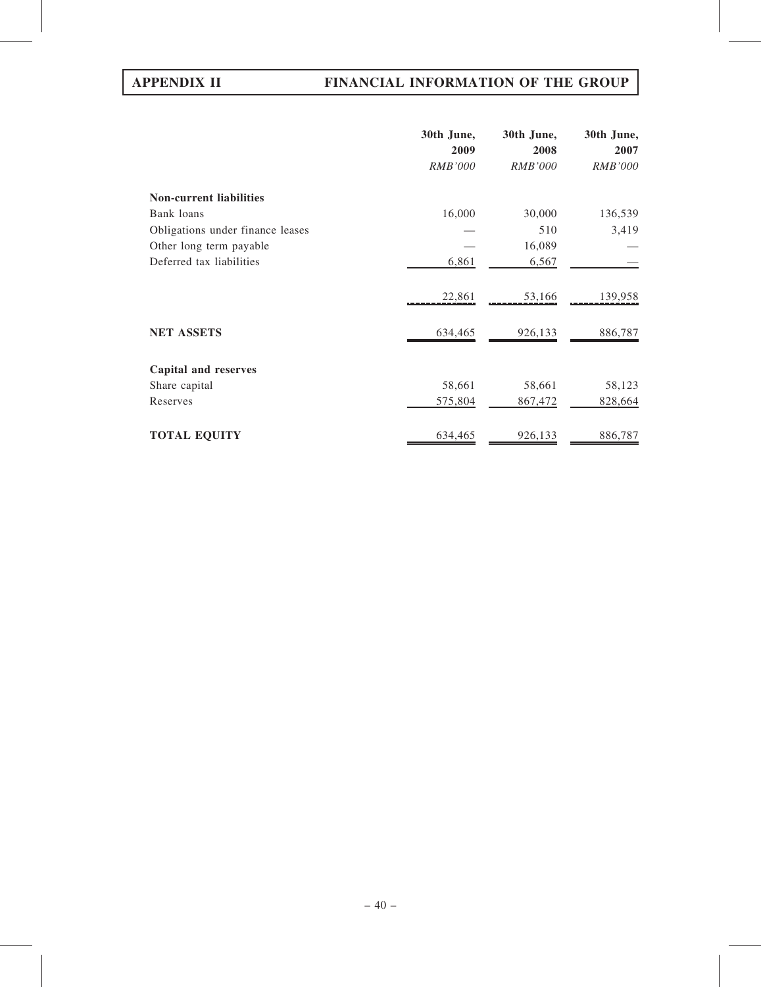# APPENDIX II FINANCIAL INFORMATION OF THE GROUP

|                                  | 30th June,     | 30th June,     | 30th June,     |
|----------------------------------|----------------|----------------|----------------|
|                                  | 2009           | 2008           | 2007           |
|                                  | <b>RMB'000</b> | <b>RMB'000</b> | <b>RMB'000</b> |
| <b>Non-current liabilities</b>   |                |                |                |
| Bank loans                       | 16,000         | 30,000         | 136,539        |
| Obligations under finance leases |                | 510            | 3,419          |
| Other long term payable          |                | 16,089         |                |
| Deferred tax liabilities         | 6,861          | 6,567          |                |
|                                  | 22,861         | 53,166         | 139,958        |
| <b>NET ASSETS</b>                | 634,465        | 926,133        | 886,787        |
| <b>Capital and reserves</b>      |                |                |                |
| Share capital                    | 58,661         | 58,661         | 58,123         |
| Reserves                         | 575,804        | 867,472        | 828,664        |
| <b>TOTAL EQUITY</b>              | 634,465        | 926,133        | 886,787        |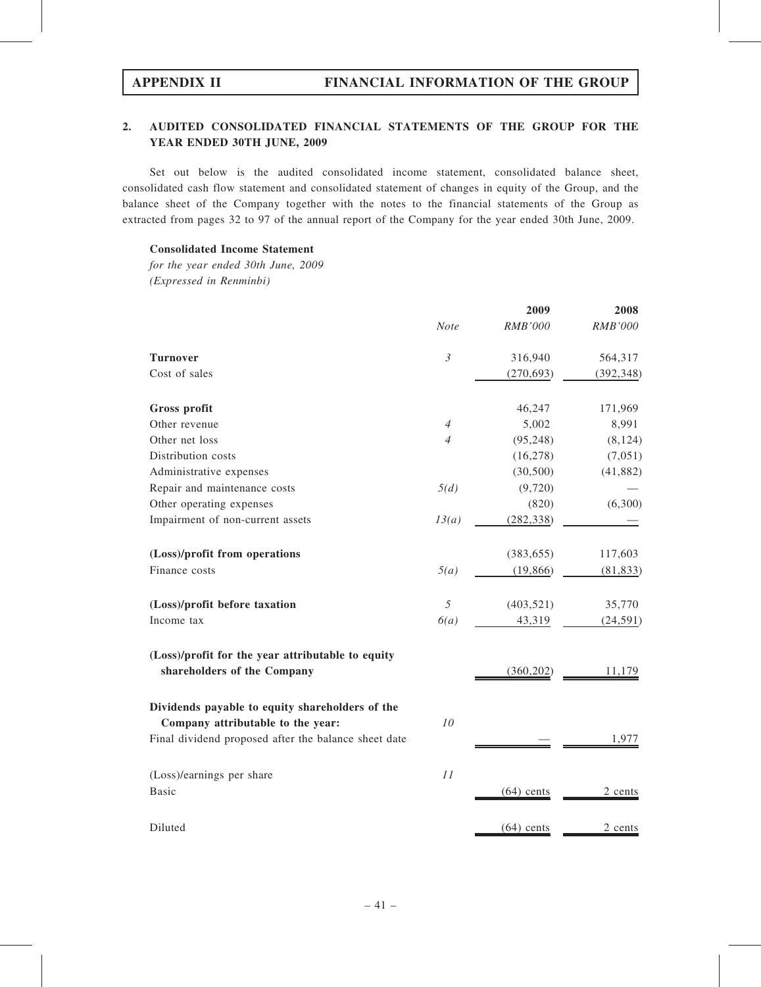# 2. AUDITED CONSOLIDATED FINANCIAL STATEMENTS OF THE GROUP FOR THE YEAR ENDED 30TH JUNE, 2009

Set out below is the audited consolidated income statement, consolidated balance sheet, consolidated cash flow statement and consolidated statement of changes in equity of the Group, and the balance sheet of the Company together with the notes to the financial statements of the Group as extracted from pages 32 to 97 of the annual report of the Company for the year ended 30th June, 2009.

# Consolidated Income Statement

for the year ended 30th June, 2009 (Expressed in Renminbi)

|                                                                                      |                | 2009           | 2008           |
|--------------------------------------------------------------------------------------|----------------|----------------|----------------|
|                                                                                      | <b>Note</b>    | <b>RMB'000</b> | <b>RMB'000</b> |
| <b>Turnover</b>                                                                      | $\mathfrak{Z}$ | 316,940        | 564,317        |
| Cost of sales                                                                        |                | (270, 693)     | (392, 348)     |
| Gross profit                                                                         |                | 46,247         | 171,969        |
| Other revenue                                                                        | $\overline{4}$ | 5,002          | 8,991          |
| Other net loss                                                                       | $\overline{4}$ | (95, 248)      | (8, 124)       |
| Distribution costs                                                                   |                | (16, 278)      | (7,051)        |
| Administrative expenses                                                              |                | (30, 500)      | (41,882)       |
| Repair and maintenance costs                                                         | 5(d)           | (9,720)        |                |
| Other operating expenses                                                             |                | (820)          | (6,300)        |
| Impairment of non-current assets                                                     | 13(a)          | (282, 338)     |                |
| (Loss)/profit from operations                                                        |                | (383, 655)     | 117,603        |
| Finance costs                                                                        | 5(a)           | (19, 866)      | (81, 833)      |
| (Loss)/profit before taxation                                                        | 5              | (403, 521)     | 35,770         |
| Income tax                                                                           | 6(a)           | 43,319         | (24, 591)      |
| (Loss)/profit for the year attributable to equity<br>shareholders of the Company     |                | (360, 202)     | 11,179         |
| Dividends payable to equity shareholders of the<br>Company attributable to the year: | 10             |                |                |
| Final dividend proposed after the balance sheet date                                 |                |                | 1,977          |
| (Loss)/earnings per share                                                            | 11             |                |                |
| <b>Basic</b>                                                                         |                | $(64)$ cents   | 2 cents        |
| Diluted                                                                              |                | $(64)$ cents   | 2_cents        |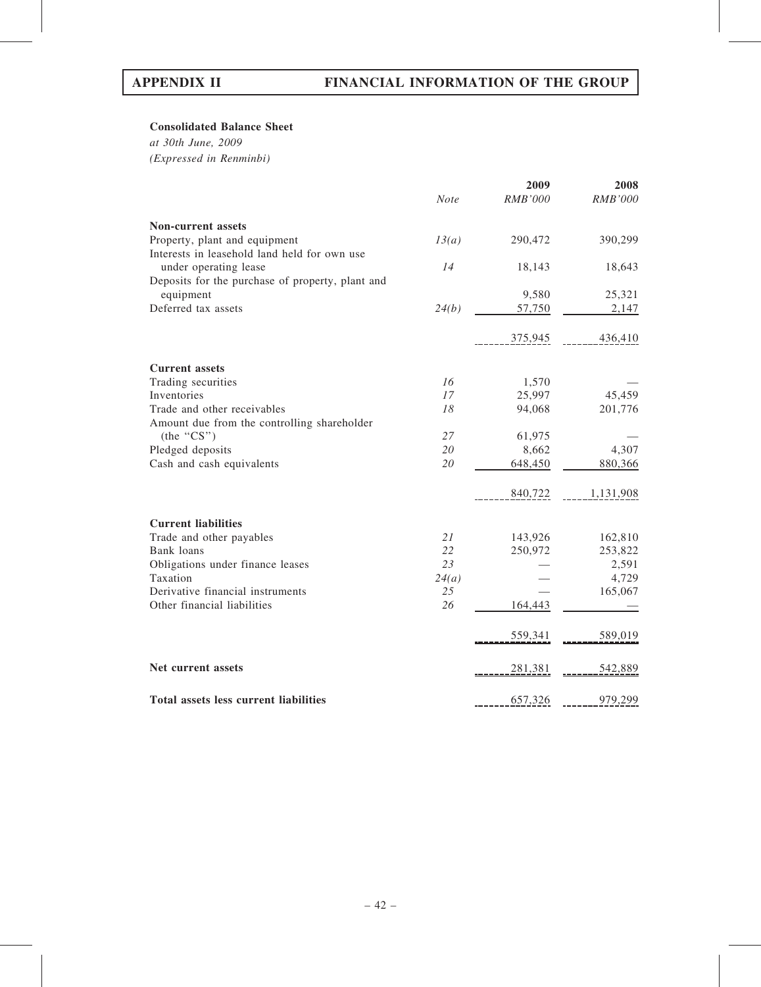# Consolidated Balance Sheet

at 30th June, 2009 (Expressed in Renminbi)

|                                                  |             | 2009           | 2008           |
|--------------------------------------------------|-------------|----------------|----------------|
|                                                  | <b>Note</b> | <b>RMB'000</b> | <b>RMB'000</b> |
| <b>Non-current assets</b>                        |             |                |                |
| Property, plant and equipment                    | 13(a)       | 290,472        | 390,299        |
| Interests in leasehold land held for own use     |             |                |                |
| under operating lease                            | 14          | 18,143         | 18,643         |
| Deposits for the purchase of property, plant and |             |                |                |
| equipment                                        |             | 9,580          | 25,321         |
| Deferred tax assets                              | 24(b)       | 57,750         | 2,147          |
|                                                  |             | 375,945        | 436,410        |
| <b>Current assets</b>                            |             |                |                |
| Trading securities                               | 16          | 1,570          |                |
| Inventories                                      | 17          | 25,997         | 45,459         |
| Trade and other receivables                      | 18          | 94,068         | 201,776        |
| Amount due from the controlling shareholder      |             |                |                |
| (the "CS")                                       | 27          | 61,975         |                |
| Pledged deposits                                 | 20          | 8,662          | 4,307          |
| Cash and cash equivalents                        | 20          | 648,450        | 880,366        |
|                                                  |             | 840,722        | 1,131,908      |
| <b>Current liabilities</b>                       |             |                |                |
| Trade and other payables                         | 21          | 143,926        | 162,810        |
| Bank loans                                       | 22          | 250,972        | 253,822        |
| Obligations under finance leases                 | 23          |                | 2,591          |
| Taxation                                         | 24(a)       |                | 4,729          |
| Derivative financial instruments                 | 25          |                | 165,067        |
| Other financial liabilities                      | 26          | 164,443        |                |
|                                                  |             | 559,341        | 589,019        |
| Net current assets                               |             | 281,381        | 542,889        |
| Total assets less current liabilities            |             | 657,326        | 979,299        |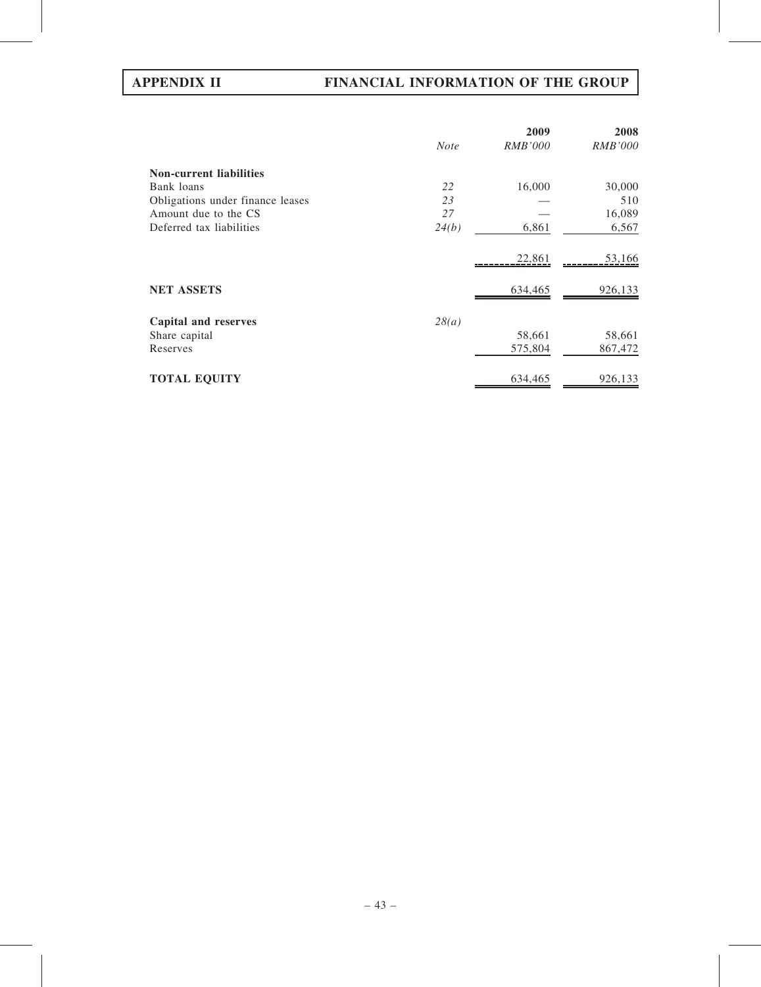# APPENDIX II FINANCIAL INFORMATION OF THE GROUP

|                                  |             | 2009           | 2008           |
|----------------------------------|-------------|----------------|----------------|
|                                  | <b>Note</b> | <i>RMB'000</i> | <b>RMB'000</b> |
| <b>Non-current liabilities</b>   |             |                |                |
| Bank loans                       | 22          | 16,000         | 30,000         |
| Obligations under finance leases | 23          |                | 510            |
| Amount due to the CS             | 27          |                | 16,089         |
| Deferred tax liabilities         | 24(b)       | 6,861          | 6,567          |
|                                  |             | 22,861         | 53,166         |
| <b>NET ASSETS</b>                |             | 634,465        | 926,133        |
| Capital and reserves             | 28(a)       |                |                |
| Share capital                    |             | 58,661         | 58,661         |
| Reserves                         |             | 575,804        | 867,472        |
| <b>TOTAL EQUITY</b>              |             | 634,465        | 926,133        |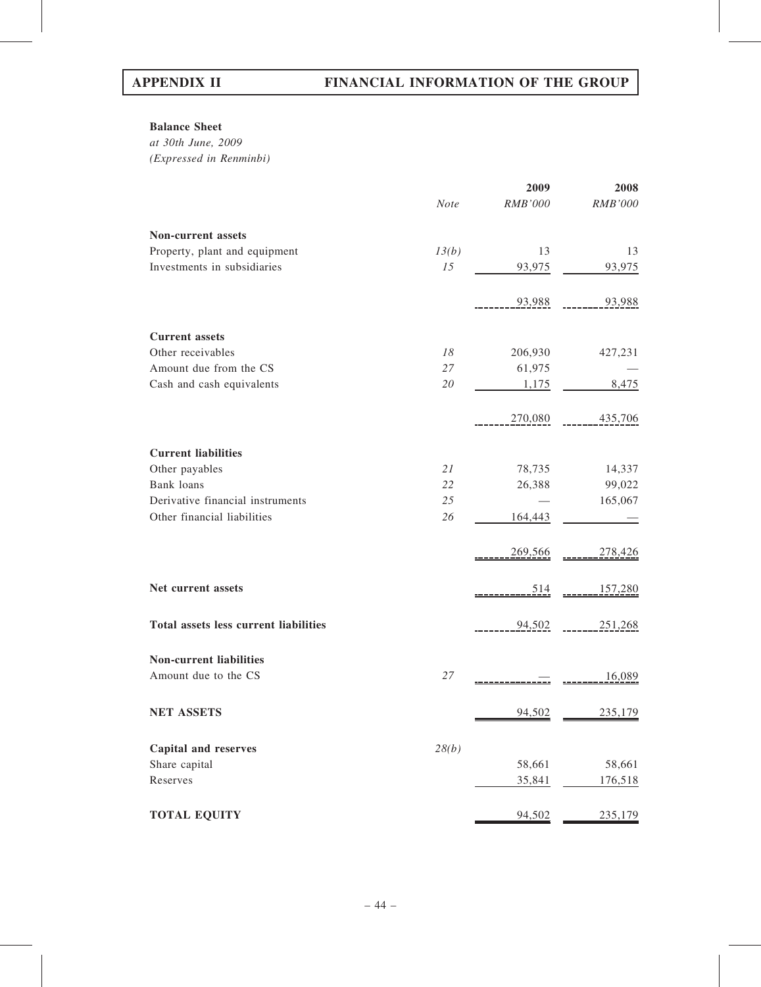# Balance Sheet

at 30th June, 2009 (Expressed in Renminbi)

|                                       |             | 2009    | 2008           |
|---------------------------------------|-------------|---------|----------------|
|                                       | <b>Note</b> | RMB'000 | <b>RMB'000</b> |
| Non-current assets                    |             |         |                |
| Property, plant and equipment         | 13(b)       | 13      | 13             |
| Investments in subsidiaries           | 15          | 93,975  | 93,975         |
|                                       |             | 93,988  | 93,988         |
| <b>Current assets</b>                 |             |         |                |
| Other receivables                     | 18          | 206,930 | 427,231        |
| Amount due from the CS                | 27          | 61,975  |                |
| Cash and cash equivalents             | 20          | 1,175   | 8,475          |
|                                       |             | 270,080 | 435,706        |
| <b>Current liabilities</b>            |             |         |                |
| Other payables                        | 21          | 78,735  | 14,337         |
| Bank loans                            | 22          | 26,388  | 99,022         |
| Derivative financial instruments      | 25          |         | 165,067        |
| Other financial liabilities           | 26          | 164,443 |                |
|                                       |             | 269,566 | 278,426        |
| Net current assets                    |             | 514     | 157,280        |
| Total assets less current liabilities |             | 94,502  | 251,268        |
| <b>Non-current liabilities</b>        |             |         |                |
| Amount due to the CS                  | 27          |         | 16,089         |
| <b>NET ASSETS</b>                     |             | 94,502  | 235,179        |
| <b>Capital and reserves</b>           | 28(b)       |         |                |
| Share capital                         |             | 58,661  | 58,661         |
| Reserves                              |             | 35,841  | 176,518        |
| <b>TOTAL EQUITY</b>                   |             | 94,502  | 235,179        |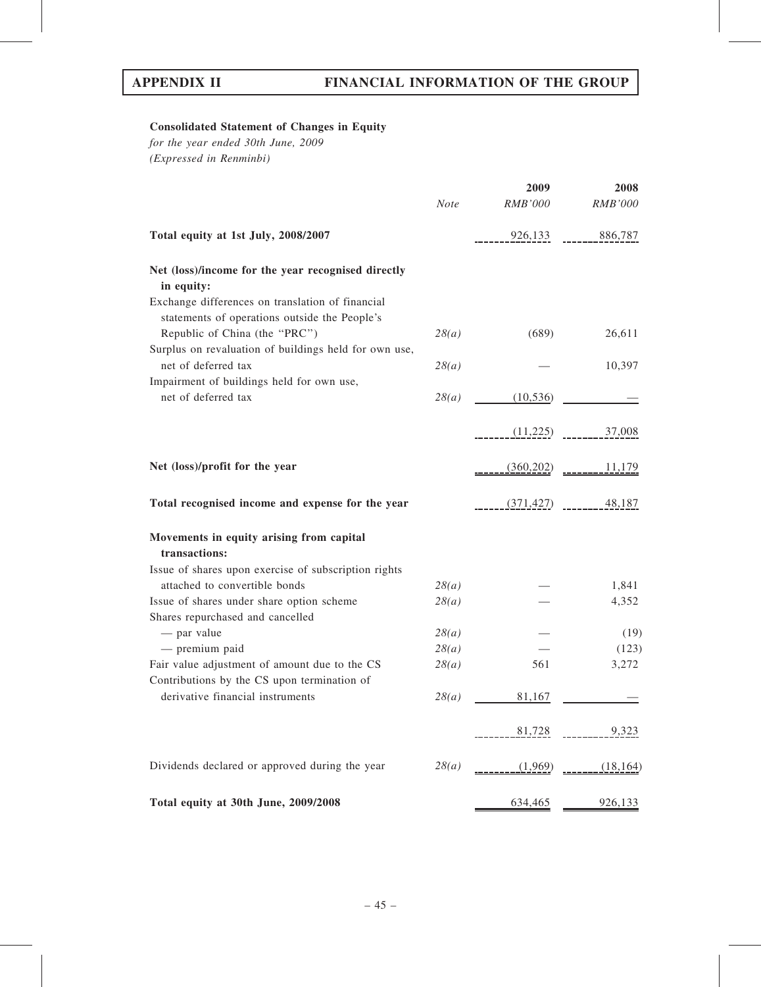# Consolidated Statement of Changes in Equity

for the year ended 30th June, 2009 (Expressed in Renminbi)

|                                                                                                   |             | 2009       | 2008                 |
|---------------------------------------------------------------------------------------------------|-------------|------------|----------------------|
|                                                                                                   | <b>Note</b> | RMB'000    | $RMB'000$            |
| Total equity at 1st July, 2008/2007                                                               |             | 926,133    | 886,787              |
| Net (loss)/income for the year recognised directly                                                |             |            |                      |
| in equity:                                                                                        |             |            |                      |
| Exchange differences on translation of financial<br>statements of operations outside the People's |             |            |                      |
| Republic of China (the "PRC")                                                                     | 28(a)       | (689)      | 26,611               |
| Surplus on revaluation of buildings held for own use,                                             |             |            |                      |
| net of deferred tax                                                                               | 28(a)       |            | 10,397               |
| Impairment of buildings held for own use,<br>net of deferred tax                                  | 28(a)       | (10, 536)  |                      |
|                                                                                                   |             | (11,225)   | 37,008               |
|                                                                                                   |             |            |                      |
| Net (loss)/profit for the year                                                                    |             | (360, 202) | 11,179               |
| Total recognised income and expense for the year                                                  |             | (371, 427) | 48,187               |
| Movements in equity arising from capital                                                          |             |            |                      |
| transactions:                                                                                     |             |            |                      |
| Issue of shares upon exercise of subscription rights                                              |             |            |                      |
| attached to convertible bonds                                                                     | 28(a)       |            | 1,841                |
| Issue of shares under share option scheme                                                         | 28(a)       |            | 4,352                |
| Shares repurchased and cancelled                                                                  |             |            |                      |
| - par value                                                                                       | 28(a)       |            | (19)                 |
| - premium paid                                                                                    | 28(a)       |            | (123)                |
| Fair value adjustment of amount due to the CS<br>Contributions by the CS upon termination of      | 28(a)       | 561        | 3,272                |
| derivative financial instruments                                                                  | 28(a)       | 81,167     |                      |
|                                                                                                   |             |            |                      |
|                                                                                                   |             |            |                      |
| Dividends declared or approved during the year                                                    | 28(a)       |            | $(1,969)$ $(18,164)$ |
|                                                                                                   |             |            |                      |
| Total equity at 30th June, 2009/2008                                                              |             |            | 634,465 926,133      |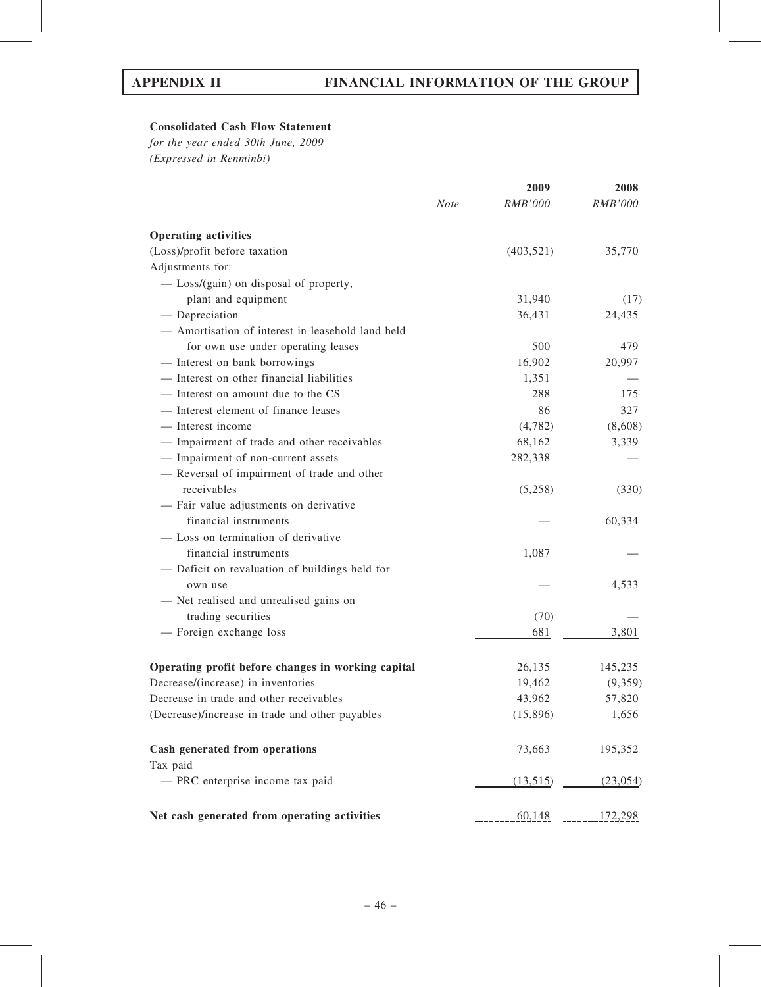# Consolidated Cash Flow Statement

for the year ended 30th June, 2009 (Expressed in Renminbi)

|                                                    |             | 2009           | 2008           |
|----------------------------------------------------|-------------|----------------|----------------|
|                                                    | <b>Note</b> | <b>RMB'000</b> | <i>RMB'000</i> |
| <b>Operating activities</b>                        |             |                |                |
| (Loss)/profit before taxation                      |             | (403, 521)     | 35,770         |
| Adjustments for:                                   |             |                |                |
| - Loss/(gain) on disposal of property,             |             |                |                |
| plant and equipment                                |             | 31,940         | (17)           |
| $-$ Depreciation                                   |             | 36,431         | 24,435         |
| - Amortisation of interest in leasehold land held  |             |                |                |
| for own use under operating leases                 |             | 500            | 479            |
| - Interest on bank borrowings                      |             | 16,902         | 20,997         |
| - Interest on other financial liabilities          |             | 1,351          |                |
| — Interest on amount due to the CS                 |             | 288            | 175            |
| - Interest element of finance leases               |             | 86             | 327            |
| — Interest income                                  |             | (4,782)        | (8,608)        |
| - Impairment of trade and other receivables        |             | 68,162         | 3,339          |
| - Impairment of non-current assets                 |             | 282,338        |                |
| - Reversal of impairment of trade and other        |             |                |                |
| receivables                                        |             | (5,258)        | (330)          |
| - Fair value adjustments on derivative             |             |                |                |
| financial instruments                              |             |                | 60,334         |
| - Loss on termination of derivative                |             |                |                |
| financial instruments                              |             | 1,087          |                |
| - Deficit on revaluation of buildings held for     |             |                |                |
| own use                                            |             |                | 4,533          |
| - Net realised and unrealised gains on             |             |                |                |
| trading securities                                 |             | (70)           |                |
| - Foreign exchange loss                            |             | 681            | 3,801          |
| Operating profit before changes in working capital |             | 26,135         | 145,235        |
| Decrease/(increase) in inventories                 |             | 19,462         | (9,359)        |
| Decrease in trade and other receivables            |             | 43,962         | 57,820         |
| (Decrease)/increase in trade and other payables    |             | (15,896)       | 1,656          |
| Cash generated from operations<br>Tax paid         |             | 73,663         | 195,352        |
| - PRC enterprise income tax paid                   |             | (13,515)       | (23, 054)      |
| Net cash generated from operating activities       |             | 60,148         | 172,298        |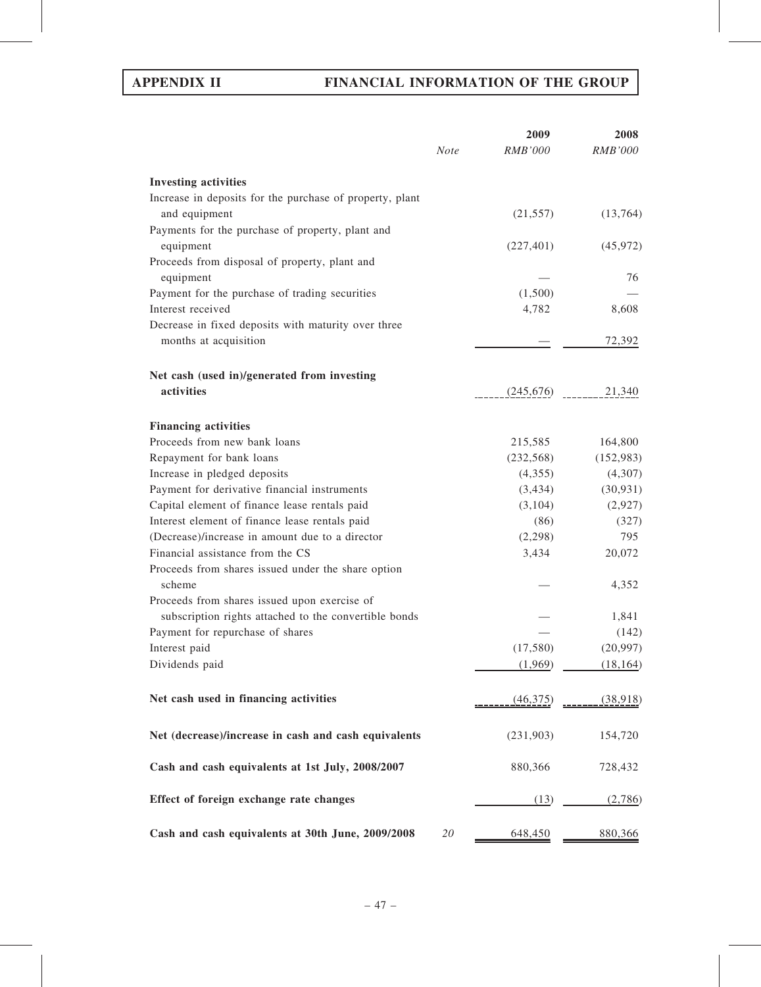# APPENDIX II FINANCIAL INFORMATION OF THE GROUP

|                                                              | <b>Note</b> | 2009<br><b>RMB'000</b> | 2008<br><i>RMB'000</i> |
|--------------------------------------------------------------|-------------|------------------------|------------------------|
| <b>Investing activities</b>                                  |             |                        |                        |
| Increase in deposits for the purchase of property, plant     |             |                        |                        |
| and equipment                                                |             | (21, 557)              | (13,764)               |
| Payments for the purchase of property, plant and             |             |                        |                        |
| equipment                                                    |             | (227, 401)             | (45, 972)              |
| Proceeds from disposal of property, plant and                |             |                        |                        |
| equipment                                                    |             |                        | 76                     |
| Payment for the purchase of trading securities               |             | (1,500)                |                        |
| Interest received                                            |             | 4,782                  | 8,608                  |
| Decrease in fixed deposits with maturity over three          |             |                        |                        |
| months at acquisition                                        |             |                        | 72,392                 |
| Net cash (used in)/generated from investing                  |             |                        |                        |
| activities                                                   |             | (245,676)              | 21,340                 |
| <b>Financing activities</b>                                  |             |                        |                        |
| Proceeds from new bank loans                                 |             | 215,585                | 164,800                |
| Repayment for bank loans                                     |             | (232, 568)             | (152, 983)             |
| Increase in pledged deposits                                 |             | (4,355)                | (4,307)                |
| Payment for derivative financial instruments                 |             | (3, 434)               | (30, 931)              |
| Capital element of finance lease rentals paid                |             | (3,104)                | (2,927)                |
| Interest element of finance lease rentals paid               |             | (86)                   | (327)                  |
| (Decrease)/increase in amount due to a director              |             | (2,298)                | 795                    |
| Financial assistance from the CS                             |             | 3,434                  | 20,072                 |
| Proceeds from shares issued under the share option<br>scheme |             |                        | 4,352                  |
| Proceeds from shares issued upon exercise of                 |             |                        |                        |
| subscription rights attached to the convertible bonds        |             |                        | 1,841                  |
| Payment for repurchase of shares                             |             |                        | (142)                  |
| Interest paid                                                |             | (17,580)               | (20, 997)              |
| Dividends paid                                               |             | (1,969)                | (18, 164)              |
|                                                              |             |                        |                        |
| Net cash used in financing activities                        |             | (46,375)               | <u>. (38,918)</u>      |
| Net (decrease)/increase in cash and cash equivalents         |             | (231,903)              | 154,720                |
| Cash and cash equivalents at 1st July, 2008/2007             |             | 880,366                | 728,432                |
| Effect of foreign exchange rate changes                      |             | (13)                   | (2,786)                |
| Cash and cash equivalents at 30th June, 2009/2008            | 20          | 648,450                | 880,366                |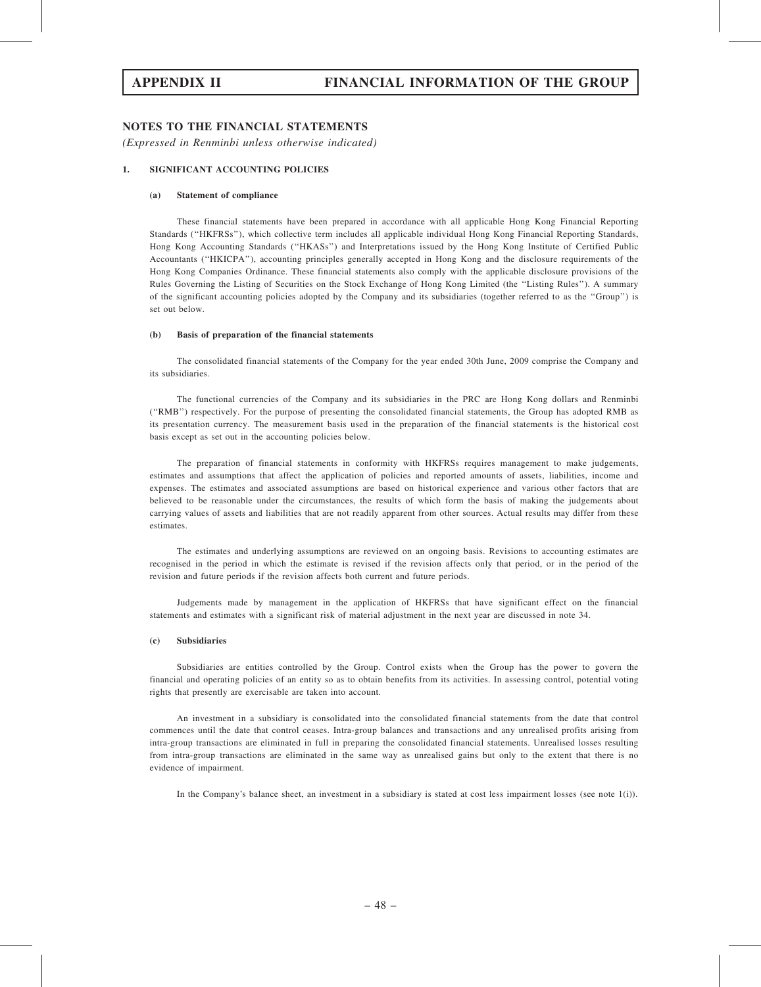# NOTES TO THE FINANCIAL STATEMENTS

(Expressed in Renminbi unless otherwise indicated)

## 1. SIGNIFICANT ACCOUNTING POLICIES

### (a) Statement of compliance

These financial statements have been prepared in accordance with all applicable Hong Kong Financial Reporting Standards (''HKFRSs''), which collective term includes all applicable individual Hong Kong Financial Reporting Standards, Hong Kong Accounting Standards (''HKASs'') and Interpretations issued by the Hong Kong Institute of Certified Public Accountants (''HKICPA''), accounting principles generally accepted in Hong Kong and the disclosure requirements of the Hong Kong Companies Ordinance. These financial statements also comply with the applicable disclosure provisions of the Rules Governing the Listing of Securities on the Stock Exchange of Hong Kong Limited (the ''Listing Rules''). A summary of the significant accounting policies adopted by the Company and its subsidiaries (together referred to as the ''Group'') is set out below.

### (b) Basis of preparation of the financial statements

The consolidated financial statements of the Company for the year ended 30th June, 2009 comprise the Company and its subsidiaries.

The functional currencies of the Company and its subsidiaries in the PRC are Hong Kong dollars and Renminbi (''RMB'') respectively. For the purpose of presenting the consolidated financial statements, the Group has adopted RMB as its presentation currency. The measurement basis used in the preparation of the financial statements is the historical cost basis except as set out in the accounting policies below.

The preparation of financial statements in conformity with HKFRSs requires management to make judgements, estimates and assumptions that affect the application of policies and reported amounts of assets, liabilities, income and expenses. The estimates and associated assumptions are based on historical experience and various other factors that are believed to be reasonable under the circumstances, the results of which form the basis of making the judgements about carrying values of assets and liabilities that are not readily apparent from other sources. Actual results may differ from these estimates.

The estimates and underlying assumptions are reviewed on an ongoing basis. Revisions to accounting estimates are recognised in the period in which the estimate is revised if the revision affects only that period, or in the period of the revision and future periods if the revision affects both current and future periods.

Judgements made by management in the application of HKFRSs that have significant effect on the financial statements and estimates with a significant risk of material adjustment in the next year are discussed in note 34.

### (c) Subsidiaries

Subsidiaries are entities controlled by the Group. Control exists when the Group has the power to govern the financial and operating policies of an entity so as to obtain benefits from its activities. In assessing control, potential voting rights that presently are exercisable are taken into account.

An investment in a subsidiary is consolidated into the consolidated financial statements from the date that control commences until the date that control ceases. Intra-group balances and transactions and any unrealised profits arising from intra-group transactions are eliminated in full in preparing the consolidated financial statements. Unrealised losses resulting from intra-group transactions are eliminated in the same way as unrealised gains but only to the extent that there is no evidence of impairment.

In the Company's balance sheet, an investment in a subsidiary is stated at cost less impairment losses (see note 1(i)).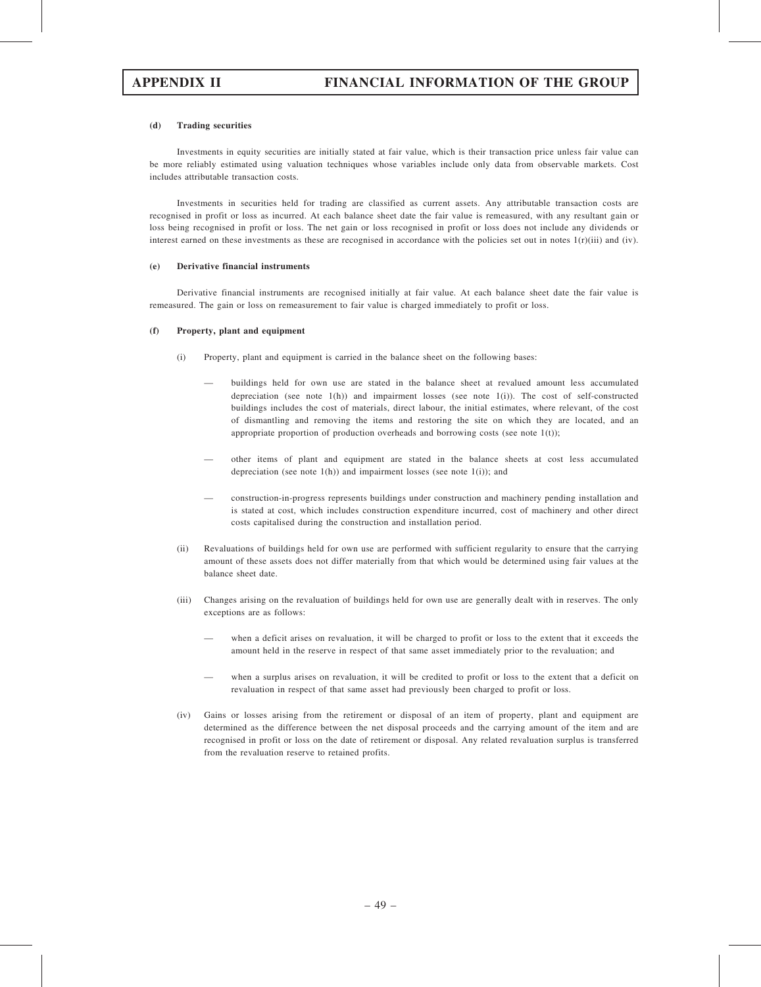### (d) Trading securities

Investments in equity securities are initially stated at fair value, which is their transaction price unless fair value can be more reliably estimated using valuation techniques whose variables include only data from observable markets. Cost includes attributable transaction costs.

Investments in securities held for trading are classified as current assets. Any attributable transaction costs are recognised in profit or loss as incurred. At each balance sheet date the fair value is remeasured, with any resultant gain or loss being recognised in profit or loss. The net gain or loss recognised in profit or loss does not include any dividends or interest earned on these investments as these are recognised in accordance with the policies set out in notes  $1(r)(iii)$  and (iv).

#### (e) Derivative financial instruments

Derivative financial instruments are recognised initially at fair value. At each balance sheet date the fair value is remeasured. The gain or loss on remeasurement to fair value is charged immediately to profit or loss.

#### (f) Property, plant and equipment

- (i) Property, plant and equipment is carried in the balance sheet on the following bases:
	- buildings held for own use are stated in the balance sheet at revalued amount less accumulated depreciation (see note  $1(h)$ ) and impairment losses (see note  $1(i)$ ). The cost of self-constructed buildings includes the cost of materials, direct labour, the initial estimates, where relevant, of the cost of dismantling and removing the items and restoring the site on which they are located, and an appropriate proportion of production overheads and borrowing costs (see note  $1(t)$ );
	- other items of plant and equipment are stated in the balance sheets at cost less accumulated depreciation (see note  $1(h)$ ) and impairment losses (see note  $1(i)$ ); and
	- construction-in-progress represents buildings under construction and machinery pending installation and is stated at cost, which includes construction expenditure incurred, cost of machinery and other direct costs capitalised during the construction and installation period.
- (ii) Revaluations of buildings held for own use are performed with sufficient regularity to ensure that the carrying amount of these assets does not differ materially from that which would be determined using fair values at the balance sheet date.
- (iii) Changes arising on the revaluation of buildings held for own use are generally dealt with in reserves. The only exceptions are as follows:
	- when a deficit arises on revaluation, it will be charged to profit or loss to the extent that it exceeds the amount held in the reserve in respect of that same asset immediately prior to the revaluation; and
	- when a surplus arises on revaluation, it will be credited to profit or loss to the extent that a deficit on revaluation in respect of that same asset had previously been charged to profit or loss.
- (iv) Gains or losses arising from the retirement or disposal of an item of property, plant and equipment are determined as the difference between the net disposal proceeds and the carrying amount of the item and are recognised in profit or loss on the date of retirement or disposal. Any related revaluation surplus is transferred from the revaluation reserve to retained profits.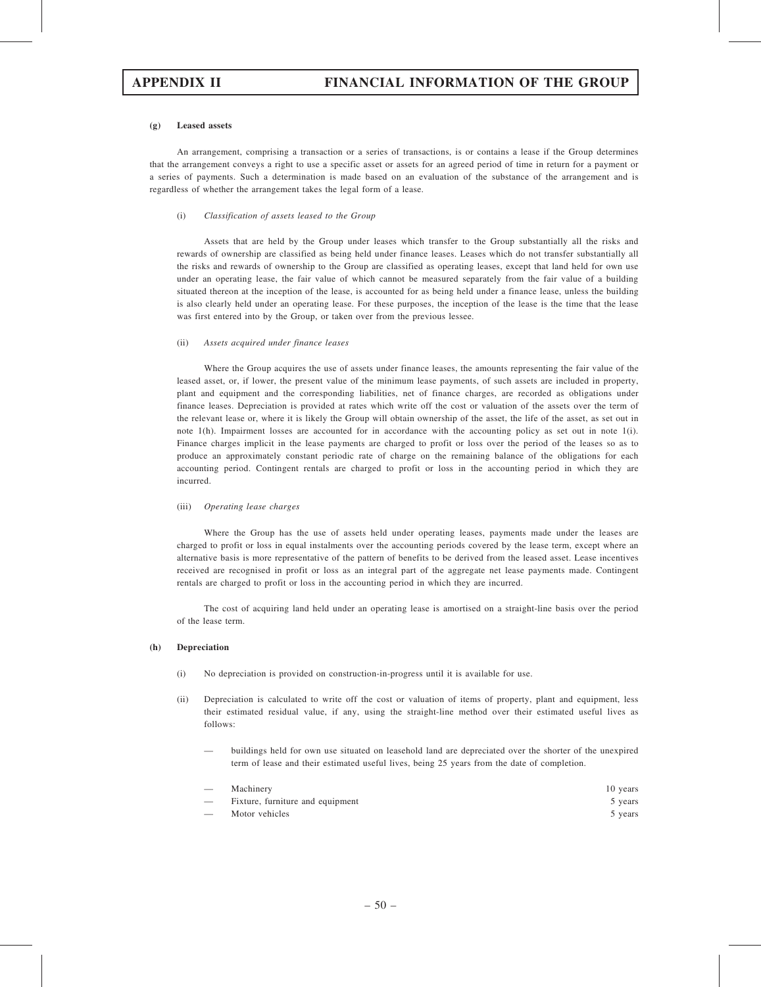#### (g) Leased assets

An arrangement, comprising a transaction or a series of transactions, is or contains a lease if the Group determines that the arrangement conveys a right to use a specific asset or assets for an agreed period of time in return for a payment or a series of payments. Such a determination is made based on an evaluation of the substance of the arrangement and is regardless of whether the arrangement takes the legal form of a lease.

#### (i) Classification of assets leased to the Group

Assets that are held by the Group under leases which transfer to the Group substantially all the risks and rewards of ownership are classified as being held under finance leases. Leases which do not transfer substantially all the risks and rewards of ownership to the Group are classified as operating leases, except that land held for own use under an operating lease, the fair value of which cannot be measured separately from the fair value of a building situated thereon at the inception of the lease, is accounted for as being held under a finance lease, unless the building is also clearly held under an operating lease. For these purposes, the inception of the lease is the time that the lease was first entered into by the Group, or taken over from the previous lessee.

#### (ii) Assets acquired under finance leases

Where the Group acquires the use of assets under finance leases, the amounts representing the fair value of the leased asset, or, if lower, the present value of the minimum lease payments, of such assets are included in property, plant and equipment and the corresponding liabilities, net of finance charges, are recorded as obligations under finance leases. Depreciation is provided at rates which write off the cost or valuation of the assets over the term of the relevant lease or, where it is likely the Group will obtain ownership of the asset, the life of the asset, as set out in note 1(h). Impairment losses are accounted for in accordance with the accounting policy as set out in note 1(i). Finance charges implicit in the lease payments are charged to profit or loss over the period of the leases so as to produce an approximately constant periodic rate of charge on the remaining balance of the obligations for each accounting period. Contingent rentals are charged to profit or loss in the accounting period in which they are incurred.

### (iii) Operating lease charges

Where the Group has the use of assets held under operating leases, payments made under the leases are charged to profit or loss in equal instalments over the accounting periods covered by the lease term, except where an alternative basis is more representative of the pattern of benefits to be derived from the leased asset. Lease incentives received are recognised in profit or loss as an integral part of the aggregate net lease payments made. Contingent rentals are charged to profit or loss in the accounting period in which they are incurred.

The cost of acquiring land held under an operating lease is amortised on a straight-line basis over the period of the lease term.

### (h) Depreciation

- (i) No depreciation is provided on construction-in-progress until it is available for use.
- (ii) Depreciation is calculated to write off the cost or valuation of items of property, plant and equipment, less their estimated residual value, if any, using the straight-line method over their estimated useful lives as follows:
	- buildings held for own use situated on leasehold land are depreciated over the shorter of the unexpired term of lease and their estimated useful lives, being 25 years from the date of completion.

|                          | Machinery                        | 10 years |
|--------------------------|----------------------------------|----------|
|                          | Fixture, furniture and equipment | 5 years  |
| $\overline{\phantom{0}}$ | Motor vehicles                   | 5 years  |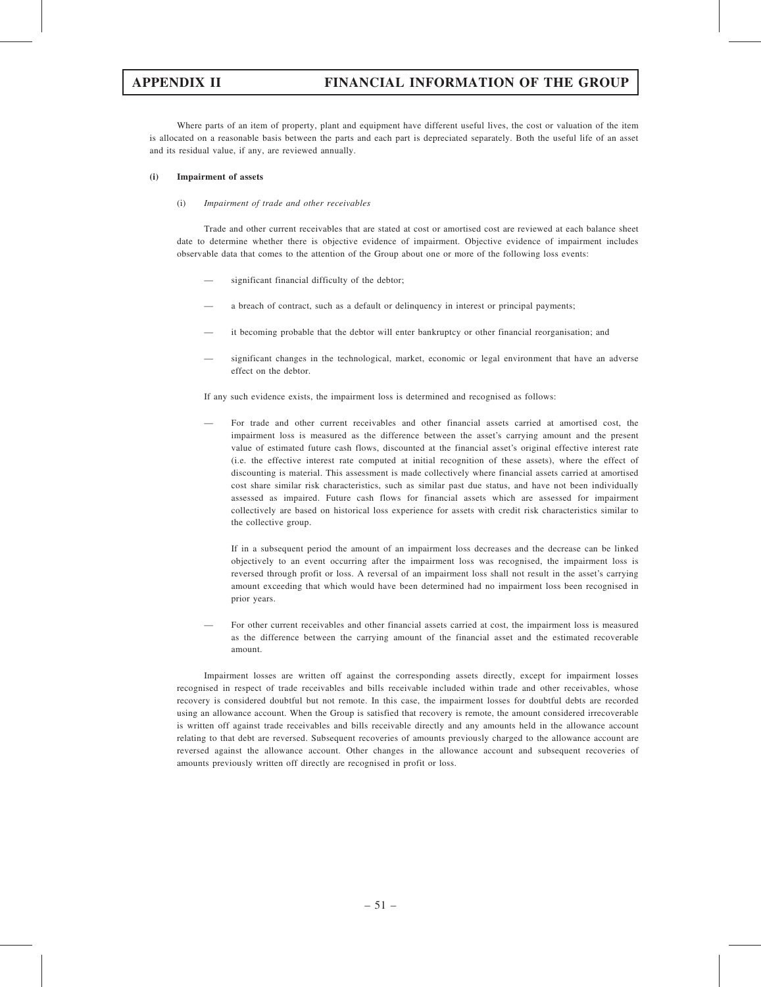# APPENDIX II FINANCIAL INFORMATION OF THE GROUP

Where parts of an item of property, plant and equipment have different useful lives, the cost or valuation of the item is allocated on a reasonable basis between the parts and each part is depreciated separately. Both the useful life of an asset and its residual value, if any, are reviewed annually.

### (i) Impairment of assets

### (i) Impairment of trade and other receivables

Trade and other current receivables that are stated at cost or amortised cost are reviewed at each balance sheet date to determine whether there is objective evidence of impairment. Objective evidence of impairment includes observable data that comes to the attention of the Group about one or more of the following loss events:

- significant financial difficulty of the debtor;
- a breach of contract, such as a default or delinquency in interest or principal payments;
- it becoming probable that the debtor will enter bankruptcy or other financial reorganisation; and
- significant changes in the technological, market, economic or legal environment that have an adverse effect on the debtor.

If any such evidence exists, the impairment loss is determined and recognised as follows:

— For trade and other current receivables and other financial assets carried at amortised cost, the impairment loss is measured as the difference between the asset's carrying amount and the present value of estimated future cash flows, discounted at the financial asset's original effective interest rate (i.e. the effective interest rate computed at initial recognition of these assets), where the effect of discounting is material. This assessment is made collectively where financial assets carried at amortised cost share similar risk characteristics, such as similar past due status, and have not been individually assessed as impaired. Future cash flows for financial assets which are assessed for impairment collectively are based on historical loss experience for assets with credit risk characteristics similar to the collective group.

If in a subsequent period the amount of an impairment loss decreases and the decrease can be linked objectively to an event occurring after the impairment loss was recognised, the impairment loss is reversed through profit or loss. A reversal of an impairment loss shall not result in the asset's carrying amount exceeding that which would have been determined had no impairment loss been recognised in prior years.

— For other current receivables and other financial assets carried at cost, the impairment loss is measured as the difference between the carrying amount of the financial asset and the estimated recoverable amount.

Impairment losses are written off against the corresponding assets directly, except for impairment losses recognised in respect of trade receivables and bills receivable included within trade and other receivables, whose recovery is considered doubtful but not remote. In this case, the impairment losses for doubtful debts are recorded using an allowance account. When the Group is satisfied that recovery is remote, the amount considered irrecoverable is written off against trade receivables and bills receivable directly and any amounts held in the allowance account relating to that debt are reversed. Subsequent recoveries of amounts previously charged to the allowance account are reversed against the allowance account. Other changes in the allowance account and subsequent recoveries of amounts previously written off directly are recognised in profit or loss.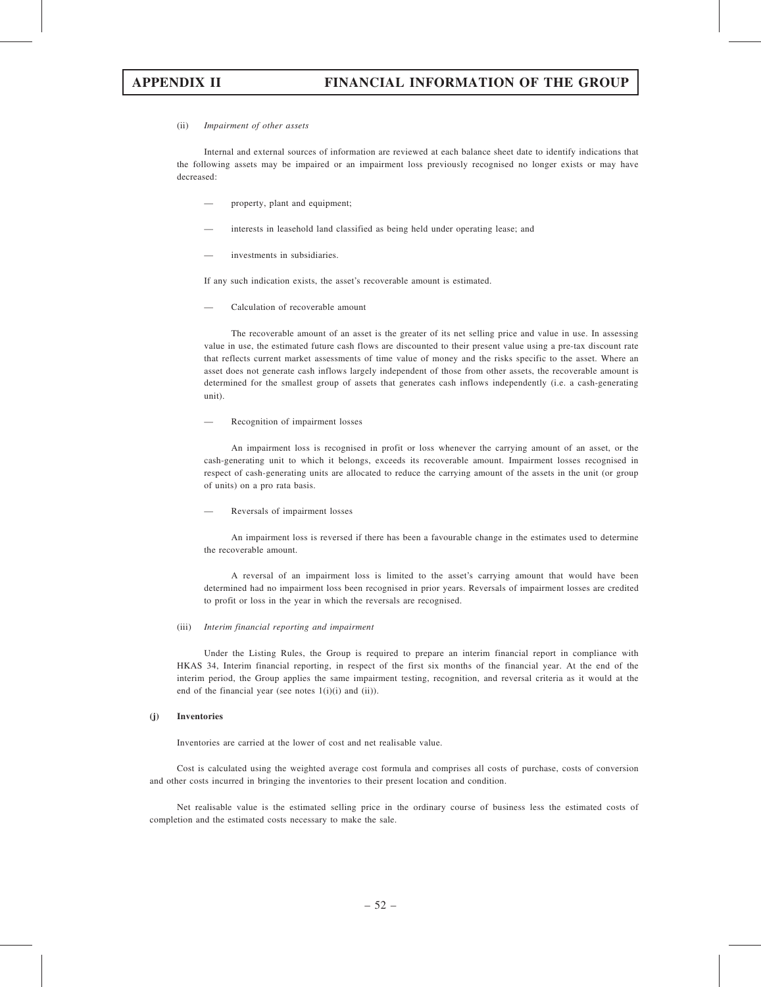#### (ii) Impairment of other assets

Internal and external sources of information are reviewed at each balance sheet date to identify indications that the following assets may be impaired or an impairment loss previously recognised no longer exists or may have decreased:

- property, plant and equipment;
- interests in leasehold land classified as being held under operating lease; and
- investments in subsidiaries.

If any such indication exists, the asset's recoverable amount is estimated.

— Calculation of recoverable amount

The recoverable amount of an asset is the greater of its net selling price and value in use. In assessing value in use, the estimated future cash flows are discounted to their present value using a pre-tax discount rate that reflects current market assessments of time value of money and the risks specific to the asset. Where an asset does not generate cash inflows largely independent of those from other assets, the recoverable amount is determined for the smallest group of assets that generates cash inflows independently (i.e. a cash-generating unit).

— Recognition of impairment losses

An impairment loss is recognised in profit or loss whenever the carrying amount of an asset, or the cash-generating unit to which it belongs, exceeds its recoverable amount. Impairment losses recognised in respect of cash-generating units are allocated to reduce the carrying amount of the assets in the unit (or group of units) on a pro rata basis.

— Reversals of impairment losses

An impairment loss is reversed if there has been a favourable change in the estimates used to determine the recoverable amount.

A reversal of an impairment loss is limited to the asset's carrying amount that would have been determined had no impairment loss been recognised in prior years. Reversals of impairment losses are credited to profit or loss in the year in which the reversals are recognised.

#### (iii) Interim financial reporting and impairment

Under the Listing Rules, the Group is required to prepare an interim financial report in compliance with HKAS 34, Interim financial reporting, in respect of the first six months of the financial year. At the end of the interim period, the Group applies the same impairment testing, recognition, and reversal criteria as it would at the end of the financial year (see notes 1(i)(i) and (ii)).

### (j) Inventories

Inventories are carried at the lower of cost and net realisable value.

Cost is calculated using the weighted average cost formula and comprises all costs of purchase, costs of conversion and other costs incurred in bringing the inventories to their present location and condition.

Net realisable value is the estimated selling price in the ordinary course of business less the estimated costs of completion and the estimated costs necessary to make the sale.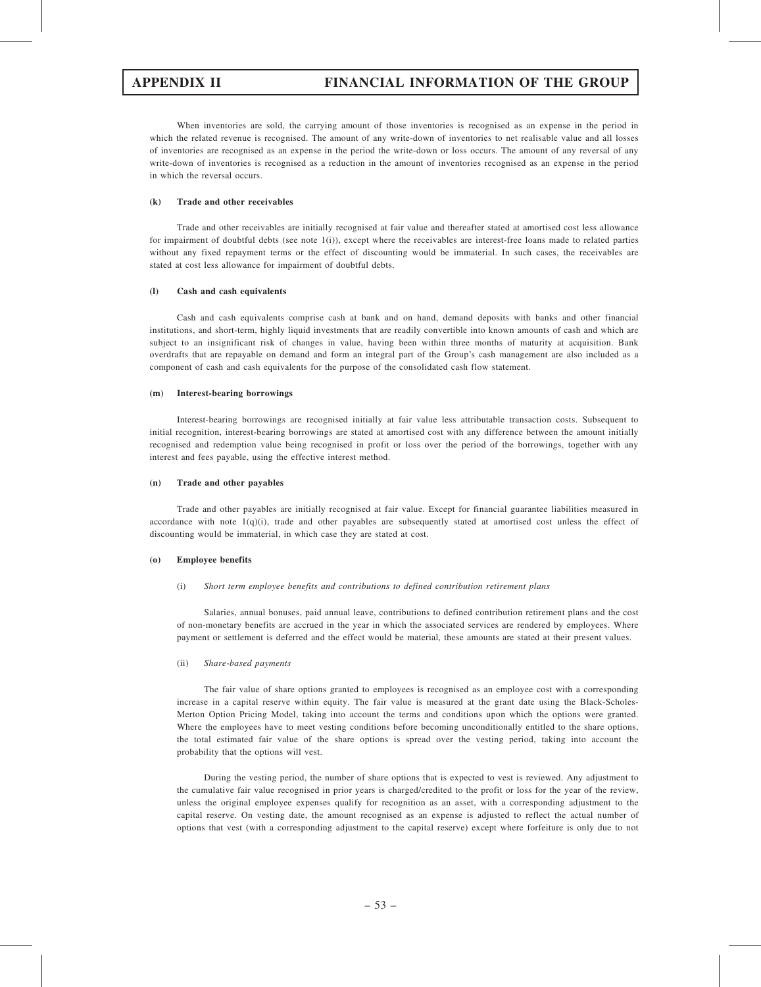When inventories are sold, the carrying amount of those inventories is recognised as an expense in the period in which the related revenue is recognised. The amount of any write-down of inventories to net realisable value and all losses of inventories are recognised as an expense in the period the write-down or loss occurs. The amount of any reversal of any write-down of inventories is recognised as a reduction in the amount of inventories recognised as an expense in the period in which the reversal occurs.

### (k) Trade and other receivables

Trade and other receivables are initially recognised at fair value and thereafter stated at amortised cost less allowance for impairment of doubtful debts (see note 1(i)), except where the receivables are interest-free loans made to related parties without any fixed repayment terms or the effect of discounting would be immaterial. In such cases, the receivables are stated at cost less allowance for impairment of doubtful debts.

### (l) Cash and cash equivalents

Cash and cash equivalents comprise cash at bank and on hand, demand deposits with banks and other financial institutions, and short-term, highly liquid investments that are readily convertible into known amounts of cash and which are subject to an insignificant risk of changes in value, having been within three months of maturity at acquisition. Bank overdrafts that are repayable on demand and form an integral part of the Group's cash management are also included as a component of cash and cash equivalents for the purpose of the consolidated cash flow statement.

### (m) Interest-bearing borrowings

Interest-bearing borrowings are recognised initially at fair value less attributable transaction costs. Subsequent to initial recognition, interest-bearing borrowings are stated at amortised cost with any difference between the amount initially recognised and redemption value being recognised in profit or loss over the period of the borrowings, together with any interest and fees payable, using the effective interest method.

### (n) Trade and other payables

Trade and other payables are initially recognised at fair value. Except for financial guarantee liabilities measured in accordance with note 1(q)(i), trade and other payables are subsequently stated at amortised cost unless the effect of discounting would be immaterial, in which case they are stated at cost.

### (o) Employee benefits

(i) Short term employee benefits and contributions to defined contribution retirement plans

Salaries, annual bonuses, paid annual leave, contributions to defined contribution retirement plans and the cost of non-monetary benefits are accrued in the year in which the associated services are rendered by employees. Where payment or settlement is deferred and the effect would be material, these amounts are stated at their present values.

(ii) Share-based payments

The fair value of share options granted to employees is recognised as an employee cost with a corresponding increase in a capital reserve within equity. The fair value is measured at the grant date using the Black-Scholes-Merton Option Pricing Model, taking into account the terms and conditions upon which the options were granted. Where the employees have to meet vesting conditions before becoming unconditionally entitled to the share options, the total estimated fair value of the share options is spread over the vesting period, taking into account the probability that the options will vest.

During the vesting period, the number of share options that is expected to vest is reviewed. Any adjustment to the cumulative fair value recognised in prior years is charged/credited to the profit or loss for the year of the review, unless the original employee expenses qualify for recognition as an asset, with a corresponding adjustment to the capital reserve. On vesting date, the amount recognised as an expense is adjusted to reflect the actual number of options that vest (with a corresponding adjustment to the capital reserve) except where forfeiture is only due to not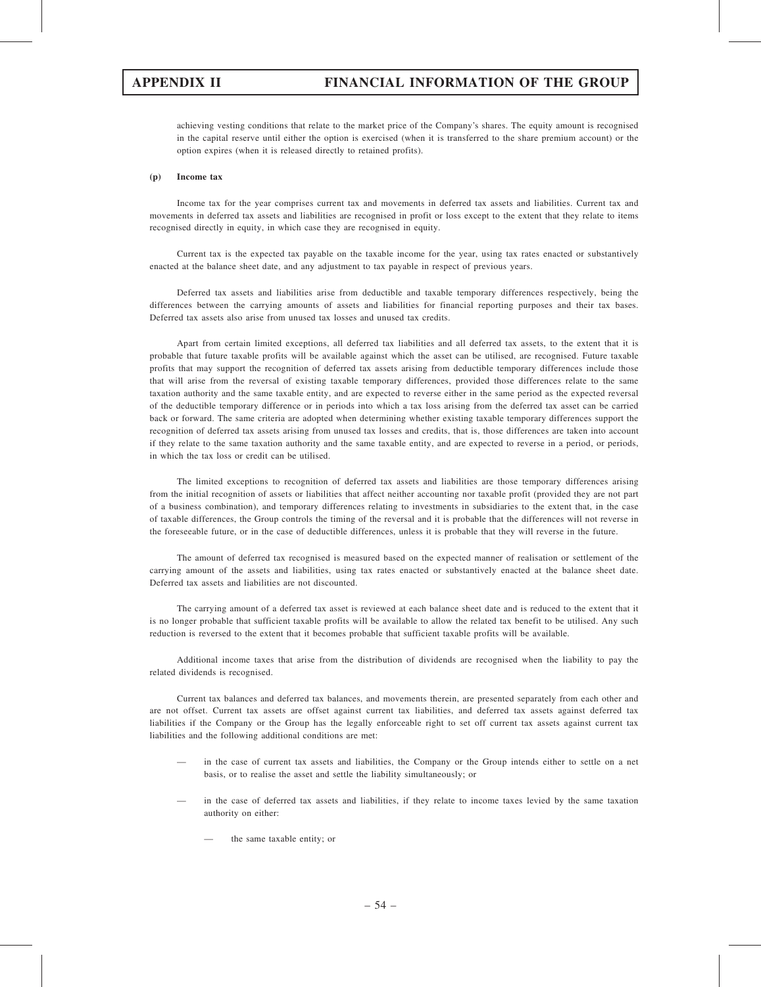achieving vesting conditions that relate to the market price of the Company's shares. The equity amount is recognised in the capital reserve until either the option is exercised (when it is transferred to the share premium account) or the option expires (when it is released directly to retained profits).

#### (p) Income tax

Income tax for the year comprises current tax and movements in deferred tax assets and liabilities. Current tax and movements in deferred tax assets and liabilities are recognised in profit or loss except to the extent that they relate to items recognised directly in equity, in which case they are recognised in equity.

Current tax is the expected tax payable on the taxable income for the year, using tax rates enacted or substantively enacted at the balance sheet date, and any adjustment to tax payable in respect of previous years.

Deferred tax assets and liabilities arise from deductible and taxable temporary differences respectively, being the differences between the carrying amounts of assets and liabilities for financial reporting purposes and their tax bases. Deferred tax assets also arise from unused tax losses and unused tax credits.

Apart from certain limited exceptions, all deferred tax liabilities and all deferred tax assets, to the extent that it is probable that future taxable profits will be available against which the asset can be utilised, are recognised. Future taxable profits that may support the recognition of deferred tax assets arising from deductible temporary differences include those that will arise from the reversal of existing taxable temporary differences, provided those differences relate to the same taxation authority and the same taxable entity, and are expected to reverse either in the same period as the expected reversal of the deductible temporary difference or in periods into which a tax loss arising from the deferred tax asset can be carried back or forward. The same criteria are adopted when determining whether existing taxable temporary differences support the recognition of deferred tax assets arising from unused tax losses and credits, that is, those differences are taken into account if they relate to the same taxation authority and the same taxable entity, and are expected to reverse in a period, or periods, in which the tax loss or credit can be utilised.

The limited exceptions to recognition of deferred tax assets and liabilities are those temporary differences arising from the initial recognition of assets or liabilities that affect neither accounting nor taxable profit (provided they are not part of a business combination), and temporary differences relating to investments in subsidiaries to the extent that, in the case of taxable differences, the Group controls the timing of the reversal and it is probable that the differences will not reverse in the foreseeable future, or in the case of deductible differences, unless it is probable that they will reverse in the future.

The amount of deferred tax recognised is measured based on the expected manner of realisation or settlement of the carrying amount of the assets and liabilities, using tax rates enacted or substantively enacted at the balance sheet date. Deferred tax assets and liabilities are not discounted.

The carrying amount of a deferred tax asset is reviewed at each balance sheet date and is reduced to the extent that it is no longer probable that sufficient taxable profits will be available to allow the related tax benefit to be utilised. Any such reduction is reversed to the extent that it becomes probable that sufficient taxable profits will be available.

Additional income taxes that arise from the distribution of dividends are recognised when the liability to pay the related dividends is recognised.

Current tax balances and deferred tax balances, and movements therein, are presented separately from each other and are not offset. Current tax assets are offset against current tax liabilities, and deferred tax assets against deferred tax liabilities if the Company or the Group has the legally enforceable right to set off current tax assets against current tax liabilities and the following additional conditions are met:

- in the case of current tax assets and liabilities, the Company or the Group intends either to settle on a net basis, or to realise the asset and settle the liability simultaneously; or
- in the case of deferred tax assets and liabilities, if they relate to income taxes levied by the same taxation authority on either:
	- the same taxable entity; or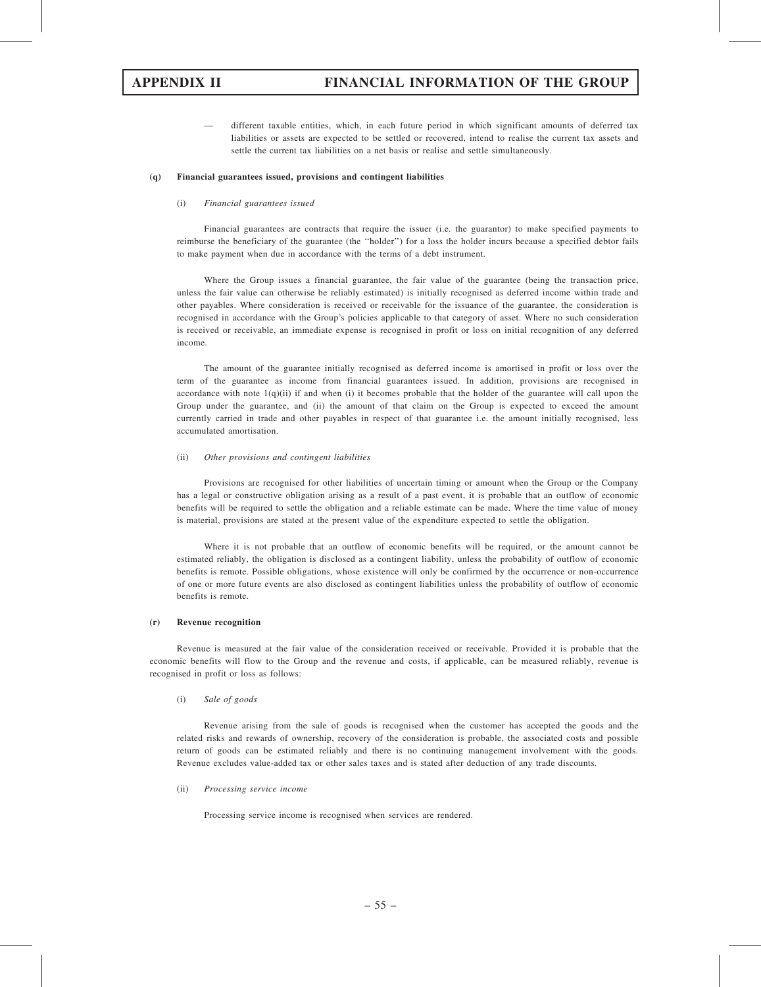— different taxable entities, which, in each future period in which significant amounts of deferred tax liabilities or assets are expected to be settled or recovered, intend to realise the current tax assets and settle the current tax liabilities on a net basis or realise and settle simultaneously.

#### (q) Financial guarantees issued, provisions and contingent liabilities

#### (i) Financial guarantees issued

Financial guarantees are contracts that require the issuer (i.e. the guarantor) to make specified payments to reimburse the beneficiary of the guarantee (the ''holder'') for a loss the holder incurs because a specified debtor fails to make payment when due in accordance with the terms of a debt instrument.

Where the Group issues a financial guarantee, the fair value of the guarantee (being the transaction price, unless the fair value can otherwise be reliably estimated) is initially recognised as deferred income within trade and other payables. Where consideration is received or receivable for the issuance of the guarantee, the consideration is recognised in accordance with the Group's policies applicable to that category of asset. Where no such consideration is received or receivable, an immediate expense is recognised in profit or loss on initial recognition of any deferred income.

The amount of the guarantee initially recognised as deferred income is amortised in profit or loss over the term of the guarantee as income from financial guarantees issued. In addition, provisions are recognised in accordance with note  $1(q)(ii)$  if and when (i) it becomes probable that the holder of the guarantee will call upon the Group under the guarantee, and (ii) the amount of that claim on the Group is expected to exceed the amount currently carried in trade and other payables in respect of that guarantee i.e. the amount initially recognised, less accumulated amortisation.

### (ii) Other provisions and contingent liabilities

Provisions are recognised for other liabilities of uncertain timing or amount when the Group or the Company has a legal or constructive obligation arising as a result of a past event, it is probable that an outflow of economic benefits will be required to settle the obligation and a reliable estimate can be made. Where the time value of money is material, provisions are stated at the present value of the expenditure expected to settle the obligation.

Where it is not probable that an outflow of economic benefits will be required, or the amount cannot be estimated reliably, the obligation is disclosed as a contingent liability, unless the probability of outflow of economic benefits is remote. Possible obligations, whose existence will only be confirmed by the occurrence or non-occurrence of one or more future events are also disclosed as contingent liabilities unless the probability of outflow of economic benefits is remote.

### (r) Revenue recognition

Revenue is measured at the fair value of the consideration received or receivable. Provided it is probable that the economic benefits will flow to the Group and the revenue and costs, if applicable, can be measured reliably, revenue is recognised in profit or loss as follows:

#### (i) Sale of goods

Revenue arising from the sale of goods is recognised when the customer has accepted the goods and the related risks and rewards of ownership, recovery of the consideration is probable, the associated costs and possible return of goods can be estimated reliably and there is no continuing management involvement with the goods. Revenue excludes value-added tax or other sales taxes and is stated after deduction of any trade discounts.

### (ii) Processing service income

Processing service income is recognised when services are rendered.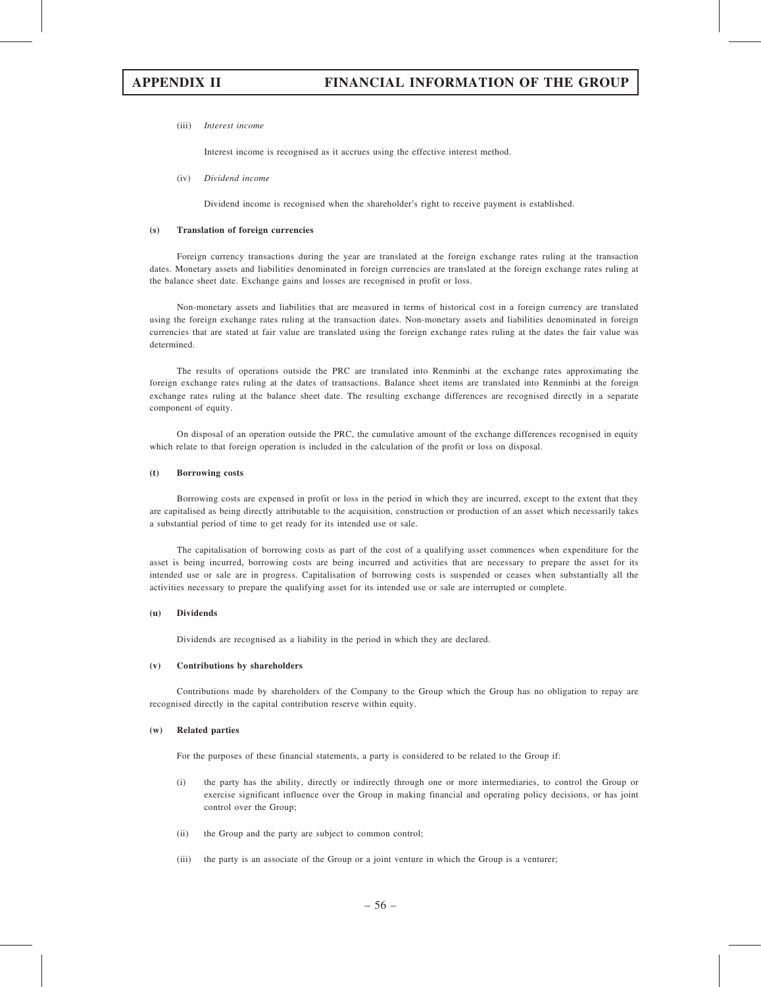#### (iii) Interest income

Interest income is recognised as it accrues using the effective interest method.

(iv) Dividend income

Dividend income is recognised when the shareholder's right to receive payment is established.

#### (s) Translation of foreign currencies

Foreign currency transactions during the year are translated at the foreign exchange rates ruling at the transaction dates. Monetary assets and liabilities denominated in foreign currencies are translated at the foreign exchange rates ruling at the balance sheet date. Exchange gains and losses are recognised in profit or loss.

Non-monetary assets and liabilities that are measured in terms of historical cost in a foreign currency are translated using the foreign exchange rates ruling at the transaction dates. Non-monetary assets and liabilities denominated in foreign currencies that are stated at fair value are translated using the foreign exchange rates ruling at the dates the fair value was determined.

The results of operations outside the PRC are translated into Renminbi at the exchange rates approximating the foreign exchange rates ruling at the dates of transactions. Balance sheet items are translated into Renminbi at the foreign exchange rates ruling at the balance sheet date. The resulting exchange differences are recognised directly in a separate component of equity.

On disposal of an operation outside the PRC, the cumulative amount of the exchange differences recognised in equity which relate to that foreign operation is included in the calculation of the profit or loss on disposal.

#### (t) Borrowing costs

Borrowing costs are expensed in profit or loss in the period in which they are incurred, except to the extent that they are capitalised as being directly attributable to the acquisition, construction or production of an asset which necessarily takes a substantial period of time to get ready for its intended use or sale.

The capitalisation of borrowing costs as part of the cost of a qualifying asset commences when expenditure for the asset is being incurred, borrowing costs are being incurred and activities that are necessary to prepare the asset for its intended use or sale are in progress. Capitalisation of borrowing costs is suspended or ceases when substantially all the activities necessary to prepare the qualifying asset for its intended use or sale are interrupted or complete.

#### (u) Dividends

Dividends are recognised as a liability in the period in which they are declared.

#### (v) Contributions by shareholders

Contributions made by shareholders of the Company to the Group which the Group has no obligation to repay are recognised directly in the capital contribution reserve within equity.

#### (w) Related parties

For the purposes of these financial statements, a party is considered to be related to the Group if:

- (i) the party has the ability, directly or indirectly through one or more intermediaries, to control the Group or exercise significant influence over the Group in making financial and operating policy decisions, or has joint control over the Group;
- (ii) the Group and the party are subject to common control;
- (iii) the party is an associate of the Group or a joint venture in which the Group is a venturer;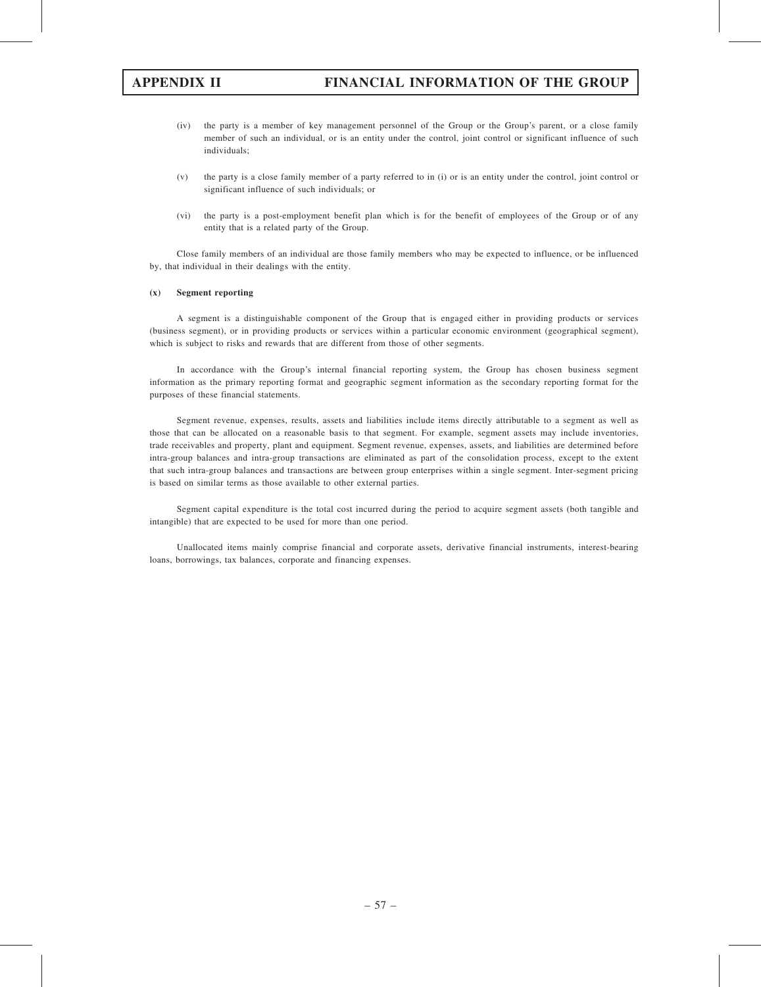- (iv) the party is a member of key management personnel of the Group or the Group's parent, or a close family member of such an individual, or is an entity under the control, joint control or significant influence of such individuals;
- (v) the party is a close family member of a party referred to in (i) or is an entity under the control, joint control or significant influence of such individuals; or
- (vi) the party is a post-employment benefit plan which is for the benefit of employees of the Group or of any entity that is a related party of the Group.

Close family members of an individual are those family members who may be expected to influence, or be influenced by, that individual in their dealings with the entity.

### (x) Segment reporting

A segment is a distinguishable component of the Group that is engaged either in providing products or services (business segment), or in providing products or services within a particular economic environment (geographical segment), which is subject to risks and rewards that are different from those of other segments.

In accordance with the Group's internal financial reporting system, the Group has chosen business segment information as the primary reporting format and geographic segment information as the secondary reporting format for the purposes of these financial statements.

Segment revenue, expenses, results, assets and liabilities include items directly attributable to a segment as well as those that can be allocated on a reasonable basis to that segment. For example, segment assets may include inventories, trade receivables and property, plant and equipment. Segment revenue, expenses, assets, and liabilities are determined before intra-group balances and intra-group transactions are eliminated as part of the consolidation process, except to the extent that such intra-group balances and transactions are between group enterprises within a single segment. Inter-segment pricing is based on similar terms as those available to other external parties.

Segment capital expenditure is the total cost incurred during the period to acquire segment assets (both tangible and intangible) that are expected to be used for more than one period.

Unallocated items mainly comprise financial and corporate assets, derivative financial instruments, interest-bearing loans, borrowings, tax balances, corporate and financing expenses.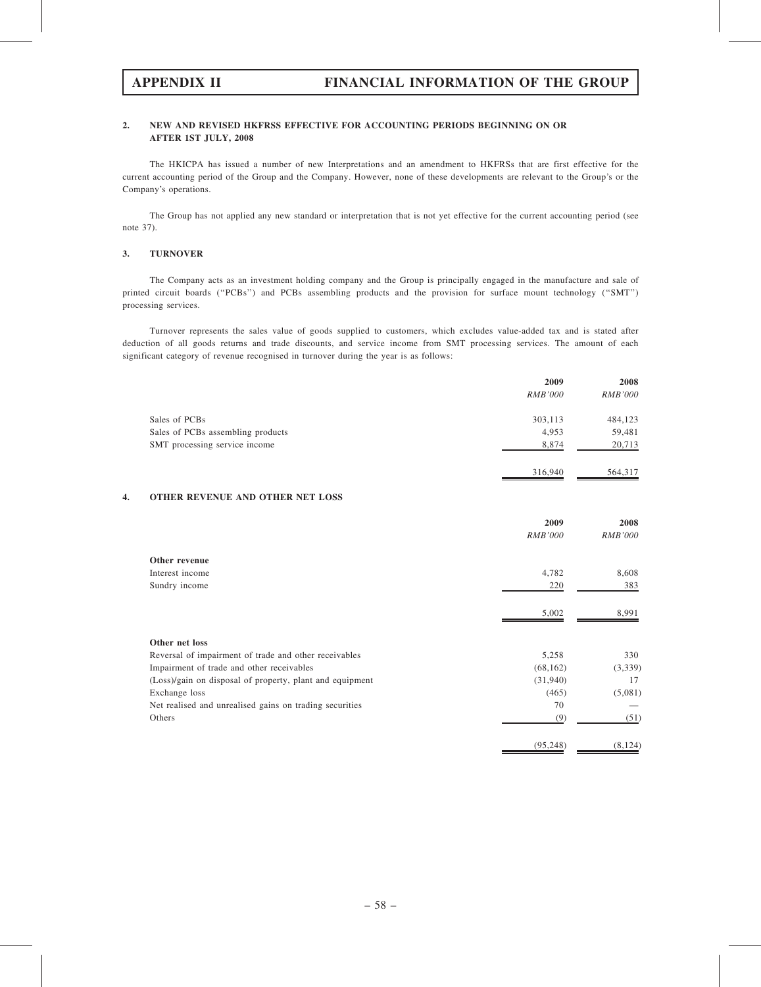# 2. NEW AND REVISED HKFRSS EFFECTIVE FOR ACCOUNTING PERIODS BEGINNING ON OR AFTER 1ST JULY, 2008

The HKICPA has issued a number of new Interpretations and an amendment to HKFRSs that are first effective for the current accounting period of the Group and the Company. However, none of these developments are relevant to the Group's or the Company's operations.

The Group has not applied any new standard or interpretation that is not yet effective for the current accounting period (see note 37).

# 3. TURNOVER

The Company acts as an investment holding company and the Group is principally engaged in the manufacture and sale of printed circuit boards ("PCBs") and PCBs assembling products and the provision for surface mount technology ("SMT") processing services.

Turnover represents the sales value of goods supplied to customers, which excludes value-added tax and is stated after deduction of all goods returns and trade discounts, and service income from SMT processing services. The amount of each significant category of revenue recognised in turnover during the year is as follows:

|                                   | 2009           | 2008           |
|-----------------------------------|----------------|----------------|
|                                   | <b>RMB'000</b> | <b>RMB'000</b> |
| Sales of PCBs                     | 303,113        | 484,123        |
| Sales of PCBs assembling products | 4,953          | 59,481         |
| SMT processing service income     | 8,874          | 20,713         |
|                                   | 316,940        | 564,317        |

# 4. OTHER REVENUE AND OTHER NET LOSS

|                                                          | 2009           | 2008           |
|----------------------------------------------------------|----------------|----------------|
|                                                          | <b>RMB'000</b> | <i>RMB'000</i> |
| Other revenue                                            |                |                |
| Interest income                                          | 4,782          | 8,608          |
| Sundry income                                            | 220            | 383            |
|                                                          | 5,002          | 8,991          |
| Other net loss                                           |                |                |
| Reversal of impairment of trade and other receivables    | 5,258          | 330            |
| Impairment of trade and other receivables                | (68, 162)      | (3,339)        |
| (Loss)/gain on disposal of property, plant and equipment | (31,940)       | 17             |
| Exchange loss                                            | (465)          | (5,081)        |
| Net realised and unrealised gains on trading securities  | 70             |                |
| Others                                                   | (9)            | (51)           |
|                                                          | (95, 248)      | (8, 124)       |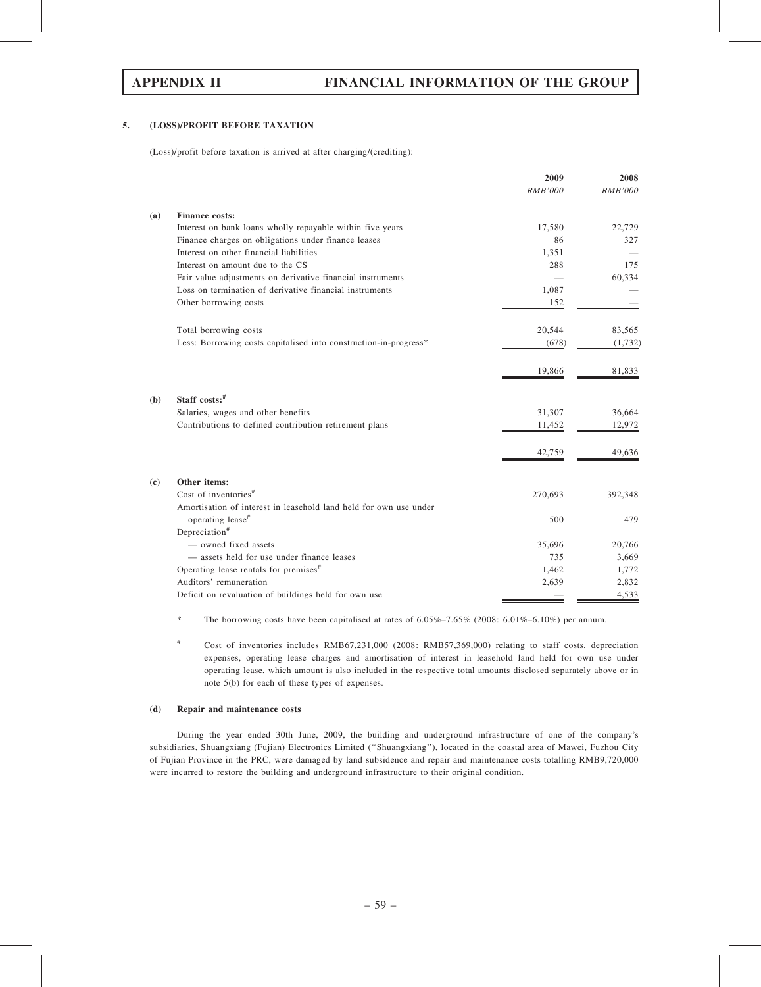# 5. (LOSS)/PROFIT BEFORE TAXATION

(Loss)/profit before taxation is arrived at after charging/(crediting):

|     |                                                                                       | 2009           | 2008           |
|-----|---------------------------------------------------------------------------------------|----------------|----------------|
|     |                                                                                       | <b>RMB'000</b> | <b>RMB'000</b> |
| (a) | <b>Finance costs:</b>                                                                 |                |                |
|     | Interest on bank loans wholly repayable within five years                             | 17,580         | 22,729         |
|     | Finance charges on obligations under finance leases                                   | 86             | 327            |
|     | Interest on other financial liabilities                                               | 1,351          |                |
|     | Interest on amount due to the CS                                                      | 288            | 175            |
|     | Fair value adjustments on derivative financial instruments                            |                | 60,334         |
|     | Loss on termination of derivative financial instruments                               | 1,087          |                |
|     | Other borrowing costs                                                                 | 152            |                |
|     | Total borrowing costs                                                                 | 20,544         | 83,565         |
|     | Less: Borrowing costs capitalised into construction-in-progress*                      | (678)          | (1,732)        |
|     |                                                                                       | 19,866         | 81,833         |
| (b) | Staff costs:#                                                                         |                |                |
|     | Salaries, wages and other benefits                                                    | 31,307         | 36,664         |
|     | Contributions to defined contribution retirement plans                                | 11,452         | 12,972         |
|     |                                                                                       | 42,759         | 49,636         |
| (c) | Other items:                                                                          |                |                |
|     | Cost of inventories <sup>#</sup>                                                      | 270,693        | 392,348        |
|     | Amortisation of interest in leasehold land held for own use under<br>operating lease# | 500            | 479            |
|     | Depreciation <sup>#</sup>                                                             |                |                |
|     | — owned fixed assets                                                                  | 35,696         | 20,766         |
|     | - assets held for use under finance leases                                            | 735            | 3,669          |
|     | Operating lease rentals for premises <sup>#</sup>                                     | 1,462          | 1,772          |
|     | Auditors' remuneration                                                                | 2,639          | 2,832          |
|     | Deficit on revaluation of buildings held for own use                                  |                | 4,533          |

\* The borrowing costs have been capitalised at rates of 6.05%–7.65% (2008: 6.01%–6.10%) per annum.

# Cost of inventories includes RMB67,231,000 (2008: RMB57,369,000) relating to staff costs, depreciation expenses, operating lease charges and amortisation of interest in leasehold land held for own use under operating lease, which amount is also included in the respective total amounts disclosed separately above or in note 5(b) for each of these types of expenses.

## (d) Repair and maintenance costs

During the year ended 30th June, 2009, the building and underground infrastructure of one of the company's subsidiaries, Shuangxiang (Fujian) Electronics Limited (''Shuangxiang''), located in the coastal area of Mawei, Fuzhou City of Fujian Province in the PRC, were damaged by land subsidence and repair and maintenance costs totalling RMB9,720,000 were incurred to restore the building and underground infrastructure to their original condition.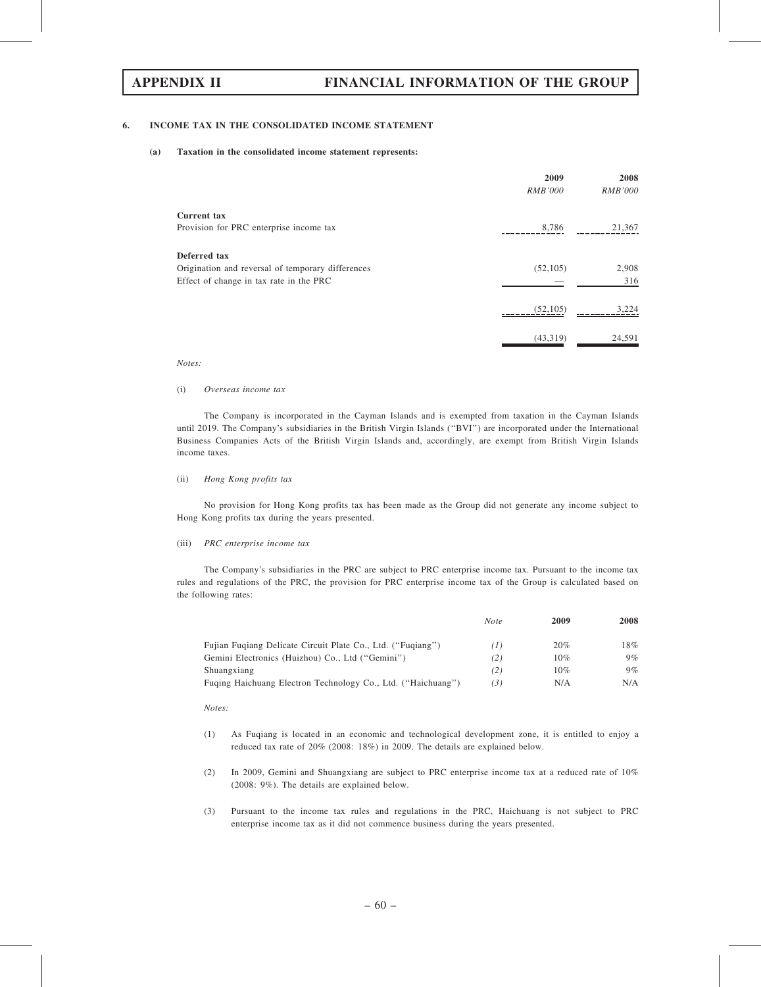### 6. INCOME TAX IN THE CONSOLIDATED INCOME STATEMENT

(a) Taxation in the consolidated income statement represents:

|                                                                                                              | 2009<br><i>RMB'000</i> | 2008<br><i>RMB'000</i> |
|--------------------------------------------------------------------------------------------------------------|------------------------|------------------------|
| Current tax<br>Provision for PRC enterprise income tax                                                       | 8,786                  | 21,367                 |
| Deferred tax<br>Origination and reversal of temporary differences<br>Effect of change in tax rate in the PRC | (52, 105)              | 2,908<br>316           |
|                                                                                                              | (52, 105)              | 3,224                  |
|                                                                                                              | (43,319)               | 24,591                 |

#### Notes:

#### (i) Overseas income tax

The Company is incorporated in the Cayman Islands and is exempted from taxation in the Cayman Islands until 2019. The Company's subsidiaries in the British Virgin Islands (''BVI'') are incorporated under the International Business Companies Acts of the British Virgin Islands and, accordingly, are exempt from British Virgin Islands income taxes.

### (ii) Hong Kong profits tax

No provision for Hong Kong profits tax has been made as the Group did not generate any income subject to Hong Kong profits tax during the years presented.

#### (iii) PRC enterprise income tax

The Company's subsidiaries in the PRC are subject to PRC enterprise income tax. Pursuant to the income tax rules and regulations of the PRC, the provision for PRC enterprise income tax of the Group is calculated based on the following rates:

|                                                              | <b>Note</b>   | 2009 | 2008  |
|--------------------------------------------------------------|---------------|------|-------|
| Fujian Fugiang Delicate Circuit Plate Co., Ltd. ("Fugiang")  | $\mathcal{L}$ | 20%  | 18%   |
| Gemini Electronics (Huizhou) Co., Ltd ("Gemini")             | (2)           | 10%  | $9\%$ |
| Shuangxiang                                                  | (2)           | 10%  | $9\%$ |
| Fuging Haichuang Electron Technology Co., Ltd. ("Haichuang") | (3)           | N/A  | N/A   |

#### Notes:

- (1) As Fuqiang is located in an economic and technological development zone, it is entitled to enjoy a reduced tax rate of 20% (2008: 18%) in 2009. The details are explained below.
- (2) In 2009, Gemini and Shuangxiang are subject to PRC enterprise income tax at a reduced rate of 10% (2008: 9%). The details are explained below.
- (3) Pursuant to the income tax rules and regulations in the PRC, Haichuang is not subject to PRC enterprise income tax as it did not commence business during the years presented.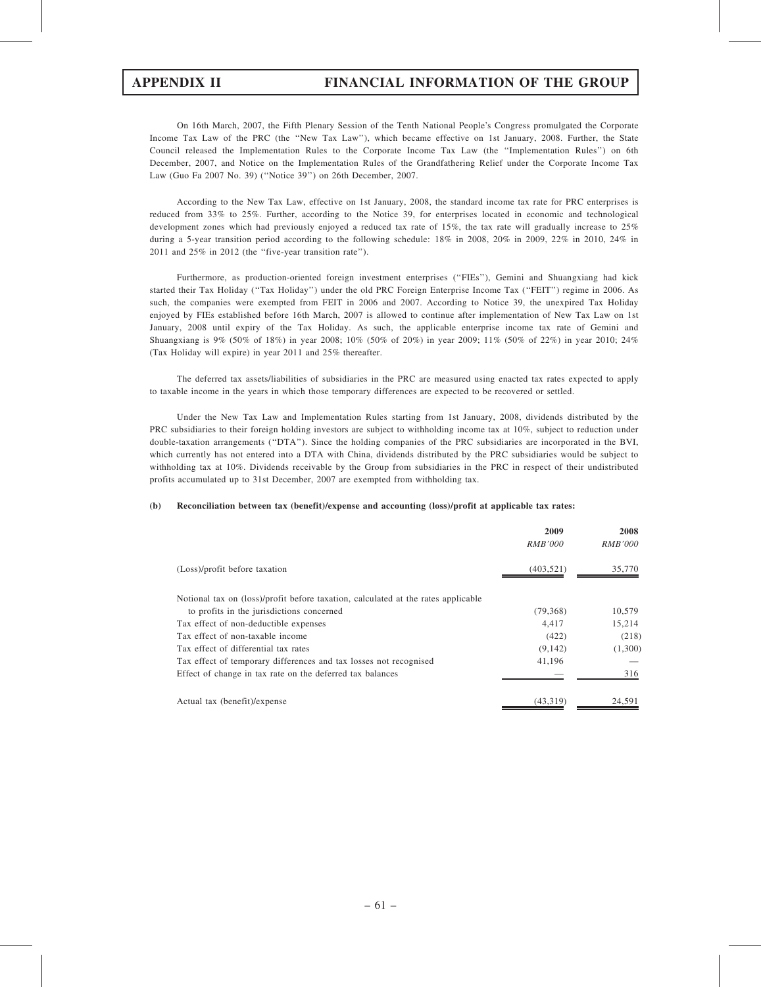On 16th March, 2007, the Fifth Plenary Session of the Tenth National People's Congress promulgated the Corporate Income Tax Law of the PRC (the ''New Tax Law''), which became effective on 1st January, 2008. Further, the State Council released the Implementation Rules to the Corporate Income Tax Law (the ''Implementation Rules'') on 6th December, 2007, and Notice on the Implementation Rules of the Grandfathering Relief under the Corporate Income Tax Law (Guo Fa 2007 No. 39) (''Notice 39'') on 26th December, 2007.

According to the New Tax Law, effective on 1st January, 2008, the standard income tax rate for PRC enterprises is reduced from 33% to 25%. Further, according to the Notice 39, for enterprises located in economic and technological development zones which had previously enjoyed a reduced tax rate of 15%, the tax rate will gradually increase to 25% during a 5-year transition period according to the following schedule: 18% in 2008, 20% in 2009, 22% in 2010, 24% in 2011 and 25% in 2012 (the ''five-year transition rate'').

Furthermore, as production-oriented foreign investment enterprises (''FIEs''), Gemini and Shuangxiang had kick started their Tax Holiday (''Tax Holiday'') under the old PRC Foreign Enterprise Income Tax (''FEIT'') regime in 2006. As such, the companies were exempted from FEIT in 2006 and 2007. According to Notice 39, the unexpired Tax Holiday enjoyed by FIEs established before 16th March, 2007 is allowed to continue after implementation of New Tax Law on 1st January, 2008 until expiry of the Tax Holiday. As such, the applicable enterprise income tax rate of Gemini and Shuangxiang is 9% (50% of 18%) in year 2008; 10% (50% of 20%) in year 2009; 11% (50% of 22%) in year 2010; 24% (Tax Holiday will expire) in year 2011 and 25% thereafter.

The deferred tax assets/liabilities of subsidiaries in the PRC are measured using enacted tax rates expected to apply to taxable income in the years in which those temporary differences are expected to be recovered or settled.

Under the New Tax Law and Implementation Rules starting from 1st January, 2008, dividends distributed by the PRC subsidiaries to their foreign holding investors are subject to withholding income tax at 10%, subject to reduction under double-taxation arrangements (''DTA''). Since the holding companies of the PRC subsidiaries are incorporated in the BVI, which currently has not entered into a DTA with China, dividends distributed by the PRC subsidiaries would be subject to withholding tax at 10%. Dividends receivable by the Group from subsidiaries in the PRC in respect of their undistributed profits accumulated up to 31st December, 2007 are exempted from withholding tax.

## (b) Reconciliation between tax (benefit)/expense and accounting (loss)/profit at applicable tax rates:

|                                                                                   | 2009<br><i>RMB'000</i> | 2008<br><i>RMB'000</i> |
|-----------------------------------------------------------------------------------|------------------------|------------------------|
| (Loss)/profit before taxation                                                     | (403, 521)             | 35,770                 |
| Notional tax on (loss)/profit before taxation, calculated at the rates applicable |                        |                        |
| to profits in the jurisdictions concerned                                         | (79,368)               | 10,579                 |
| Tax effect of non-deductible expenses                                             | 4.417                  | 15,214                 |
| Tax effect of non-taxable income                                                  | (422)                  | (218)                  |
| Tax effect of differential tax rates                                              | (9, 142)               | (1,300)                |
| Tax effect of temporary differences and tax losses not recognised                 | 41,196                 |                        |
| Effect of change in tax rate on the deferred tax balances                         |                        | 316                    |
| Actual tax (benefit)/expense                                                      | (43,319)               | 24,591                 |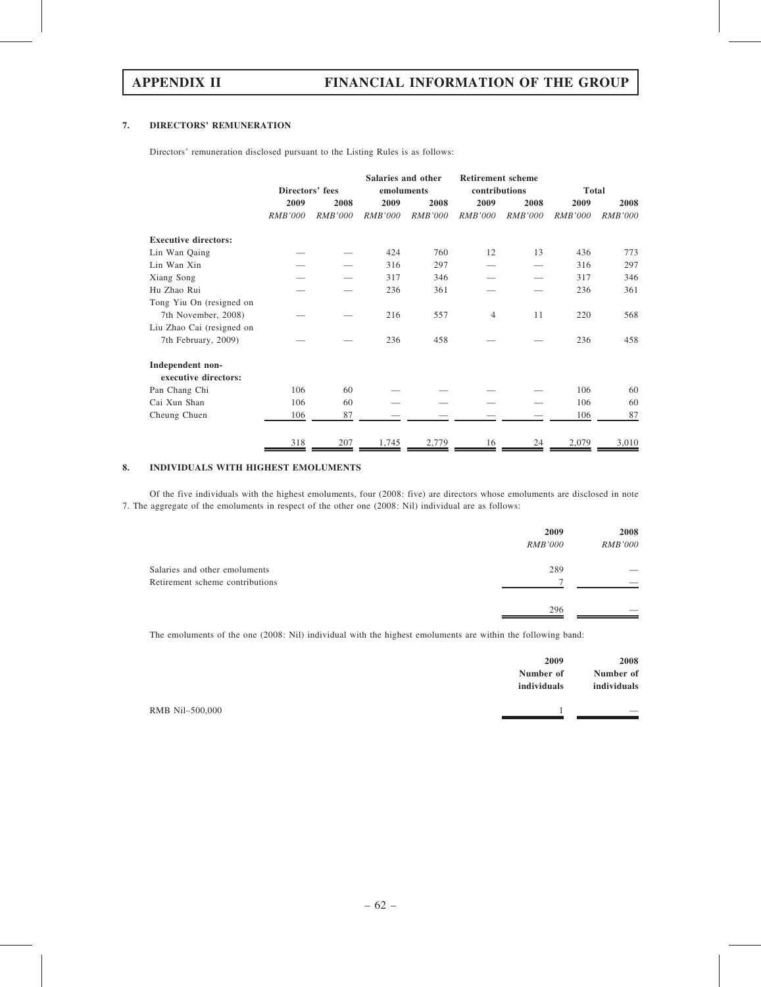## 7. DIRECTORS' REMUNERATION

Directors' remuneration disclosed pursuant to the Listing Rules is as follows:

|                             |                 |                | Salaries and other |         | <b>Retirement scheme</b> |                |                |                |
|-----------------------------|-----------------|----------------|--------------------|---------|--------------------------|----------------|----------------|----------------|
|                             | Directors' fees |                | emoluments         |         | contributions            |                | <b>Total</b>   |                |
|                             | 2009            | 2008           | 2009               | 2008    | 2009                     | 2008           | 2009           | 2008           |
|                             | <b>RMB'000</b>  | <b>RMB'000</b> | RMB'000            | RMB'000 | RMB'000                  | <b>RMB'000</b> | <b>RMB'000</b> | <b>RMB'000</b> |
| <b>Executive directors:</b> |                 |                |                    |         |                          |                |                |                |
| Lin Wan Qaing               |                 |                | 424                | 760     | 12                       | 13             | 436            | 773            |
| Lin Wan Xin                 |                 |                | 316                | 297     |                          |                | 316            | 297            |
| Xiang Song                  |                 |                | 317                | 346     |                          |                | 317            | 346            |
| Hu Zhao Rui                 |                 |                | 236                | 361     |                          |                | 236            | 361            |
| Tong Yiu On (resigned on    |                 |                |                    |         |                          |                |                |                |
| 7th November, 2008)         |                 |                | 216                | 557     | $\overline{4}$           | 11             | 220            | 568            |
| Liu Zhao Cai (resigned on   |                 |                |                    |         |                          |                |                |                |
| 7th February, 2009)         |                 |                | 236                | 458     |                          |                | 236            | 458            |
| Independent non-            |                 |                |                    |         |                          |                |                |                |
| executive directors:        |                 |                |                    |         |                          |                |                |                |
| Pan Chang Chi               | 106             | 60             |                    |         |                          |                | 106            | 60             |
| Cai Xun Shan                | 106             | 60             |                    |         |                          |                | 106            | 60             |
| Cheung Chuen                | 106             | 87             |                    |         |                          |                | 106            | 87             |
|                             | 318             | 207            | 1,745              | 2,779   | 16                       | 24             | 2,079          | 3,010          |

# 8. INDIVIDUALS WITH HIGHEST EMOLUMENTS

Of the five individuals with the highest emoluments, four (2008: five) are directors whose emoluments are disclosed in note 7. The aggregate of the emoluments in respect of the other one (2008: Nil) individual are as follows:

|                                 | 2009           | 2008           |
|---------------------------------|----------------|----------------|
|                                 | <i>RMB'000</i> | <i>RMB'000</i> |
| Salaries and other emoluments   | 289            |                |
| Retirement scheme contributions | o              |                |
|                                 | 296            |                |

The emoluments of the one (2008: Nil) individual with the highest emoluments are within the following band:

| individuals     | 2009<br>Number of | 2008<br>Number of<br>individuals |
|-----------------|-------------------|----------------------------------|
| RMB Nil–500,000 |                   | $\overline{\phantom{a}}$         |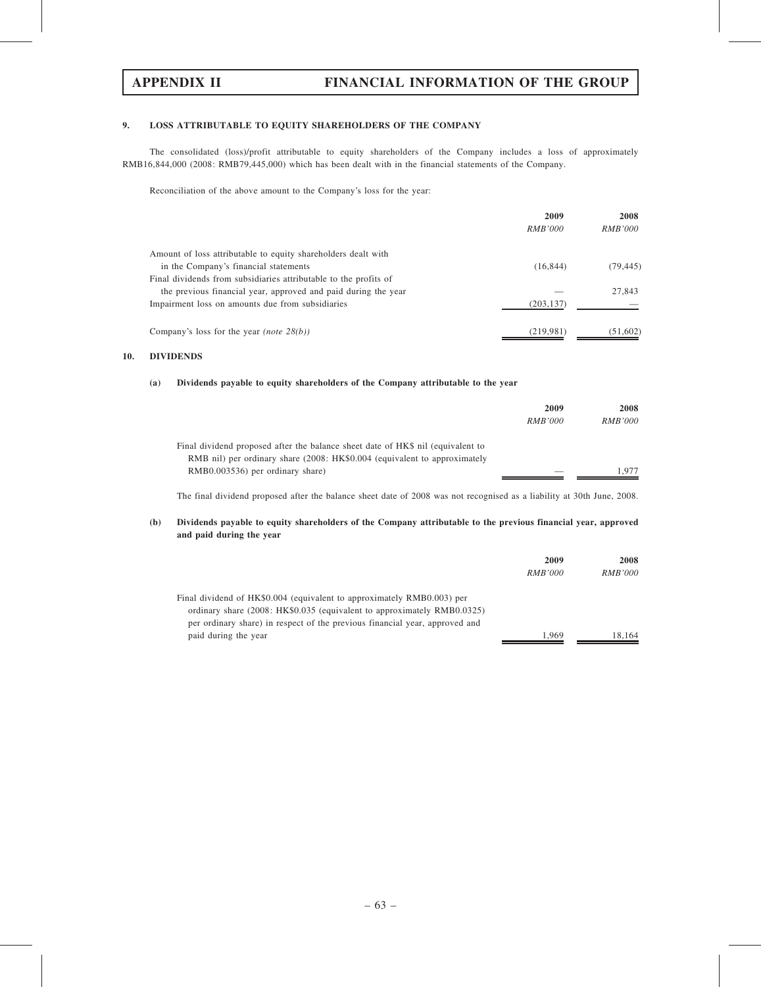## 9. LOSS ATTRIBUTABLE TO EQUITY SHAREHOLDERS OF THE COMPANY

The consolidated (loss)/profit attributable to equity shareholders of the Company includes a loss of approximately RMB16,844,000 (2008: RMB79,445,000) which has been dealt with in the financial statements of the Company.

Reconciliation of the above amount to the Company's loss for the year:

|                                                                  | 2009           | 2008           |
|------------------------------------------------------------------|----------------|----------------|
|                                                                  | <i>RMB'000</i> | <i>RMB'000</i> |
| Amount of loss attributable to equity shareholders dealt with    |                |                |
| in the Company's financial statements                            | (16, 844)      | (79, 445)      |
| Final dividends from subsidiaries attributable to the profits of |                |                |
| the previous financial year, approved and paid during the year   |                | 27,843         |
| Impairment loss on amounts due from subsidiaries                 | (203, 137)     |                |
| Company's loss for the year <i>(note</i> $28(b)$ )               | (219, 981)     | (51,602)       |

## 10. DIVIDENDS

## (a) Dividends payable to equity shareholders of the Company attributable to the year

|                                                                                 | 2009           | 2008           |  |
|---------------------------------------------------------------------------------|----------------|----------------|--|
|                                                                                 | <i>RMB'000</i> | <i>RMB'000</i> |  |
| Final dividend proposed after the balance sheet date of HK\$ nil (equivalent to |                |                |  |
| RMB nil) per ordinary share (2008: HK\$0.004 (equivalent to approximately       |                |                |  |
| RMB0.003536) per ordinary share)                                                |                | 1.977          |  |

The final dividend proposed after the balance sheet date of 2008 was not recognised as a liability at 30th June, 2008.

## (b) Dividends payable to equity shareholders of the Company attributable to the previous financial year, approved and paid during the year

|                                                                             | 2009           | 2008           |
|-----------------------------------------------------------------------------|----------------|----------------|
|                                                                             | <i>RMB'000</i> | <i>RMB'000</i> |
| Final dividend of HK\$0.004 (equivalent to approximately RMB0.003) per      |                |                |
| ordinary share (2008: HK\$0.035 (equivalent to approximately RMB0.0325)     |                |                |
| per ordinary share) in respect of the previous financial year, approved and |                |                |
| paid during the year                                                        | 1.969          | 18.164         |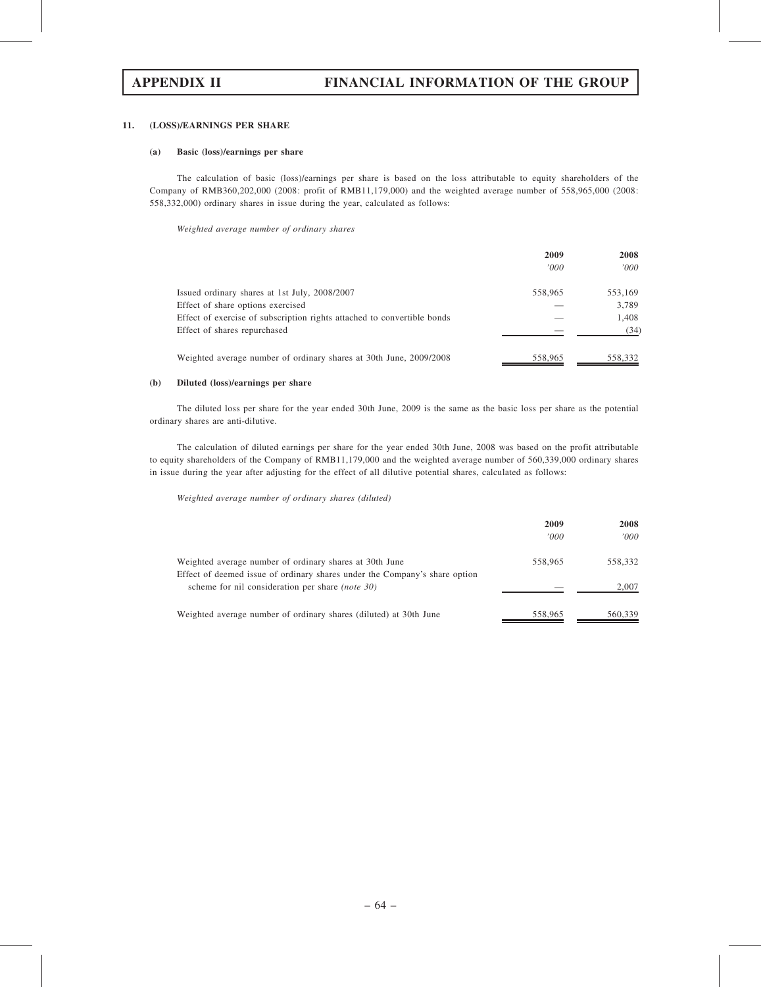### 11. (LOSS)/EARNINGS PER SHARE

### (a) Basic (loss)/earnings per share

The calculation of basic (loss)/earnings per share is based on the loss attributable to equity shareholders of the Company of RMB360,202,000 (2008: profit of RMB11,179,000) and the weighted average number of 558,965,000 (2008: 558,332,000) ordinary shares in issue during the year, calculated as follows:

Weighted average number of ordinary shares

|                                                                         | 2009<br>'000' | 2008<br>000' |
|-------------------------------------------------------------------------|---------------|--------------|
|                                                                         |               |              |
| Issued ordinary shares at 1st July, 2008/2007                           | 558,965       | 553,169      |
| Effect of share options exercised                                       |               | 3,789        |
| Effect of exercise of subscription rights attached to convertible bonds |               | 1,408        |
| Effect of shares repurchased                                            |               | (34)         |
| Weighted average number of ordinary shares at 30th June, 2009/2008      | 558,965       | 558,332      |

## (b) Diluted (loss)/earnings per share

The diluted loss per share for the year ended 30th June, 2009 is the same as the basic loss per share as the potential ordinary shares are anti-dilutive.

The calculation of diluted earnings per share for the year ended 30th June, 2008 was based on the profit attributable to equity shareholders of the Company of RMB11,179,000 and the weighted average number of 560,339,000 ordinary shares in issue during the year after adjusting for the effect of all dilutive potential shares, calculated as follows:

Weighted average number of ordinary shares (diluted)

|                                                                                                                                       | 2009<br>'000' | 2008<br>'000 |
|---------------------------------------------------------------------------------------------------------------------------------------|---------------|--------------|
| Weighted average number of ordinary shares at 30th June<br>Effect of deemed issue of ordinary shares under the Company's share option | 558,965       | 558,332      |
| scheme for nil consideration per share <i>(note 30)</i>                                                                               |               | 2,007        |
| Weighted average number of ordinary shares (diluted) at 30th June                                                                     | 558,965       | 560,339      |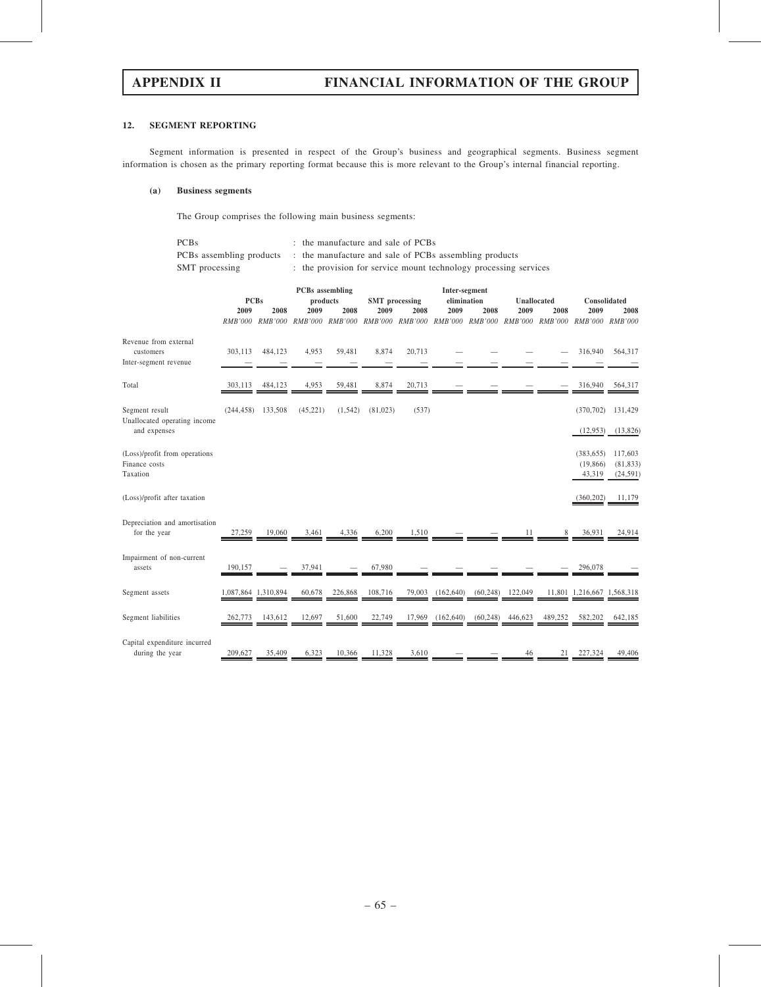## 12. SEGMENT REPORTING

Segment information is presented in respect of the Group's business and geographical segments. Business segment information is chosen as the primary reporting format because this is more relevant to the Group's internal financial reporting.

## (a) Business segments

The Group comprises the following main business segments:

| <b>PCBs</b>    | : the manufacture and sale of PCBs                                              |
|----------------|---------------------------------------------------------------------------------|
|                | PCBs assembling products : the manufacture and sale of PCBs assembling products |
| SMT processing | : the provision for service mount technology processing services                |

|                                                             |                |                     | <b>PCBs</b> assembling<br><b>PCBs</b><br>products<br><b>SMT</b> processing |                | Inter-segment<br>elimination |                |                | <b>Unallocated</b><br>Consolidated |                |         |                                   |                                   |
|-------------------------------------------------------------|----------------|---------------------|----------------------------------------------------------------------------|----------------|------------------------------|----------------|----------------|------------------------------------|----------------|---------|-----------------------------------|-----------------------------------|
|                                                             | 2009           | 2008                | 2009                                                                       | 2008           | 2009                         | 2008           | 2009           | 2008                               | 2009           | 2008    | 2009                              | 2008                              |
|                                                             | <i>RMB'000</i> | <i>RMB'000</i>      | <i>RMB'000</i>                                                             | <b>RMB'000</b> | <b>RMB'000</b>               | <b>RMB'000</b> | <i>RMB'000</i> | <b>RMB'000</b>                     | <i>RMB'000</i> | RMB'000 | RMB'000 RMB'000                   |                                   |
| Revenue from external<br>customers<br>Inter-segment revenue | 303,113        | 484,123             | 4,953                                                                      | 59,481         | 8,874                        | 20,713         |                |                                    |                |         | 316,940                           | 564,317                           |
| Total                                                       | 303,113        | 484,123             | 4,953                                                                      | 59,481         | 8,874                        | 20,713         |                |                                    |                |         | 316,940                           | 564,317                           |
| Segment result<br>Unallocated operating income              | (244, 458)     | 133,508             | (45, 221)                                                                  | (1, 542)       | (81, 023)                    | (537)          |                |                                    |                |         | (370, 702)                        | 131,429                           |
| and expenses                                                |                |                     |                                                                            |                |                              |                |                |                                    |                |         | (12, 953)                         | (13,826)                          |
| (Loss)/profit from operations<br>Finance costs<br>Taxation  |                |                     |                                                                            |                |                              |                |                |                                    |                |         | (383, 655)<br>(19, 866)<br>43,319 | 117,603<br>(81, 833)<br>(24, 591) |
| (Loss)/profit after taxation                                |                |                     |                                                                            |                |                              |                |                |                                    |                |         | (360, 202)                        | 11.179                            |
| Depreciation and amortisation<br>for the year               | 27,259         | 19,060              | 3,461                                                                      | 4,336          | 6,200                        | 1,510          |                |                                    | 11             | 8       | 36,931                            | 24,914                            |
| Impairment of non-current<br>assets                         | 190,157        |                     | 37,941                                                                     |                | 67,980                       |                |                |                                    |                |         | 296,078                           |                                   |
| Segment assets                                              |                | 1,087,864 1,310,894 | 60,678                                                                     | 226,868        | 108,716                      | 79,003         | (162, 640)     | (60, 248)                          | 122,049        |         | 11,801 1,216,667 1,568,318        |                                   |
| Segment liabilities                                         | 262,773        | 143,612             | 12,697                                                                     | 51,600         | 22,749                       | 17,969         | (162, 640)     | (60, 248)                          | 446,623        | 489,252 | 582,202                           | 642,185                           |
| Capital expenditure incurred<br>during the year             | 209,627        | 35,409              | 6,323                                                                      | 10.366         | 11.328                       | 3,610          |                |                                    | 46             | 21      | 227,324                           | 49,406                            |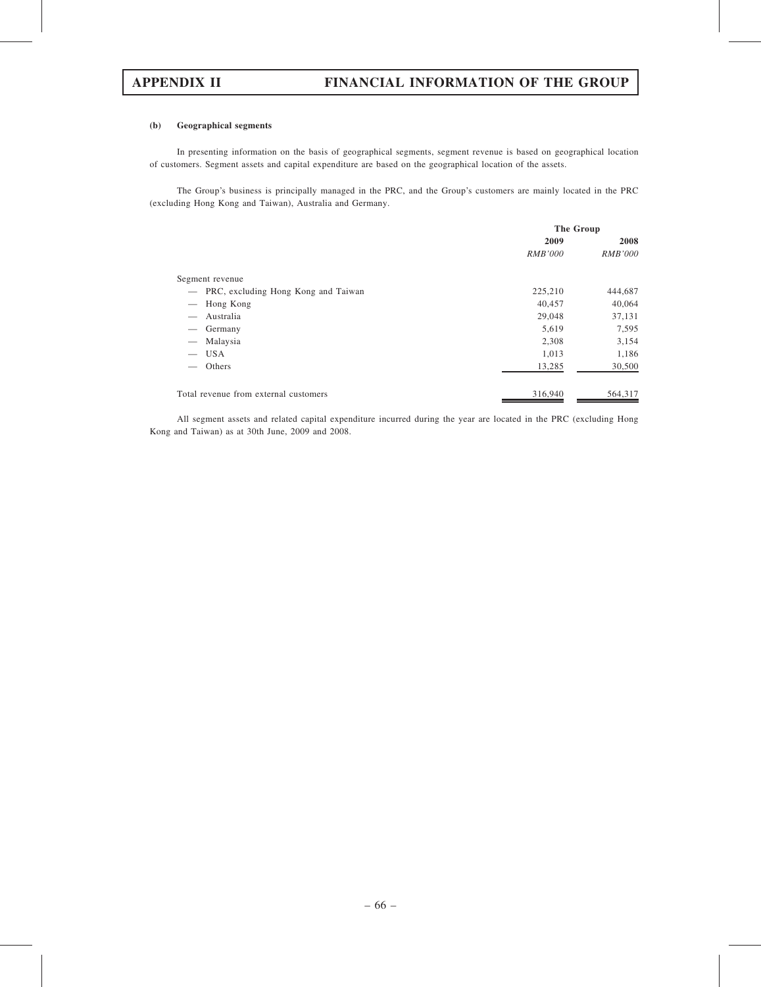### (b) Geographical segments

In presenting information on the basis of geographical segments, segment revenue is based on geographical location of customers. Segment assets and capital expenditure are based on the geographical location of the assets.

The Group's business is principally managed in the PRC, and the Group's customers are mainly located in the PRC (excluding Hong Kong and Taiwan), Australia and Germany.

|                          |                                       | The Group      |                |  |
|--------------------------|---------------------------------------|----------------|----------------|--|
|                          |                                       | 2009           | 2008           |  |
|                          |                                       | <i>RMB'000</i> | <b>RMB'000</b> |  |
|                          | Segment revenue                       |                |                |  |
| $\overline{\phantom{m}}$ | PRC, excluding Hong Kong and Taiwan   | 225,210        | 444,687        |  |
|                          | Hong Kong                             | 40,457         | 40,064         |  |
|                          | Australia                             | 29,048         | 37,131         |  |
|                          | Germany                               | 5,619          | 7,595          |  |
|                          | Malaysia                              | 2,308          | 3,154          |  |
|                          | <b>USA</b>                            | 1,013          | 1,186          |  |
|                          | Others                                | 13,285         | 30,500         |  |
|                          | Total revenue from external customers | 316,940        | 564,317        |  |

All segment assets and related capital expenditure incurred during the year are located in the PRC (excluding Hong Kong and Taiwan) as at 30th June, 2009 and 2008.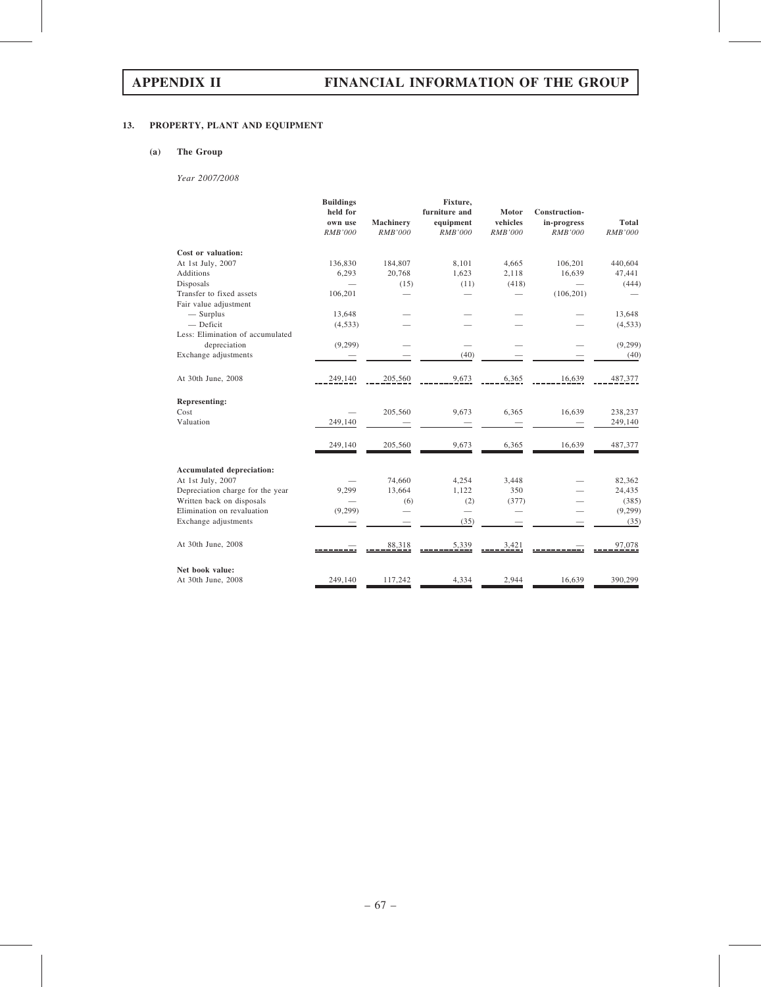# 13. PROPERTY, PLANT AND EQUIPMENT

# (a) The Group

Year 2007/2008

|                                  | <b>Buildings</b><br>held for<br>own use | Machinery      | Fixture,<br>furniture and<br>equipment | Motor<br>vehicles | Construction-<br>in-progress | <b>Total</b>   |
|----------------------------------|-----------------------------------------|----------------|----------------------------------------|-------------------|------------------------------|----------------|
|                                  | <b>RMB'000</b>                          | <b>RMB'000</b> | <b>RMB'000</b>                         | <b>RMB'000</b>    | <b>RMB'000</b>               | <b>RMB'000</b> |
| Cost or valuation:               |                                         |                |                                        |                   |                              |                |
| At 1st July, 2007                | 136,830                                 | 184,807        | 8,101                                  | 4,665             | 106,201                      | 440,604        |
| <b>Additions</b>                 | 6,293                                   | 20,768         | 1,623                                  | 2,118             | 16,639                       | 47,441         |
| Disposals                        |                                         | (15)           | (11)                                   | (418)             |                              | (444)          |
| Transfer to fixed assets         | 106,201                                 |                |                                        |                   | (106, 201)                   |                |
| Fair value adjustment            |                                         |                |                                        |                   |                              |                |
| $-$ Surplus                      | 13,648                                  |                |                                        |                   |                              | 13,648         |
| $-$ Deficit                      | (4,533)                                 |                |                                        |                   |                              | (4, 533)       |
| Less: Elimination of accumulated |                                         |                |                                        |                   |                              |                |
| depreciation                     | (9,299)                                 |                |                                        |                   |                              | (9,299)        |
| Exchange adjustments             |                                         |                | (40)                                   |                   |                              | (40)           |
| At 30th June, 2008               | 249,140                                 | 205,560        | 9,673                                  | 6,365             | 16,639                       | 487,377        |
| <b>Representing:</b>             |                                         |                |                                        |                   |                              |                |
| Cost                             |                                         | 205,560        | 9,673                                  | 6,365             | 16,639                       | 238,237        |
| Valuation                        | 249,140                                 |                |                                        |                   |                              | 249,140        |
|                                  | 249,140                                 | 205,560        | 9,673                                  | 6,365             | 16,639                       | 487,377        |
|                                  |                                         |                |                                        |                   |                              |                |
| <b>Accumulated depreciation:</b> |                                         |                |                                        |                   |                              |                |
| At 1st July, 2007                |                                         | 74,660         | 4,254                                  | 3,448             |                              | 82,362         |
| Depreciation charge for the year | 9,299                                   | 13,664         | 1,122                                  | 350               |                              | 24,435         |
| Written back on disposals        |                                         | (6)            | (2)                                    | (377)             |                              | (385)          |
| Elimination on revaluation       | (9,299)                                 |                | $\overline{\phantom{0}}$               |                   |                              | (9,299)        |
| Exchange adjustments             |                                         |                | (35)                                   |                   |                              | (35)           |
| At 30th June, 2008               |                                         | 88,318         | 5,339                                  | 3,421             |                              | 97,078         |
| Net book value:                  |                                         |                |                                        |                   |                              |                |
| At 30th June, 2008               | 249,140                                 | 117,242        | 4,334                                  | 2,944             | 16,639                       | 390,299        |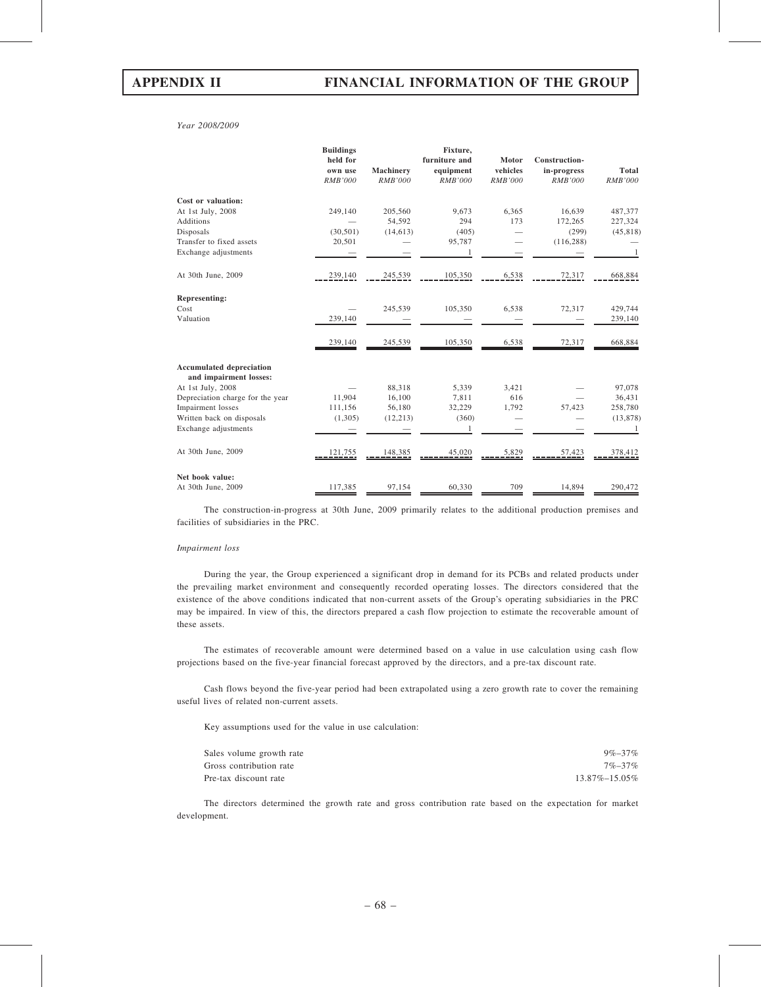Year 2008/2009

|                                                           | <b>Buildings</b><br>held for |                | Fixture,<br>furniture and | Motor          | Construction-  |                |
|-----------------------------------------------------------|------------------------------|----------------|---------------------------|----------------|----------------|----------------|
|                                                           | own use                      | Machinery      | equipment                 | vehicles       | in-progress    | <b>Total</b>   |
|                                                           | <b>RMB'000</b>               | <b>RMB'000</b> | <b>RMB'000</b>            | <b>RMB'000</b> | <b>RMB'000</b> | <b>RMB'000</b> |
| Cost or valuation:                                        |                              |                |                           |                |                |                |
| At 1st July, 2008                                         | 249,140                      | 205,560        | 9,673                     | 6,365          | 16,639         | 487,377        |
| <b>Additions</b>                                          |                              | 54,592         | 294                       | 173            | 172,265        | 227,324        |
| Disposals                                                 | (30, 501)                    | (14, 613)      | (405)                     |                | (299)          | (45, 818)      |
| Transfer to fixed assets                                  | 20,501                       |                | 95,787                    |                | (116, 288)     |                |
| Exchange adjustments                                      |                              |                | 1                         |                |                | 1              |
| At 30th June, 2009                                        | 239,140                      | 245,539        | 105,350                   | 6,538          | 72,317         | 668,884        |
| <b>Representing:</b>                                      |                              |                |                           |                |                |                |
| Cost                                                      |                              | 245,539        | 105,350                   | 6,538          | 72,317         | 429,744        |
| Valuation                                                 | 239,140                      |                |                           |                |                | 239,140        |
|                                                           | 239,140                      | 245,539        | 105,350                   | 6,538          | 72,317         | 668,884        |
| <b>Accumulated depreciation</b><br>and impairment losses: |                              |                |                           |                |                |                |
| At 1st July, 2008                                         |                              | 88,318         | 5,339                     | 3,421          |                | 97,078         |
| Depreciation charge for the year                          | 11,904                       | 16,100         | 7,811                     | 616            |                | 36,431         |
| Impairment losses                                         | 111,156                      | 56,180         | 32,229                    | 1,792          | 57,423         | 258,780        |
| Written back on disposals                                 | (1,305)                      | (12, 213)      | (360)                     |                |                | (13, 878)      |
| Exchange adjustments                                      |                              |                | 1                         |                |                | 1              |
| At 30th June, 2009                                        | 121,755                      | 148,385        | 45,020                    | 5,829          | 57,423         | 378,412        |
| Net book value:                                           |                              |                |                           |                |                |                |
| At 30th June, 2009                                        | 117,385                      | 97,154         | 60,330                    | 709            | 14,894         | 290,472        |

The construction-in-progress at 30th June, 2009 primarily relates to the additional production premises and facilities of subsidiaries in the PRC.

### Impairment loss

During the year, the Group experienced a significant drop in demand for its PCBs and related products under the prevailing market environment and consequently recorded operating losses. The directors considered that the existence of the above conditions indicated that non-current assets of the Group's operating subsidiaries in the PRC may be impaired. In view of this, the directors prepared a cash flow projection to estimate the recoverable amount of these assets.

The estimates of recoverable amount were determined based on a value in use calculation using cash flow projections based on the five-year financial forecast approved by the directors, and a pre-tax discount rate.

Cash flows beyond the five-year period had been extrapolated using a zero growth rate to cover the remaining useful lives of related non-current assets.

Key assumptions used for the value in use calculation:

| Sales volume growth rate | $9\% - 37\%$        |
|--------------------------|---------------------|
| Gross contribution rate  | $7\% - 37\%$        |
| Pre-tax discount rate    | $13.87\% - 15.05\%$ |

The directors determined the growth rate and gross contribution rate based on the expectation for market development.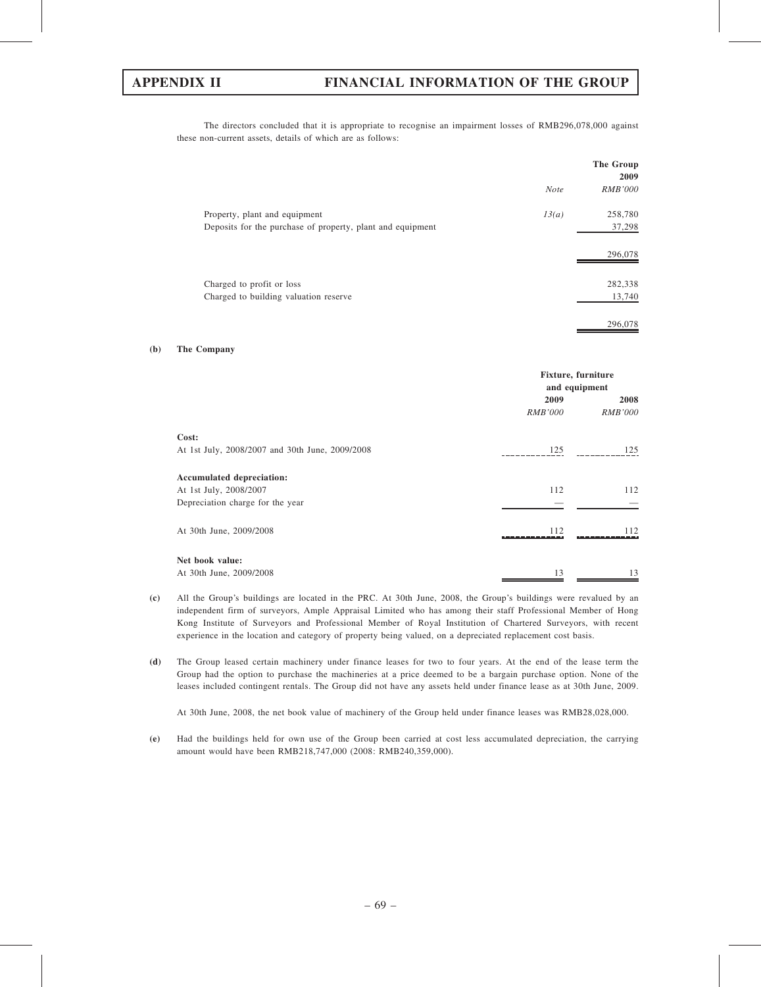The directors concluded that it is appropriate to recognise an impairment losses of RMB296,078,000 against these non-current assets, details of which are as follows:

|                                                                                             |             | The Group<br>2009 |
|---------------------------------------------------------------------------------------------|-------------|-------------------|
|                                                                                             | <b>Note</b> | <i>RMB'000</i>    |
| Property, plant and equipment<br>Deposits for the purchase of property, plant and equipment | 13(a)       | 258,780<br>37,298 |
|                                                                                             |             | 296,078           |
| Charged to profit or loss<br>Charged to building valuation reserve                          |             | 282,338<br>13,740 |
|                                                                                             |             | 296,078           |

### (b) The Company

|                                                 | <b>Fixture, furniture</b><br>and equipment |                        |  |
|-------------------------------------------------|--------------------------------------------|------------------------|--|
|                                                 | 2009<br><i>RMB'000</i>                     | 2008<br><i>RMB'000</i> |  |
| Cost:                                           |                                            |                        |  |
| At 1st July, 2008/2007 and 30th June, 2009/2008 | 125                                        | 125                    |  |
| Accumulated depreciation:                       |                                            |                        |  |
| At 1st July, 2008/2007                          | 112                                        | 112                    |  |
| Depreciation charge for the year                |                                            |                        |  |
| At 30th June, 2009/2008                         | 112                                        | 112                    |  |
| Net book value:                                 |                                            |                        |  |
| At 30th June, 2009/2008                         | 13                                         | 13                     |  |

- (c) All the Group's buildings are located in the PRC. At 30th June, 2008, the Group's buildings were revalued by an independent firm of surveyors, Ample Appraisal Limited who has among their staff Professional Member of Hong Kong Institute of Surveyors and Professional Member of Royal Institution of Chartered Surveyors, with recent experience in the location and category of property being valued, on a depreciated replacement cost basis.
- (d) The Group leased certain machinery under finance leases for two to four years. At the end of the lease term the Group had the option to purchase the machineries at a price deemed to be a bargain purchase option. None of the leases included contingent rentals. The Group did not have any assets held under finance lease as at 30th June, 2009.

At 30th June, 2008, the net book value of machinery of the Group held under finance leases was RMB28,028,000.

(e) Had the buildings held for own use of the Group been carried at cost less accumulated depreciation, the carrying amount would have been RMB218,747,000 (2008: RMB240,359,000).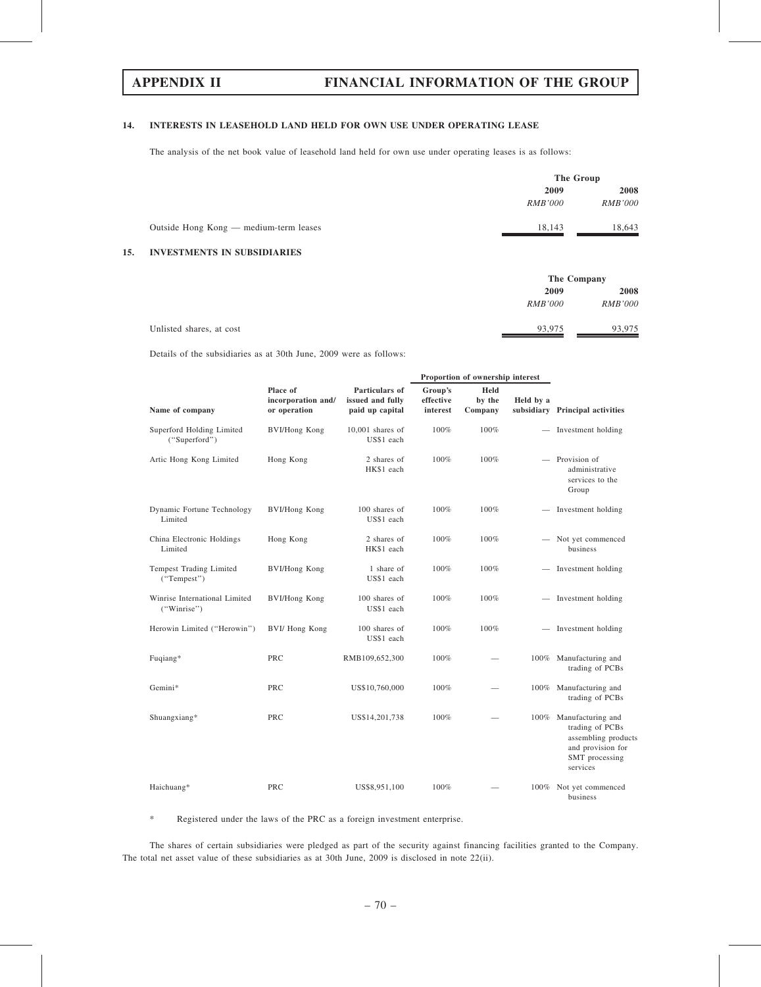## 14. INTERESTS IN LEASEHOLD LAND HELD FOR OWN USE UNDER OPERATING LEASE

The analysis of the net book value of leasehold land held for own use under operating leases is as follows:

|     |                                        |                | The Group      |  |
|-----|----------------------------------------|----------------|----------------|--|
|     |                                        | 2009           | 2008           |  |
|     |                                        | <i>RMB'000</i> | <i>RMB'000</i> |  |
|     | Outside Hong Kong — medium-term leases | 18,143         | 18,643         |  |
| 15. | <b>INVESTMENTS IN SUBSIDIARIES</b>     |                |                |  |

|                          |                | The Company    |
|--------------------------|----------------|----------------|
|                          | 2009           | 2008           |
|                          | <i>RMB'000</i> | <b>RMB'000</b> |
| Unlisted shares, at cost | 93,975         | 93,975         |

Details of the subsidiaries as at 30th June, 2009 were as follows:

|                                              |                                                |                                                       |                                  | Proportion of ownership interest |                          |                                                                                                                |
|----------------------------------------------|------------------------------------------------|-------------------------------------------------------|----------------------------------|----------------------------------|--------------------------|----------------------------------------------------------------------------------------------------------------|
| Name of company                              | Place of<br>incorporation and/<br>or operation | Particulars of<br>issued and fully<br>paid up capital | Group's<br>effective<br>interest | Held<br>by the<br>Company        | Held by a                | subsidiary Principal activities                                                                                |
| Superford Holding Limited<br>("Superford")   | <b>BVI/Hong Kong</b>                           | $10,001$ shares of<br>US\$1 each                      | 100%                             | 100%                             |                          | - Investment holding                                                                                           |
| Artic Hong Kong Limited                      | Hong Kong                                      | 2 shares of<br>HK\$1 each                             | 100%                             | 100%                             |                          | - Provision of<br>administrative<br>services to the<br>Group                                                   |
| Dynamic Fortune Technology<br>Limited        | <b>BVI/Hong Kong</b>                           | 100 shares of<br>US\$1 each                           | 100%                             | 100%                             | $\qquad \qquad -$        | Investment holding                                                                                             |
| China Electronic Holdings<br>Limited         | Hong Kong                                      | 2 shares of<br>HK\$1 each                             | 100%                             | 100%                             |                          | Not yet commenced<br><b>business</b>                                                                           |
| Tempest Trading Limited<br>("Tempest")       | <b>BVI/Hong Kong</b>                           | 1 share of<br>US\$1 each                              | 100%                             | 100%                             |                          | Investment holding                                                                                             |
| Winrise International Limited<br>("Winrise") | <b>BVI/Hong Kong</b>                           | 100 shares of<br>US\$1 each                           | 100%                             | 100%                             | $\overline{\phantom{a}}$ | Investment holding                                                                                             |
| Herowin Limited ("Herowin")                  | BVI/ Hong Kong                                 | 100 shares of<br>US\$1 each                           | 100%                             | 100%                             |                          | - Investment holding                                                                                           |
| Fuqiang*                                     | PRC                                            | RMB109,652,300                                        | 100%                             |                                  |                          | 100% Manufacturing and<br>trading of PCBs                                                                      |
| Gemini*                                      | <b>PRC</b>                                     | US\$10,760,000                                        | 100%                             | $\overline{\phantom{a}}$         |                          | 100% Manufacturing and<br>trading of PCBs                                                                      |
| Shuangxiang*                                 | PRC                                            | US\$14,201,738                                        | 100%                             |                                  | $100\%$                  | Manufacturing and<br>trading of PCBs<br>assembling products<br>and provision for<br>SMT processing<br>services |
| Haichuang*                                   | <b>PRC</b>                                     | US\$8,951,100                                         | 100%                             |                                  | $100\%$                  | Not yet commenced<br>business                                                                                  |

\* Registered under the laws of the PRC as a foreign investment enterprise.

The shares of certain subsidiaries were pledged as part of the security against financing facilities granted to the Company. The total net asset value of these subsidiaries as at 30th June, 2009 is disclosed in note 22(ii).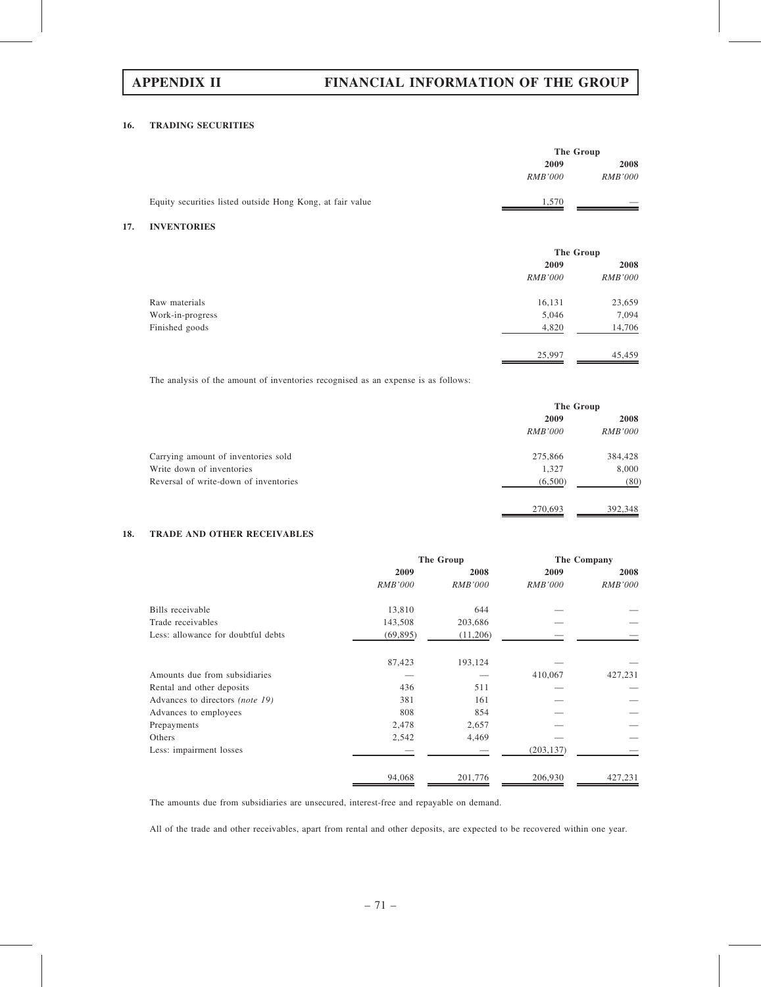# APPENDIX II FINANCIAL INFORMATION OF THE GROUP

## 16. TRADING SECURITIES

|                                                           |                | The Group      |
|-----------------------------------------------------------|----------------|----------------|
|                                                           | 2009           | 2008           |
|                                                           | <i>RMB'000</i> | <b>RMB'000</b> |
| Equity securities listed outside Hong Kong, at fair value | 1,570          |                |

## 17. INVENTORIES

|                  | The Group      |                |
|------------------|----------------|----------------|
|                  | 2009           | 2008           |
|                  | <i>RMB'000</i> | <b>RMB'000</b> |
| Raw materials    | 16,131         | 23,659         |
| Work-in-progress | 5,046          | 7,094          |
| Finished goods   | 4,820          | 14,706         |
|                  | 25,997         | 45,459         |

The analysis of the amount of inventories recognised as an expense is as follows:

|                                       |                | The Group      |  |
|---------------------------------------|----------------|----------------|--|
|                                       | 2009           | 2008           |  |
|                                       | <i>RMB'000</i> | <b>RMB'000</b> |  |
| Carrying amount of inventories sold   | 275,866        | 384,428        |  |
| Write down of inventories             | 1,327          | 8,000          |  |
| Reversal of write-down of inventories | (6,500)        | (80)           |  |
|                                       | 270,693        | 392.348        |  |

## 18. TRADE AND OTHER RECEIVABLES

|                                    | The Group      |                | The Company    |                |
|------------------------------------|----------------|----------------|----------------|----------------|
|                                    | 2009           | 2008           | 2009           | 2008           |
|                                    | <i>RMB'000</i> | <b>RMB'000</b> | <b>RMB'000</b> | <i>RMB'000</i> |
| Bills receivable                   | 13,810         | 644            |                |                |
| Trade receivables                  | 143,508        | 203,686        |                |                |
| Less: allowance for doubtful debts | (69, 895)      | (11,206)       |                |                |
|                                    | 87,423         | 193,124        |                |                |
| Amounts due from subsidiaries      |                |                | 410,067        | 427,231        |
| Rental and other deposits          | 436            | 511            |                |                |
| Advances to directors (note 19)    | 381            | 161            |                |                |
| Advances to employees              | 808            | 854            |                |                |
| Prepayments                        | 2,478          | 2,657          |                |                |
| Others                             | 2,542          | 4,469          |                |                |
| Less: impairment losses            |                |                | (203, 137)     |                |
|                                    | 94,068         | 201,776        | 206,930        | 427,231        |

The amounts due from subsidiaries are unsecured, interest-free and repayable on demand.

All of the trade and other receivables, apart from rental and other deposits, are expected to be recovered within one year.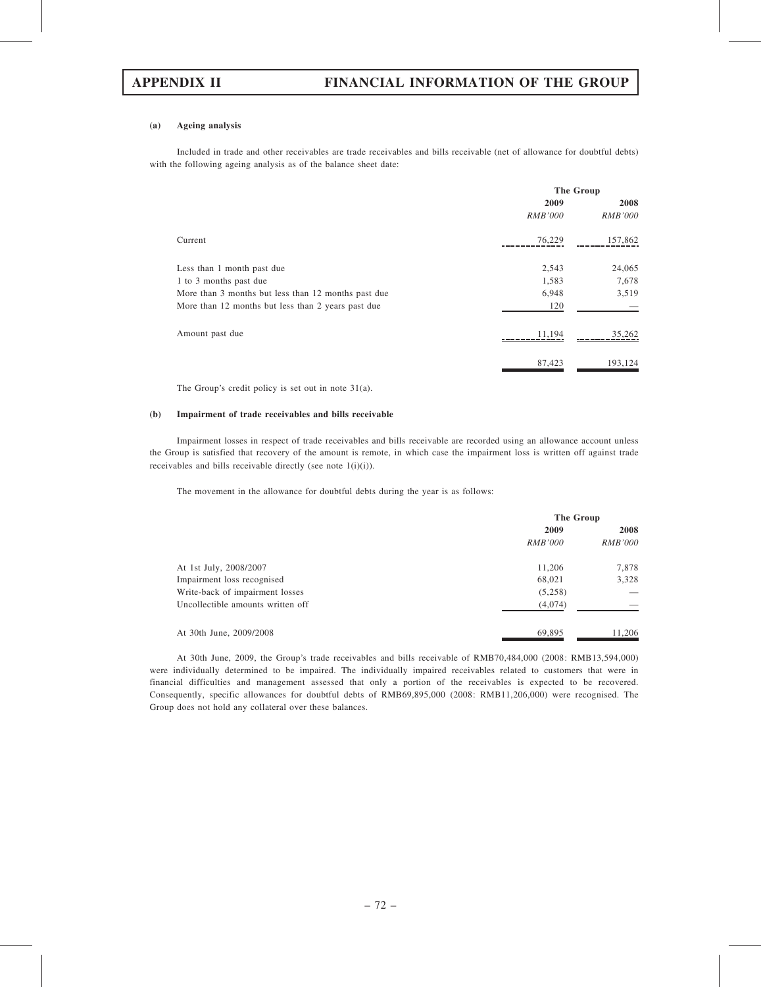## (a) Ageing analysis

Included in trade and other receivables are trade receivables and bills receivable (net of allowance for doubtful debts) with the following ageing analysis as of the balance sheet date:

|                                                     | The Group      |                |
|-----------------------------------------------------|----------------|----------------|
|                                                     | 2009           | 2008           |
|                                                     | <i>RMB'000</i> | <i>RMB'000</i> |
| Current                                             | 76,229         | 157,862        |
| Less than 1 month past due                          | 2,543          | 24,065         |
| 1 to 3 months past due                              | 1,583          | 7,678          |
| More than 3 months but less than 12 months past due | 6,948          | 3,519          |
| More than 12 months but less than 2 years past due  | 120            |                |
| Amount past due                                     | 11.194         | 35,262         |
|                                                     | 87,423         | 193.124        |

The Group's credit policy is set out in note 31(a).

### (b) Impairment of trade receivables and bills receivable

Impairment losses in respect of trade receivables and bills receivable are recorded using an allowance account unless the Group is satisfied that recovery of the amount is remote, in which case the impairment loss is written off against trade receivables and bills receivable directly (see note 1(i)(i)).

The movement in the allowance for doubtful debts during the year is as follows:

|                                   |                | The Group      |  |  |
|-----------------------------------|----------------|----------------|--|--|
|                                   | 2009           | 2008           |  |  |
|                                   | <i>RMB'000</i> | <i>RMB'000</i> |  |  |
| At 1st July, 2008/2007            | 11,206         | 7,878          |  |  |
| Impairment loss recognised        | 68,021         | 3,328          |  |  |
| Write-back of impairment losses   | (5,258)        |                |  |  |
| Uncollectible amounts written off | (4,074)        |                |  |  |
| At 30th June, 2009/2008           | 69.895         | 11,206         |  |  |

At 30th June, 2009, the Group's trade receivables and bills receivable of RMB70,484,000 (2008: RMB13,594,000) were individually determined to be impaired. The individually impaired receivables related to customers that were in financial difficulties and management assessed that only a portion of the receivables is expected to be recovered. Consequently, specific allowances for doubtful debts of RMB69,895,000 (2008: RMB11,206,000) were recognised. The Group does not hold any collateral over these balances.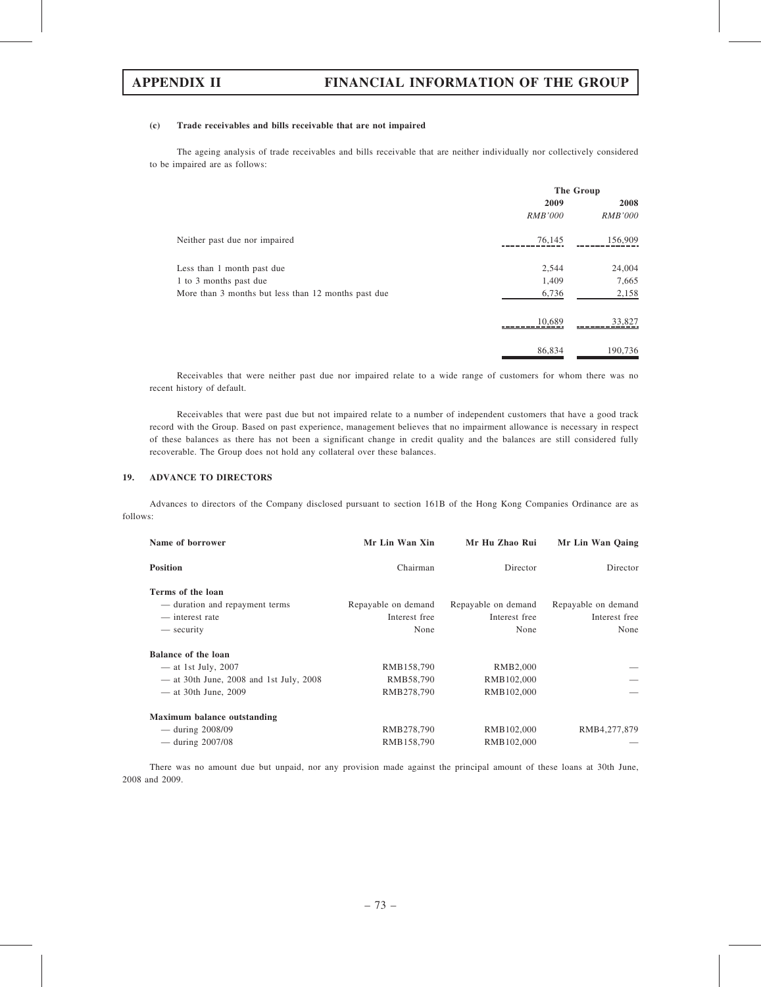### (c) Trade receivables and bills receivable that are not impaired

The ageing analysis of trade receivables and bills receivable that are neither individually nor collectively considered to be impaired are as follows:

|                                                     | The Group      |                |  |
|-----------------------------------------------------|----------------|----------------|--|
|                                                     | 2009           | 2008           |  |
|                                                     | <i>RMB'000</i> | <b>RMB'000</b> |  |
| Neither past due nor impaired                       | 76,145         | 156,909        |  |
| Less than 1 month past due                          | 2,544          | 24,004         |  |
| 1 to 3 months past due                              | 1,409          | 7,665          |  |
| More than 3 months but less than 12 months past due | 6,736          | 2,158          |  |
|                                                     | 10,689         | 33,827         |  |
|                                                     | 86,834         | 190,736        |  |

Receivables that were neither past due nor impaired relate to a wide range of customers for whom there was no recent history of default.

Receivables that were past due but not impaired relate to a number of independent customers that have a good track record with the Group. Based on past experience, management believes that no impairment allowance is necessary in respect of these balances as there has not been a significant change in credit quality and the balances are still considered fully recoverable. The Group does not hold any collateral over these balances.

## 19. ADVANCE TO DIRECTORS

Advances to directors of the Company disclosed pursuant to section 161B of the Hong Kong Companies Ordinance are as follows:

| Name of borrower                          | Mr Lin Wan Xin      | Mr Hu Zhao Rui      | Mr Lin Wan Qaing    |
|-------------------------------------------|---------------------|---------------------|---------------------|
| <b>Position</b>                           | Chairman            | Director            | Director            |
| Terms of the loan                         |                     |                     |                     |
| — duration and repayment terms            | Repayable on demand | Repayable on demand | Repayable on demand |
| — interest rate                           | Interest free       | Interest free       | Interest free       |
| — security                                | None                | None                | None                |
| Balance of the loan                       |                     |                     |                     |
| $-$ at 1st July, 2007                     | RMB158,790          | RMB2,000            |                     |
| $-$ at 30th June, 2008 and 1st July, 2008 | RMB58,790           | RMB102,000          |                     |
| $-$ at 30th June, 2009                    | RMB278,790          | RMB102,000          |                     |
| Maximum balance outstanding               |                     |                     |                     |
| — during $2008/09$                        | RMB278,790          | RMB102,000          | RMB4,277,879        |
| — during $2007/08$                        | RMB158,790          | RMB102,000          |                     |

There was no amount due but unpaid, nor any provision made against the principal amount of these loans at 30th June, 2008 and 2009.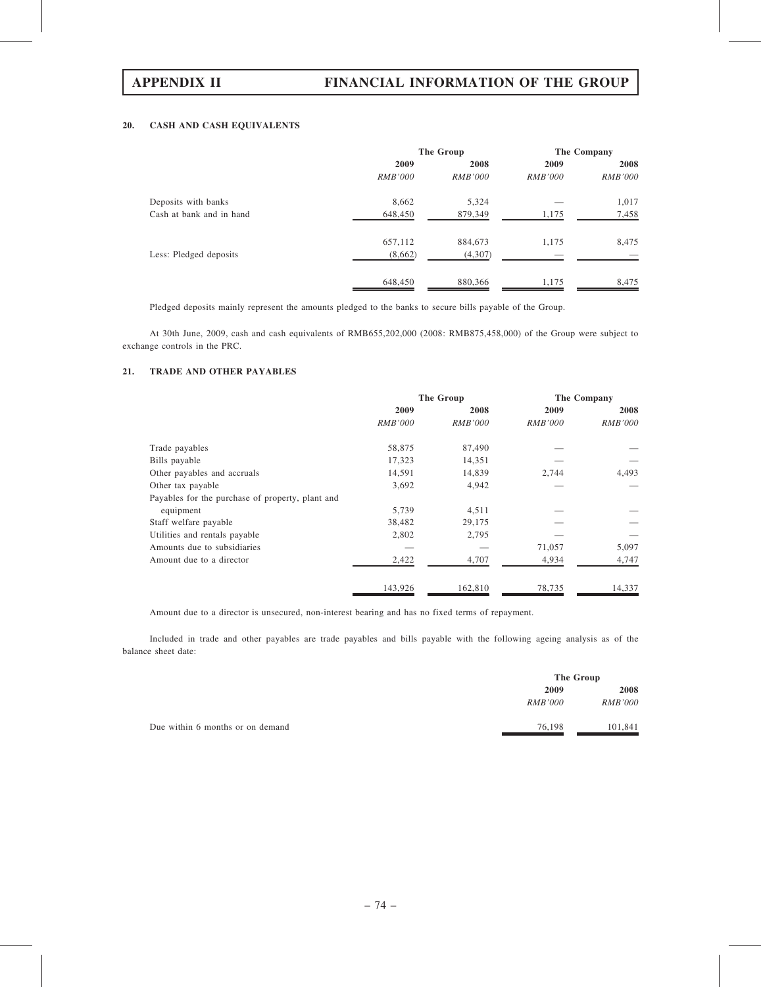## 20. CASH AND CASH EQUIVALENTS

|                          | The Group      |                | The Company    |                |
|--------------------------|----------------|----------------|----------------|----------------|
|                          | 2009           | 2008           | 2009           | 2008           |
|                          | <i>RMB'000</i> | <i>RMB'000</i> | <i>RMB'000</i> | <i>RMB'000</i> |
| Deposits with banks      | 8,662          | 5,324          |                | 1,017          |
| Cash at bank and in hand | 648,450        | 879,349        | 1,175          | 7,458          |
|                          | 657,112        | 884,673        | 1,175          | 8,475          |
| Less: Pledged deposits   | (8,662)        | (4,307)        |                |                |
|                          | 648,450        | 880,366        | 1,175          | 8,475          |

Pledged deposits mainly represent the amounts pledged to the banks to secure bills payable of the Group.

At 30th June, 2009, cash and cash equivalents of RMB655,202,000 (2008: RMB875,458,000) of the Group were subject to exchange controls in the PRC.

## 21. TRADE AND OTHER PAYABLES

|                                                  |                | The Group      |                | The Company    |  |
|--------------------------------------------------|----------------|----------------|----------------|----------------|--|
|                                                  | 2009           | 2008           | 2009           | 2008           |  |
|                                                  | <i>RMB'000</i> | <i>RMB'000</i> | <i>RMB'000</i> | <i>RMB'000</i> |  |
| Trade payables                                   | 58,875         | 87,490         |                |                |  |
| Bills payable                                    | 17,323         | 14,351         |                |                |  |
| Other payables and accruals                      | 14,591         | 14,839         | 2,744          | 4,493          |  |
| Other tax payable                                | 3,692          | 4,942          |                |                |  |
| Payables for the purchase of property, plant and |                |                |                |                |  |
| equipment                                        | 5,739          | 4,511          |                |                |  |
| Staff welfare payable                            | 38,482         | 29,175         |                |                |  |
| Utilities and rentals payable                    | 2,802          | 2,795          |                |                |  |
| Amounts due to subsidiaries                      |                |                | 71,057         | 5,097          |  |
| Amount due to a director                         | 2,422          | 4,707          | 4,934          | 4,747          |  |
|                                                  | 143,926        | 162,810        | 78,735         | 14,337         |  |

Amount due to a director is unsecured, non-interest bearing and has no fixed terms of repayment.

Included in trade and other payables are trade payables and bills payable with the following ageing analysis as of the balance sheet date:

|                                  |                | The Group      |  |
|----------------------------------|----------------|----------------|--|
|                                  | 2009           | 2008           |  |
|                                  | <i>RMB'000</i> | <i>RMB'000</i> |  |
| Due within 6 months or on demand | 76,198         | 101.841        |  |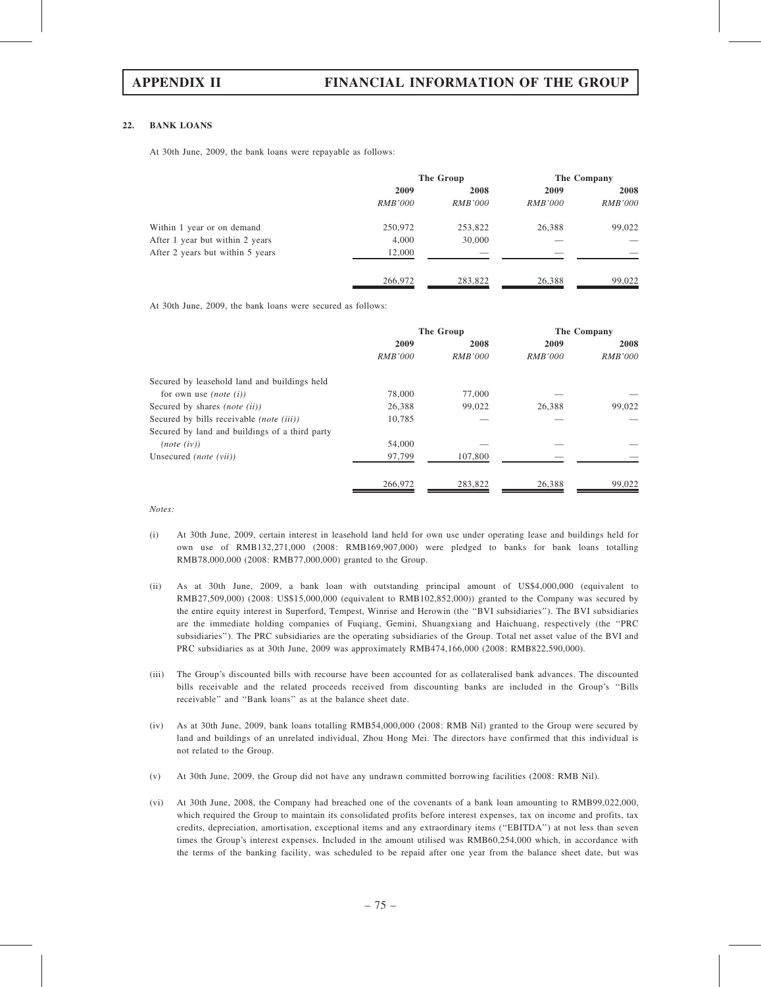### 22. BANK LOANS

At 30th June, 2009, the bank loans were repayable as follows:

|                                  | The Group      |                | The Company    |                |
|----------------------------------|----------------|----------------|----------------|----------------|
|                                  | 2009           | 2008<br>2009   | 2008           |                |
|                                  | <i>RMB'000</i> | <i>RMB'000</i> | <i>RMB'000</i> | <i>RMB'000</i> |
| Within 1 year or on demand       | 250,972        | 253,822        | 26.388         | 99,022         |
| After 1 year but within 2 years  | 4,000          | 30,000         |                |                |
| After 2 years but within 5 years | 12,000         |                |                |                |
|                                  | 266,972        | 283,822        | 26,388         | 99,022         |

At 30th June, 2009, the bank loans were secured as follows:

|                                                 | The Group      |                | The Company    |                |  |
|-------------------------------------------------|----------------|----------------|----------------|----------------|--|
|                                                 | 2009           | 2008           | 2009           | 2008           |  |
|                                                 | <i>RMB'000</i> | <i>RMB'000</i> | <i>RMB'000</i> | <i>RMB'000</i> |  |
| Secured by leasehold land and buildings held    |                |                |                |                |  |
| for own use <i>(note (i))</i>                   | 78,000         | 77,000         |                |                |  |
| Secured by shares <i>(note (ii))</i>            | 26,388         | 99,022         | 26.388         | 99,022         |  |
| Secured by bills receivable <i>(note (iii))</i> | 10.785         |                |                |                |  |
| Secured by land and buildings of a third party  |                |                |                |                |  |
| (note (iv))                                     | 54,000         |                |                |                |  |
| Unsecured <i>(note (vii)</i> )                  | 97,799         | 107,800        |                |                |  |
|                                                 | 266,972        | 283,822        | 26.388         | 99,022         |  |

Notes:

- (i) At 30th June, 2009, certain interest in leasehold land held for own use under operating lease and buildings held for own use of RMB132,271,000 (2008: RMB169,907,000) were pledged to banks for bank loans totalling RMB78,000,000 (2008: RMB77,000,000) granted to the Group.
- (ii) As at 30th June, 2009, a bank loan with outstanding principal amount of US\$4,000,000 (equivalent to RMB27,509,000) (2008: US\$15,000,000 (equivalent to RMB102,852,000)) granted to the Company was secured by the entire equity interest in Superford, Tempest, Winrise and Herowin (the ''BVI subsidiaries''). The BVI subsidiaries are the immediate holding companies of Fuqiang, Gemini, Shuangxiang and Haichuang, respectively (the ''PRC subsidiaries''). The PRC subsidiaries are the operating subsidiaries of the Group. Total net asset value of the BVI and PRC subsidiaries as at 30th June, 2009 was approximately RMB474,166,000 (2008: RMB822,590,000).
- (iii) The Group's discounted bills with recourse have been accounted for as collateralised bank advances. The discounted bills receivable and the related proceeds received from discounting banks are included in the Group's ''Bills receivable'' and ''Bank loans'' as at the balance sheet date.
- (iv) As at 30th June, 2009, bank loans totalling RMB54,000,000 (2008: RMB Nil) granted to the Group were secured by land and buildings of an unrelated individual, Zhou Hong Mei. The directors have confirmed that this individual is not related to the Group.
- (v) At 30th June, 2009, the Group did not have any undrawn committed borrowing facilities (2008: RMB Nil).
- (vi) At 30th June, 2008, the Company had breached one of the covenants of a bank loan amounting to RMB99,022,000, which required the Group to maintain its consolidated profits before interest expenses, tax on income and profits, tax credits, depreciation, amortisation, exceptional items and any extraordinary items (''EBITDA'') at not less than seven times the Group's interest expenses. Included in the amount utilised was RMB60,254,000 which, in accordance with the terms of the banking facility, was scheduled to be repaid after one year from the balance sheet date, but was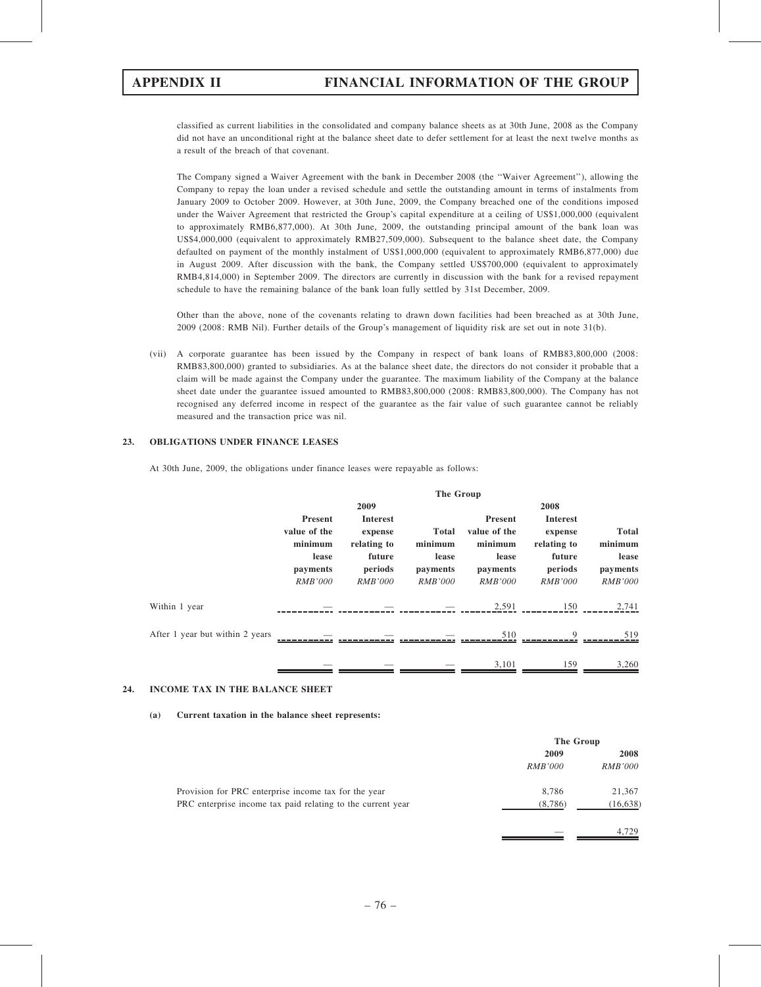classified as current liabilities in the consolidated and company balance sheets as at 30th June, 2008 as the Company did not have an unconditional right at the balance sheet date to defer settlement for at least the next twelve months as a result of the breach of that covenant.

The Company signed a Waiver Agreement with the bank in December 2008 (the ''Waiver Agreement''), allowing the Company to repay the loan under a revised schedule and settle the outstanding amount in terms of instalments from January 2009 to October 2009. However, at 30th June, 2009, the Company breached one of the conditions imposed under the Waiver Agreement that restricted the Group's capital expenditure at a ceiling of US\$1,000,000 (equivalent to approximately RMB6,877,000). At 30th June, 2009, the outstanding principal amount of the bank loan was US\$4,000,000 (equivalent to approximately RMB27,509,000). Subsequent to the balance sheet date, the Company defaulted on payment of the monthly instalment of US\$1,000,000 (equivalent to approximately RMB6,877,000) due in August 2009. After discussion with the bank, the Company settled US\$700,000 (equivalent to approximately RMB4,814,000) in September 2009. The directors are currently in discussion with the bank for a revised repayment schedule to have the remaining balance of the bank loan fully settled by 31st December, 2009.

Other than the above, none of the covenants relating to drawn down facilities had been breached as at 30th June, 2009 (2008: RMB Nil). Further details of the Group's management of liquidity risk are set out in note 31(b).

(vii) A corporate guarantee has been issued by the Company in respect of bank loans of RMB83,800,000 (2008: RMB83,800,000) granted to subsidiaries. As at the balance sheet date, the directors do not consider it probable that a claim will be made against the Company under the guarantee. The maximum liability of the Company at the balance sheet date under the guarantee issued amounted to RMB83,800,000 (2008: RMB83,800,000). The Company has not recognised any deferred income in respect of the guarantee as the fair value of such guarantee cannot be reliably measured and the transaction price was nil.

## 23. OBLIGATIONS UNDER FINANCE LEASES

At 30th June, 2009, the obligations under finance leases were repayable as follows:

|                                 | The Group                                                                        |                                                                                  |                                                                |                                                                           |                                                                                  |                                                                |
|---------------------------------|----------------------------------------------------------------------------------|----------------------------------------------------------------------------------|----------------------------------------------------------------|---------------------------------------------------------------------------|----------------------------------------------------------------------------------|----------------------------------------------------------------|
|                                 |                                                                                  | 2009                                                                             |                                                                |                                                                           | 2008                                                                             |                                                                |
|                                 | <b>Present</b><br>value of the<br>minimum<br>lease<br>payments<br><b>RMB'000</b> | <b>Interest</b><br>expense<br>relating to<br>future<br>periods<br><b>RMB'000</b> | <b>Total</b><br>minimum<br>lease<br>payments<br><b>RMB'000</b> | Present<br>value of the<br>minimum<br>lease<br>payments<br><b>RMB'000</b> | <b>Interest</b><br>expense<br>relating to<br>future<br>periods<br><b>RMB'000</b> | <b>Total</b><br>minimum<br>lease<br>payments<br><b>RMB'000</b> |
| Within 1 year                   |                                                                                  |                                                                                  |                                                                | 2,591                                                                     | 150                                                                              | 2,741                                                          |
| After 1 year but within 2 years |                                                                                  |                                                                                  |                                                                | 510                                                                       | $\mathbf Q$                                                                      | 519                                                            |
|                                 |                                                                                  |                                                                                  |                                                                | 3.101                                                                     | 159                                                                              | 3,260                                                          |

## 24. INCOME TAX IN THE BALANCE SHEET

### (a) Current taxation in the balance sheet represents:

|                                                             | The Group      |                |
|-------------------------------------------------------------|----------------|----------------|
|                                                             | 2009           | 2008           |
|                                                             | <i>RMB'000</i> | <i>RMB'000</i> |
| Provision for PRC enterprise income tax for the year        | 8.786          | 21,367         |
| PRC enterprise income tax paid relating to the current year | (8,786)        | (16, 638)      |
|                                                             |                | 4.729          |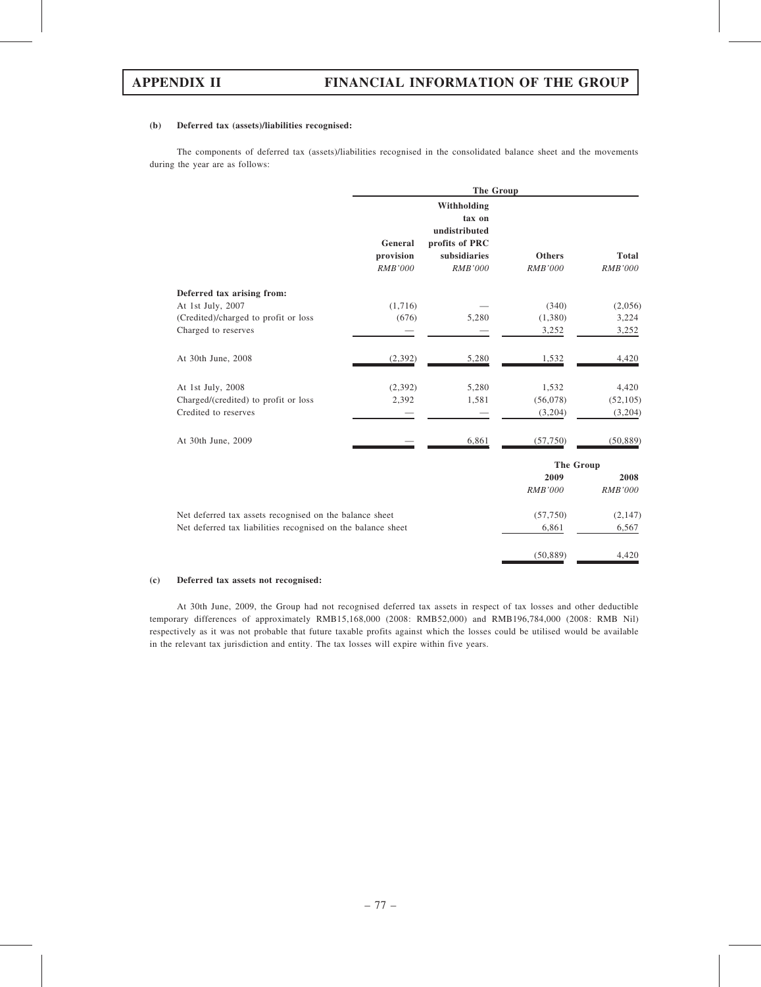(50,889) 4,420

### (b) Deferred tax (assets)/liabilities recognised:

The components of deferred tax (assets)/liabilities recognised in the consolidated balance sheet and the movements during the year are as follows:

|                                                              |                                        | <b>The Group</b>                                                                           |                                 |                                |  |
|--------------------------------------------------------------|----------------------------------------|--------------------------------------------------------------------------------------------|---------------------------------|--------------------------------|--|
|                                                              | General<br>provision<br><b>RMB'000</b> | Withholding<br>tax on<br>undistributed<br>profits of PRC<br>subsidiaries<br><b>RMB'000</b> | <b>Others</b><br><b>RMB'000</b> | <b>Total</b><br><b>RMB'000</b> |  |
| Deferred tax arising from:                                   |                                        |                                                                                            |                                 |                                |  |
| At 1st July, 2007                                            | (1,716)                                |                                                                                            | (340)                           | (2,056)                        |  |
| (Credited)/charged to profit or loss                         | (676)                                  | 5,280                                                                                      | (1,380)                         | 3,224                          |  |
| Charged to reserves                                          |                                        |                                                                                            | 3,252                           | 3,252                          |  |
| At 30th June, 2008                                           | (2, 392)                               | 5,280                                                                                      | 1,532                           | 4,420                          |  |
| At 1st July, 2008                                            | (2,392)                                | 5,280                                                                                      | 1,532                           | 4,420                          |  |
| Charged/(credited) to profit or loss                         | 2,392                                  | 1,581                                                                                      | (56,078)                        | (52, 105)                      |  |
| Credited to reserves                                         |                                        |                                                                                            | (3,204)                         | (3,204)                        |  |
| At 30th June, 2009                                           |                                        | 6,861                                                                                      | (57,750)                        | (50, 889)                      |  |
|                                                              |                                        |                                                                                            | <b>The Group</b>                |                                |  |
|                                                              |                                        |                                                                                            | 2009                            | 2008                           |  |
|                                                              |                                        |                                                                                            | <b>RMB'000</b>                  | <b>RMB'000</b>                 |  |
| Net deferred tax assets recognised on the balance sheet      |                                        |                                                                                            | (57,750)                        | (2,147)                        |  |
| Net deferred tax liabilities recognised on the balance sheet |                                        |                                                                                            | 6,861                           | 6,567                          |  |

### (c) Deferred tax assets not recognised:

At 30th June, 2009, the Group had not recognised deferred tax assets in respect of tax losses and other deductible temporary differences of approximately RMB15,168,000 (2008: RMB52,000) and RMB196,784,000 (2008: RMB Nil) respectively as it was not probable that future taxable profits against which the losses could be utilised would be available in the relevant tax jurisdiction and entity. The tax losses will expire within five years.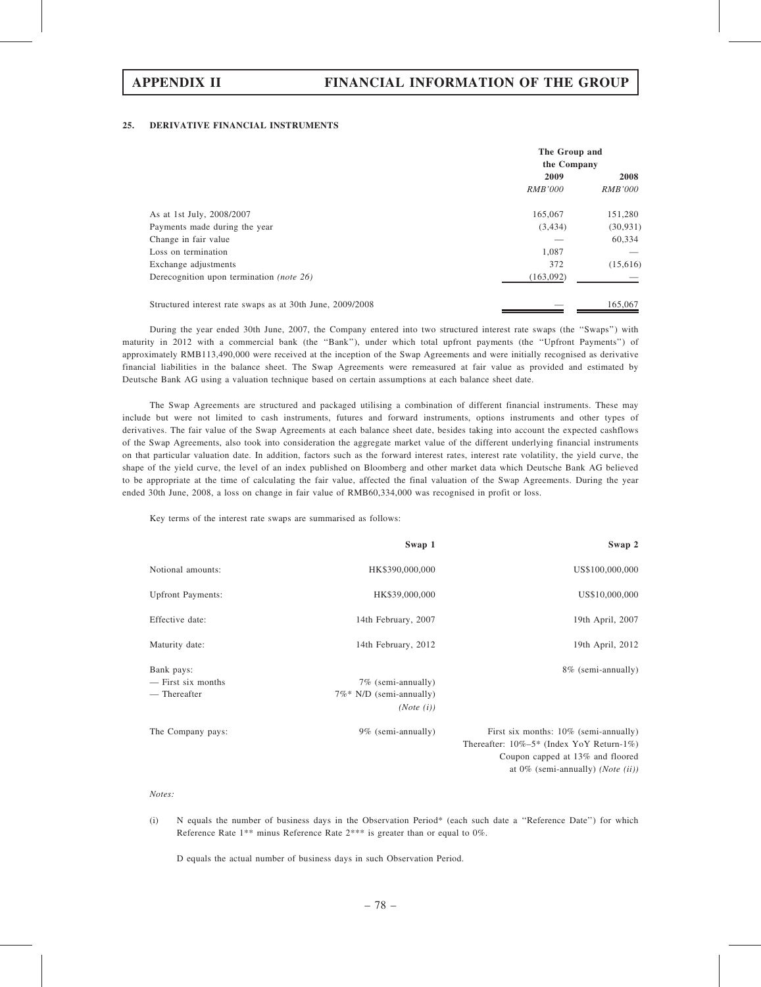### 25. DERIVATIVE FINANCIAL INSTRUMENTS

|                                                           | The Group and<br>the Company |                |
|-----------------------------------------------------------|------------------------------|----------------|
|                                                           | 2009                         | 2008           |
|                                                           | <i>RMB'000</i>               | <i>RMB'000</i> |
| As at 1st July, 2008/2007                                 | 165,067                      | 151,280        |
| Payments made during the year                             | (3, 434)                     | (30, 931)      |
| Change in fair value                                      |                              | 60,334         |
| Loss on termination                                       | 1,087                        |                |
| Exchange adjustments                                      | 372                          | (15,616)       |
| Derecognition upon termination (note 26)                  | (163,092)                    |                |
| Structured interest rate swaps as at 30th June, 2009/2008 |                              | 165,067        |

During the year ended 30th June, 2007, the Company entered into two structured interest rate swaps (the ''Swaps'') with maturity in 2012 with a commercial bank (the ''Bank''), under which total upfront payments (the ''Upfront Payments'') of approximately RMB113,490,000 were received at the inception of the Swap Agreements and were initially recognised as derivative financial liabilities in the balance sheet. The Swap Agreements were remeasured at fair value as provided and estimated by Deutsche Bank AG using a valuation technique based on certain assumptions at each balance sheet date.

The Swap Agreements are structured and packaged utilising a combination of different financial instruments. These may include but were not limited to cash instruments, futures and forward instruments, options instruments and other types of derivatives. The fair value of the Swap Agreements at each balance sheet date, besides taking into account the expected cashflows of the Swap Agreements, also took into consideration the aggregate market value of the different underlying financial instruments on that particular valuation date. In addition, factors such as the forward interest rates, interest rate volatility, the yield curve, the shape of the yield curve, the level of an index published on Bloomberg and other market data which Deutsche Bank AG believed to be appropriate at the time of calculating the fair value, affected the final valuation of the Swap Agreements. During the year ended 30th June, 2008, a loss on change in fair value of RMB60,334,000 was recognised in profit or loss.

Key terms of the interest rate swaps are summarised as follows:

|                          | Swap 1                      | Swap 2                                        |
|--------------------------|-----------------------------|-----------------------------------------------|
| Notional amounts:        | HK\$390,000,000             | US\$100,000,000                               |
| <b>Upfront Payments:</b> | HK\$39,000,000              | US\$10,000,000                                |
| Effective date:          | 14th February, 2007         | 19th April, 2007                              |
| Maturity date:           | 14th February, 2012         | 19th April, 2012                              |
| Bank pays:               |                             | 8% (semi-annually)                            |
| — First six months       | 7% (semi-annually)          |                                               |
| — Thereafter             | $7\%$ * N/D (semi-annually) |                                               |
|                          | (Note (i))                  |                                               |
| The Company pays:        | 9% (semi-annually)          | First six months: 10% (semi-annually)         |
|                          |                             | Thereafter: $10\% - 5*$ (Index YoY Return-1%) |
|                          |                             | Coupon capped at 13% and floored              |
|                          |                             | at $0\%$ (semi-annually) ( <i>Note</i> (ii))  |

Notes:

(i) N equals the number of business days in the Observation Period\* (each such date a ''Reference Date'') for which Reference Rate 1\*\* minus Reference Rate 2\*\*\* is greater than or equal to 0%.

D equals the actual number of business days in such Observation Period.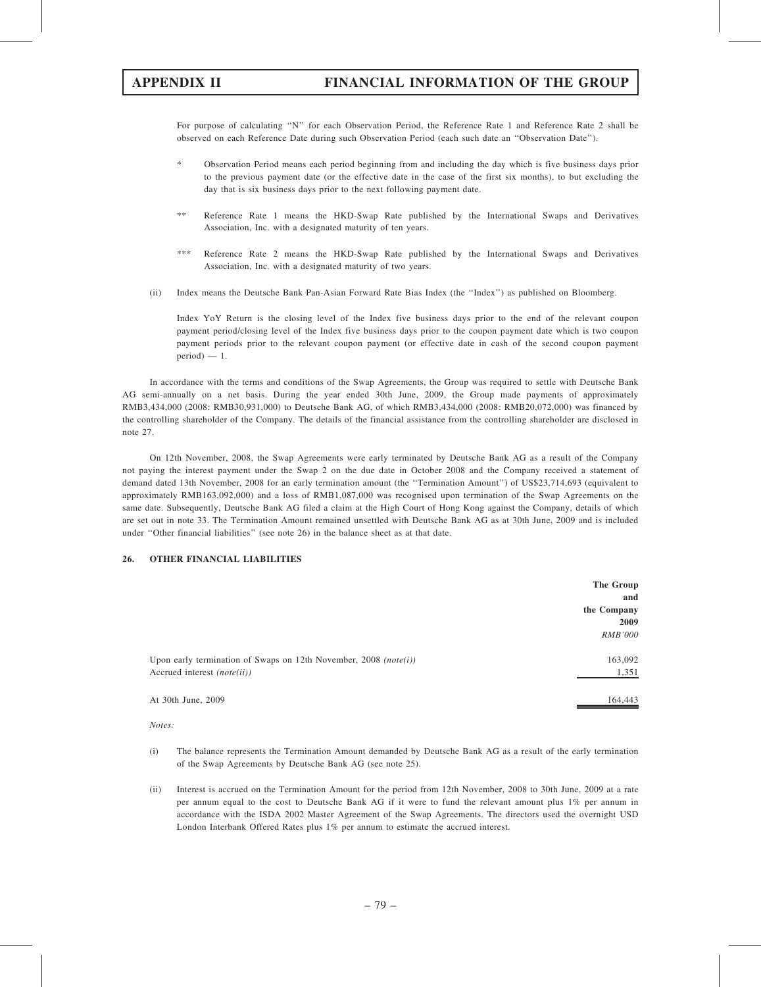For purpose of calculating "N" for each Observation Period, the Reference Rate 1 and Reference Rate 2 shall be observed on each Reference Date during such Observation Period (each such date an ''Observation Date'').

- \* Observation Period means each period beginning from and including the day which is five business days prior to the previous payment date (or the effective date in the case of the first six months), to but excluding the day that is six business days prior to the next following payment date.
- \*\* Reference Rate 1 means the HKD-Swap Rate published by the International Swaps and Derivatives Association, Inc. with a designated maturity of ten years.
- Reference Rate 2 means the HKD-Swap Rate published by the International Swaps and Derivatives Association, Inc. with a designated maturity of two years.
- (ii) Index means the Deutsche Bank Pan-Asian Forward Rate Bias Index (the ''Index'') as published on Bloomberg.

Index YoY Return is the closing level of the Index five business days prior to the end of the relevant coupon payment period/closing level of the Index five business days prior to the coupon payment date which is two coupon payment periods prior to the relevant coupon payment (or effective date in cash of the second coupon payment  $period$ ) — 1.

In accordance with the terms and conditions of the Swap Agreements, the Group was required to settle with Deutsche Bank AG semi-annually on a net basis. During the year ended 30th June, 2009, the Group made payments of approximately RMB3,434,000 (2008: RMB30,931,000) to Deutsche Bank AG, of which RMB3,434,000 (2008: RMB20,072,000) was financed by the controlling shareholder of the Company. The details of the financial assistance from the controlling shareholder are disclosed in note 27.

On 12th November, 2008, the Swap Agreements were early terminated by Deutsche Bank AG as a result of the Company not paying the interest payment under the Swap 2 on the due date in October 2008 and the Company received a statement of demand dated 13th November, 2008 for an early termination amount (the ''Termination Amount'') of US\$23,714,693 (equivalent to approximately RMB163,092,000) and a loss of RMB1,087,000 was recognised upon termination of the Swap Agreements on the same date. Subsequently, Deutsche Bank AG filed a claim at the High Court of Hong Kong against the Company, details of which are set out in note 33. The Termination Amount remained unsettled with Deutsche Bank AG as at 30th June, 2009 and is included under ''Other financial liabilities'' (see note 26) in the balance sheet as at that date.

## 26. OTHER FINANCIAL LIABILITIES

|                                                                  | The Group      |
|------------------------------------------------------------------|----------------|
|                                                                  | and            |
|                                                                  | the Company    |
|                                                                  | 2009           |
|                                                                  | <i>RMB'000</i> |
|                                                                  |                |
| Upon early termination of Swaps on 12th November, 2008 (note(i)) | 163,092        |
| Accrued interest <i>(note(ii))</i>                               | 1,351          |
|                                                                  |                |
| At 30th June, 2009                                               | 164,443        |

Notes:

- (i) The balance represents the Termination Amount demanded by Deutsche Bank AG as a result of the early termination of the Swap Agreements by Deutsche Bank AG (see note 25).
- (ii) Interest is accrued on the Termination Amount for the period from 12th November, 2008 to 30th June, 2009 at a rate per annum equal to the cost to Deutsche Bank AG if it were to fund the relevant amount plus 1% per annum in accordance with the ISDA 2002 Master Agreement of the Swap Agreements. The directors used the overnight USD London Interbank Offered Rates plus 1% per annum to estimate the accrued interest.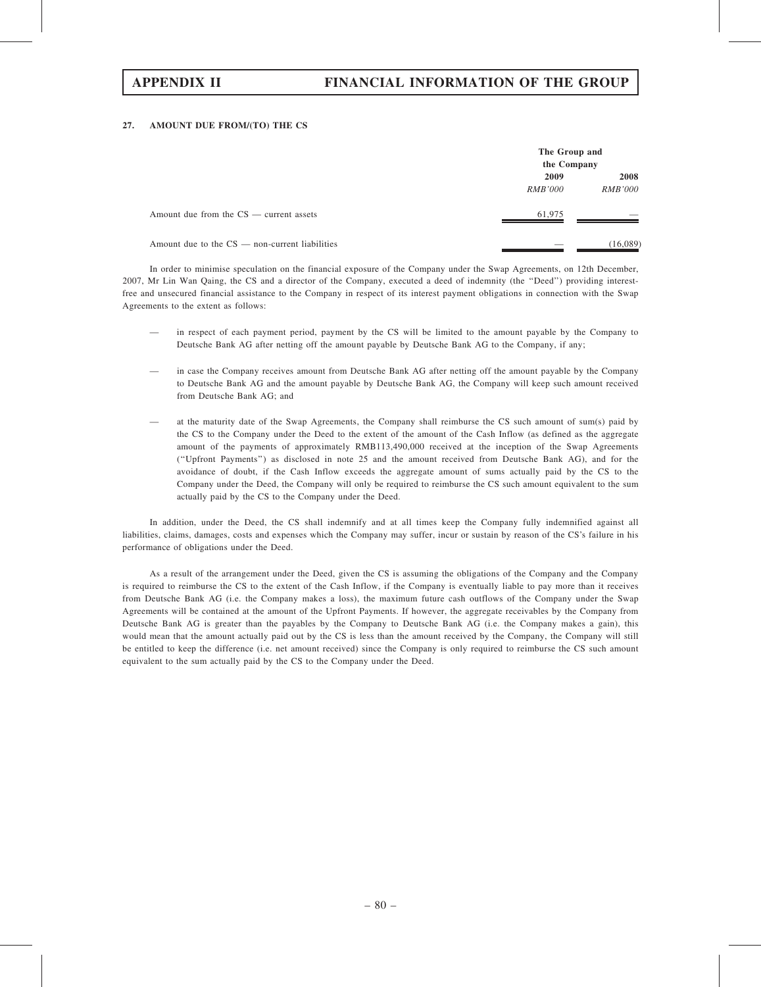# APPENDIX II FINANCIAL INFORMATION OF THE GROUP

### 27. AMOUNT DUE FROM/(TO) THE CS

|                                                | The Group and<br>the Company |                |
|------------------------------------------------|------------------------------|----------------|
|                                                | 2009                         | 2008           |
|                                                | <i>RMB'000</i>               | <i>RMB'000</i> |
| Amount due from the $CS$ — current assets      | 61,975                       |                |
| Amount due to the CS — non-current liabilities |                              | (16,089)       |

In order to minimise speculation on the financial exposure of the Company under the Swap Agreements, on 12th December, 2007, Mr Lin Wan Qaing, the CS and a director of the Company, executed a deed of indemnity (the ''Deed'') providing interestfree and unsecured financial assistance to the Company in respect of its interest payment obligations in connection with the Swap Agreements to the extent as follows:

- in respect of each payment period, payment by the CS will be limited to the amount payable by the Company to Deutsche Bank AG after netting off the amount payable by Deutsche Bank AG to the Company, if any;
- in case the Company receives amount from Deutsche Bank AG after netting off the amount payable by the Company to Deutsche Bank AG and the amount payable by Deutsche Bank AG, the Company will keep such amount received from Deutsche Bank AG; and
- at the maturity date of the Swap Agreements, the Company shall reimburse the CS such amount of sum(s) paid by the CS to the Company under the Deed to the extent of the amount of the Cash Inflow (as defined as the aggregate amount of the payments of approximately RMB113,490,000 received at the inception of the Swap Agreements (''Upfront Payments'') as disclosed in note 25 and the amount received from Deutsche Bank AG), and for the avoidance of doubt, if the Cash Inflow exceeds the aggregate amount of sums actually paid by the CS to the Company under the Deed, the Company will only be required to reimburse the CS such amount equivalent to the sum actually paid by the CS to the Company under the Deed.

In addition, under the Deed, the CS shall indemnify and at all times keep the Company fully indemnified against all liabilities, claims, damages, costs and expenses which the Company may suffer, incur or sustain by reason of the CS's failure in his performance of obligations under the Deed.

As a result of the arrangement under the Deed, given the CS is assuming the obligations of the Company and the Company is required to reimburse the CS to the extent of the Cash Inflow, if the Company is eventually liable to pay more than it receives from Deutsche Bank AG (i.e. the Company makes a loss), the maximum future cash outflows of the Company under the Swap Agreements will be contained at the amount of the Upfront Payments. If however, the aggregate receivables by the Company from Deutsche Bank AG is greater than the payables by the Company to Deutsche Bank AG (i.e. the Company makes a gain), this would mean that the amount actually paid out by the CS is less than the amount received by the Company, the Company will still be entitled to keep the difference (i.e. net amount received) since the Company is only required to reimburse the CS such amount equivalent to the sum actually paid by the CS to the Company under the Deed.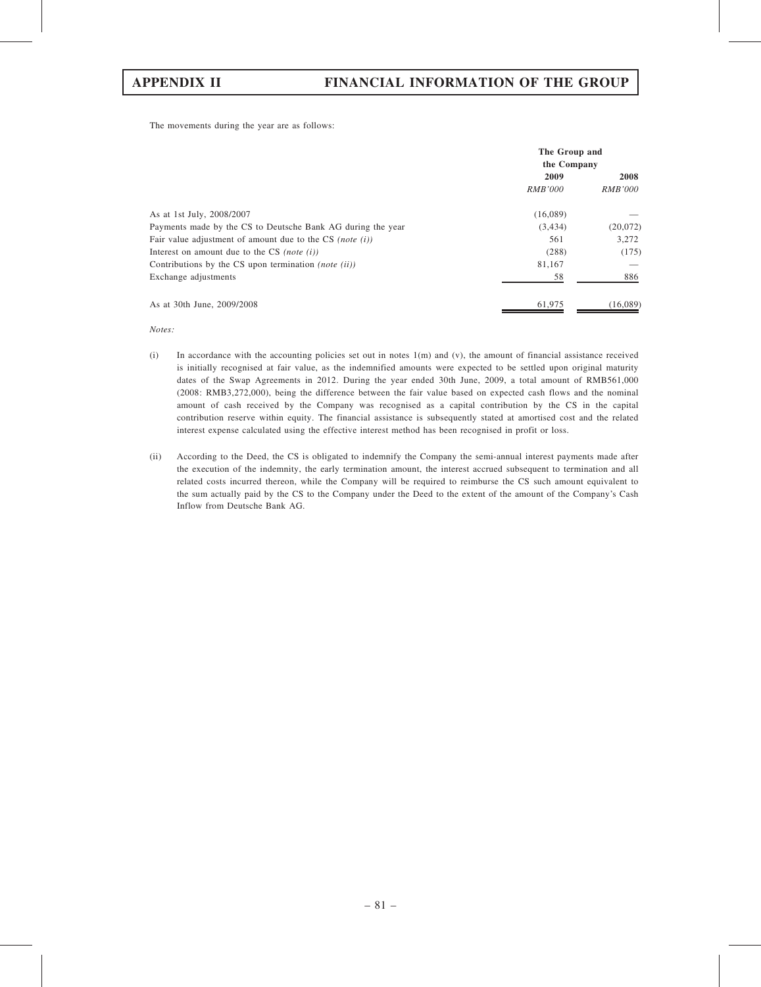The movements during the year are as follows:

|                                                             | The Group and<br>the Company |                |
|-------------------------------------------------------------|------------------------------|----------------|
|                                                             | 2009                         | 2008           |
|                                                             | <i>RMB'000</i>               | <i>RMB'000</i> |
| As at 1st July, 2008/2007                                   | (16,089)                     |                |
| Payments made by the CS to Deutsche Bank AG during the year | (3, 434)                     | (20,072)       |
| Fair value adjustment of amount due to the CS (note $(i)$ ) | 561                          | 3,272          |
| Interest on amount due to the CS (note $(i)$ )              | (288)                        | (175)          |
| Contributions by the CS upon termination <i>(note (ii))</i> | 81,167                       |                |
| Exchange adjustments                                        | 58                           | 886            |
| As at 30th June, 2009/2008                                  | 61,975                       | (16,089)       |

Notes:

- (i) In accordance with the accounting policies set out in notes  $1(m)$  and (v), the amount of financial assistance received is initially recognised at fair value, as the indemnified amounts were expected to be settled upon original maturity dates of the Swap Agreements in 2012. During the year ended 30th June, 2009, a total amount of RMB561,000 (2008: RMB3,272,000), being the difference between the fair value based on expected cash flows and the nominal amount of cash received by the Company was recognised as a capital contribution by the CS in the capital contribution reserve within equity. The financial assistance is subsequently stated at amortised cost and the related interest expense calculated using the effective interest method has been recognised in profit or loss.
- (ii) According to the Deed, the CS is obligated to indemnify the Company the semi-annual interest payments made after the execution of the indemnity, the early termination amount, the interest accrued subsequent to termination and all related costs incurred thereon, while the Company will be required to reimburse the CS such amount equivalent to the sum actually paid by the CS to the Company under the Deed to the extent of the amount of the Company's Cash Inflow from Deutsche Bank AG.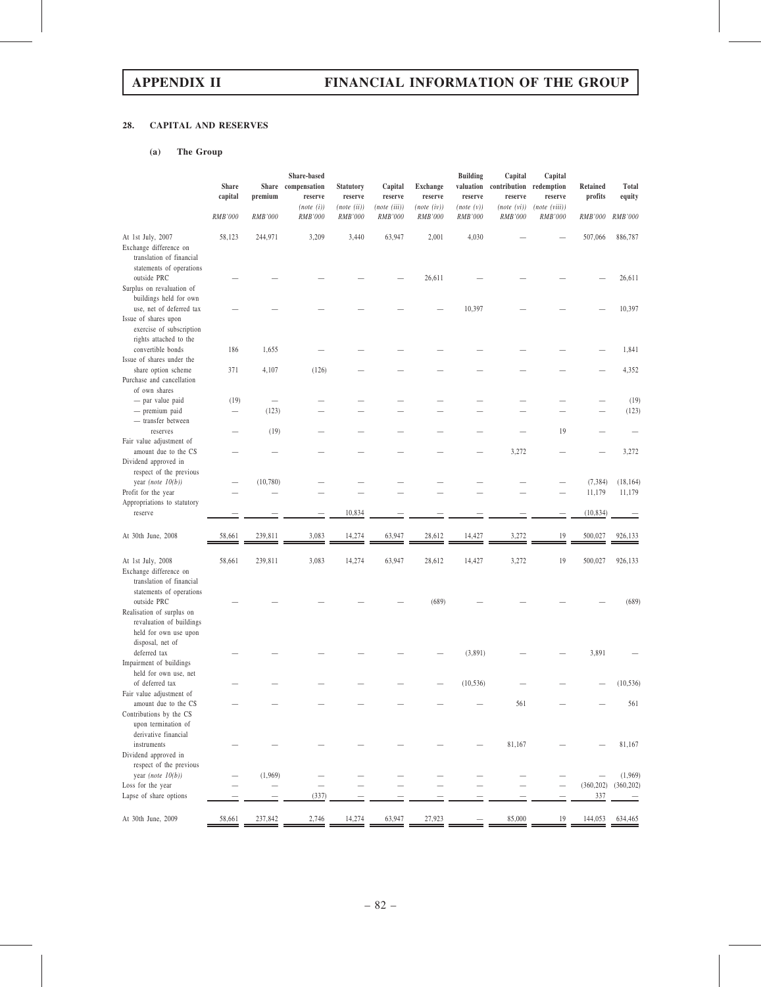# 28. CAPITAL AND RESERVES

## (a) The Group

|                                                                                                                                  | <b>Share</b><br>capital   | premium                                    | Share-based<br>Share compensation<br>reserve | <b>Statutory</b><br>reserve | Capital<br>reserve      | <b>Exchange</b><br>reserve | <b>Building</b><br>valuation<br>reserve | Capital<br>contribution redemption<br>reserve | Capital<br>reserve       | Retained<br>profits | Total<br>equity       |
|----------------------------------------------------------------------------------------------------------------------------------|---------------------------|--------------------------------------------|----------------------------------------------|-----------------------------|-------------------------|----------------------------|-----------------------------------------|-----------------------------------------------|--------------------------|---------------------|-----------------------|
|                                                                                                                                  | RMB'000                   | RMB'000                                    | (note (i))<br>RMB'000                        | (note (ii))<br>RMB'000      | (note (iii))<br>RMB'000 | (note (iv))<br>RMB'000     | (note(v))<br>RMB'000                    | (note (vi))<br>RMB'000                        | (note (viii))<br>RMB'000 | RMB'000             | RMB'000               |
| At 1st July, 2007<br>Exchange difference on<br>translation of financial                                                          | 58,123                    | 244,971                                    | 3,209                                        | 3,440                       | 63,947                  | 2,001                      | 4,030                                   |                                               |                          | 507,066             | 886,787               |
| statements of operations<br>outside PRC<br>Surplus on revaluation of                                                             |                           |                                            |                                              |                             |                         | 26,611                     |                                         |                                               |                          |                     | 26,611                |
| buildings held for own<br>use, net of deferred tax<br>Issue of shares upon<br>exercise of subscription<br>rights attached to the |                           |                                            |                                              |                             |                         |                            | 10,397                                  |                                               |                          |                     | 10,397                |
| convertible bonds<br>Issue of shares under the                                                                                   | 186                       | 1,655                                      |                                              |                             |                         |                            |                                         |                                               |                          |                     | 1,841                 |
| share option scheme<br>Purchase and cancellation<br>of own shares                                                                | 371                       | 4,107                                      | (126)                                        |                             |                         |                            |                                         |                                               |                          |                     | 4,352                 |
| - par value paid<br>- premium paid<br>- transfer between                                                                         | (19)<br>$\qquad \qquad -$ | $\overbrace{\phantom{123221111}}$<br>(123) |                                              |                             |                         |                            |                                         |                                               |                          |                     | (19)<br>(123)         |
| reserves<br>Fair value adjustment of                                                                                             |                           | (19)                                       |                                              |                             |                         |                            |                                         |                                               | 19                       |                     |                       |
| amount due to the CS<br>Dividend approved in                                                                                     |                           |                                            |                                              |                             |                         |                            |                                         | 3,272                                         |                          |                     | 3,272                 |
| respect of the previous<br>year (note $10(b)$ )<br>Profit for the year                                                           |                           | (10, 780)                                  |                                              |                             |                         |                            |                                         |                                               |                          | (7, 384)<br>11,179  | (18, 164)<br>11,179   |
| Appropriations to statutory<br>reserve                                                                                           |                           |                                            |                                              | 10,834                      |                         |                            |                                         |                                               |                          | (10, 834)           |                       |
| At 30th June, 2008                                                                                                               | 58,661                    | 239,811                                    | 3,083                                        | 14,274                      | 63,947                  | 28,612                     | 14,427                                  | 3,272                                         | 19                       | 500,027             | 926,133               |
| At 1st July, 2008<br>Exchange difference on<br>translation of financial<br>statements of operations                              | 58,661                    | 239,811                                    | 3,083                                        | 14,274                      | 63,947                  | 28,612                     | 14,427                                  | 3,272                                         | 19                       | 500,027             | 926,133               |
| outside PRC<br>Realisation of surplus on<br>revaluation of buildings<br>held for own use upon<br>disposal, net of                |                           |                                            |                                              |                             |                         | (689)                      |                                         |                                               |                          |                     | (689)                 |
| deferred tax<br>Impairment of buildings<br>held for own use, net                                                                 |                           |                                            |                                              |                             |                         |                            | (3,891)                                 |                                               |                          | 3,891               |                       |
| of deferred tax                                                                                                                  |                           |                                            |                                              |                             |                         |                            | (10, 536)                               |                                               |                          |                     | (10, 536)             |
| Fair value adjustment of<br>amount due to the CS<br>Contributions by the CS<br>upon termination of<br>derivative financial       |                           |                                            |                                              |                             |                         |                            |                                         | 561                                           |                          |                     | 561                   |
| instruments<br>Dividend approved in                                                                                              |                           |                                            |                                              |                             |                         |                            |                                         | 81,167                                        |                          |                     | 81,167                |
| respect of the previous<br>year (note $10(b)$ )<br>Loss for the year                                                             |                           | (1,969)<br>$\qquad \qquad -$               |                                              |                             |                         |                            |                                         |                                               |                          | (360, 202)          | (1,969)<br>(360, 202) |
| Lapse of share options                                                                                                           |                           |                                            | (337)                                        |                             |                         |                            |                                         |                                               |                          | 337                 |                       |
| At 30th June, 2009                                                                                                               | 58,661                    | 237,842                                    | 2,746                                        | 14,274                      | 63,947                  | 27,923                     |                                         | 85,000                                        | 19                       | 144,053             | 634,465               |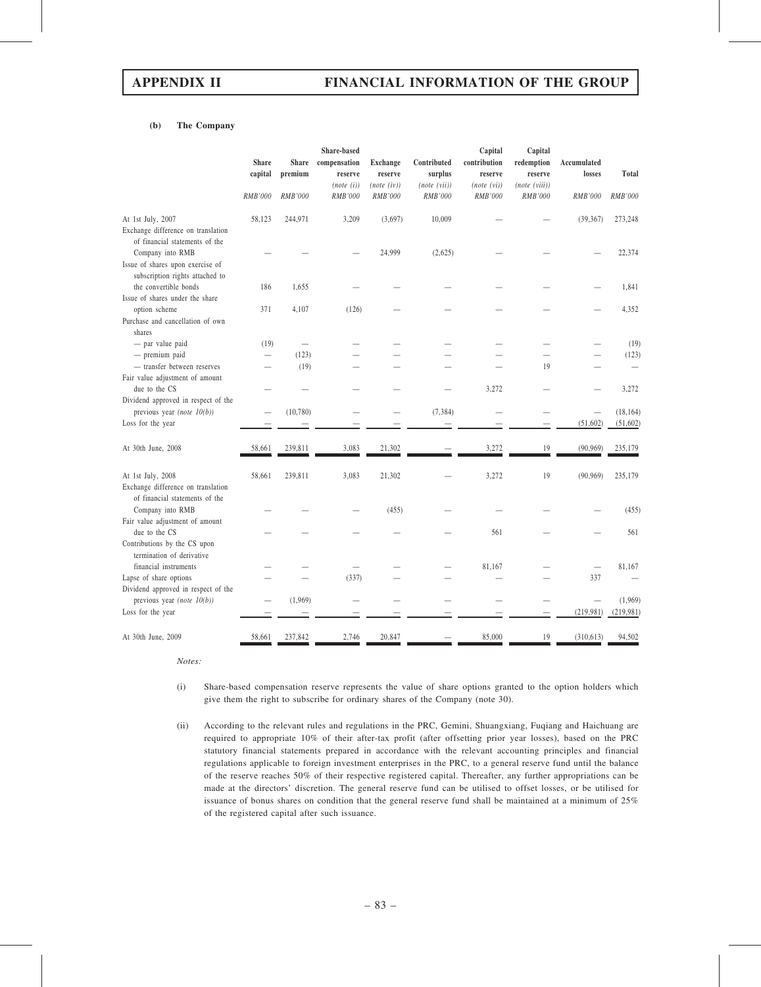### (b) The Company

|                                                                                         | <b>Share</b><br>capital | <b>Share</b><br>premium | Share-based<br>compensation<br>reserve | <b>Exchange</b><br>reserve | Contributed<br>surplus  | Capital<br>contribution<br>reserve | Capital<br>redemption<br>reserve | Accumulated<br>losses    | Total     |
|-----------------------------------------------------------------------------------------|-------------------------|-------------------------|----------------------------------------|----------------------------|-------------------------|------------------------------------|----------------------------------|--------------------------|-----------|
|                                                                                         | RMB'000                 | RMB'000                 | (note (i))<br>$\it{RMB'000}$           | (note (iv))<br>RMB'000     | (note (vii))<br>RMB'000 | (note (vi))<br>RMB'000             | (note (viii))<br>RMB'000         | RMB'000                  | RMB'000   |
| At 1st July, 2007                                                                       | 58,123                  | 244,971                 | 3,209                                  | (3,697)                    | 10,009                  |                                    |                                  | (39, 367)                | 273,248   |
| Exchange difference on translation<br>of financial statements of the                    |                         |                         |                                        |                            |                         |                                    |                                  |                          |           |
| Company into RMB<br>Issue of shares upon exercise of<br>subscription rights attached to |                         |                         |                                        | 24,999                     | (2,625)                 |                                    |                                  |                          | 22,374    |
| the convertible bonds                                                                   | 186                     | 1,655                   |                                        |                            |                         |                                    |                                  |                          | 1,841     |
| Issue of shares under the share                                                         |                         |                         |                                        |                            |                         |                                    |                                  |                          |           |
| option scheme                                                                           | 371                     | 4,107                   | (126)                                  |                            |                         |                                    |                                  |                          | 4,352     |
| Purchase and cancellation of own<br>shares                                              |                         |                         |                                        |                            |                         |                                    |                                  |                          |           |
| - par value paid                                                                        | (19)                    |                         |                                        |                            |                         |                                    |                                  |                          | (19)      |
| - premium paid                                                                          | $\equiv$                | (123)                   |                                        |                            |                         |                                    |                                  |                          | (123)     |
| - transfer between reserves                                                             |                         | (19)                    |                                        |                            |                         |                                    | 19                               |                          |           |
| Fair value adjustment of amount<br>due to the CS                                        |                         |                         |                                        |                            |                         | 3,272                              |                                  |                          | 3,272     |
| Dividend approved in respect of the                                                     |                         |                         |                                        |                            |                         |                                    |                                  |                          |           |
| previous year (note $10(b)$ )                                                           |                         | (10,780)                |                                        |                            | (7, 384)                |                                    |                                  | $\equiv$                 | (18, 164) |
| Loss for the year                                                                       |                         |                         |                                        |                            |                         |                                    |                                  | (51, 602)                | (51,602)  |
| At 30th June, 2008                                                                      | 58,661                  | 239,811                 | 3,083                                  | 21,302                     |                         | 3,272                              | 19                               | (90, 969)                | 235,179   |
| At 1st July, 2008                                                                       | 58,661                  | 239,811                 | 3,083                                  | 21,302                     |                         | 3,272                              | 19                               | (90, 969)                | 235,179   |
| Exchange difference on translation<br>of financial statements of the                    |                         |                         |                                        |                            |                         |                                    |                                  |                          |           |
| Company into RMB                                                                        |                         |                         |                                        | (455)                      |                         |                                    |                                  |                          | (455)     |
| Fair value adjustment of amount<br>due to the CS                                        |                         |                         |                                        |                            |                         | 561                                |                                  |                          | 561       |
| Contributions by the CS upon<br>termination of derivative                               |                         |                         |                                        |                            |                         |                                    |                                  |                          |           |
| financial instruments                                                                   |                         |                         |                                        |                            |                         | 81,167                             |                                  | $\overline{\phantom{0}}$ | 81,167    |
| Lapse of share options                                                                  |                         |                         | (337)                                  |                            |                         |                                    |                                  | 337                      |           |
| Dividend approved in respect of the<br>previous year (note $10(b)$ )                    |                         | (1,969)                 |                                        |                            |                         |                                    |                                  | $\overline{\phantom{0}}$ | (1,969)   |
| Loss for the year                                                                       |                         |                         |                                        |                            |                         |                                    |                                  | (219, 981)               | (219,981) |
| At 30th June, 2009                                                                      | 58,661                  | 237,842                 | 2,746                                  | 20,847                     |                         | 85,000                             | 19                               | (310, 613)               | 94,502    |

Notes:

- (i) Share-based compensation reserve represents the value of share options granted to the option holders which give them the right to subscribe for ordinary shares of the Company (note 30).
- (ii) According to the relevant rules and regulations in the PRC, Gemini, Shuangxiang, Fuqiang and Haichuang are required to appropriate 10% of their after-tax profit (after offsetting prior year losses), based on the PRC statutory financial statements prepared in accordance with the relevant accounting principles and financial regulations applicable to foreign investment enterprises in the PRC, to a general reserve fund until the balance of the reserve reaches 50% of their respective registered capital. Thereafter, any further appropriations can be made at the directors' discretion. The general reserve fund can be utilised to offset losses, or be utilised for issuance of bonus shares on condition that the general reserve fund shall be maintained at a minimum of 25% of the registered capital after such issuance.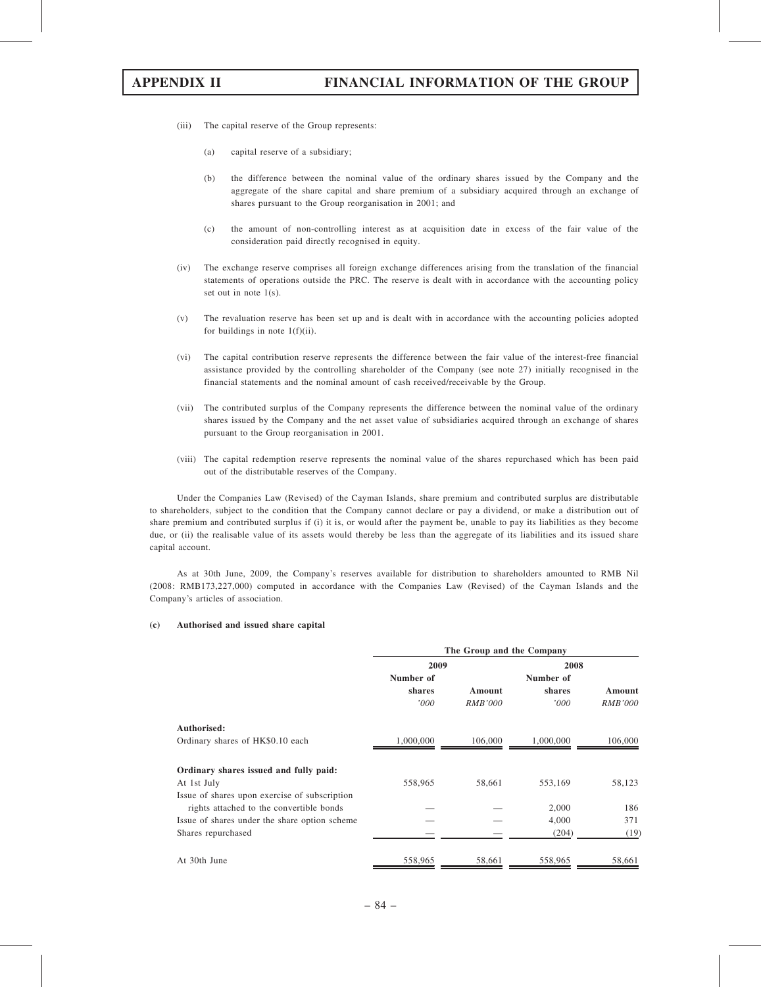- (iii) The capital reserve of the Group represents:
	- (a) capital reserve of a subsidiary;
	- (b) the difference between the nominal value of the ordinary shares issued by the Company and the aggregate of the share capital and share premium of a subsidiary acquired through an exchange of shares pursuant to the Group reorganisation in 2001; and
	- (c) the amount of non-controlling interest as at acquisition date in excess of the fair value of the consideration paid directly recognised in equity.
- (iv) The exchange reserve comprises all foreign exchange differences arising from the translation of the financial statements of operations outside the PRC. The reserve is dealt with in accordance with the accounting policy set out in note 1(s).
- (v) The revaluation reserve has been set up and is dealt with in accordance with the accounting policies adopted for buildings in note  $1(f)(ii)$ .
- (vi) The capital contribution reserve represents the difference between the fair value of the interest-free financial assistance provided by the controlling shareholder of the Company (see note 27) initially recognised in the financial statements and the nominal amount of cash received/receivable by the Group.
- (vii) The contributed surplus of the Company represents the difference between the nominal value of the ordinary shares issued by the Company and the net asset value of subsidiaries acquired through an exchange of shares pursuant to the Group reorganisation in 2001.
- (viii) The capital redemption reserve represents the nominal value of the shares repurchased which has been paid out of the distributable reserves of the Company.

Under the Companies Law (Revised) of the Cayman Islands, share premium and contributed surplus are distributable to shareholders, subject to the condition that the Company cannot declare or pay a dividend, or make a distribution out of share premium and contributed surplus if (i) it is, or would after the payment be, unable to pay its liabilities as they become due, or (ii) the realisable value of its assets would thereby be less than the aggregate of its liabilities and its issued share capital account.

As at 30th June, 2009, the Company's reserves available for distribution to shareholders amounted to RMB Nil (2008: RMB173,227,000) computed in accordance with the Companies Law (Revised) of the Cayman Islands and the Company's articles of association.

### (c) Authorised and issued share capital

|                                               | The Group and the Company |                |           |                |  |  |  |
|-----------------------------------------------|---------------------------|----------------|-----------|----------------|--|--|--|
|                                               | 2009                      |                | 2008      |                |  |  |  |
|                                               | Number of                 |                | Number of |                |  |  |  |
|                                               | shares                    | Amount         | shares    | Amount         |  |  |  |
|                                               | '000                      | <i>RMB'000</i> | '000      | <i>RMB'000</i> |  |  |  |
| Authorised:                                   |                           |                |           |                |  |  |  |
| Ordinary shares of HK\$0.10 each              | 1,000,000                 | 106,000        | 1,000,000 | 106,000        |  |  |  |
| Ordinary shares issued and fully paid:        |                           |                |           |                |  |  |  |
| At 1st July                                   | 558,965                   | 58,661         | 553,169   | 58,123         |  |  |  |
| Issue of shares upon exercise of subscription |                           |                |           |                |  |  |  |
| rights attached to the convertible bonds      |                           |                | 2,000     | 186            |  |  |  |
| Issue of shares under the share option scheme |                           |                | 4.000     | 371            |  |  |  |
| Shares repurchased                            |                           |                | (204)     | (19)           |  |  |  |
| At 30th June                                  | 558,965                   | 58,661         | 558,965   | 58,661         |  |  |  |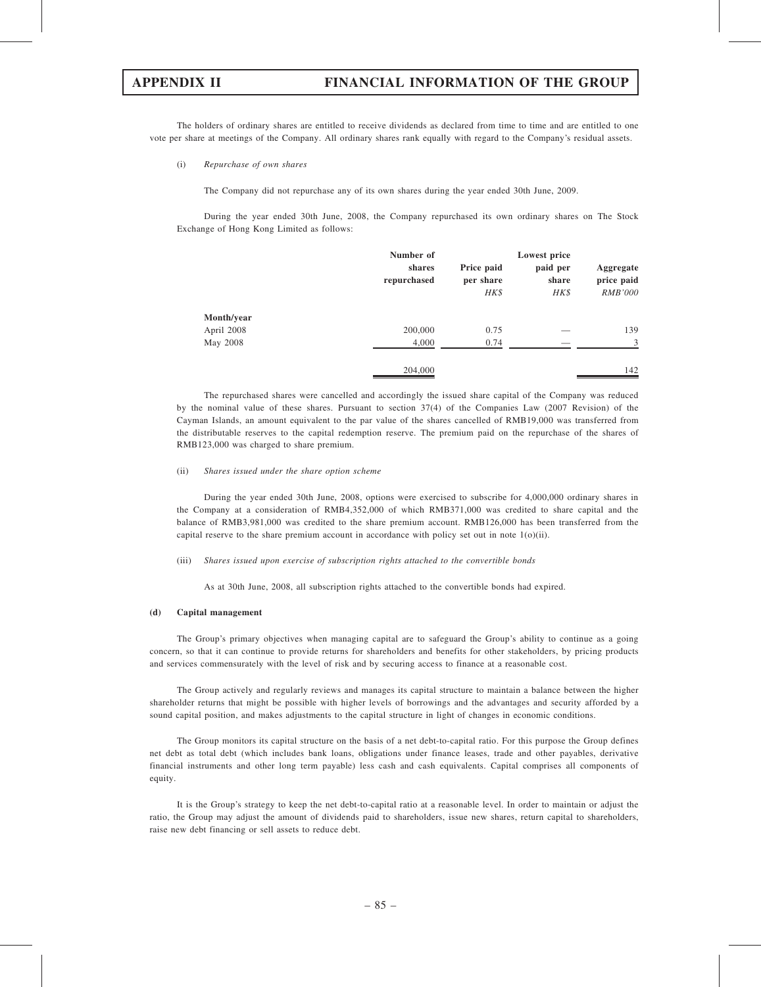The holders of ordinary shares are entitled to receive dividends as declared from time to time and are entitled to one vote per share at meetings of the Company. All ordinary shares rank equally with regard to the Company's residual assets.

(i) Repurchase of own shares

The Company did not repurchase any of its own shares during the year ended 30th June, 2009.

During the year ended 30th June, 2008, the Company repurchased its own ordinary shares on The Stock Exchange of Hong Kong Limited as follows:

|            | Number of<br>shares<br>repurchased | Price paid<br>per share<br>HK\$ | Lowest price<br>paid per<br>share<br>HK\$ | Aggregate<br>price paid<br>RMB'000 |
|------------|------------------------------------|---------------------------------|-------------------------------------------|------------------------------------|
| Month/year |                                    |                                 |                                           |                                    |
| April 2008 | 200,000                            | 0.75                            |                                           | 139                                |
| May 2008   | 4,000                              | 0.74                            |                                           | 3                                  |
|            | 204,000                            |                                 |                                           | 142                                |

The repurchased shares were cancelled and accordingly the issued share capital of the Company was reduced by the nominal value of these shares. Pursuant to section 37(4) of the Companies Law (2007 Revision) of the Cayman Islands, an amount equivalent to the par value of the shares cancelled of RMB19,000 was transferred from the distributable reserves to the capital redemption reserve. The premium paid on the repurchase of the shares of RMB123,000 was charged to share premium.

### (ii) Shares issued under the share option scheme

During the year ended 30th June, 2008, options were exercised to subscribe for 4,000,000 ordinary shares in the Company at a consideration of RMB4,352,000 of which RMB371,000 was credited to share capital and the balance of RMB3,981,000 was credited to the share premium account. RMB126,000 has been transferred from the capital reserve to the share premium account in accordance with policy set out in note  $1(0)(ii)$ .

(iii) Shares issued upon exercise of subscription rights attached to the convertible bonds

As at 30th June, 2008, all subscription rights attached to the convertible bonds had expired.

### (d) Capital management

The Group's primary objectives when managing capital are to safeguard the Group's ability to continue as a going concern, so that it can continue to provide returns for shareholders and benefits for other stakeholders, by pricing products and services commensurately with the level of risk and by securing access to finance at a reasonable cost.

The Group actively and regularly reviews and manages its capital structure to maintain a balance between the higher shareholder returns that might be possible with higher levels of borrowings and the advantages and security afforded by a sound capital position, and makes adjustments to the capital structure in light of changes in economic conditions.

The Group monitors its capital structure on the basis of a net debt-to-capital ratio. For this purpose the Group defines net debt as total debt (which includes bank loans, obligations under finance leases, trade and other payables, derivative financial instruments and other long term payable) less cash and cash equivalents. Capital comprises all components of equity.

It is the Group's strategy to keep the net debt-to-capital ratio at a reasonable level. In order to maintain or adjust the ratio, the Group may adjust the amount of dividends paid to shareholders, issue new shares, return capital to shareholders, raise new debt financing or sell assets to reduce debt.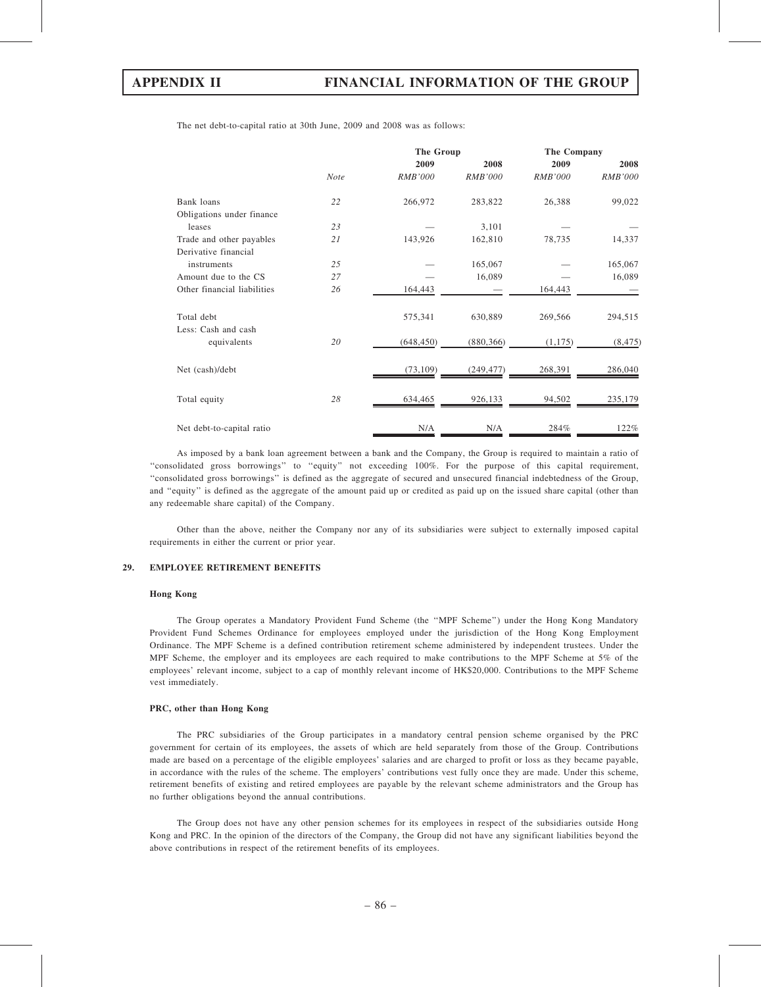The net debt-to-capital ratio at 30th June, 2009 and 2008 was as follows:

|                             |             | The Group      |                | The Company    |                |  |
|-----------------------------|-------------|----------------|----------------|----------------|----------------|--|
|                             |             | 2009           | 2008           | 2009           | 2008           |  |
|                             | <b>Note</b> | <b>RMB'000</b> | <b>RMB'000</b> | <i>RMB'000</i> | <b>RMB'000</b> |  |
| Bank loans                  | 22          | 266,972        | 283,822        | 26,388         | 99,022         |  |
| Obligations under finance   |             |                |                |                |                |  |
| leases                      | 23          |                | 3,101          |                |                |  |
| Trade and other payables    | 21          | 143,926        | 162,810        | 78,735         | 14,337         |  |
| Derivative financial        |             |                |                |                |                |  |
| instruments                 | 25          |                | 165,067        |                | 165,067        |  |
| Amount due to the CS        | 27          |                | 16,089         |                | 16,089         |  |
| Other financial liabilities | 26          | 164,443        |                | 164,443        |                |  |
| Total debt                  |             | 575,341        | 630,889        | 269,566        | 294,515        |  |
| Less: Cash and cash         |             |                |                |                |                |  |
| equivalents                 | 20          | (648, 450)     | (880, 366)     | (1, 175)       | (8, 475)       |  |
| Net (cash)/debt             |             | (73, 109)      | (249, 477)     | 268,391        | 286,040        |  |
| Total equity                | 28          | 634,465        | 926,133        | 94,502         | 235,179        |  |
| Net debt-to-capital ratio   |             | N/A            | N/A            | 284%           | 122%           |  |

As imposed by a bank loan agreement between a bank and the Company, the Group is required to maintain a ratio of ''consolidated gross borrowings'' to ''equity'' not exceeding 100%. For the purpose of this capital requirement, ''consolidated gross borrowings'' is defined as the aggregate of secured and unsecured financial indebtedness of the Group, and ''equity'' is defined as the aggregate of the amount paid up or credited as paid up on the issued share capital (other than any redeemable share capital) of the Company.

Other than the above, neither the Company nor any of its subsidiaries were subject to externally imposed capital requirements in either the current or prior year.

### 29. EMPLOYEE RETIREMENT BENEFITS

### Hong Kong

The Group operates a Mandatory Provident Fund Scheme (the ''MPF Scheme'') under the Hong Kong Mandatory Provident Fund Schemes Ordinance for employees employed under the jurisdiction of the Hong Kong Employment Ordinance. The MPF Scheme is a defined contribution retirement scheme administered by independent trustees. Under the MPF Scheme, the employer and its employees are each required to make contributions to the MPF Scheme at 5% of the employees' relevant income, subject to a cap of monthly relevant income of HK\$20,000. Contributions to the MPF Scheme vest immediately.

### PRC, other than Hong Kong

The PRC subsidiaries of the Group participates in a mandatory central pension scheme organised by the PRC government for certain of its employees, the assets of which are held separately from those of the Group. Contributions made are based on a percentage of the eligible employees' salaries and are charged to profit or loss as they became payable, in accordance with the rules of the scheme. The employers' contributions vest fully once they are made. Under this scheme, retirement benefits of existing and retired employees are payable by the relevant scheme administrators and the Group has no further obligations beyond the annual contributions.

The Group does not have any other pension schemes for its employees in respect of the subsidiaries outside Hong Kong and PRC. In the opinion of the directors of the Company, the Group did not have any significant liabilities beyond the above contributions in respect of the retirement benefits of its employees.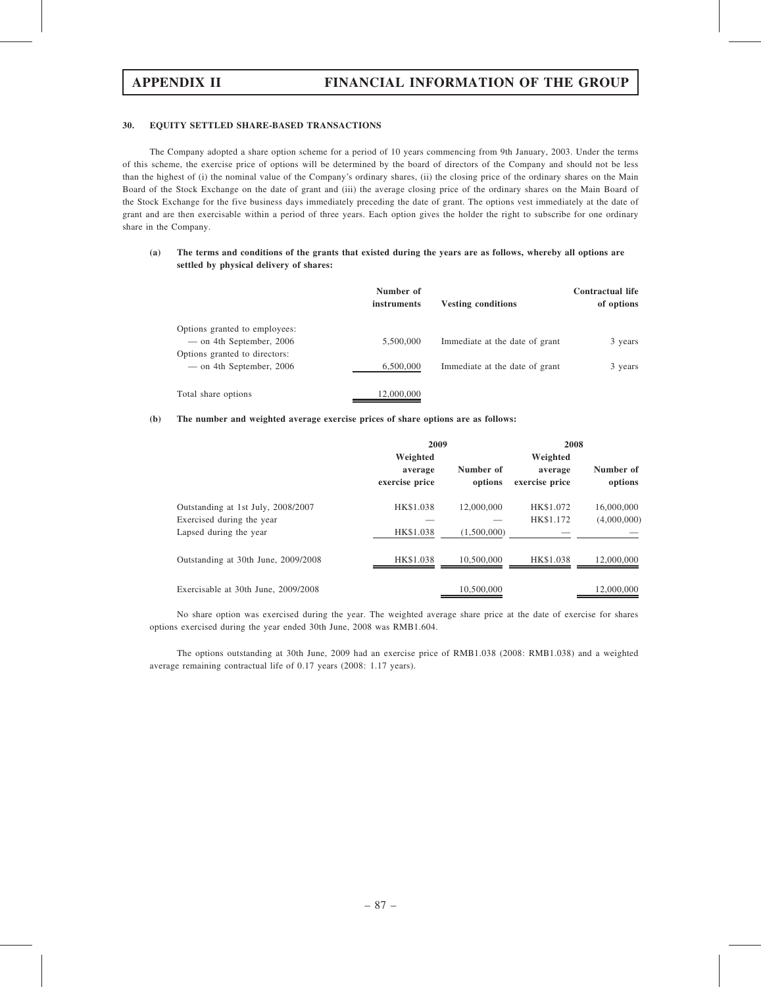### 30. EQUITY SETTLED SHARE-BASED TRANSACTIONS

The Company adopted a share option scheme for a period of 10 years commencing from 9th January, 2003. Under the terms of this scheme, the exercise price of options will be determined by the board of directors of the Company and should not be less than the highest of (i) the nominal value of the Company's ordinary shares, (ii) the closing price of the ordinary shares on the Main Board of the Stock Exchange on the date of grant and (iii) the average closing price of the ordinary shares on the Main Board of the Stock Exchange for the five business days immediately preceding the date of grant. The options vest immediately at the date of grant and are then exercisable within a period of three years. Each option gives the holder the right to subscribe for one ordinary share in the Company.

## (a) The terms and conditions of the grants that existed during the years are as follows, whereby all options are settled by physical delivery of shares:

|                                                             | Number of<br>instruments | <b>Vesting conditions</b>      | Contractual life<br>of options |
|-------------------------------------------------------------|--------------------------|--------------------------------|--------------------------------|
| Options granted to employees:<br>$-$ on 4th September, 2006 | 5,500,000                | Immediate at the date of grant | 3 years                        |
| Options granted to directors:<br>— on 4th September, 2006   | 6,500,000                | Immediate at the date of grant | 3 years                        |
| Total share options                                         | 12,000,000               |                                |                                |

### (b) The number and weighted average exercise prices of share options are as follows:

|                                                                 | 2009                                  |                      | 2008                                  |                           |  |
|-----------------------------------------------------------------|---------------------------------------|----------------------|---------------------------------------|---------------------------|--|
|                                                                 | Weighted<br>average<br>exercise price | Number of<br>options | Weighted<br>average<br>exercise price | Number of<br>options      |  |
| Outstanding at 1st July, 2008/2007<br>Exercised during the year | HK\$1.038                             | 12,000,000           | HK\$1.072<br>HK\$1.172                | 16,000,000<br>(4,000,000) |  |
| Lapsed during the year                                          | HK\$1.038                             | (1,500,000)          |                                       |                           |  |
| Outstanding at 30th June, 2009/2008                             | HK\$1.038                             | 10.500,000           | HK\$1.038                             | 12,000,000                |  |
| Exercisable at 30th June, 2009/2008                             |                                       | 10.500,000           |                                       | 12,000,000                |  |

No share option was exercised during the year. The weighted average share price at the date of exercise for shares options exercised during the year ended 30th June, 2008 was RMB1.604.

The options outstanding at 30th June, 2009 had an exercise price of RMB1.038 (2008: RMB1.038) and a weighted average remaining contractual life of 0.17 years (2008: 1.17 years).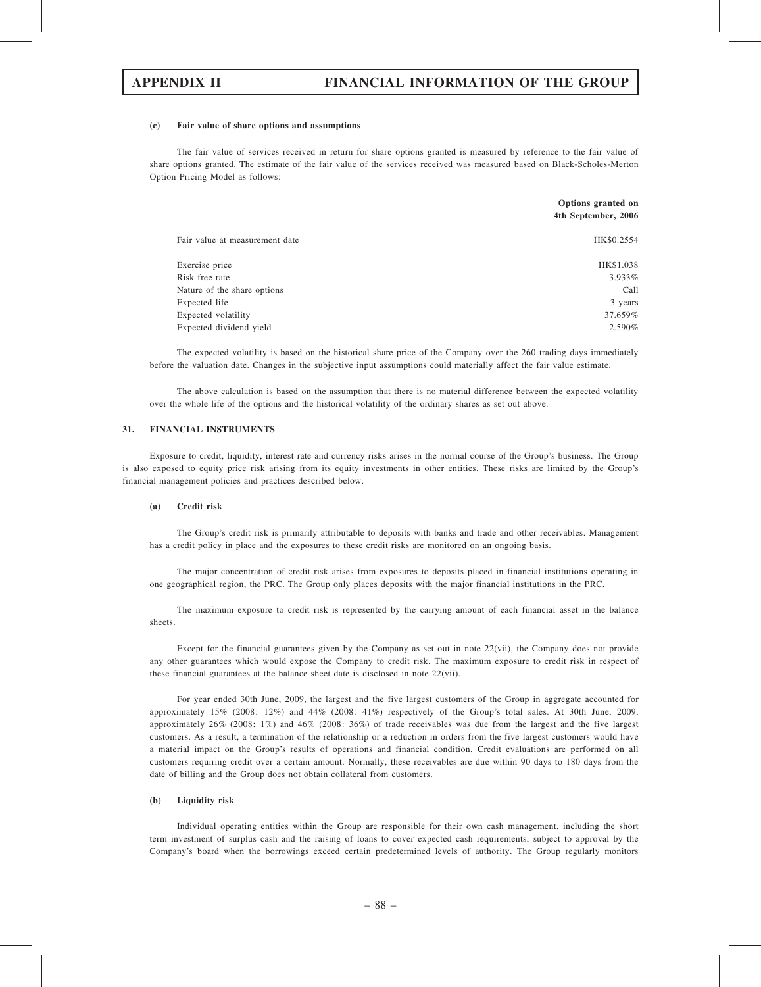### (c) Fair value of share options and assumptions

The fair value of services received in return for share options granted is measured by reference to the fair value of share options granted. The estimate of the fair value of the services received was measured based on Black-Scholes-Merton Option Pricing Model as follows:

|                                | Options granted on<br>4th September, 2006 |
|--------------------------------|-------------------------------------------|
| Fair value at measurement date | HK\$0.2554                                |
| Exercise price                 | HK\$1.038                                 |
| Risk free rate                 | 3.933%                                    |
| Nature of the share options    | Call                                      |
| Expected life                  | 3 years                                   |
| Expected volatility            | 37.659%                                   |
| Expected dividend yield        | 2.590%                                    |

The expected volatility is based on the historical share price of the Company over the 260 trading days immediately before the valuation date. Changes in the subjective input assumptions could materially affect the fair value estimate.

The above calculation is based on the assumption that there is no material difference between the expected volatility over the whole life of the options and the historical volatility of the ordinary shares as set out above.

### 31. FINANCIAL INSTRUMENTS

Exposure to credit, liquidity, interest rate and currency risks arises in the normal course of the Group's business. The Group is also exposed to equity price risk arising from its equity investments in other entities. These risks are limited by the Group's financial management policies and practices described below.

### (a) Credit risk

The Group's credit risk is primarily attributable to deposits with banks and trade and other receivables. Management has a credit policy in place and the exposures to these credit risks are monitored on an ongoing basis.

The major concentration of credit risk arises from exposures to deposits placed in financial institutions operating in one geographical region, the PRC. The Group only places deposits with the major financial institutions in the PRC.

The maximum exposure to credit risk is represented by the carrying amount of each financial asset in the balance sheets.

Except for the financial guarantees given by the Company as set out in note 22(vii), the Company does not provide any other guarantees which would expose the Company to credit risk. The maximum exposure to credit risk in respect of these financial guarantees at the balance sheet date is disclosed in note 22(vii).

For year ended 30th June, 2009, the largest and the five largest customers of the Group in aggregate accounted for approximately 15% (2008: 12%) and 44% (2008: 41%) respectively of the Group's total sales. At 30th June, 2009, approximately 26% (2008: 1%) and 46% (2008: 36%) of trade receivables was due from the largest and the five largest customers. As a result, a termination of the relationship or a reduction in orders from the five largest customers would have a material impact on the Group's results of operations and financial condition. Credit evaluations are performed on all customers requiring credit over a certain amount. Normally, these receivables are due within 90 days to 180 days from the date of billing and the Group does not obtain collateral from customers.

### (b) Liquidity risk

Individual operating entities within the Group are responsible for their own cash management, including the short term investment of surplus cash and the raising of loans to cover expected cash requirements, subject to approval by the Company's board when the borrowings exceed certain predetermined levels of authority. The Group regularly monitors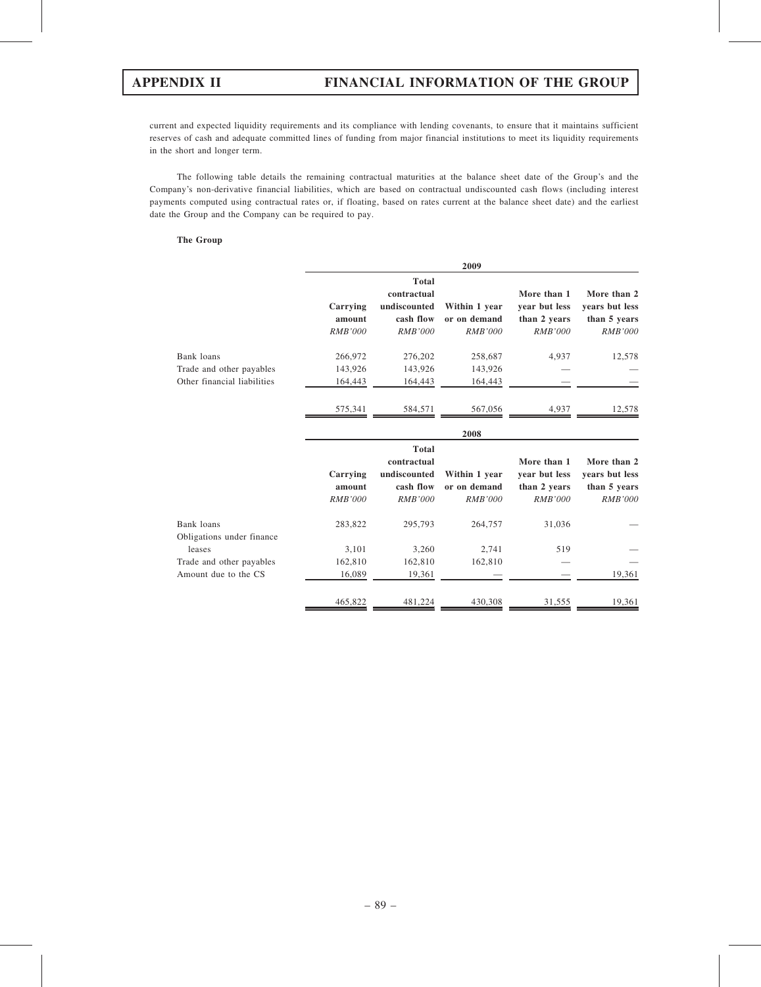current and expected liquidity requirements and its compliance with lending covenants, to ensure that it maintains sufficient reserves of cash and adequate committed lines of funding from major financial institutions to meet its liquidity requirements in the short and longer term.

The following table details the remaining contractual maturities at the balance sheet date of the Group's and the Company's non-derivative financial liabilities, which are based on contractual undiscounted cash flows (including interest payments computed using contractual rates or, if floating, based on rates current at the balance sheet date) and the earliest date the Group and the Company can be required to pay.

### The Group

|                                                         |                                      |                                                                            | 2009                                            |                                                                |                                                                 |
|---------------------------------------------------------|--------------------------------------|----------------------------------------------------------------------------|-------------------------------------------------|----------------------------------------------------------------|-----------------------------------------------------------------|
|                                                         | Carrying<br>amount<br><b>RMB'000</b> | <b>Total</b><br>contractual<br>undiscounted<br>cash flow<br><b>RMB'000</b> | Within 1 year<br>or on demand<br><b>RMB'000</b> | More than 1<br>vear but less<br>than 2 years<br><b>RMB'000</b> | More than 2<br>years but less<br>than 5 years<br><b>RMB'000</b> |
| Bank loans                                              | 266,972                              | 276,202                                                                    | 258,687                                         | 4,937                                                          | 12,578                                                          |
| Trade and other payables<br>Other financial liabilities | 143,926<br>164,443                   | 143,926<br>164,443                                                         | 143,926<br>164,443                              |                                                                |                                                                 |
|                                                         | 575,341                              | 584,571                                                                    | 567,056                                         | 4,937                                                          | 12,578                                                          |
|                                                         |                                      |                                                                            | 2008                                            |                                                                |                                                                 |
|                                                         | Carrying<br>amount                   | <b>Total</b><br>contractual<br>undiscounted<br>cash flow                   | Within 1 year<br>or on demand                   | More than 1<br>year but less<br>than 2 years                   | More than 2<br>years but less<br>than 5 years                   |
|                                                         | <b>RMB'000</b>                       | <b>RMB'000</b>                                                             | <b>RMB'000</b>                                  | <b>RMB'000</b>                                                 | <b>RMB'000</b>                                                  |
| Bank loans<br>Obligations under finance                 | 283,822                              | 295,793                                                                    | 264,757                                         | 31,036                                                         |                                                                 |
| leases                                                  | 3,101                                | 3,260                                                                      | 2,741                                           | 519                                                            |                                                                 |
| Trade and other payables<br>Amount due to the CS        | 162,810<br>16,089                    | 162,810<br>19,361                                                          | 162,810                                         |                                                                | 19,361                                                          |
|                                                         | 465,822                              | 481,224                                                                    | 430,308                                         | 31,555                                                         | 19,361                                                          |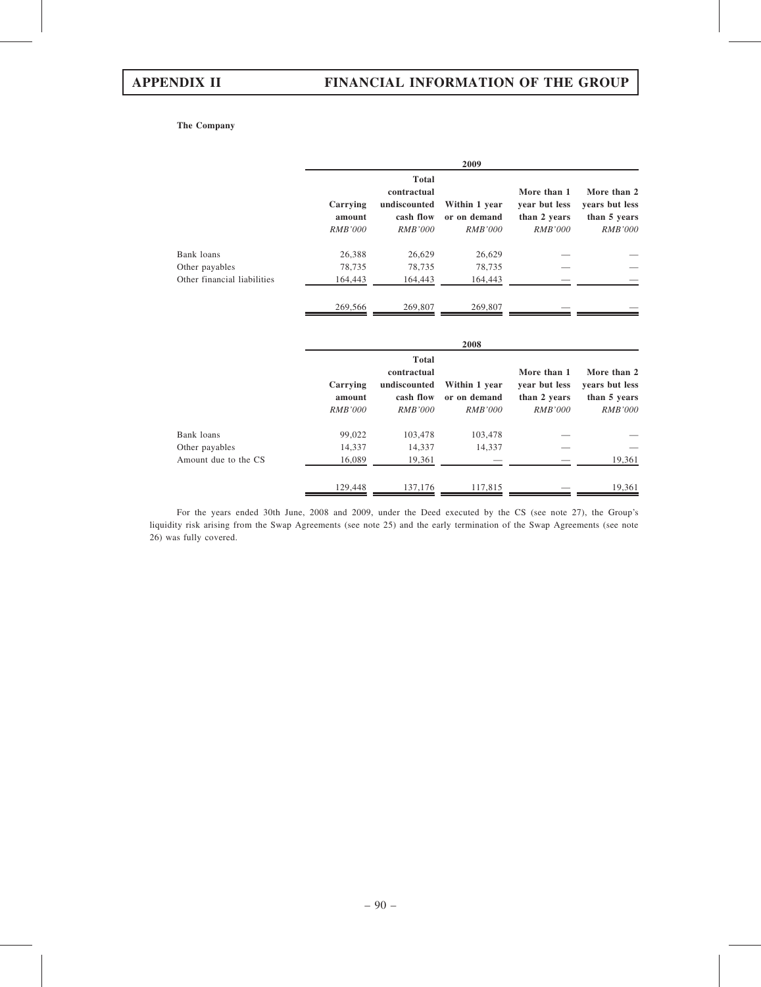## The Company

|                             |                                      |                                                                            | 2009                                            |                                                                |                                                                 |
|-----------------------------|--------------------------------------|----------------------------------------------------------------------------|-------------------------------------------------|----------------------------------------------------------------|-----------------------------------------------------------------|
|                             | Carrying<br>amount<br><b>RMB'000</b> | <b>Total</b><br>contractual<br>undiscounted<br>cash flow<br><b>RMB'000</b> | Within 1 year<br>or on demand<br><i>RMB'000</i> | More than 1<br>year but less<br>than 2 years<br>RMB'000        | More than 2<br>years but less<br>than 5 years<br><i>RMB'000</i> |
| Bank loans                  | 26,388                               | 26,629                                                                     | 26,629                                          |                                                                |                                                                 |
| Other payables              | 78,735                               | 78,735                                                                     | 78,735                                          |                                                                |                                                                 |
| Other financial liabilities | 164,443                              | 164,443                                                                    | 164,443                                         |                                                                |                                                                 |
|                             | 269,566                              | 269,807                                                                    | 269,807                                         |                                                                |                                                                 |
|                             |                                      |                                                                            | 2008                                            |                                                                |                                                                 |
|                             | Carrying<br>amount<br><i>RMB'000</i> | <b>Total</b><br>contractual<br>undiscounted<br>cash flow<br><i>RMB'000</i> | Within 1 year<br>or on demand<br><i>RMB'000</i> | More than 1<br>year but less<br>than 2 years<br><i>RMB'000</i> | More than 2<br>years but less<br>than 5 years<br><b>RMB'000</b> |

 $\frac{129,448}{137,176}$  117,815 — 117,815 19,361 For the years ended 30th June, 2008 and 2009, under the Deed executed by the CS (see note 27), the Group's liquidity risk arising from the Swap Agreements (see note 25) and the early termination of the Swap Agreements (see note 26) was fully covered.

Other payables 14,337 14,337 14,337

Bank loans 69,022 103,478 103,478 — — —

Amount due to the CS 16,089 19,361 — — 19,361 — 19,361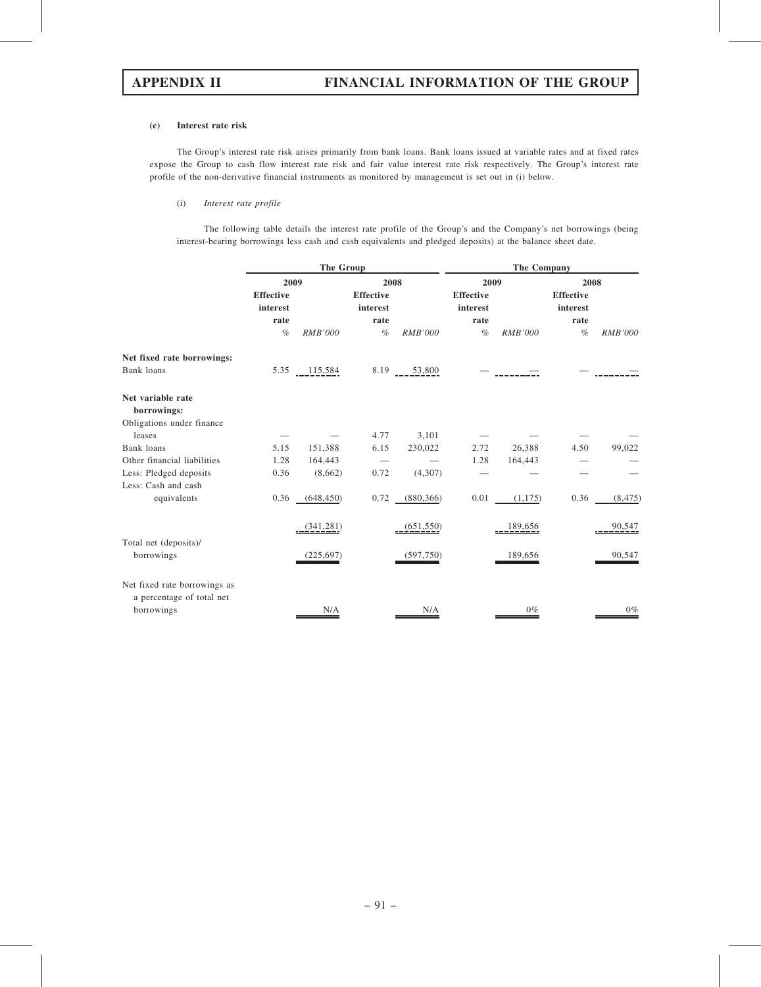### (c) Interest rate risk

The Group's interest rate risk arises primarily from bank loans. Bank loans issued at variable rates and at fixed rates expose the Group to cash flow interest rate risk and fair value interest rate risk respectively. The Group's interest rate profile of the non-derivative financial instruments as monitored by management is set out in (i) below.

## (i) Interest rate profile

The following table details the interest rate profile of the Group's and the Company's net borrowings (being interest-bearing borrowings less cash and cash equivalents and pledged deposits) at the balance sheet date.

|                                                           | The Group                    |                |                              |                | The Company                  |                |                              |                |
|-----------------------------------------------------------|------------------------------|----------------|------------------------------|----------------|------------------------------|----------------|------------------------------|----------------|
|                                                           | 2009                         |                |                              | 2008           |                              | 2009           | 2008                         |                |
|                                                           | <b>Effective</b><br>interest |                | <b>Effective</b><br>interest |                | <b>Effective</b><br>interest |                | <b>Effective</b><br>interest |                |
|                                                           | rate                         |                | rate                         |                | rate                         |                | rate                         |                |
|                                                           | $\%$                         | <b>RMB'000</b> | $\%$                         | <b>RMB'000</b> | $\%$                         | <b>RMB'000</b> | $\%$                         | <b>RMB'000</b> |
| Net fixed rate borrowings:                                |                              |                |                              |                |                              |                |                              |                |
| Bank loans                                                | 5.35                         | 115,584        | 8.19                         | 53,800         |                              |                |                              |                |
| Net variable rate                                         |                              |                |                              |                |                              |                |                              |                |
| borrowings:                                               |                              |                |                              |                |                              |                |                              |                |
| Obligations under finance                                 |                              |                |                              |                |                              |                |                              |                |
| leases                                                    |                              |                | 4.77                         | 3,101          |                              |                |                              |                |
| Bank loans                                                | 5.15                         | 151,388        | 6.15                         | 230,022        | 2.72                         | 26,388         | 4.50                         | 99,022         |
| Other financial liabilities                               | 1.28                         | 164,443        |                              |                | 1.28                         | 164,443        |                              |                |
| Less: Pledged deposits                                    | 0.36                         | (8,662)        | 0.72                         | (4,307)        |                              |                |                              |                |
| Less: Cash and cash                                       |                              |                |                              |                |                              |                |                              |                |
| equivalents                                               | 0.36                         | (648, 450)     | 0.72                         | (880, 366)     | 0.01                         | (1,175)        | 0.36                         | (8, 475)       |
|                                                           |                              | (341, 281)     |                              | (651, 550)     |                              | 189,656        |                              | 90,547         |
| Total net (deposits)/                                     |                              |                |                              |                |                              |                |                              |                |
| borrowings                                                |                              | (225, 697)     |                              | (597,750)      |                              | 189,656        |                              | 90,547         |
| Net fixed rate borrowings as<br>a percentage of total net |                              |                |                              |                |                              |                |                              |                |
| borrowings                                                |                              | N/A            |                              | N/A            |                              | $0\%$          |                              | $0\%$          |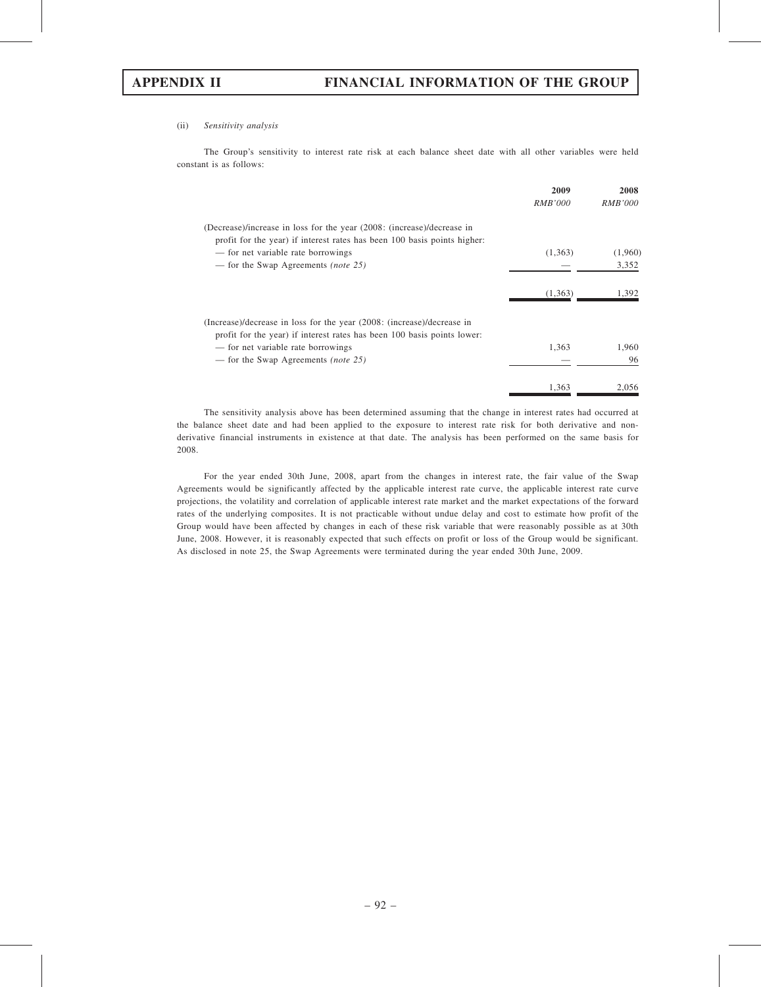### (ii) Sensitivity analysis

The Group's sensitivity to interest rate risk at each balance sheet date with all other variables were held constant is as follows:

|                                                                                                                                                    | 2009           | 2008           |
|----------------------------------------------------------------------------------------------------------------------------------------------------|----------------|----------------|
|                                                                                                                                                    | <b>RMB'000</b> | <i>RMB'000</i> |
| (Decrease)/increase in loss for the year (2008: (increase)/decrease in<br>profit for the year) if interest rates has been 100 basis points higher: |                |                |
| - for net variable rate borrowings                                                                                                                 | (1,363)        | (1,960)        |
| — for the Swap Agreements <i>(note 25)</i>                                                                                                         |                | 3,352          |
|                                                                                                                                                    | (1,363)        | 1.392          |
| (Increase)/decrease in loss for the year (2008: (increase)/decrease in<br>profit for the year) if interest rates has been 100 basis points lower:  |                |                |
| — for net variable rate borrowings                                                                                                                 | 1.363          | 1.960          |
| — for the Swap Agreements <i>(note 25)</i>                                                                                                         |                | 96             |
|                                                                                                                                                    | 1,363          | 2,056          |

The sensitivity analysis above has been determined assuming that the change in interest rates had occurred at the balance sheet date and had been applied to the exposure to interest rate risk for both derivative and nonderivative financial instruments in existence at that date. The analysis has been performed on the same basis for 2008.

For the year ended 30th June, 2008, apart from the changes in interest rate, the fair value of the Swap Agreements would be significantly affected by the applicable interest rate curve, the applicable interest rate curve projections, the volatility and correlation of applicable interest rate market and the market expectations of the forward rates of the underlying composites. It is not practicable without undue delay and cost to estimate how profit of the Group would have been affected by changes in each of these risk variable that were reasonably possible as at 30th June, 2008. However, it is reasonably expected that such effects on profit or loss of the Group would be significant. As disclosed in note 25, the Swap Agreements were terminated during the year ended 30th June, 2009.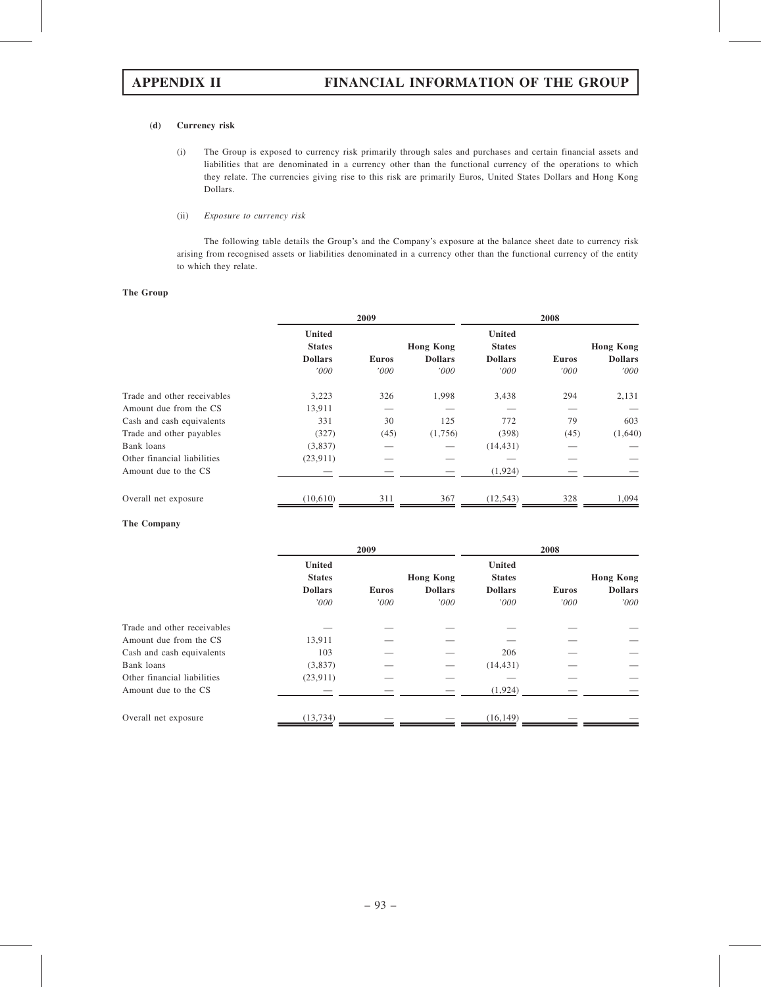## (d) Currency risk

(i) The Group is exposed to currency risk primarily through sales and purchases and certain financial assets and liabilities that are denominated in a currency other than the functional currency of the operations to which they relate. The currencies giving rise to this risk are primarily Euros, United States Dollars and Hong Kong Dollars.

### (ii) Exposure to currency risk

The following table details the Group's and the Company's exposure at the balance sheet date to currency risk arising from recognised assets or liabilities denominated in a currency other than the functional currency of the entity to which they relate.

## The Group

|                             |                                                          | 2009                 |                                            |                                                          | 2008                 |                                            |  |
|-----------------------------|----------------------------------------------------------|----------------------|--------------------------------------------|----------------------------------------------------------|----------------------|--------------------------------------------|--|
|                             | <b>United</b><br><b>States</b><br><b>Dollars</b><br>'000 | <b>Euros</b><br>'000 | <b>Hong Kong</b><br><b>Dollars</b><br>'000 | <b>United</b><br><b>States</b><br><b>Dollars</b><br>'000 | <b>Euros</b><br>'000 | <b>Hong Kong</b><br><b>Dollars</b><br>'000 |  |
| Trade and other receivables | 3,223                                                    | 326                  | 1,998                                      | 3,438                                                    | 294                  | 2,131                                      |  |
| Amount due from the CS      | 13,911                                                   |                      |                                            |                                                          |                      |                                            |  |
| Cash and cash equivalents   | 331                                                      | 30                   | 125                                        | 772                                                      | 79                   | 603                                        |  |
| Trade and other payables    | (327)                                                    | (45)                 | (1,756)                                    | (398)                                                    | (45)                 | (1,640)                                    |  |
| Bank loans                  | (3,837)                                                  |                      |                                            | (14, 431)                                                |                      |                                            |  |
| Other financial liabilities | (23,911)                                                 |                      |                                            |                                                          |                      |                                            |  |
| Amount due to the CS        |                                                          |                      |                                            | (1,924)                                                  |                      |                                            |  |
| Overall net exposure        | (10,610)                                                 | 311                  | 367                                        | (12, 543)                                                | 328                  | 1,094                                      |  |

## The Company

|                             | 2009                                             |              |                                    | 2008                                             |              |                                    |
|-----------------------------|--------------------------------------------------|--------------|------------------------------------|--------------------------------------------------|--------------|------------------------------------|
|                             | <b>United</b><br><b>States</b><br><b>Dollars</b> | <b>Euros</b> | <b>Hong Kong</b><br><b>Dollars</b> | <b>United</b><br><b>States</b><br><b>Dollars</b> | <b>Euros</b> | <b>Hong Kong</b><br><b>Dollars</b> |
|                             | '000                                             | '000         | '000                               | '000                                             | '000         | '000'                              |
| Trade and other receivables |                                                  |              |                                    |                                                  |              |                                    |
| Amount due from the CS      | 13,911                                           |              |                                    |                                                  |              |                                    |
| Cash and cash equivalents   | 103                                              |              |                                    | 206                                              |              |                                    |
| Bank loans                  | (3,837)                                          |              |                                    | (14, 431)                                        |              |                                    |
| Other financial liabilities | (23, 911)                                        |              |                                    |                                                  |              |                                    |
| Amount due to the CS        |                                                  |              |                                    | (1, 924)                                         |              |                                    |
| Overall net exposure        | (13.734)                                         |              |                                    | (16, 149)                                        |              |                                    |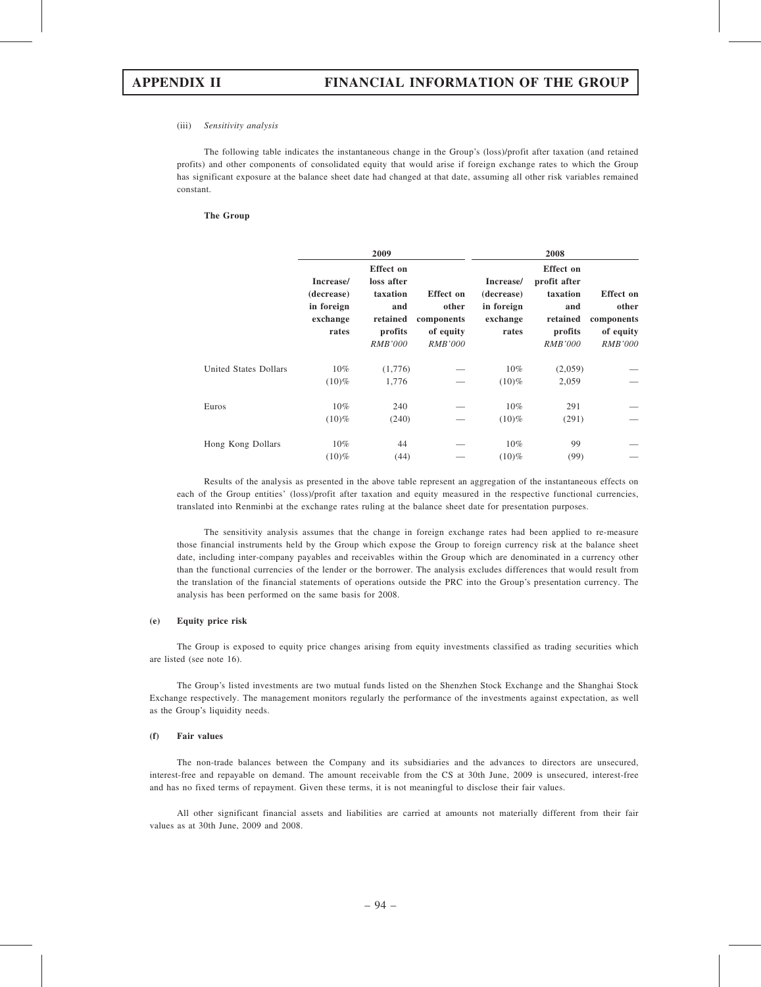### (iii) Sensitivity analysis

The following table indicates the instantaneous change in the Group's (loss)/profit after taxation (and retained profits) and other components of consolidated equity that would arise if foreign exchange rates to which the Group has significant exposure at the balance sheet date had changed at that date, assuming all other risk variables remained constant.

### The Group

|                       |                                                            | 2009                                                                                       |                                                                        |                                                            | 2008                                                                                         |                                                                        |
|-----------------------|------------------------------------------------------------|--------------------------------------------------------------------------------------------|------------------------------------------------------------------------|------------------------------------------------------------|----------------------------------------------------------------------------------------------|------------------------------------------------------------------------|
|                       | Increase/<br>(decrease)<br>in foreign<br>exchange<br>rates | <b>Effect on</b><br>loss after<br>taxation<br>and<br>retained<br>profits<br><b>RMB'000</b> | <b>Effect</b> on<br>other<br>components<br>of equity<br><b>RMB'000</b> | Increase/<br>(decrease)<br>in foreign<br>exchange<br>rates | <b>Effect</b> on<br>profit after<br>taxation<br>and<br>retained<br>profits<br><b>RMB'000</b> | <b>Effect</b> on<br>other<br>components<br>of equity<br><i>RMB'000</i> |
| United States Dollars | $10\%$<br>$(10)\%$                                         | (1,776)<br>1,776                                                                           |                                                                        | $10\%$<br>$(10)\%$                                         | (2,059)<br>2,059                                                                             |                                                                        |
| Euros                 | $10\%$<br>$(10)\%$                                         | 240<br>(240)                                                                               |                                                                        | $10\%$<br>$(10)\%$                                         | 291<br>(291)                                                                                 |                                                                        |
| Hong Kong Dollars     | $10\%$<br>$(10)\%$                                         | 44<br>(44)                                                                                 |                                                                        | $10\%$<br>$(10)\%$                                         | 99<br>(99)                                                                                   |                                                                        |

Results of the analysis as presented in the above table represent an aggregation of the instantaneous effects on each of the Group entities' (loss)/profit after taxation and equity measured in the respective functional currencies, translated into Renminbi at the exchange rates ruling at the balance sheet date for presentation purposes.

The sensitivity analysis assumes that the change in foreign exchange rates had been applied to re-measure those financial instruments held by the Group which expose the Group to foreign currency risk at the balance sheet date, including inter-company payables and receivables within the Group which are denominated in a currency other than the functional currencies of the lender or the borrower. The analysis excludes differences that would result from the translation of the financial statements of operations outside the PRC into the Group's presentation currency. The analysis has been performed on the same basis for 2008.

### (e) Equity price risk

The Group is exposed to equity price changes arising from equity investments classified as trading securities which are listed (see note 16).

The Group's listed investments are two mutual funds listed on the Shenzhen Stock Exchange and the Shanghai Stock Exchange respectively. The management monitors regularly the performance of the investments against expectation, as well as the Group's liquidity needs.

### (f) Fair values

The non-trade balances between the Company and its subsidiaries and the advances to directors are unsecured, interest-free and repayable on demand. The amount receivable from the CS at 30th June, 2009 is unsecured, interest-free and has no fixed terms of repayment. Given these terms, it is not meaningful to disclose their fair values.

All other significant financial assets and liabilities are carried at amounts not materially different from their fair values as at 30th June, 2009 and 2008.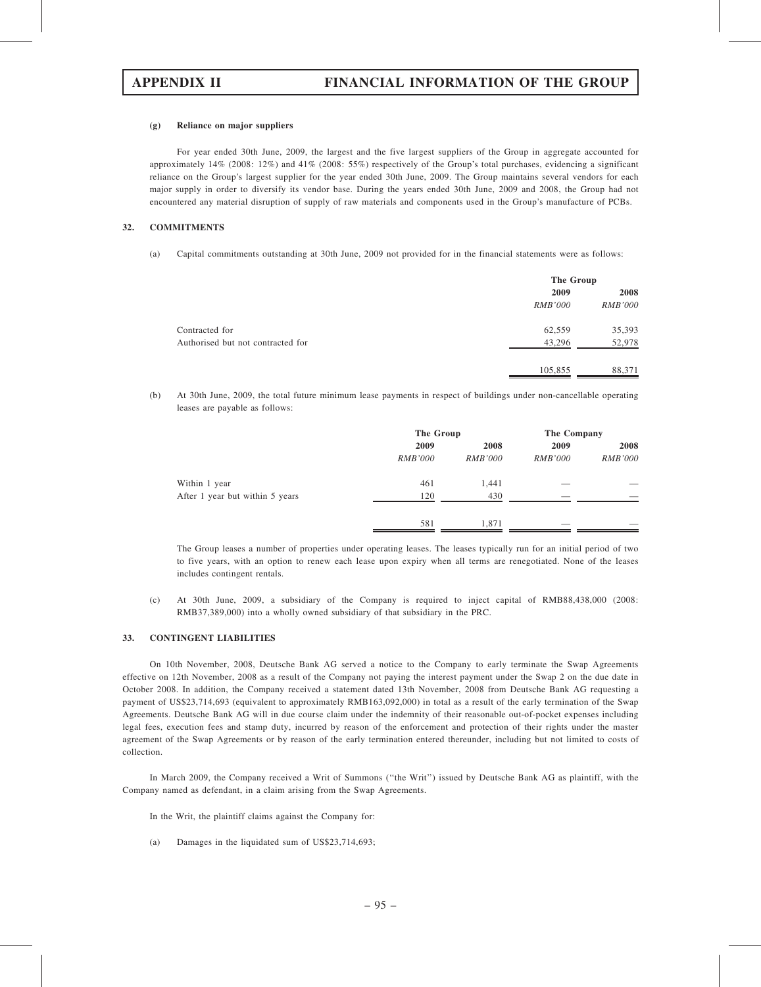### (g) Reliance on major suppliers

For year ended 30th June, 2009, the largest and the five largest suppliers of the Group in aggregate accounted for approximately 14% (2008: 12%) and 41% (2008: 55%) respectively of the Group's total purchases, evidencing a significant reliance on the Group's largest supplier for the year ended 30th June, 2009. The Group maintains several vendors for each major supply in order to diversify its vendor base. During the years ended 30th June, 2009 and 2008, the Group had not encountered any material disruption of supply of raw materials and components used in the Group's manufacture of PCBs.

### 32. COMMITMENTS

(a) Capital commitments outstanding at 30th June, 2009 not provided for in the financial statements were as follows:

|                                   |                | The Group      |  |  |
|-----------------------------------|----------------|----------------|--|--|
|                                   | 2009           | 2008           |  |  |
|                                   | <i>RMB'000</i> | <i>RMB'000</i> |  |  |
| Contracted for                    | 62,559         | 35,393         |  |  |
| Authorised but not contracted for | 43,296         | 52,978         |  |  |
|                                   | 105,855        | 88,371         |  |  |

(b) At 30th June, 2009, the total future minimum lease payments in respect of buildings under non-cancellable operating leases are payable as follows:

|                                 |                | The Group      |                | The Company    |      |
|---------------------------------|----------------|----------------|----------------|----------------|------|
|                                 | 2009           | 2008           |                | 2009           | 2008 |
|                                 | <i>RMB'000</i> | <b>RMB'000</b> | <i>RMB'000</i> | <i>RMB'000</i> |      |
| Within 1 year                   | 461            | 1,441          |                |                |      |
| After 1 year but within 5 years | 120            | 430            |                |                |      |
|                                 | 581            | 1,871          |                |                |      |

The Group leases a number of properties under operating leases. The leases typically run for an initial period of two to five years, with an option to renew each lease upon expiry when all terms are renegotiated. None of the leases includes contingent rentals.

(c) At 30th June, 2009, a subsidiary of the Company is required to inject capital of RMB88,438,000 (2008: RMB37,389,000) into a wholly owned subsidiary of that subsidiary in the PRC.

## 33. CONTINGENT LIABILITIES

On 10th November, 2008, Deutsche Bank AG served a notice to the Company to early terminate the Swap Agreements effective on 12th November, 2008 as a result of the Company not paying the interest payment under the Swap 2 on the due date in October 2008. In addition, the Company received a statement dated 13th November, 2008 from Deutsche Bank AG requesting a payment of US\$23,714,693 (equivalent to approximately RMB163,092,000) in total as a result of the early termination of the Swap Agreements. Deutsche Bank AG will in due course claim under the indemnity of their reasonable out-of-pocket expenses including legal fees, execution fees and stamp duty, incurred by reason of the enforcement and protection of their rights under the master agreement of the Swap Agreements or by reason of the early termination entered thereunder, including but not limited to costs of collection.

In March 2009, the Company received a Writ of Summons (''the Writ'') issued by Deutsche Bank AG as plaintiff, with the Company named as defendant, in a claim arising from the Swap Agreements.

In the Writ, the plaintiff claims against the Company for:

(a) Damages in the liquidated sum of US\$23,714,693;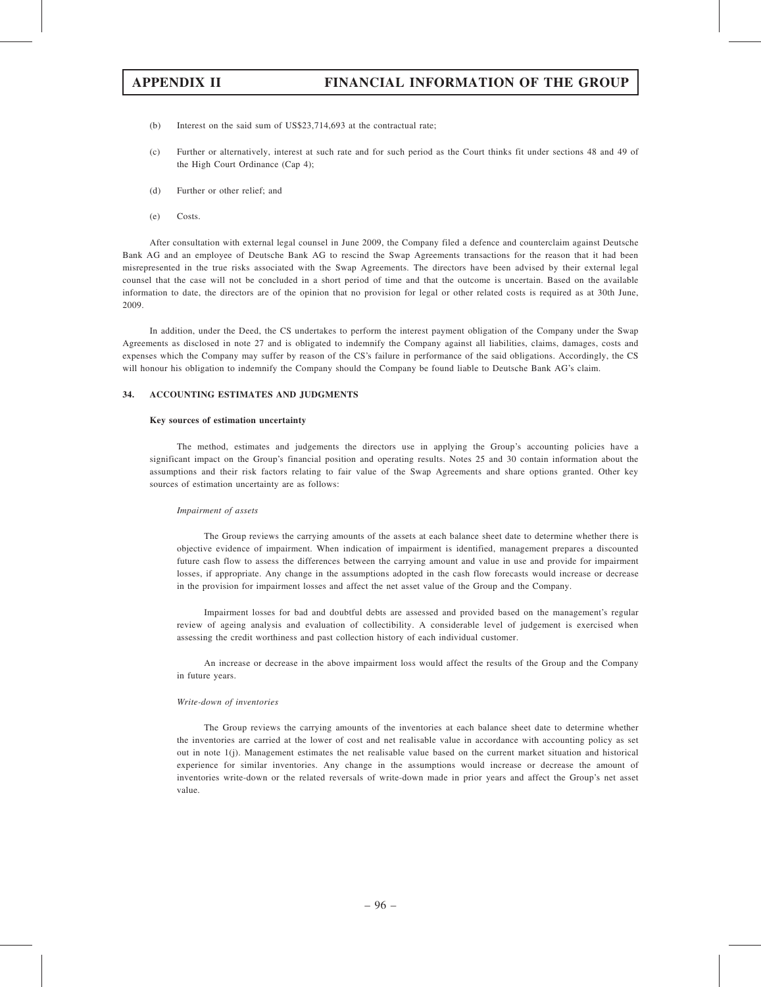- (b) Interest on the said sum of US\$23,714,693 at the contractual rate;
- (c) Further or alternatively, interest at such rate and for such period as the Court thinks fit under sections 48 and 49 of the High Court Ordinance (Cap 4);
- (d) Further or other relief; and
- (e) Costs.

After consultation with external legal counsel in June 2009, the Company filed a defence and counterclaim against Deutsche Bank AG and an employee of Deutsche Bank AG to rescind the Swap Agreements transactions for the reason that it had been misrepresented in the true risks associated with the Swap Agreements. The directors have been advised by their external legal counsel that the case will not be concluded in a short period of time and that the outcome is uncertain. Based on the available information to date, the directors are of the opinion that no provision for legal or other related costs is required as at 30th June, 2009.

In addition, under the Deed, the CS undertakes to perform the interest payment obligation of the Company under the Swap Agreements as disclosed in note 27 and is obligated to indemnify the Company against all liabilities, claims, damages, costs and expenses which the Company may suffer by reason of the CS's failure in performance of the said obligations. Accordingly, the CS will honour his obligation to indemnify the Company should the Company be found liable to Deutsche Bank AG's claim.

### 34. ACCOUNTING ESTIMATES AND JUDGMENTS

### Key sources of estimation uncertainty

The method, estimates and judgements the directors use in applying the Group's accounting policies have a significant impact on the Group's financial position and operating results. Notes 25 and 30 contain information about the assumptions and their risk factors relating to fair value of the Swap Agreements and share options granted. Other key sources of estimation uncertainty are as follows:

### Impairment of assets

The Group reviews the carrying amounts of the assets at each balance sheet date to determine whether there is objective evidence of impairment. When indication of impairment is identified, management prepares a discounted future cash flow to assess the differences between the carrying amount and value in use and provide for impairment losses, if appropriate. Any change in the assumptions adopted in the cash flow forecasts would increase or decrease in the provision for impairment losses and affect the net asset value of the Group and the Company.

Impairment losses for bad and doubtful debts are assessed and provided based on the management's regular review of ageing analysis and evaluation of collectibility. A considerable level of judgement is exercised when assessing the credit worthiness and past collection history of each individual customer.

An increase or decrease in the above impairment loss would affect the results of the Group and the Company in future years.

### Write-down of inventories

The Group reviews the carrying amounts of the inventories at each balance sheet date to determine whether the inventories are carried at the lower of cost and net realisable value in accordance with accounting policy as set out in note 1(j). Management estimates the net realisable value based on the current market situation and historical experience for similar inventories. Any change in the assumptions would increase or decrease the amount of inventories write-down or the related reversals of write-down made in prior years and affect the Group's net asset value.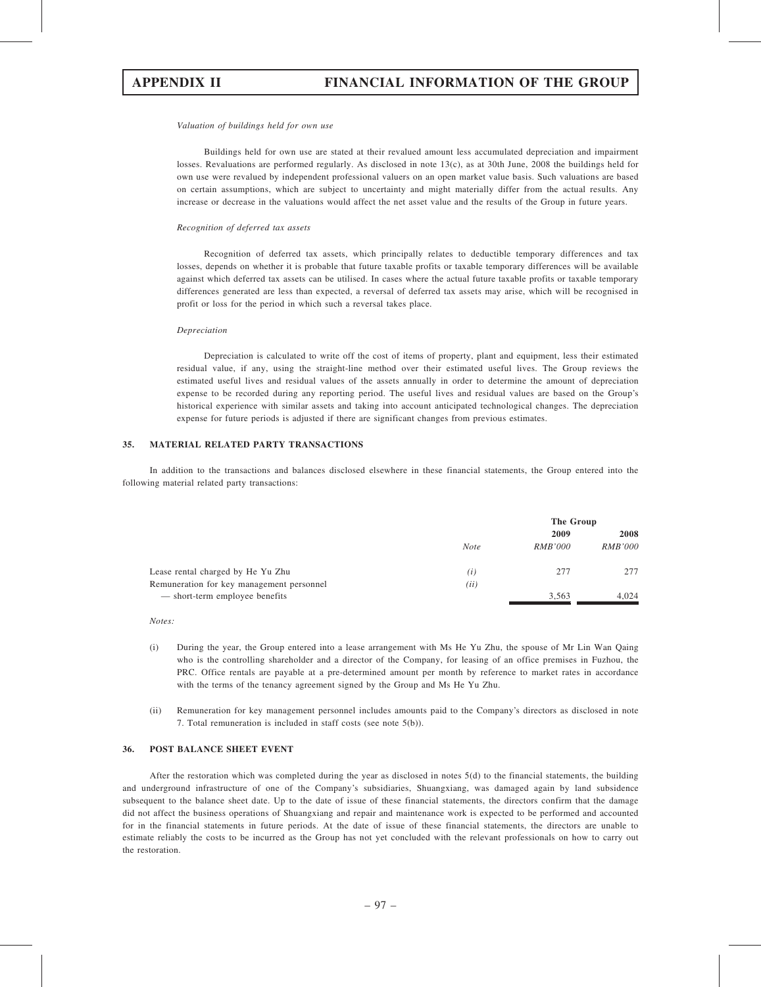### Valuation of buildings held for own use

Buildings held for own use are stated at their revalued amount less accumulated depreciation and impairment losses. Revaluations are performed regularly. As disclosed in note 13(c), as at 30th June, 2008 the buildings held for own use were revalued by independent professional valuers on an open market value basis. Such valuations are based on certain assumptions, which are subject to uncertainty and might materially differ from the actual results. Any increase or decrease in the valuations would affect the net asset value and the results of the Group in future years.

### Recognition of deferred tax assets

Recognition of deferred tax assets, which principally relates to deductible temporary differences and tax losses, depends on whether it is probable that future taxable profits or taxable temporary differences will be available against which deferred tax assets can be utilised. In cases where the actual future taxable profits or taxable temporary differences generated are less than expected, a reversal of deferred tax assets may arise, which will be recognised in profit or loss for the period in which such a reversal takes place.

### Depreciation

Depreciation is calculated to write off the cost of items of property, plant and equipment, less their estimated residual value, if any, using the straight-line method over their estimated useful lives. The Group reviews the estimated useful lives and residual values of the assets annually in order to determine the amount of depreciation expense to be recorded during any reporting period. The useful lives and residual values are based on the Group's historical experience with similar assets and taking into account anticipated technological changes. The depreciation expense for future periods is adjusted if there are significant changes from previous estimates.

### 35. MATERIAL RELATED PARTY TRANSACTIONS

In addition to the transactions and balances disclosed elsewhere in these financial statements, the Group entered into the following material related party transactions:

|                                           |             | The Group      |                |  |
|-------------------------------------------|-------------|----------------|----------------|--|
|                                           |             | 2009           | 2008           |  |
|                                           | <b>Note</b> | <i>RMB'000</i> | <i>RMB'000</i> |  |
| Lease rental charged by He Yu Zhu         | (i)         | 277            | 277            |  |
| Remuneration for key management personnel | (ii)        |                |                |  |
| — short-term employee benefits            |             | 3,563          | 4.024          |  |

Notes:

- (i) During the year, the Group entered into a lease arrangement with Ms He Yu Zhu, the spouse of Mr Lin Wan Qaing who is the controlling shareholder and a director of the Company, for leasing of an office premises in Fuzhou, the PRC. Office rentals are payable at a pre-determined amount per month by reference to market rates in accordance with the terms of the tenancy agreement signed by the Group and Ms He Yu Zhu.
- (ii) Remuneration for key management personnel includes amounts paid to the Company's directors as disclosed in note 7. Total remuneration is included in staff costs (see note 5(b)).

### 36. POST BALANCE SHEET EVENT

After the restoration which was completed during the year as disclosed in notes 5(d) to the financial statements, the building and underground infrastructure of one of the Company's subsidiaries, Shuangxiang, was damaged again by land subsidence subsequent to the balance sheet date. Up to the date of issue of these financial statements, the directors confirm that the damage did not affect the business operations of Shuangxiang and repair and maintenance work is expected to be performed and accounted for in the financial statements in future periods. At the date of issue of these financial statements, the directors are unable to estimate reliably the costs to be incurred as the Group has not yet concluded with the relevant professionals on how to carry out the restoration.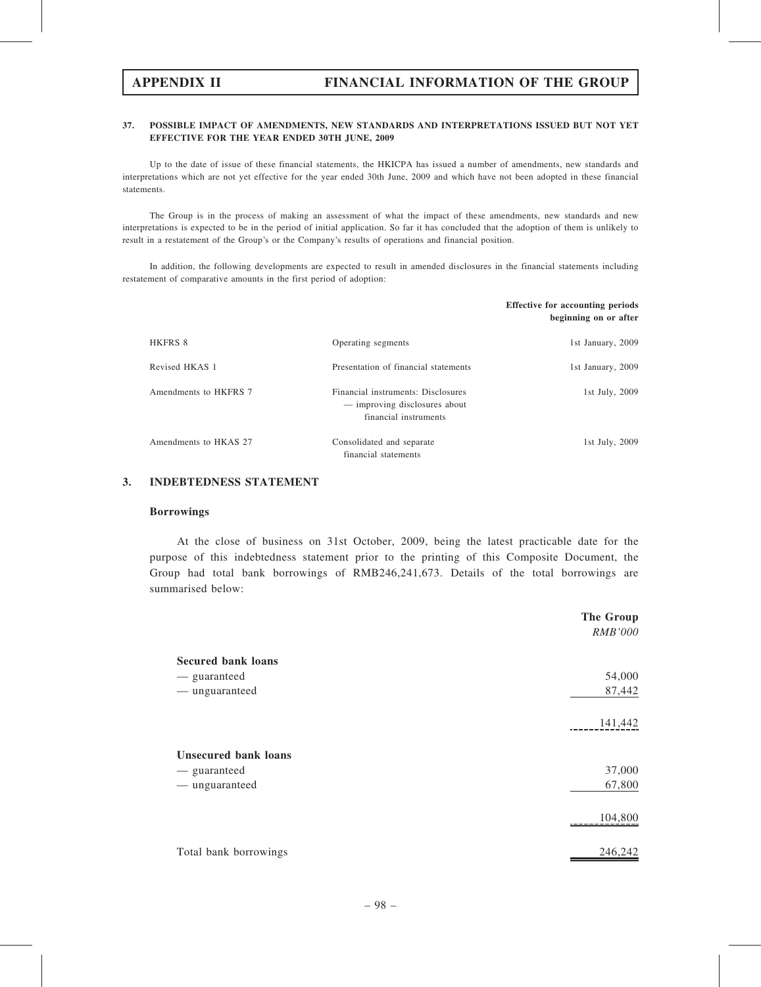## 37. POSSIBLE IMPACT OF AMENDMENTS, NEW STANDARDS AND INTERPRETATIONS ISSUED BUT NOT YET EFFECTIVE FOR THE YEAR ENDED 30TH JUNE, 2009

Up to the date of issue of these financial statements, the HKICPA has issued a number of amendments, new standards and interpretations which are not yet effective for the year ended 30th June, 2009 and which have not been adopted in these financial statements.

The Group is in the process of making an assessment of what the impact of these amendments, new standards and new interpretations is expected to be in the period of initial application. So far it has concluded that the adoption of them is unlikely to result in a restatement of the Group's or the Company's results of operations and financial position.

In addition, the following developments are expected to result in amended disclosures in the financial statements including restatement of comparative amounts in the first period of adoption:

|                       |                                                                                              | <b>Effective for accounting periods</b><br>beginning on or after |
|-----------------------|----------------------------------------------------------------------------------------------|------------------------------------------------------------------|
| HKFRS 8               | Operating segments                                                                           | 1st January, 2009                                                |
| Revised HKAS 1        | Presentation of financial statements                                                         | 1st January, 2009                                                |
| Amendments to HKFRS 7 | Financial instruments: Disclosures<br>— improving disclosures about<br>financial instruments | 1st July, 2009                                                   |
| Amendments to HKAS 27 | Consolidated and separate<br>financial statements                                            | 1st July, 2009                                                   |

## 3. INDEBTEDNESS STATEMENT

## Borrowings

At the close of business on 31st October, 2009, being the latest practicable date for the purpose of this indebtedness statement prior to the printing of this Composite Document, the Group had total bank borrowings of RMB246,241,673. Details of the total borrowings are summarised below:

|                             | The Group      |
|-----------------------------|----------------|
|                             | <b>RMB'000</b> |
| <b>Secured bank loans</b>   |                |
| — guaranteed                | 54,000         |
| - unguaranteed              | 87,442         |
|                             | 141,442        |
| <b>Unsecured bank loans</b> |                |
| - guaranteed                | 37,000         |
| — unguaranteed              | 67,800         |
|                             | 104,800        |
| Total bank borrowings       | 246,242        |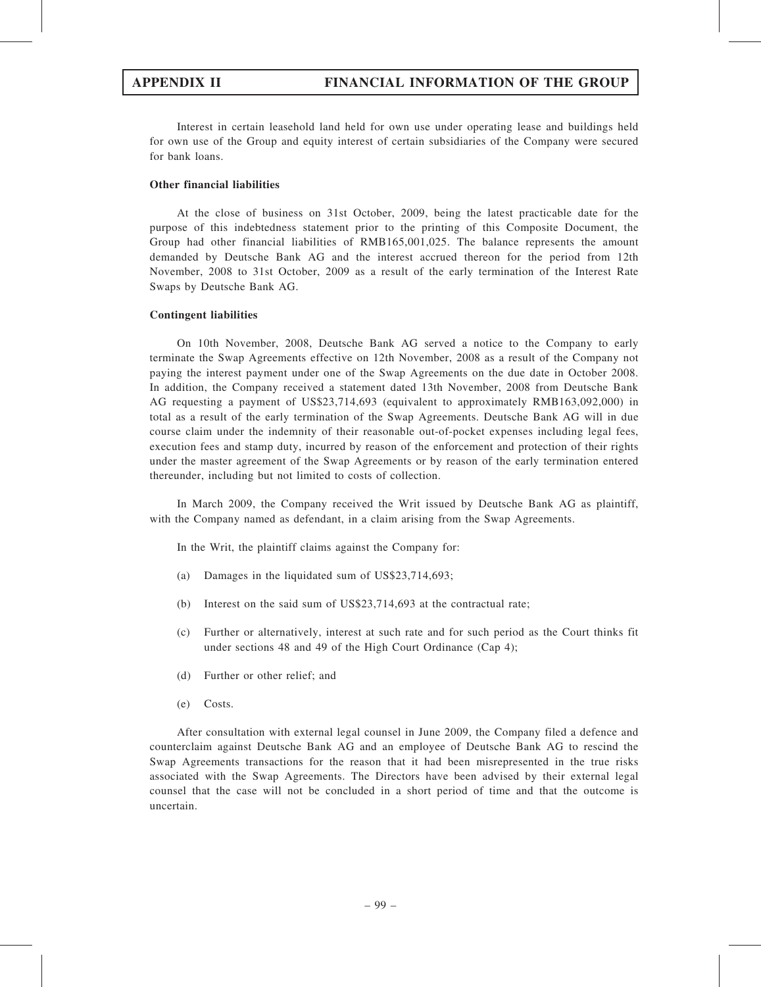Interest in certain leasehold land held for own use under operating lease and buildings held for own use of the Group and equity interest of certain subsidiaries of the Company were secured for bank loans.

## Other financial liabilities

At the close of business on 31st October, 2009, being the latest practicable date for the purpose of this indebtedness statement prior to the printing of this Composite Document, the Group had other financial liabilities of RMB165,001,025. The balance represents the amount demanded by Deutsche Bank AG and the interest accrued thereon for the period from 12th November, 2008 to 31st October, 2009 as a result of the early termination of the Interest Rate Swaps by Deutsche Bank AG.

## Contingent liabilities

On 10th November, 2008, Deutsche Bank AG served a notice to the Company to early terminate the Swap Agreements effective on 12th November, 2008 as a result of the Company not paying the interest payment under one of the Swap Agreements on the due date in October 2008. In addition, the Company received a statement dated 13th November, 2008 from Deutsche Bank AG requesting a payment of US\$23,714,693 (equivalent to approximately RMB163,092,000) in total as a result of the early termination of the Swap Agreements. Deutsche Bank AG will in due course claim under the indemnity of their reasonable out-of-pocket expenses including legal fees, execution fees and stamp duty, incurred by reason of the enforcement and protection of their rights under the master agreement of the Swap Agreements or by reason of the early termination entered thereunder, including but not limited to costs of collection.

In March 2009, the Company received the Writ issued by Deutsche Bank AG as plaintiff, with the Company named as defendant, in a claim arising from the Swap Agreements.

In the Writ, the plaintiff claims against the Company for:

- (a) Damages in the liquidated sum of US\$23,714,693;
- (b) Interest on the said sum of US\$23,714,693 at the contractual rate;
- (c) Further or alternatively, interest at such rate and for such period as the Court thinks fit under sections 48 and 49 of the High Court Ordinance (Cap 4);
- (d) Further or other relief; and
- (e) Costs.

After consultation with external legal counsel in June 2009, the Company filed a defence and counterclaim against Deutsche Bank AG and an employee of Deutsche Bank AG to rescind the Swap Agreements transactions for the reason that it had been misrepresented in the true risks associated with the Swap Agreements. The Directors have been advised by their external legal counsel that the case will not be concluded in a short period of time and that the outcome is uncertain.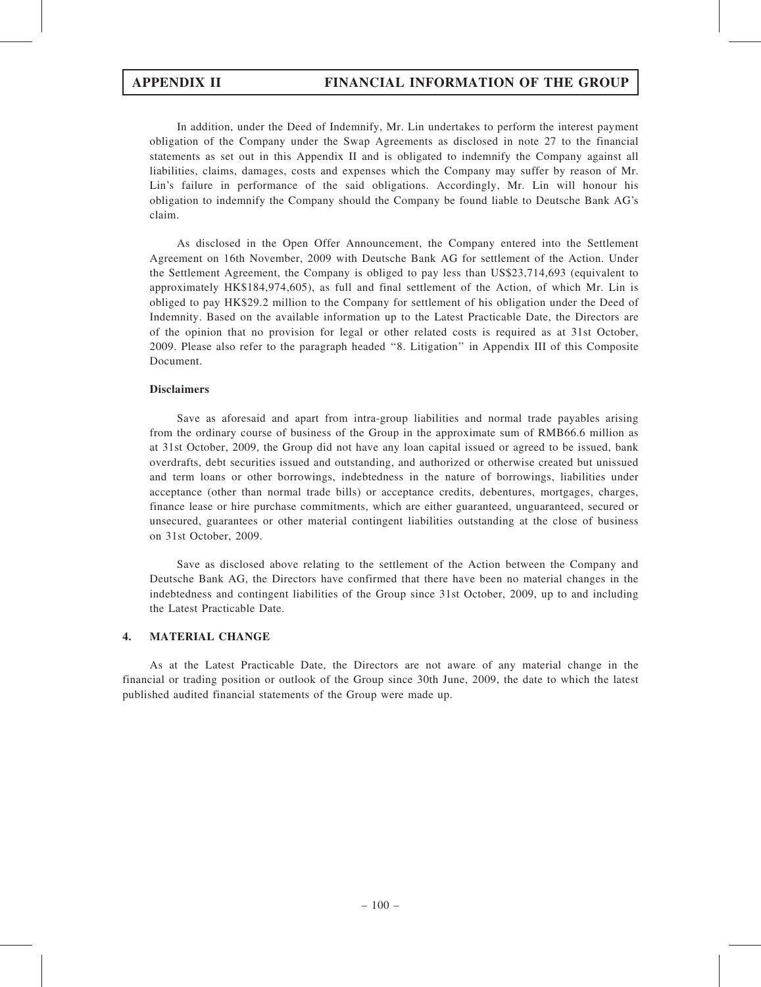In addition, under the Deed of Indemnify, Mr. Lin undertakes to perform the interest payment obligation of the Company under the Swap Agreements as disclosed in note 27 to the financial statements as set out in this Appendix II and is obligated to indemnify the Company against all liabilities, claims, damages, costs and expenses which the Company may suffer by reason of Mr. Lin's failure in performance of the said obligations. Accordingly, Mr. Lin will honour his obligation to indemnify the Company should the Company be found liable to Deutsche Bank AG's claim.

As disclosed in the Open Offer Announcement, the Company entered into the Settlement Agreement on 16th November, 2009 with Deutsche Bank AG for settlement of the Action. Under the Settlement Agreement, the Company is obliged to pay less than US\$23,714,693 (equivalent to approximately HK\$184,974,605), as full and final settlement of the Action, of which Mr. Lin is obliged to pay HK\$29.2 million to the Company for settlement of his obligation under the Deed of Indemnity. Based on the available information up to the Latest Practicable Date, the Directors are of the opinion that no provision for legal or other related costs is required as at 31st October, 2009. Please also refer to the paragraph headed ''8. Litigation'' in Appendix III of this Composite Document.

## **Disclaimers**

Save as aforesaid and apart from intra-group liabilities and normal trade payables arising from the ordinary course of business of the Group in the approximate sum of RMB66.6 million as at 31st October, 2009, the Group did not have any loan capital issued or agreed to be issued, bank overdrafts, debt securities issued and outstanding, and authorized or otherwise created but unissued and term loans or other borrowings, indebtedness in the nature of borrowings, liabilities under acceptance (other than normal trade bills) or acceptance credits, debentures, mortgages, charges, finance lease or hire purchase commitments, which are either guaranteed, unguaranteed, secured or unsecured, guarantees or other material contingent liabilities outstanding at the close of business on 31st October, 2009.

Save as disclosed above relating to the settlement of the Action between the Company and Deutsche Bank AG, the Directors have confirmed that there have been no material changes in the indebtedness and contingent liabilities of the Group since 31st October, 2009, up to and including the Latest Practicable Date.

## 4. MATERIAL CHANGE

As at the Latest Practicable Date, the Directors are not aware of any material change in the financial or trading position or outlook of the Group since 30th June, 2009, the date to which the latest published audited financial statements of the Group were made up.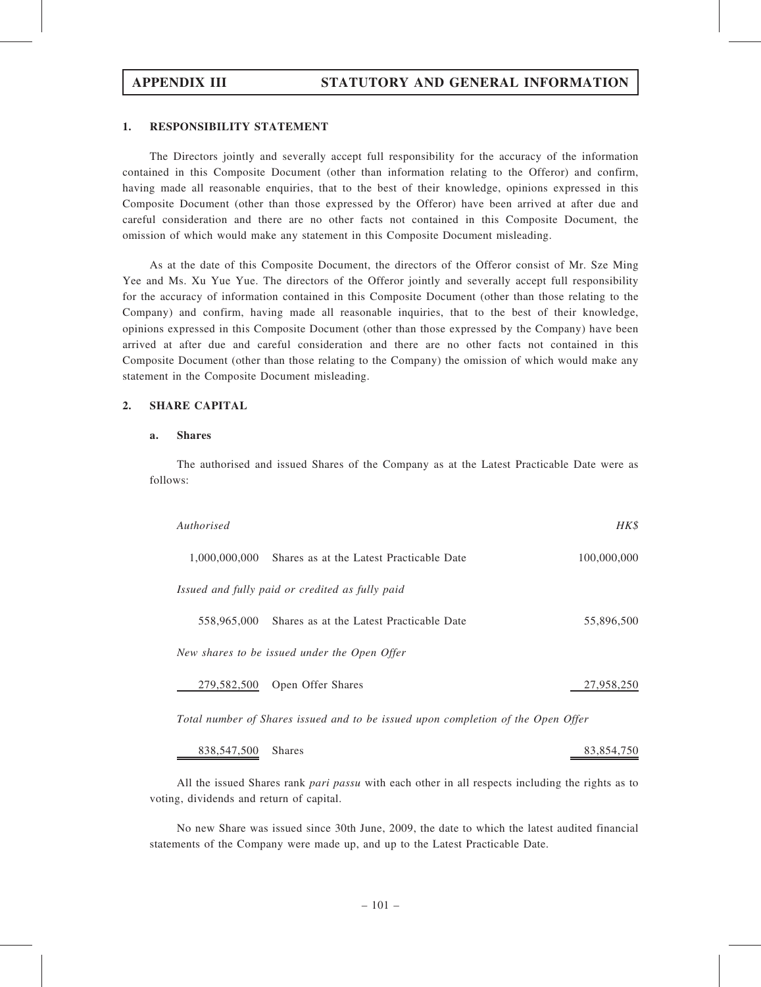# APPENDIX III STATUTORY AND GENERAL INFORMATION

# 1. RESPONSIBILITY STATEMENT

The Directors jointly and severally accept full responsibility for the accuracy of the information contained in this Composite Document (other than information relating to the Offeror) and confirm, having made all reasonable enquiries, that to the best of their knowledge, opinions expressed in this Composite Document (other than those expressed by the Offeror) have been arrived at after due and careful consideration and there are no other facts not contained in this Composite Document, the omission of which would make any statement in this Composite Document misleading.

As at the date of this Composite Document, the directors of the Offeror consist of Mr. Sze Ming Yee and Ms. Xu Yue Yue. The directors of the Offeror jointly and severally accept full responsibility for the accuracy of information contained in this Composite Document (other than those relating to the Company) and confirm, having made all reasonable inquiries, that to the best of their knowledge, opinions expressed in this Composite Document (other than those expressed by the Company) have been arrived at after due and careful consideration and there are no other facts not contained in this Composite Document (other than those relating to the Company) the omission of which would make any statement in the Composite Document misleading.

# 2. SHARE CAPITAL

# a. Shares

The authorised and issued Shares of the Company as at the Latest Practicable Date were as follows:

| Authorised                                                                       | HK\$        |
|----------------------------------------------------------------------------------|-------------|
| 1,000,000,000 Shares as at the Latest Practicable Date                           | 100,000,000 |
| Issued and fully paid or credited as fully paid                                  |             |
| 558,965,000<br>Shares as at the Latest Practicable Date                          | 55,896,500  |
| New shares to be issued under the Open Offer                                     |             |
| 279,582,500<br>Open Offer Shares                                                 | 27,958,250  |
| Total number of Shares issued and to be issued upon completion of the Open Offer |             |

838,547,500 Shares 83,854,750

All the issued Shares rank pari passu with each other in all respects including the rights as to voting, dividends and return of capital.

No new Share was issued since 30th June, 2009, the date to which the latest audited financial statements of the Company were made up, and up to the Latest Practicable Date.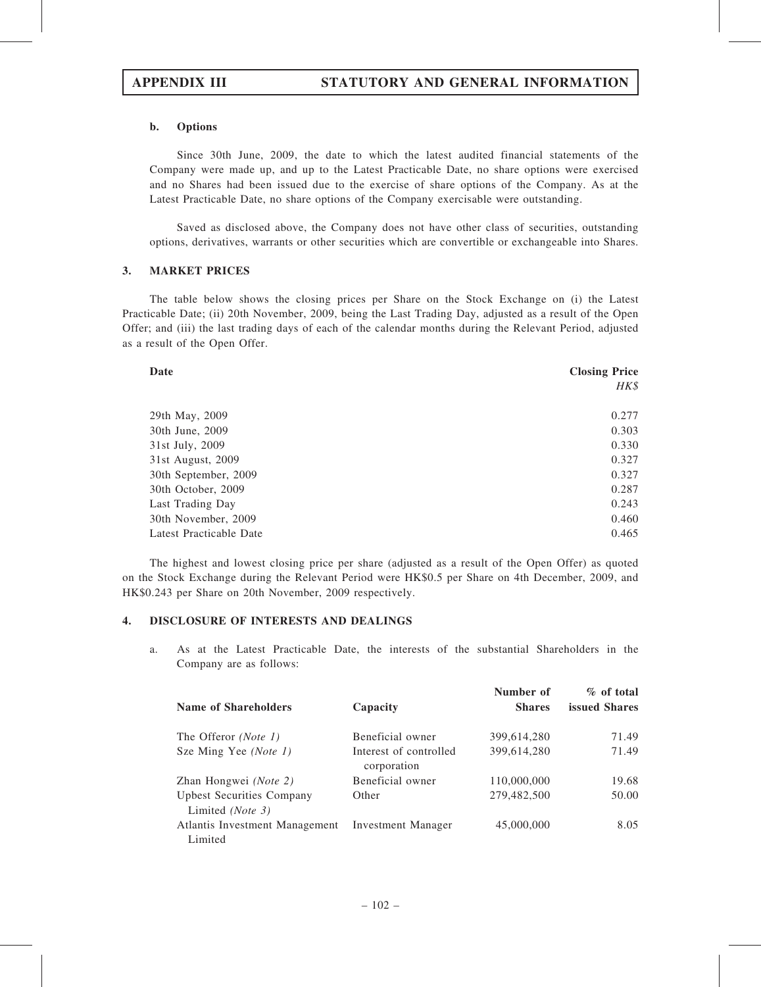## b. Options

Since 30th June, 2009, the date to which the latest audited financial statements of the Company were made up, and up to the Latest Practicable Date, no share options were exercised and no Shares had been issued due to the exercise of share options of the Company. As at the Latest Practicable Date, no share options of the Company exercisable were outstanding.

Saved as disclosed above, the Company does not have other class of securities, outstanding options, derivatives, warrants or other securities which are convertible or exchangeable into Shares.

## 3. MARKET PRICES

The table below shows the closing prices per Share on the Stock Exchange on (i) the Latest Practicable Date; (ii) 20th November, 2009, being the Last Trading Day, adjusted as a result of the Open Offer; and (iii) the last trading days of each of the calendar months during the Relevant Period, adjusted as a result of the Open Offer.

| Date                    | <b>Closing Price</b> |  |  |  |
|-------------------------|----------------------|--|--|--|
|                         | HK\$                 |  |  |  |
| 29th May, 2009          | 0.277                |  |  |  |
| 30th June, 2009         | 0.303                |  |  |  |
| 31st July, 2009         | 0.330                |  |  |  |
| 31st August, 2009       | 0.327                |  |  |  |
| 30th September, 2009    | 0.327                |  |  |  |
| 30th October, 2009      | 0.287                |  |  |  |
| Last Trading Day        | 0.243                |  |  |  |
| 30th November, 2009     | 0.460                |  |  |  |
| Latest Practicable Date | 0.465                |  |  |  |

The highest and lowest closing price per share (adjusted as a result of the Open Offer) as quoted on the Stock Exchange during the Relevant Period were HK\$0.5 per Share on 4th December, 2009, and HK\$0.243 per Share on 20th November, 2009 respectively.

## 4. DISCLOSURE OF INTERESTS AND DEALINGS

a. As at the Latest Practicable Date, the interests of the substantial Shareholders in the Company are as follows:

| <b>Name of Shareholders</b>                          | Capacity                              | Number of<br><b>Shares</b> | $\%$ of total<br>issued Shares |
|------------------------------------------------------|---------------------------------------|----------------------------|--------------------------------|
| The Offeror (Note 1)                                 | Beneficial owner                      | 399,614,280                | 71.49                          |
| Sze Ming Yee (Note 1)                                | Interest of controlled<br>corporation | 399,614,280                | 71.49                          |
| Zhan Hongwei ( <i>Note 2</i> )                       | Beneficial owner                      | 110,000,000                | 19.68                          |
| <b>Upbest Securities Company</b><br>Limited (Note 3) | Other                                 | 279,482,500                | 50.00                          |
| Atlantis Investment Management<br>Limited            | <b>Investment Manager</b>             | 45,000,000                 | 8.05                           |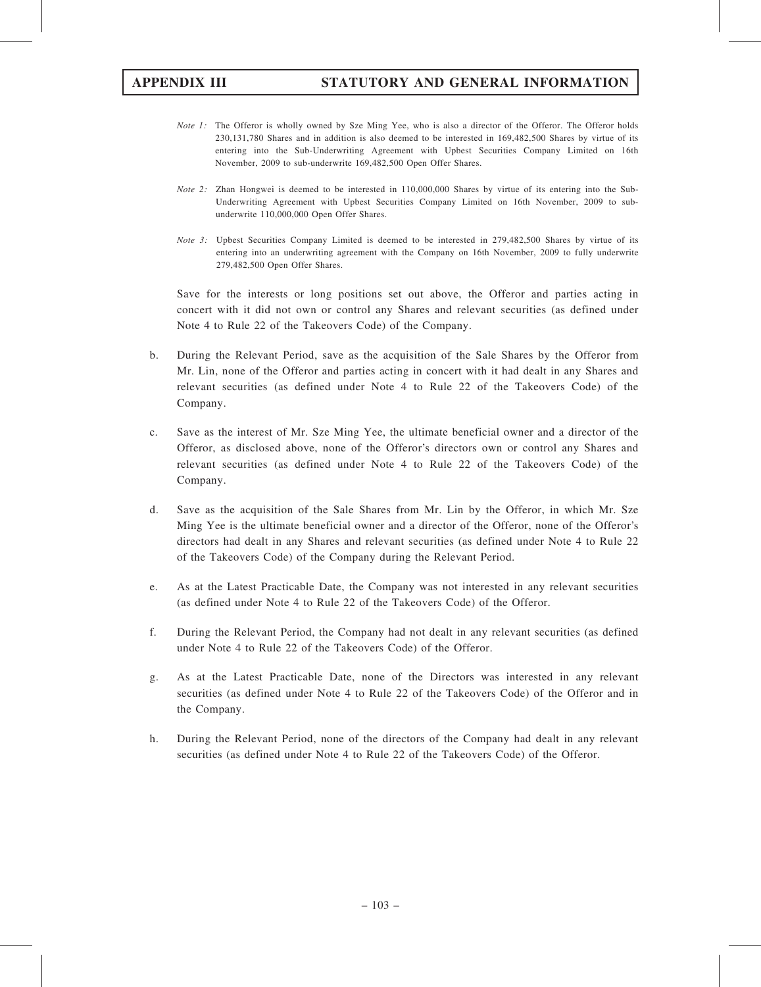- Note 1: The Offeror is wholly owned by Sze Ming Yee, who is also a director of the Offeror. The Offeror holds 230,131,780 Shares and in addition is also deemed to be interested in 169,482,500 Shares by virtue of its entering into the Sub-Underwriting Agreement with Upbest Securities Company Limited on 16th November, 2009 to sub-underwrite 169,482,500 Open Offer Shares.
- Note 2: Zhan Hongwei is deemed to be interested in 110,000,000 Shares by virtue of its entering into the Sub-Underwriting Agreement with Upbest Securities Company Limited on 16th November, 2009 to subunderwrite 110,000,000 Open Offer Shares.
- Note 3: Upbest Securities Company Limited is deemed to be interested in 279,482,500 Shares by virtue of its entering into an underwriting agreement with the Company on 16th November, 2009 to fully underwrite 279,482,500 Open Offer Shares.

Save for the interests or long positions set out above, the Offeror and parties acting in concert with it did not own or control any Shares and relevant securities (as defined under Note 4 to Rule 22 of the Takeovers Code) of the Company.

- b. During the Relevant Period, save as the acquisition of the Sale Shares by the Offeror from Mr. Lin, none of the Offeror and parties acting in concert with it had dealt in any Shares and relevant securities (as defined under Note 4 to Rule 22 of the Takeovers Code) of the Company.
- c. Save as the interest of Mr. Sze Ming Yee, the ultimate beneficial owner and a director of the Offeror, as disclosed above, none of the Offeror's directors own or control any Shares and relevant securities (as defined under Note 4 to Rule 22 of the Takeovers Code) of the Company.
- d. Save as the acquisition of the Sale Shares from Mr. Lin by the Offeror, in which Mr. Sze Ming Yee is the ultimate beneficial owner and a director of the Offeror, none of the Offeror's directors had dealt in any Shares and relevant securities (as defined under Note 4 to Rule 22 of the Takeovers Code) of the Company during the Relevant Period.
- e. As at the Latest Practicable Date, the Company was not interested in any relevant securities (as defined under Note 4 to Rule 22 of the Takeovers Code) of the Offeror.
- f. During the Relevant Period, the Company had not dealt in any relevant securities (as defined under Note 4 to Rule 22 of the Takeovers Code) of the Offeror.
- g. As at the Latest Practicable Date, none of the Directors was interested in any relevant securities (as defined under Note 4 to Rule 22 of the Takeovers Code) of the Offeror and in the Company.
- h. During the Relevant Period, none of the directors of the Company had dealt in any relevant securities (as defined under Note 4 to Rule 22 of the Takeovers Code) of the Offeror.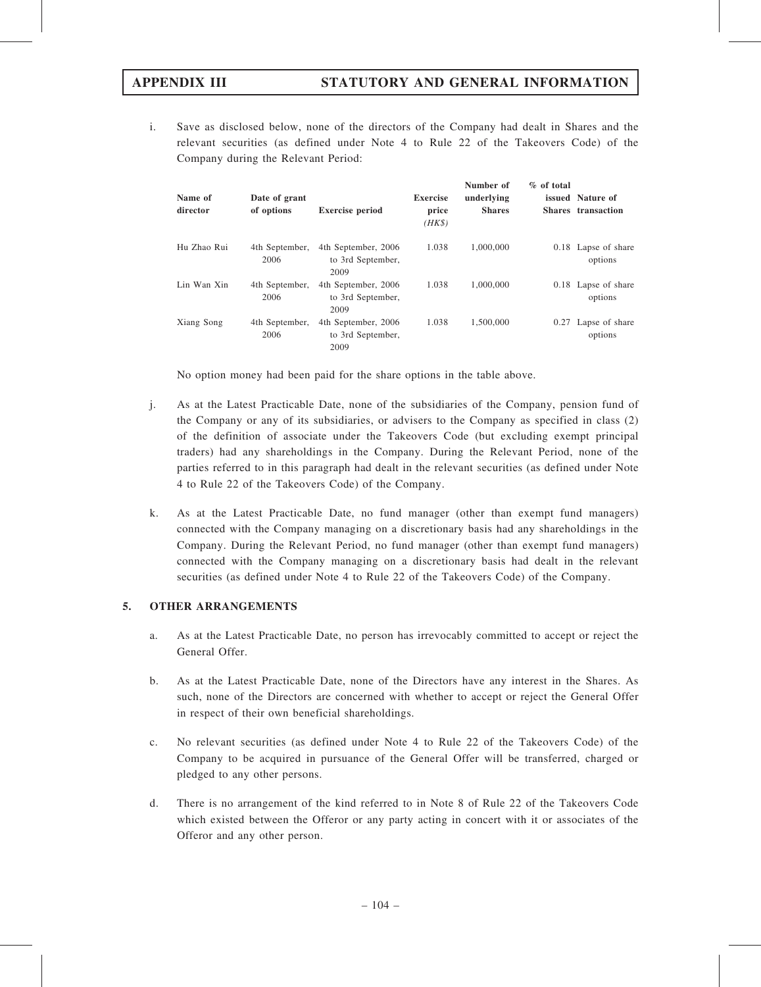i. Save as disclosed below, none of the directors of the Company had dealt in Shares and the relevant securities (as defined under Note 4 to Rule 22 of the Takeovers Code) of the Company during the Relevant Period:

| Name of<br>director | Date of grant<br>of options | <b>Exercise period</b>                           | <b>Exercise</b><br>price<br>$(HK\$ | Number of<br>underlying<br><b>Shares</b> | $%$ of total | issued Nature of<br>Shares transaction |
|---------------------|-----------------------------|--------------------------------------------------|------------------------------------|------------------------------------------|--------------|----------------------------------------|
| Hu Zhao Rui         | 4th September,<br>2006      | 4th September, 2006<br>to 3rd September,<br>2009 | 1.038                              | 1,000,000                                |              | 0.18 Lapse of share<br>options         |
| Lin Wan Xin         | 4th September,<br>2006      | 4th September, 2006<br>to 3rd September,<br>2009 | 1.038                              | 1,000,000                                |              | 0.18 Lapse of share<br>options         |
| Xiang Song          | 4th September,<br>2006      | 4th September, 2006<br>to 3rd September,<br>2009 | 1.038                              | 1,500,000                                |              | 0.27 Lapse of share<br>options         |

No option money had been paid for the share options in the table above.

- j. As at the Latest Practicable Date, none of the subsidiaries of the Company, pension fund of the Company or any of its subsidiaries, or advisers to the Company as specified in class (2) of the definition of associate under the Takeovers Code (but excluding exempt principal traders) had any shareholdings in the Company. During the Relevant Period, none of the parties referred to in this paragraph had dealt in the relevant securities (as defined under Note 4 to Rule 22 of the Takeovers Code) of the Company.
- k. As at the Latest Practicable Date, no fund manager (other than exempt fund managers) connected with the Company managing on a discretionary basis had any shareholdings in the Company. During the Relevant Period, no fund manager (other than exempt fund managers) connected with the Company managing on a discretionary basis had dealt in the relevant securities (as defined under Note 4 to Rule 22 of the Takeovers Code) of the Company.

## 5. OTHER ARRANGEMENTS

- a. As at the Latest Practicable Date, no person has irrevocably committed to accept or reject the General Offer.
- b. As at the Latest Practicable Date, none of the Directors have any interest in the Shares. As such, none of the Directors are concerned with whether to accept or reject the General Offer in respect of their own beneficial shareholdings.
- c. No relevant securities (as defined under Note 4 to Rule 22 of the Takeovers Code) of the Company to be acquired in pursuance of the General Offer will be transferred, charged or pledged to any other persons.
- d. There is no arrangement of the kind referred to in Note 8 of Rule 22 of the Takeovers Code which existed between the Offeror or any party acting in concert with it or associates of the Offeror and any other person.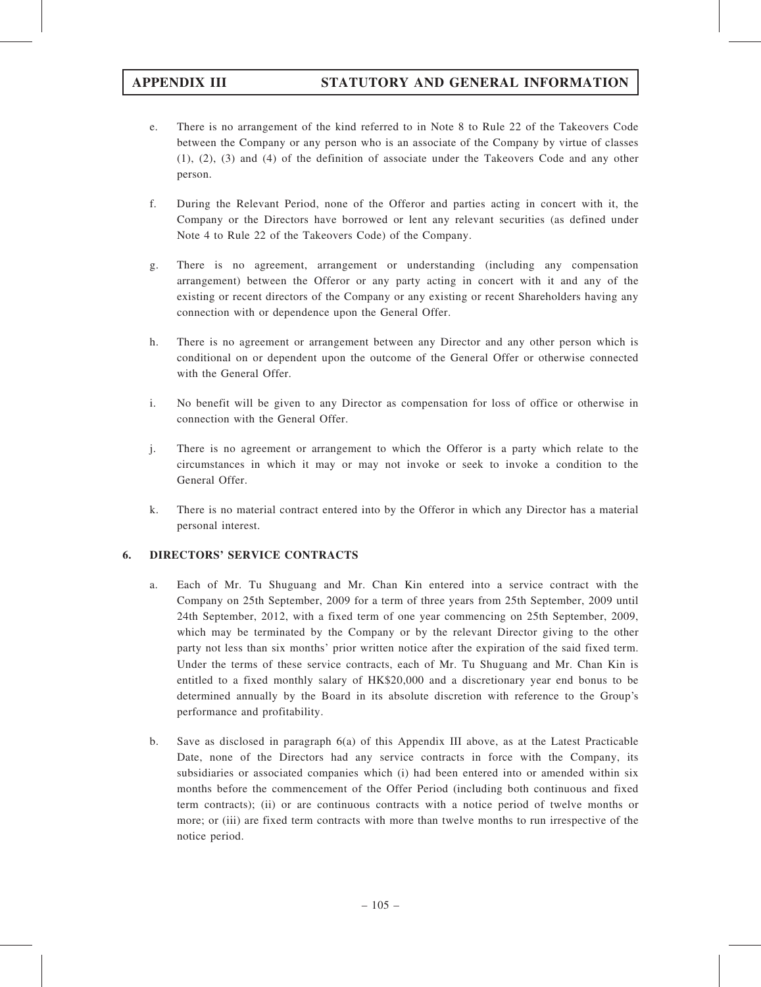- e. There is no arrangement of the kind referred to in Note 8 to Rule 22 of the Takeovers Code between the Company or any person who is an associate of the Company by virtue of classes (1), (2), (3) and (4) of the definition of associate under the Takeovers Code and any other person.
- f. During the Relevant Period, none of the Offeror and parties acting in concert with it, the Company or the Directors have borrowed or lent any relevant securities (as defined under Note 4 to Rule 22 of the Takeovers Code) of the Company.
- g. There is no agreement, arrangement or understanding (including any compensation arrangement) between the Offeror or any party acting in concert with it and any of the existing or recent directors of the Company or any existing or recent Shareholders having any connection with or dependence upon the General Offer.
- h. There is no agreement or arrangement between any Director and any other person which is conditional on or dependent upon the outcome of the General Offer or otherwise connected with the General Offer.
- i. No benefit will be given to any Director as compensation for loss of office or otherwise in connection with the General Offer.
- j. There is no agreement or arrangement to which the Offeror is a party which relate to the circumstances in which it may or may not invoke or seek to invoke a condition to the General Offer.
- k. There is no material contract entered into by the Offeror in which any Director has a material personal interest.

# 6. DIRECTORS' SERVICE CONTRACTS

- a. Each of Mr. Tu Shuguang and Mr. Chan Kin entered into a service contract with the Company on 25th September, 2009 for a term of three years from 25th September, 2009 until 24th September, 2012, with a fixed term of one year commencing on 25th September, 2009, which may be terminated by the Company or by the relevant Director giving to the other party not less than six months' prior written notice after the expiration of the said fixed term. Under the terms of these service contracts, each of Mr. Tu Shuguang and Mr. Chan Kin is entitled to a fixed monthly salary of HK\$20,000 and a discretionary year end bonus to be determined annually by the Board in its absolute discretion with reference to the Group's performance and profitability.
- b. Save as disclosed in paragraph 6(a) of this Appendix III above, as at the Latest Practicable Date, none of the Directors had any service contracts in force with the Company, its subsidiaries or associated companies which (i) had been entered into or amended within six months before the commencement of the Offer Period (including both continuous and fixed term contracts); (ii) or are continuous contracts with a notice period of twelve months or more; or (iii) are fixed term contracts with more than twelve months to run irrespective of the notice period.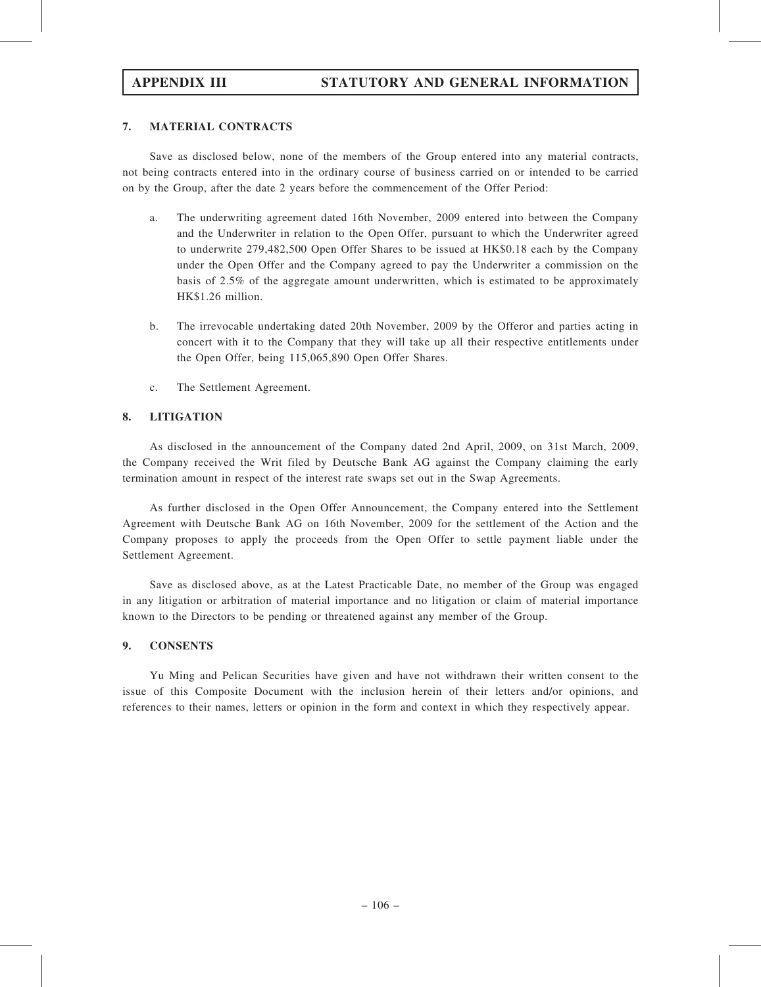# APPENDIX III STATUTORY AND GENERAL INFORMATION

### 7. MATERIAL CONTRACTS

Save as disclosed below, none of the members of the Group entered into any material contracts, not being contracts entered into in the ordinary course of business carried on or intended to be carried on by the Group, after the date 2 years before the commencement of the Offer Period:

- a. The underwriting agreement dated 16th November, 2009 entered into between the Company and the Underwriter in relation to the Open Offer, pursuant to which the Underwriter agreed to underwrite 279,482,500 Open Offer Shares to be issued at HK\$0.18 each by the Company under the Open Offer and the Company agreed to pay the Underwriter a commission on the basis of 2.5% of the aggregate amount underwritten, which is estimated to be approximately HK\$1.26 million.
- b. The irrevocable undertaking dated 20th November, 2009 by the Offeror and parties acting in concert with it to the Company that they will take up all their respective entitlements under the Open Offer, being 115,065,890 Open Offer Shares.
- c. The Settlement Agreement.

### 8. LITIGATION

As disclosed in the announcement of the Company dated 2nd April, 2009, on 31st March, 2009, the Company received the Writ filed by Deutsche Bank AG against the Company claiming the early termination amount in respect of the interest rate swaps set out in the Swap Agreements.

As further disclosed in the Open Offer Announcement, the Company entered into the Settlement Agreement with Deutsche Bank AG on 16th November, 2009 for the settlement of the Action and the Company proposes to apply the proceeds from the Open Offer to settle payment liable under the Settlement Agreement.

Save as disclosed above, as at the Latest Practicable Date, no member of the Group was engaged in any litigation or arbitration of material importance and no litigation or claim of material importance known to the Directors to be pending or threatened against any member of the Group.

### 9. CONSENTS

Yu Ming and Pelican Securities have given and have not withdrawn their written consent to the issue of this Composite Document with the inclusion herein of their letters and/or opinions, and references to their names, letters or opinion in the form and context in which they respectively appear.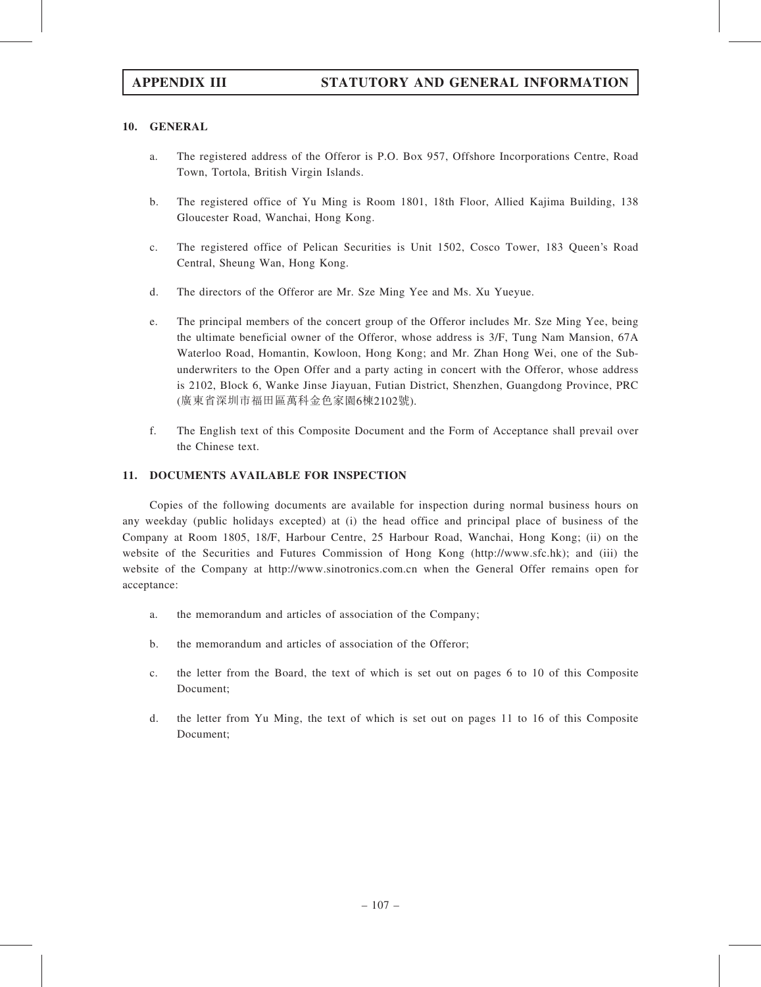### 10. GENERAL

- a. The registered address of the Offeror is P.O. Box 957, Offshore Incorporations Centre, Road Town, Tortola, British Virgin Islands.
- b. The registered office of Yu Ming is Room 1801, 18th Floor, Allied Kajima Building, 138 Gloucester Road, Wanchai, Hong Kong.
- c. The registered office of Pelican Securities is Unit 1502, Cosco Tower, 183 Queen's Road Central, Sheung Wan, Hong Kong.
- d. The directors of the Offeror are Mr. Sze Ming Yee and Ms. Xu Yueyue.
- e. The principal members of the concert group of the Offeror includes Mr. Sze Ming Yee, being the ultimate beneficial owner of the Offeror, whose address is 3/F, Tung Nam Mansion, 67A Waterloo Road, Homantin, Kowloon, Hong Kong; and Mr. Zhan Hong Wei, one of the Subunderwriters to the Open Offer and a party acting in concert with the Offeror, whose address is 2102, Block 6, Wanke Jinse Jiayuan, Futian District, Shenzhen, Guangdong Province, PRC (廣東省深圳市福田區萬科金色家園6棟2102號).
- f. The English text of this Composite Document and the Form of Acceptance shall prevail over the Chinese text.

### 11. DOCUMENTS AVAILABLE FOR INSPECTION

Copies of the following documents are available for inspection during normal business hours on any weekday (public holidays excepted) at (i) the head office and principal place of business of the Company at Room 1805, 18/F, Harbour Centre, 25 Harbour Road, Wanchai, Hong Kong; (ii) on the website of the Securities and Futures Commission of Hong Kong (http://www.sfc.hk); and (iii) the website of the Company at http://www.sinotronics.com.cn when the General Offer remains open for acceptance:

- a. the memorandum and articles of association of the Company;
- b. the memorandum and articles of association of the Offeror;
- c. the letter from the Board, the text of which is set out on pages 6 to 10 of this Composite Document;
- d. the letter from Yu Ming, the text of which is set out on pages 11 to 16 of this Composite Document;